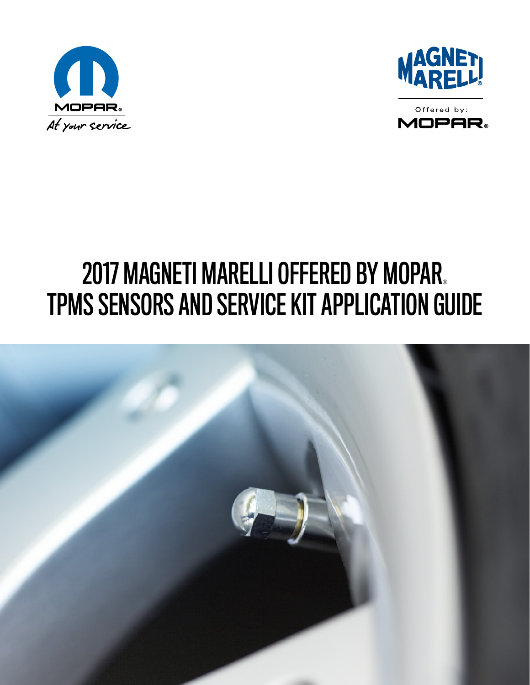





# 2017 MAGNETI MARELLI OFFERED BY MOPAR. TPMS SENSORS AND SERVICE KIT APPLICATION GUIDE

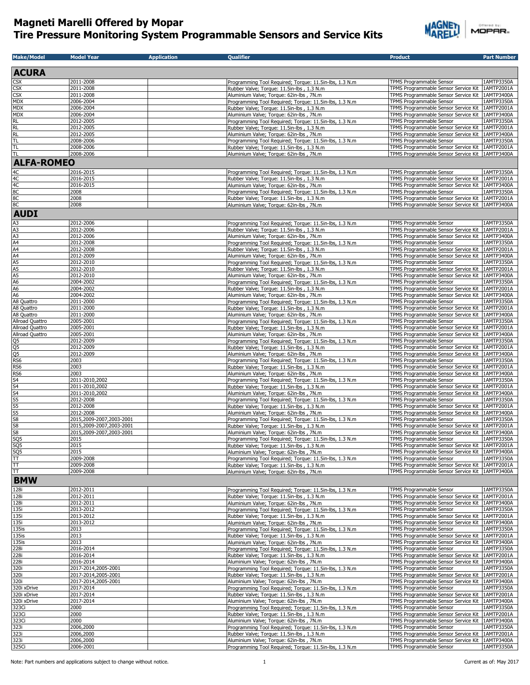

| <b>ACURA</b><br>ŠХ<br>2011-2008<br>Programming Tool Required; Torque: 11.5in-lbs, 1.3 N.m<br><b>TPMS Programmable Sensor</b><br>CSX<br>2011-2008<br>Rubber Valve; Torque: 11.5in-lbs, 1.3 N.m<br>Я<br>2011-2008<br>TPMS Programmable Sensor Service Kit<br>1AMTP3400A<br>Aluminium Valve; Torque: 62in-lbs, 7N.m<br><b>MDX</b><br>2006-2004<br>TPMS Programmable Sensor<br>1AMTP3350A<br>Programming Tool Required: Torque: 11.5in-lbs, 1.3 N.m.<br><b>MDX</b><br>2006-2004<br>TPMS Programmable Sensor Service Kit<br>Rubber Valve; Torque: 11.5in-lbs, 1.3 N.m.<br><b>MDX</b><br>2006-2004<br>TPMS Programmable Sensor Service Kit<br>Aluminium Valve; Torque: 62in-lbs, 7N.m<br>RL<br>2012-2005<br>Programming Tool Required; Torque: 11.5in-lbs, 1.3 N.m<br>TPMS Programmable Sensor<br>1AMTP3350A<br>RL<br>2012-2005<br>TPMS Programmable Sensor Service Kit<br>Rubber Valve; Torque: 11.5in-lbs, 1.3 N.m.<br>RL<br>2012-2005<br>TPMS Programmable Sensor Service Kit<br>Aluminium Valve; Torque: 62in-lbs, 7N.m<br>T <sub>L</sub><br>2008-2006<br><b>TPMS Programmable Sensor</b><br>Programming Tool Required; Torque: 11.5in-lbs, 1.3 N.m<br><b>TL</b><br>2008-2006<br>TPMS Programmable Sensor Service Kit<br>Rubber Valve; Torque: 11.5in-lbs, 1.3 N.m.<br><b>TL</b><br>2008-2006<br>TPMS Programmable Sensor Service Kit   1AMTP3400A<br>Aluminium Valve; Torque: 62in-lbs, 7N.m<br><b>ALFA-ROMEO</b><br>2016-2015<br>1AMTP3350A<br>TPMS Programmable Sensor<br>Programming Tool Required; Torque: 11.5in-lbs, 1.3 N.m<br>2016-2015<br>TPMS Programmable Sensor Service Kit<br>Rubber Valve; Torque: 11.5in-lbs, 1.3 N.m<br>2016-2015<br>1AMTP3400A<br>Aluminium Valve; Torque: 62in-lbs, 7N.m<br>TPMS Programmable Sensor Service Kit<br>2008<br>TPMS Programmable Sensor<br>Programming Tool Required; Torque: 11.5in-lbs, 1.3 N.m<br>2008<br>Rubber Valve; Torque: 11.5in-lbs, 1.3 N.m<br>TPMS Programmable Sensor Service Kit<br>1AMTP2001A<br>2008<br>Aluminium Valve; Torque: 62in-lbs, 7N.m<br><b>AUDI</b><br>A <sub>3</sub><br>2012-2006<br>Programming Tool Required; Torque: 11.5in-lbs, 1.3 N.m<br>TPMS Programmable Sensor<br>A3<br>A4<br>A4<br>A4<br>A5<br>A5<br>A5<br>A6<br>A6<br>A6<br>A6<br>A6<br>A8 Quattro<br>A8 Quattro<br>2012-2006<br>TPMS Programmable Sensor Service Kit<br>1AMTP2001A<br>Rubber Valve; Torque: 11.5in-lbs, 1.3 N.m<br>2012-2006<br>Aluminium Valve; Torque: 62in-lbs, 7N.m<br>2012-2008<br>1AMTP3350A<br>Programming Tool Required; Torque: 11.5in-lbs, 1.3 N.m<br>TPMS Programmable Sensor<br>2012-2008<br>Rubber Valve; Torque: 11.5in-lbs, 1.3 N.m.<br>2012-2009<br>Aluminium Valve; Torque: 62in-lbs, 7N.m<br>TPMS Programmable Sensor Service Kit<br>1AMTP3400A<br>2012-2010<br>TPMS Programmable Sensor<br>Programming Tool Required; Torque: 11.5in-lbs, 1.3 N.m<br>2012-2010<br>TPMS Programmable Sensor Service Kit<br>Rubber Valve; Torque: 11.5in-lbs, 1.3 N.m<br>2012-2010<br>TPMS Programmable Sensor Service Kit<br>Aluminium Valve; Torque: 62in-lbs, 7N.m<br>2004-2002<br>TPMS Programmable Sensor<br>1AMTP3350A<br>Programming Tool Required; Torque: 11.5in-lbs, 1.3 N.m<br>2004-2002<br>TPMS Programmable Sensor Service Kit<br>Rubber Valve; Torque: 11.5in-lbs, 1.3 N.m.<br>2004-2002<br>Aluminium Valve; Torque: 62in-lbs, 7N.m<br>TPMS Programmable Sensor Service Kit<br>2011-2000<br>Programming Tool Required; Torque: 11.5in-lbs, 1.3 N.m<br>TPMS Programmable Sensor<br>1AMTP3350A<br>A8 Quattro<br>2011-2000<br>TPMS Programmable Sensor Service Kit<br>Rubber Valve; Torque: 11.5in-lbs, 1.3 N.m.<br>A8 Quattro<br>2011-2000<br>TPMS Programmable Sensor Service Kit<br>Aluminium Valve; Torque: 62in-lbs, 7N.m<br>Allroad Quattro<br>2005-2001<br>TPMS Programmable Sensor<br>Programming Tool Required; Torque: 11.5in-lbs, 1.3 N.m<br>Allroad Quattro<br>2005-2001<br>TPMS Programmable Sensor Service Kit<br>Rubber Valve; Torque: 11.5in-lbs, 1.3 N.m.<br>Allroad Quattro<br>2005-2001<br>Aluminium Valve; Torque: 62in-lbs, 7N.m<br>TPMS Programmable Sensor Service Kit<br>2012-2009<br>TPMS Programmable Sensor<br>1AMTP3350A<br>Programming Tool Required; Torque: 11.5in-lbs, 1.3 N.m<br>2012-2009<br>TPMS Programmable Sensor Service Kit<br>Rubber Valve; Torque: 11.5in-lbs, 1.3 N.m.<br>2012-2009<br>Aluminium Valve; Torque: 62in-lbs, 7N.m<br>TPMS Programmable Sensor Service Kit<br>1AMTP3400A<br>2003<br>Programming Tool Required; Torque: 11.5in-lbs, 1.3 N.m<br>TPMS Programmable Sensor<br>2003<br>Rubber Valve; Torque: 11.5in-lbs, 1.3 N.m.<br>TPMS Programmable Sensor Service Kit<br>1AMTP2001A<br>2003<br>Aluminium Valve; Torque: 62in-lbs, 7N.m<br>2011-2010,2002<br>TPMS Programmable Sensor<br>1AMTP3350A<br>Programming Tool Required; Torque: 11.5in-lbs, 1.3 N.m<br>2011-2010,2002<br>TPMS Programmable Sensor Service Kit<br>Rubber Valve; Torque: 11.5in-lbs, 1.3 N.m.<br>2011-2010,2002<br>TPMS Programmable Sensor Service Kit<br>1AMTP3400A<br>Aluminium Valve; Torque: 62in-lbs, 7N.m<br>2012-2008<br>Programming Tool Required; Torque: 11.5in-lbs, 1.3 N.m<br>TPMS Programmable Sensor<br>2012-2008<br>TPMS Programmable Sensor Service Kit<br>Rubber Valve; Torque: 11.5in-lbs, 1.3 N.m.<br>2012-2008<br>Aluminium Valve; Torque: 62in-lbs, 7N.m<br>2015,2009-2007,2003-2001<br>Programming Tool Required; Torque: 11.5in-lbs, 1.3 N.m<br>TPMS Programmable Sensor<br>2015,2009-2007,2003-2001<br>TPMS Programmable Sensor Service Kit<br>Rubber Valve; Torque: 11.5in-lbs, 1.3 N.m.<br>$\frac{88}{11800}$<br>2015,2009-2007,2003-2001<br>TPMS Programmable Sensor Service Kit<br>1AMTP3400A<br>Aluminium Valve; Torque: 62in-lbs, 7N.m<br>2015<br>Programming Tool Required; Torque: 11.5in-lbs, 1.3 N.m.<br><b>IPMS Programmable Sensor</b><br>2015<br>Rubber Valve; Torque: 11.5in-lbs, 1.3 N.m.<br>2015<br>Aluminium Valve; Torque: 62in-lbs, 7N.m<br>2009-2008<br>TPMS Programmable Sensor<br>Programming Tool Required; Torque: 11.5in-lbs, 1.3 N.m<br>E<br>2009-2008<br>Rubber Valve: Torque: 11.5in-lbs, 1.3 N.m.<br>$\overline{\mathbb{L}}$<br>2009-2008<br>Aluminium Valve; Torque: 62in-lbs, 7N.m<br><b>BMW</b><br>128i<br>2012-2011<br>TPMS Programmable Sensor<br>Programming Tool Required; Torque: 11.5in-lbs, 1.3 N.m<br>128i<br>TPMS Programmable Sensor Service Kit<br>2012-2011<br>Rubber Valve; Torque: 11.5in-lbs, 1.3 N.m<br>128i<br>2012-2011<br>Aluminium Valve; Torque: 62in-lbs, 7N.m<br>135i<br>2013-2012<br>TPMS Programmable Sensor<br>Programming Tool Required; Torque: 11.5in-lbs, 1.3 N.m<br>135i<br>2013-2012<br>TPMS Programmable Sensor Service Kit<br>Rubber Valve; Torque: 11.5in-lbs, 1.3 N.m<br>135i<br>2013-2012<br>TPMS Programmable Sensor Service Kit<br>Aluminium Valve; Torque: 62in-lbs, 7N.m<br>135is<br>2013<br>TPMS Programmable Sensor<br>Programming Tool Required; Torque: 11.5in-lbs, 1.3 N.m<br>135is<br>2013<br>Rubber Valve; Torque: 11.5in-lbs, 1.3 N.m<br>TPMS Programmable Sensor Service Kit<br>135is<br>2013<br>Aluminium Valve; Torque: 62in-lbs, 7N.m<br>TPMS Programmable Sensor Service Kit<br>228i<br>2016-2014<br>Programming Tool Required; Torque: 11.5in-lbs, 1.3 N.m<br>TPMS Programmable Sensor<br>228i<br>2016-2014<br>Rubber Valve; Torque: 11.5in-lbs, 1.3 N.m<br>228i<br>2016-2014<br>Aluminium Valve; Torque: 62in-lbs, 7N.m<br>320i<br>2017-2014,2005-2001<br>Programming Tool Required; Torque: 11.5in-lbs, 1.3 N.m<br>TPMS Programmable Sensor<br>320i<br>2017-2014,2005-2001<br>TPMS Programmable Sensor Service Kit<br>Rubber Valve; Torque: 11.5in-lbs, 1.3 N.m.<br>320i<br>2017-2014,2005-2001<br>Aluminium Valve; Torque: 62in-lbs, 7N.m<br>320i xDrive<br>2017-2014<br>Programming Tool Required; Torque: 11.5in-lbs, 1.3 N.m<br>TPMS Programmable Sensor | 1AMTP3350A<br>TPMS Programmable Sensor Service Kit 1AMTP2001A<br>1AMTP2001A<br>1AMTP3400A<br>1AMTP2001A<br>1AMTP3400A<br>1AMTP3350A<br>1AMTP2001A<br>1AMTP2001A<br>1AMTP3350A<br>TPMS Programmable Sensor Service Kit   1AMTP3400A<br>1AMTP3350A<br>TPMS Programmable Sensor Service Kit 1AMTP3400A<br>TPMS Programmable Sensor Service Kit 1AMTP2001A<br>1AMTP3350A<br>1AMTP2001A<br>1AMTP3400A<br>1AMTP2001A<br>1AMTP3400A<br>1AMTP2001A<br>1AMTP3400A<br>1AMTP3350A<br>1AMTP2001A<br>1AMTP3400A<br>1AMTP2001A<br>1AMTP3350A<br>TPMS Programmable Sensor Service Kit   1AMTP3400A<br>1AMTP2001A<br>1AMTP3350A<br>1AMTP2001A<br>TPMS Programmable Sensor Service Kit 1AMTP3400A<br>1AMTP3350A<br>1AMTP2001A<br>1AM I P3350A<br>TPMS Programmable Sensor Service Kit   1AMTP2001A<br>TPMS Programmable Sensor Service Kit 1AMTP3400A<br>1AMTP3350A<br>TPMS Programmable Sensor Service Kit   1AMTP2001A<br>TPMS Programmable Sensor Service Kit   1AMTP3400A<br>1AMTP3350A<br>1AMTP2001A<br>TPMS Programmable Sensor Service Kit   1AMTP3400A<br>1AMTP3350A<br>1AMTP2001A<br>1AMTP3400A<br>1AMTP3350A<br>1AMTP2001A<br>1AMTP3400A<br>1AMTP3350A<br>TPMS Programmable Sensor Service Kit   1AMTP2001A<br>TPMS Programmable Sensor Service Kit 1AMTP3400A<br>1AMTP3350A<br>1AMTP2001A<br>TPMS Programmable Sensor Service Kit   1AMTP3400A<br>1AMTP3350A<br>320i xDrive<br>2017-2014<br>1AMTP2001A<br>Rubber Valve; Torque: 11.5in-lbs, 1.3 N.m.<br>TPMS Programmable Sensor Service Kit<br>2017-2014<br>Aluminium Valve; Torque: 62in-lbs, 7N.m<br>TPMS Programmable Sensor Service Kit<br>1AMTP3400A<br>323Ci<br>2000<br>TPMS Programmable Sensor<br>1AMTP3350A<br>Programming Tool Required; Torque: 11.5in-lbs, 1.3 N.m<br>323Ci<br>2000<br>TPMS Programmable Sensor Service Kit<br>1AMTP2001A<br>Rubber Valve; Torque: 11.5in-lbs, 1.3 N.m. | <b>Make/Model</b> | <b>Model Year</b> | <b>Application</b> | <b>Qualifier</b>                        | <b>Product</b>                                  | <b>Part Number</b> |
|-------------------------------------------------------------------------------------------------------------------------------------------------------------------------------------------------------------------------------------------------------------------------------------------------------------------------------------------------------------------------------------------------------------------------------------------------------------------------------------------------------------------------------------------------------------------------------------------------------------------------------------------------------------------------------------------------------------------------------------------------------------------------------------------------------------------------------------------------------------------------------------------------------------------------------------------------------------------------------------------------------------------------------------------------------------------------------------------------------------------------------------------------------------------------------------------------------------------------------------------------------------------------------------------------------------------------------------------------------------------------------------------------------------------------------------------------------------------------------------------------------------------------------------------------------------------------------------------------------------------------------------------------------------------------------------------------------------------------------------------------------------------------------------------------------------------------------------------------------------------------------------------------------------------------------------------------------------------------------------------------------------------------------------------------------------------------------------------------------------------------------------------------------------------------------------------------------------------------------------------------------------------------------------------------------------------------------------------------------------------------------------------------------------------------------------------------------------------------------------------------------------------------------------------------------------------------------------------------------------------------------------------------------------------------------------------------------------------------------------------------------------------------------------------------------------------------------------------------------------------------------------------------------------------------------------------------------------------------------------------------------------------------------------------------------------------------------------------------------------------------------------------------------------------------------------------------------------------------------------------------------------------------------------------------------------------------------------------------------------------------------------------------------------------------------------------------------------------------------------------------------------------------------------------------------------------------------------------------------------------------------------------------------------------------------------------------------------------------------------------------------------------------------------------------------------------------------------------------------------------------------------------------------------------------------------------------------------------------------------------------------------------------------------------------------------------------------------------------------------------------------------------------------------------------------------------------------------------------------------------------------------------------------------------------------------------------------------------------------------------------------------------------------------------------------------------------------------------------------------------------------------------------------------------------------------------------------------------------------------------------------------------------------------------------------------------------------------------------------------------------------------------------------------------------------------------------------------------------------------------------------------------------------------------------------------------------------------------------------------------------------------------------------------------------------------------------------------------------------------------------------------------------------------------------------------------------------------------------------------------------------------------------------------------------------------------------------------------------------------------------------------------------------------------------------------------------------------------------------------------------------------------------------------------------------------------------------------------------------------------------------------------------------------------------------------------------------------------------------------------------------------------------------------------------------------------------------------------------------------------------------------------------------------------------------------------------------------------------------------------------------------------------------------------------------------------------------------------------------------------------------------------------------------------------------------------------------------------------------------------------------------------------------------------------------------------------------------------------------------------------------------------------------------------------------------------------------------------------------------------------------------------------------------------------------------------------------------------------------------------------------------------------------------------------------------------------------------------------------------------------------------------------------------------------------------------------------------------------------------------------------------------------------------------------------------------------------------------------------------------------------------------------------------------------------------------------------------------------------------------------------------------------------------------------------------------------------------------------------------------------------------------------------------------------------------------------------------------------------------------------------------------------------------------------------------------------------------------------------------------------------------------------------------------------------------------------------------------------------------------------------------------------------------------------------------------------------------------------------------------------------------------------------|------------------------------------------------------------------------------------------------------------------------------------------------------------------------------------------------------------------------------------------------------------------------------------------------------------------------------------------------------------------------------------------------------------------------------------------------------------------------------------------------------------------------------------------------------------------------------------------------------------------------------------------------------------------------------------------------------------------------------------------------------------------------------------------------------------------------------------------------------------------------------------------------------------------------------------------------------------------------------------------------------------------------------------------------------------------------------------------------------------------------------------------------------------------------------------------------------------------------------------------------------------------------------------------------------------------------------------------------------------------------------------------------------------------------------------------------------------------------------------------------------------------------------------------------------------------------------------------------------------------------------------------------------------------------------------------------------------------------------------------------------------------------------------------------------------------------------------------------|-------------------|-------------------|--------------------|-----------------------------------------|-------------------------------------------------|--------------------|
|                                                                                                                                                                                                                                                                                                                                                                                                                                                                                                                                                                                                                                                                                                                                                                                                                                                                                                                                                                                                                                                                                                                                                                                                                                                                                                                                                                                                                                                                                                                                                                                                                                                                                                                                                                                                                                                                                                                                                                                                                                                                                                                                                                                                                                                                                                                                                                                                                                                                                                                                                                                                                                                                                                                                                                                                                                                                                                                                                                                                                                                                                                                                                                                                                                                                                                                                                                                                                                                                                                                                                                                                                                                                                                                                                                                                                                                                                                                                                                                                                                                                                                                                                                                                                                                                                                                                                                                                                                                                                                                                                                                                                                                                                                                                                                                                                                                                                                                                                                                                                                                                                                                                                                                                                                                                                                                                                                                                                                                                                                                                                                                                                                                                                                                                                                                                                                                                                                                                                                                                                                                                                                                                                                                                                                                                                                                                                                                                                                                                                                                                                                                                                                                                                                                                                                                                                                                                                                                                                                                                                                                                                                                                                                                                                                                                                                                                                                                                                                                                                                                                                                                                                                                                                                                                                                               |                                                                                                                                                                                                                                                                                                                                                                                                                                                                                                                                                                                                                                                                                                                                                                                                                                                                                                                                                                                                                                                                                                                                                                                                                                                                                                                                                                                                                                                                                                                                                                                                                                                                                                                                                                                                                                                |                   |                   |                    |                                         |                                                 |                    |
|                                                                                                                                                                                                                                                                                                                                                                                                                                                                                                                                                                                                                                                                                                                                                                                                                                                                                                                                                                                                                                                                                                                                                                                                                                                                                                                                                                                                                                                                                                                                                                                                                                                                                                                                                                                                                                                                                                                                                                                                                                                                                                                                                                                                                                                                                                                                                                                                                                                                                                                                                                                                                                                                                                                                                                                                                                                                                                                                                                                                                                                                                                                                                                                                                                                                                                                                                                                                                                                                                                                                                                                                                                                                                                                                                                                                                                                                                                                                                                                                                                                                                                                                                                                                                                                                                                                                                                                                                                                                                                                                                                                                                                                                                                                                                                                                                                                                                                                                                                                                                                                                                                                                                                                                                                                                                                                                                                                                                                                                                                                                                                                                                                                                                                                                                                                                                                                                                                                                                                                                                                                                                                                                                                                                                                                                                                                                                                                                                                                                                                                                                                                                                                                                                                                                                                                                                                                                                                                                                                                                                                                                                                                                                                                                                                                                                                                                                                                                                                                                                                                                                                                                                                                                                                                                                                               |                                                                                                                                                                                                                                                                                                                                                                                                                                                                                                                                                                                                                                                                                                                                                                                                                                                                                                                                                                                                                                                                                                                                                                                                                                                                                                                                                                                                                                                                                                                                                                                                                                                                                                                                                                                                                                                |                   |                   |                    |                                         |                                                 |                    |
|                                                                                                                                                                                                                                                                                                                                                                                                                                                                                                                                                                                                                                                                                                                                                                                                                                                                                                                                                                                                                                                                                                                                                                                                                                                                                                                                                                                                                                                                                                                                                                                                                                                                                                                                                                                                                                                                                                                                                                                                                                                                                                                                                                                                                                                                                                                                                                                                                                                                                                                                                                                                                                                                                                                                                                                                                                                                                                                                                                                                                                                                                                                                                                                                                                                                                                                                                                                                                                                                                                                                                                                                                                                                                                                                                                                                                                                                                                                                                                                                                                                                                                                                                                                                                                                                                                                                                                                                                                                                                                                                                                                                                                                                                                                                                                                                                                                                                                                                                                                                                                                                                                                                                                                                                                                                                                                                                                                                                                                                                                                                                                                                                                                                                                                                                                                                                                                                                                                                                                                                                                                                                                                                                                                                                                                                                                                                                                                                                                                                                                                                                                                                                                                                                                                                                                                                                                                                                                                                                                                                                                                                                                                                                                                                                                                                                                                                                                                                                                                                                                                                                                                                                                                                                                                                                                               |                                                                                                                                                                                                                                                                                                                                                                                                                                                                                                                                                                                                                                                                                                                                                                                                                                                                                                                                                                                                                                                                                                                                                                                                                                                                                                                                                                                                                                                                                                                                                                                                                                                                                                                                                                                                                                                |                   |                   |                    |                                         |                                                 |                    |
|                                                                                                                                                                                                                                                                                                                                                                                                                                                                                                                                                                                                                                                                                                                                                                                                                                                                                                                                                                                                                                                                                                                                                                                                                                                                                                                                                                                                                                                                                                                                                                                                                                                                                                                                                                                                                                                                                                                                                                                                                                                                                                                                                                                                                                                                                                                                                                                                                                                                                                                                                                                                                                                                                                                                                                                                                                                                                                                                                                                                                                                                                                                                                                                                                                                                                                                                                                                                                                                                                                                                                                                                                                                                                                                                                                                                                                                                                                                                                                                                                                                                                                                                                                                                                                                                                                                                                                                                                                                                                                                                                                                                                                                                                                                                                                                                                                                                                                                                                                                                                                                                                                                                                                                                                                                                                                                                                                                                                                                                                                                                                                                                                                                                                                                                                                                                                                                                                                                                                                                                                                                                                                                                                                                                                                                                                                                                                                                                                                                                                                                                                                                                                                                                                                                                                                                                                                                                                                                                                                                                                                                                                                                                                                                                                                                                                                                                                                                                                                                                                                                                                                                                                                                                                                                                                                               |                                                                                                                                                                                                                                                                                                                                                                                                                                                                                                                                                                                                                                                                                                                                                                                                                                                                                                                                                                                                                                                                                                                                                                                                                                                                                                                                                                                                                                                                                                                                                                                                                                                                                                                                                                                                                                                |                   |                   |                    |                                         |                                                 |                    |
|                                                                                                                                                                                                                                                                                                                                                                                                                                                                                                                                                                                                                                                                                                                                                                                                                                                                                                                                                                                                                                                                                                                                                                                                                                                                                                                                                                                                                                                                                                                                                                                                                                                                                                                                                                                                                                                                                                                                                                                                                                                                                                                                                                                                                                                                                                                                                                                                                                                                                                                                                                                                                                                                                                                                                                                                                                                                                                                                                                                                                                                                                                                                                                                                                                                                                                                                                                                                                                                                                                                                                                                                                                                                                                                                                                                                                                                                                                                                                                                                                                                                                                                                                                                                                                                                                                                                                                                                                                                                                                                                                                                                                                                                                                                                                                                                                                                                                                                                                                                                                                                                                                                                                                                                                                                                                                                                                                                                                                                                                                                                                                                                                                                                                                                                                                                                                                                                                                                                                                                                                                                                                                                                                                                                                                                                                                                                                                                                                                                                                                                                                                                                                                                                                                                                                                                                                                                                                                                                                                                                                                                                                                                                                                                                                                                                                                                                                                                                                                                                                                                                                                                                                                                                                                                                                                               |                                                                                                                                                                                                                                                                                                                                                                                                                                                                                                                                                                                                                                                                                                                                                                                                                                                                                                                                                                                                                                                                                                                                                                                                                                                                                                                                                                                                                                                                                                                                                                                                                                                                                                                                                                                                                                                |                   |                   |                    |                                         |                                                 |                    |
|                                                                                                                                                                                                                                                                                                                                                                                                                                                                                                                                                                                                                                                                                                                                                                                                                                                                                                                                                                                                                                                                                                                                                                                                                                                                                                                                                                                                                                                                                                                                                                                                                                                                                                                                                                                                                                                                                                                                                                                                                                                                                                                                                                                                                                                                                                                                                                                                                                                                                                                                                                                                                                                                                                                                                                                                                                                                                                                                                                                                                                                                                                                                                                                                                                                                                                                                                                                                                                                                                                                                                                                                                                                                                                                                                                                                                                                                                                                                                                                                                                                                                                                                                                                                                                                                                                                                                                                                                                                                                                                                                                                                                                                                                                                                                                                                                                                                                                                                                                                                                                                                                                                                                                                                                                                                                                                                                                                                                                                                                                                                                                                                                                                                                                                                                                                                                                                                                                                                                                                                                                                                                                                                                                                                                                                                                                                                                                                                                                                                                                                                                                                                                                                                                                                                                                                                                                                                                                                                                                                                                                                                                                                                                                                                                                                                                                                                                                                                                                                                                                                                                                                                                                                                                                                                                                               |                                                                                                                                                                                                                                                                                                                                                                                                                                                                                                                                                                                                                                                                                                                                                                                                                                                                                                                                                                                                                                                                                                                                                                                                                                                                                                                                                                                                                                                                                                                                                                                                                                                                                                                                                                                                                                                |                   |                   |                    |                                         |                                                 |                    |
|                                                                                                                                                                                                                                                                                                                                                                                                                                                                                                                                                                                                                                                                                                                                                                                                                                                                                                                                                                                                                                                                                                                                                                                                                                                                                                                                                                                                                                                                                                                                                                                                                                                                                                                                                                                                                                                                                                                                                                                                                                                                                                                                                                                                                                                                                                                                                                                                                                                                                                                                                                                                                                                                                                                                                                                                                                                                                                                                                                                                                                                                                                                                                                                                                                                                                                                                                                                                                                                                                                                                                                                                                                                                                                                                                                                                                                                                                                                                                                                                                                                                                                                                                                                                                                                                                                                                                                                                                                                                                                                                                                                                                                                                                                                                                                                                                                                                                                                                                                                                                                                                                                                                                                                                                                                                                                                                                                                                                                                                                                                                                                                                                                                                                                                                                                                                                                                                                                                                                                                                                                                                                                                                                                                                                                                                                                                                                                                                                                                                                                                                                                                                                                                                                                                                                                                                                                                                                                                                                                                                                                                                                                                                                                                                                                                                                                                                                                                                                                                                                                                                                                                                                                                                                                                                                                               |                                                                                                                                                                                                                                                                                                                                                                                                                                                                                                                                                                                                                                                                                                                                                                                                                                                                                                                                                                                                                                                                                                                                                                                                                                                                                                                                                                                                                                                                                                                                                                                                                                                                                                                                                                                                                                                |                   |                   |                    |                                         |                                                 |                    |
|                                                                                                                                                                                                                                                                                                                                                                                                                                                                                                                                                                                                                                                                                                                                                                                                                                                                                                                                                                                                                                                                                                                                                                                                                                                                                                                                                                                                                                                                                                                                                                                                                                                                                                                                                                                                                                                                                                                                                                                                                                                                                                                                                                                                                                                                                                                                                                                                                                                                                                                                                                                                                                                                                                                                                                                                                                                                                                                                                                                                                                                                                                                                                                                                                                                                                                                                                                                                                                                                                                                                                                                                                                                                                                                                                                                                                                                                                                                                                                                                                                                                                                                                                                                                                                                                                                                                                                                                                                                                                                                                                                                                                                                                                                                                                                                                                                                                                                                                                                                                                                                                                                                                                                                                                                                                                                                                                                                                                                                                                                                                                                                                                                                                                                                                                                                                                                                                                                                                                                                                                                                                                                                                                                                                                                                                                                                                                                                                                                                                                                                                                                                                                                                                                                                                                                                                                                                                                                                                                                                                                                                                                                                                                                                                                                                                                                                                                                                                                                                                                                                                                                                                                                                                                                                                                                               |                                                                                                                                                                                                                                                                                                                                                                                                                                                                                                                                                                                                                                                                                                                                                                                                                                                                                                                                                                                                                                                                                                                                                                                                                                                                                                                                                                                                                                                                                                                                                                                                                                                                                                                                                                                                                                                |                   |                   |                    |                                         |                                                 |                    |
|                                                                                                                                                                                                                                                                                                                                                                                                                                                                                                                                                                                                                                                                                                                                                                                                                                                                                                                                                                                                                                                                                                                                                                                                                                                                                                                                                                                                                                                                                                                                                                                                                                                                                                                                                                                                                                                                                                                                                                                                                                                                                                                                                                                                                                                                                                                                                                                                                                                                                                                                                                                                                                                                                                                                                                                                                                                                                                                                                                                                                                                                                                                                                                                                                                                                                                                                                                                                                                                                                                                                                                                                                                                                                                                                                                                                                                                                                                                                                                                                                                                                                                                                                                                                                                                                                                                                                                                                                                                                                                                                                                                                                                                                                                                                                                                                                                                                                                                                                                                                                                                                                                                                                                                                                                                                                                                                                                                                                                                                                                                                                                                                                                                                                                                                                                                                                                                                                                                                                                                                                                                                                                                                                                                                                                                                                                                                                                                                                                                                                                                                                                                                                                                                                                                                                                                                                                                                                                                                                                                                                                                                                                                                                                                                                                                                                                                                                                                                                                                                                                                                                                                                                                                                                                                                                                               |                                                                                                                                                                                                                                                                                                                                                                                                                                                                                                                                                                                                                                                                                                                                                                                                                                                                                                                                                                                                                                                                                                                                                                                                                                                                                                                                                                                                                                                                                                                                                                                                                                                                                                                                                                                                                                                |                   |                   |                    |                                         |                                                 |                    |
|                                                                                                                                                                                                                                                                                                                                                                                                                                                                                                                                                                                                                                                                                                                                                                                                                                                                                                                                                                                                                                                                                                                                                                                                                                                                                                                                                                                                                                                                                                                                                                                                                                                                                                                                                                                                                                                                                                                                                                                                                                                                                                                                                                                                                                                                                                                                                                                                                                                                                                                                                                                                                                                                                                                                                                                                                                                                                                                                                                                                                                                                                                                                                                                                                                                                                                                                                                                                                                                                                                                                                                                                                                                                                                                                                                                                                                                                                                                                                                                                                                                                                                                                                                                                                                                                                                                                                                                                                                                                                                                                                                                                                                                                                                                                                                                                                                                                                                                                                                                                                                                                                                                                                                                                                                                                                                                                                                                                                                                                                                                                                                                                                                                                                                                                                                                                                                                                                                                                                                                                                                                                                                                                                                                                                                                                                                                                                                                                                                                                                                                                                                                                                                                                                                                                                                                                                                                                                                                                                                                                                                                                                                                                                                                                                                                                                                                                                                                                                                                                                                                                                                                                                                                                                                                                                                               |                                                                                                                                                                                                                                                                                                                                                                                                                                                                                                                                                                                                                                                                                                                                                                                                                                                                                                                                                                                                                                                                                                                                                                                                                                                                                                                                                                                                                                                                                                                                                                                                                                                                                                                                                                                                                                                |                   |                   |                    |                                         |                                                 |                    |
|                                                                                                                                                                                                                                                                                                                                                                                                                                                                                                                                                                                                                                                                                                                                                                                                                                                                                                                                                                                                                                                                                                                                                                                                                                                                                                                                                                                                                                                                                                                                                                                                                                                                                                                                                                                                                                                                                                                                                                                                                                                                                                                                                                                                                                                                                                                                                                                                                                                                                                                                                                                                                                                                                                                                                                                                                                                                                                                                                                                                                                                                                                                                                                                                                                                                                                                                                                                                                                                                                                                                                                                                                                                                                                                                                                                                                                                                                                                                                                                                                                                                                                                                                                                                                                                                                                                                                                                                                                                                                                                                                                                                                                                                                                                                                                                                                                                                                                                                                                                                                                                                                                                                                                                                                                                                                                                                                                                                                                                                                                                                                                                                                                                                                                                                                                                                                                                                                                                                                                                                                                                                                                                                                                                                                                                                                                                                                                                                                                                                                                                                                                                                                                                                                                                                                                                                                                                                                                                                                                                                                                                                                                                                                                                                                                                                                                                                                                                                                                                                                                                                                                                                                                                                                                                                                                               |                                                                                                                                                                                                                                                                                                                                                                                                                                                                                                                                                                                                                                                                                                                                                                                                                                                                                                                                                                                                                                                                                                                                                                                                                                                                                                                                                                                                                                                                                                                                                                                                                                                                                                                                                                                                                                                |                   |                   |                    |                                         |                                                 |                    |
|                                                                                                                                                                                                                                                                                                                                                                                                                                                                                                                                                                                                                                                                                                                                                                                                                                                                                                                                                                                                                                                                                                                                                                                                                                                                                                                                                                                                                                                                                                                                                                                                                                                                                                                                                                                                                                                                                                                                                                                                                                                                                                                                                                                                                                                                                                                                                                                                                                                                                                                                                                                                                                                                                                                                                                                                                                                                                                                                                                                                                                                                                                                                                                                                                                                                                                                                                                                                                                                                                                                                                                                                                                                                                                                                                                                                                                                                                                                                                                                                                                                                                                                                                                                                                                                                                                                                                                                                                                                                                                                                                                                                                                                                                                                                                                                                                                                                                                                                                                                                                                                                                                                                                                                                                                                                                                                                                                                                                                                                                                                                                                                                                                                                                                                                                                                                                                                                                                                                                                                                                                                                                                                                                                                                                                                                                                                                                                                                                                                                                                                                                                                                                                                                                                                                                                                                                                                                                                                                                                                                                                                                                                                                                                                                                                                                                                                                                                                                                                                                                                                                                                                                                                                                                                                                                                               |                                                                                                                                                                                                                                                                                                                                                                                                                                                                                                                                                                                                                                                                                                                                                                                                                                                                                                                                                                                                                                                                                                                                                                                                                                                                                                                                                                                                                                                                                                                                                                                                                                                                                                                                                                                                                                                |                   |                   |                    |                                         |                                                 |                    |
|                                                                                                                                                                                                                                                                                                                                                                                                                                                                                                                                                                                                                                                                                                                                                                                                                                                                                                                                                                                                                                                                                                                                                                                                                                                                                                                                                                                                                                                                                                                                                                                                                                                                                                                                                                                                                                                                                                                                                                                                                                                                                                                                                                                                                                                                                                                                                                                                                                                                                                                                                                                                                                                                                                                                                                                                                                                                                                                                                                                                                                                                                                                                                                                                                                                                                                                                                                                                                                                                                                                                                                                                                                                                                                                                                                                                                                                                                                                                                                                                                                                                                                                                                                                                                                                                                                                                                                                                                                                                                                                                                                                                                                                                                                                                                                                                                                                                                                                                                                                                                                                                                                                                                                                                                                                                                                                                                                                                                                                                                                                                                                                                                                                                                                                                                                                                                                                                                                                                                                                                                                                                                                                                                                                                                                                                                                                                                                                                                                                                                                                                                                                                                                                                                                                                                                                                                                                                                                                                                                                                                                                                                                                                                                                                                                                                                                                                                                                                                                                                                                                                                                                                                                                                                                                                                                               |                                                                                                                                                                                                                                                                                                                                                                                                                                                                                                                                                                                                                                                                                                                                                                                                                                                                                                                                                                                                                                                                                                                                                                                                                                                                                                                                                                                                                                                                                                                                                                                                                                                                                                                                                                                                                                                |                   |                   |                    |                                         |                                                 |                    |
|                                                                                                                                                                                                                                                                                                                                                                                                                                                                                                                                                                                                                                                                                                                                                                                                                                                                                                                                                                                                                                                                                                                                                                                                                                                                                                                                                                                                                                                                                                                                                                                                                                                                                                                                                                                                                                                                                                                                                                                                                                                                                                                                                                                                                                                                                                                                                                                                                                                                                                                                                                                                                                                                                                                                                                                                                                                                                                                                                                                                                                                                                                                                                                                                                                                                                                                                                                                                                                                                                                                                                                                                                                                                                                                                                                                                                                                                                                                                                                                                                                                                                                                                                                                                                                                                                                                                                                                                                                                                                                                                                                                                                                                                                                                                                                                                                                                                                                                                                                                                                                                                                                                                                                                                                                                                                                                                                                                                                                                                                                                                                                                                                                                                                                                                                                                                                                                                                                                                                                                                                                                                                                                                                                                                                                                                                                                                                                                                                                                                                                                                                                                                                                                                                                                                                                                                                                                                                                                                                                                                                                                                                                                                                                                                                                                                                                                                                                                                                                                                                                                                                                                                                                                                                                                                                                               |                                                                                                                                                                                                                                                                                                                                                                                                                                                                                                                                                                                                                                                                                                                                                                                                                                                                                                                                                                                                                                                                                                                                                                                                                                                                                                                                                                                                                                                                                                                                                                                                                                                                                                                                                                                                                                                |                   |                   |                    |                                         |                                                 |                    |
|                                                                                                                                                                                                                                                                                                                                                                                                                                                                                                                                                                                                                                                                                                                                                                                                                                                                                                                                                                                                                                                                                                                                                                                                                                                                                                                                                                                                                                                                                                                                                                                                                                                                                                                                                                                                                                                                                                                                                                                                                                                                                                                                                                                                                                                                                                                                                                                                                                                                                                                                                                                                                                                                                                                                                                                                                                                                                                                                                                                                                                                                                                                                                                                                                                                                                                                                                                                                                                                                                                                                                                                                                                                                                                                                                                                                                                                                                                                                                                                                                                                                                                                                                                                                                                                                                                                                                                                                                                                                                                                                                                                                                                                                                                                                                                                                                                                                                                                                                                                                                                                                                                                                                                                                                                                                                                                                                                                                                                                                                                                                                                                                                                                                                                                                                                                                                                                                                                                                                                                                                                                                                                                                                                                                                                                                                                                                                                                                                                                                                                                                                                                                                                                                                                                                                                                                                                                                                                                                                                                                                                                                                                                                                                                                                                                                                                                                                                                                                                                                                                                                                                                                                                                                                                                                                                               |                                                                                                                                                                                                                                                                                                                                                                                                                                                                                                                                                                                                                                                                                                                                                                                                                                                                                                                                                                                                                                                                                                                                                                                                                                                                                                                                                                                                                                                                                                                                                                                                                                                                                                                                                                                                                                                |                   |                   |                    |                                         |                                                 |                    |
|                                                                                                                                                                                                                                                                                                                                                                                                                                                                                                                                                                                                                                                                                                                                                                                                                                                                                                                                                                                                                                                                                                                                                                                                                                                                                                                                                                                                                                                                                                                                                                                                                                                                                                                                                                                                                                                                                                                                                                                                                                                                                                                                                                                                                                                                                                                                                                                                                                                                                                                                                                                                                                                                                                                                                                                                                                                                                                                                                                                                                                                                                                                                                                                                                                                                                                                                                                                                                                                                                                                                                                                                                                                                                                                                                                                                                                                                                                                                                                                                                                                                                                                                                                                                                                                                                                                                                                                                                                                                                                                                                                                                                                                                                                                                                                                                                                                                                                                                                                                                                                                                                                                                                                                                                                                                                                                                                                                                                                                                                                                                                                                                                                                                                                                                                                                                                                                                                                                                                                                                                                                                                                                                                                                                                                                                                                                                                                                                                                                                                                                                                                                                                                                                                                                                                                                                                                                                                                                                                                                                                                                                                                                                                                                                                                                                                                                                                                                                                                                                                                                                                                                                                                                                                                                                                                               |                                                                                                                                                                                                                                                                                                                                                                                                                                                                                                                                                                                                                                                                                                                                                                                                                                                                                                                                                                                                                                                                                                                                                                                                                                                                                                                                                                                                                                                                                                                                                                                                                                                                                                                                                                                                                                                |                   |                   |                    |                                         |                                                 |                    |
|                                                                                                                                                                                                                                                                                                                                                                                                                                                                                                                                                                                                                                                                                                                                                                                                                                                                                                                                                                                                                                                                                                                                                                                                                                                                                                                                                                                                                                                                                                                                                                                                                                                                                                                                                                                                                                                                                                                                                                                                                                                                                                                                                                                                                                                                                                                                                                                                                                                                                                                                                                                                                                                                                                                                                                                                                                                                                                                                                                                                                                                                                                                                                                                                                                                                                                                                                                                                                                                                                                                                                                                                                                                                                                                                                                                                                                                                                                                                                                                                                                                                                                                                                                                                                                                                                                                                                                                                                                                                                                                                                                                                                                                                                                                                                                                                                                                                                                                                                                                                                                                                                                                                                                                                                                                                                                                                                                                                                                                                                                                                                                                                                                                                                                                                                                                                                                                                                                                                                                                                                                                                                                                                                                                                                                                                                                                                                                                                                                                                                                                                                                                                                                                                                                                                                                                                                                                                                                                                                                                                                                                                                                                                                                                                                                                                                                                                                                                                                                                                                                                                                                                                                                                                                                                                                                               |                                                                                                                                                                                                                                                                                                                                                                                                                                                                                                                                                                                                                                                                                                                                                                                                                                                                                                                                                                                                                                                                                                                                                                                                                                                                                                                                                                                                                                                                                                                                                                                                                                                                                                                                                                                                                                                |                   |                   |                    |                                         |                                                 |                    |
|                                                                                                                                                                                                                                                                                                                                                                                                                                                                                                                                                                                                                                                                                                                                                                                                                                                                                                                                                                                                                                                                                                                                                                                                                                                                                                                                                                                                                                                                                                                                                                                                                                                                                                                                                                                                                                                                                                                                                                                                                                                                                                                                                                                                                                                                                                                                                                                                                                                                                                                                                                                                                                                                                                                                                                                                                                                                                                                                                                                                                                                                                                                                                                                                                                                                                                                                                                                                                                                                                                                                                                                                                                                                                                                                                                                                                                                                                                                                                                                                                                                                                                                                                                                                                                                                                                                                                                                                                                                                                                                                                                                                                                                                                                                                                                                                                                                                                                                                                                                                                                                                                                                                                                                                                                                                                                                                                                                                                                                                                                                                                                                                                                                                                                                                                                                                                                                                                                                                                                                                                                                                                                                                                                                                                                                                                                                                                                                                                                                                                                                                                                                                                                                                                                                                                                                                                                                                                                                                                                                                                                                                                                                                                                                                                                                                                                                                                                                                                                                                                                                                                                                                                                                                                                                                                                               |                                                                                                                                                                                                                                                                                                                                                                                                                                                                                                                                                                                                                                                                                                                                                                                                                                                                                                                                                                                                                                                                                                                                                                                                                                                                                                                                                                                                                                                                                                                                                                                                                                                                                                                                                                                                                                                |                   |                   |                    |                                         |                                                 |                    |
|                                                                                                                                                                                                                                                                                                                                                                                                                                                                                                                                                                                                                                                                                                                                                                                                                                                                                                                                                                                                                                                                                                                                                                                                                                                                                                                                                                                                                                                                                                                                                                                                                                                                                                                                                                                                                                                                                                                                                                                                                                                                                                                                                                                                                                                                                                                                                                                                                                                                                                                                                                                                                                                                                                                                                                                                                                                                                                                                                                                                                                                                                                                                                                                                                                                                                                                                                                                                                                                                                                                                                                                                                                                                                                                                                                                                                                                                                                                                                                                                                                                                                                                                                                                                                                                                                                                                                                                                                                                                                                                                                                                                                                                                                                                                                                                                                                                                                                                                                                                                                                                                                                                                                                                                                                                                                                                                                                                                                                                                                                                                                                                                                                                                                                                                                                                                                                                                                                                                                                                                                                                                                                                                                                                                                                                                                                                                                                                                                                                                                                                                                                                                                                                                                                                                                                                                                                                                                                                                                                                                                                                                                                                                                                                                                                                                                                                                                                                                                                                                                                                                                                                                                                                                                                                                                                               |                                                                                                                                                                                                                                                                                                                                                                                                                                                                                                                                                                                                                                                                                                                                                                                                                                                                                                                                                                                                                                                                                                                                                                                                                                                                                                                                                                                                                                                                                                                                                                                                                                                                                                                                                                                                                                                |                   |                   |                    |                                         |                                                 |                    |
|                                                                                                                                                                                                                                                                                                                                                                                                                                                                                                                                                                                                                                                                                                                                                                                                                                                                                                                                                                                                                                                                                                                                                                                                                                                                                                                                                                                                                                                                                                                                                                                                                                                                                                                                                                                                                                                                                                                                                                                                                                                                                                                                                                                                                                                                                                                                                                                                                                                                                                                                                                                                                                                                                                                                                                                                                                                                                                                                                                                                                                                                                                                                                                                                                                                                                                                                                                                                                                                                                                                                                                                                                                                                                                                                                                                                                                                                                                                                                                                                                                                                                                                                                                                                                                                                                                                                                                                                                                                                                                                                                                                                                                                                                                                                                                                                                                                                                                                                                                                                                                                                                                                                                                                                                                                                                                                                                                                                                                                                                                                                                                                                                                                                                                                                                                                                                                                                                                                                                                                                                                                                                                                                                                                                                                                                                                                                                                                                                                                                                                                                                                                                                                                                                                                                                                                                                                                                                                                                                                                                                                                                                                                                                                                                                                                                                                                                                                                                                                                                                                                                                                                                                                                                                                                                                                               |                                                                                                                                                                                                                                                                                                                                                                                                                                                                                                                                                                                                                                                                                                                                                                                                                                                                                                                                                                                                                                                                                                                                                                                                                                                                                                                                                                                                                                                                                                                                                                                                                                                                                                                                                                                                                                                |                   |                   |                    |                                         |                                                 |                    |
|                                                                                                                                                                                                                                                                                                                                                                                                                                                                                                                                                                                                                                                                                                                                                                                                                                                                                                                                                                                                                                                                                                                                                                                                                                                                                                                                                                                                                                                                                                                                                                                                                                                                                                                                                                                                                                                                                                                                                                                                                                                                                                                                                                                                                                                                                                                                                                                                                                                                                                                                                                                                                                                                                                                                                                                                                                                                                                                                                                                                                                                                                                                                                                                                                                                                                                                                                                                                                                                                                                                                                                                                                                                                                                                                                                                                                                                                                                                                                                                                                                                                                                                                                                                                                                                                                                                                                                                                                                                                                                                                                                                                                                                                                                                                                                                                                                                                                                                                                                                                                                                                                                                                                                                                                                                                                                                                                                                                                                                                                                                                                                                                                                                                                                                                                                                                                                                                                                                                                                                                                                                                                                                                                                                                                                                                                                                                                                                                                                                                                                                                                                                                                                                                                                                                                                                                                                                                                                                                                                                                                                                                                                                                                                                                                                                                                                                                                                                                                                                                                                                                                                                                                                                                                                                                                                               |                                                                                                                                                                                                                                                                                                                                                                                                                                                                                                                                                                                                                                                                                                                                                                                                                                                                                                                                                                                                                                                                                                                                                                                                                                                                                                                                                                                                                                                                                                                                                                                                                                                                                                                                                                                                                                                |                   |                   |                    |                                         |                                                 |                    |
|                                                                                                                                                                                                                                                                                                                                                                                                                                                                                                                                                                                                                                                                                                                                                                                                                                                                                                                                                                                                                                                                                                                                                                                                                                                                                                                                                                                                                                                                                                                                                                                                                                                                                                                                                                                                                                                                                                                                                                                                                                                                                                                                                                                                                                                                                                                                                                                                                                                                                                                                                                                                                                                                                                                                                                                                                                                                                                                                                                                                                                                                                                                                                                                                                                                                                                                                                                                                                                                                                                                                                                                                                                                                                                                                                                                                                                                                                                                                                                                                                                                                                                                                                                                                                                                                                                                                                                                                                                                                                                                                                                                                                                                                                                                                                                                                                                                                                                                                                                                                                                                                                                                                                                                                                                                                                                                                                                                                                                                                                                                                                                                                                                                                                                                                                                                                                                                                                                                                                                                                                                                                                                                                                                                                                                                                                                                                                                                                                                                                                                                                                                                                                                                                                                                                                                                                                                                                                                                                                                                                                                                                                                                                                                                                                                                                                                                                                                                                                                                                                                                                                                                                                                                                                                                                                                               |                                                                                                                                                                                                                                                                                                                                                                                                                                                                                                                                                                                                                                                                                                                                                                                                                                                                                                                                                                                                                                                                                                                                                                                                                                                                                                                                                                                                                                                                                                                                                                                                                                                                                                                                                                                                                                                |                   |                   |                    |                                         |                                                 |                    |
|                                                                                                                                                                                                                                                                                                                                                                                                                                                                                                                                                                                                                                                                                                                                                                                                                                                                                                                                                                                                                                                                                                                                                                                                                                                                                                                                                                                                                                                                                                                                                                                                                                                                                                                                                                                                                                                                                                                                                                                                                                                                                                                                                                                                                                                                                                                                                                                                                                                                                                                                                                                                                                                                                                                                                                                                                                                                                                                                                                                                                                                                                                                                                                                                                                                                                                                                                                                                                                                                                                                                                                                                                                                                                                                                                                                                                                                                                                                                                                                                                                                                                                                                                                                                                                                                                                                                                                                                                                                                                                                                                                                                                                                                                                                                                                                                                                                                                                                                                                                                                                                                                                                                                                                                                                                                                                                                                                                                                                                                                                                                                                                                                                                                                                                                                                                                                                                                                                                                                                                                                                                                                                                                                                                                                                                                                                                                                                                                                                                                                                                                                                                                                                                                                                                                                                                                                                                                                                                                                                                                                                                                                                                                                                                                                                                                                                                                                                                                                                                                                                                                                                                                                                                                                                                                                                               |                                                                                                                                                                                                                                                                                                                                                                                                                                                                                                                                                                                                                                                                                                                                                                                                                                                                                                                                                                                                                                                                                                                                                                                                                                                                                                                                                                                                                                                                                                                                                                                                                                                                                                                                                                                                                                                |                   |                   |                    |                                         |                                                 |                    |
|                                                                                                                                                                                                                                                                                                                                                                                                                                                                                                                                                                                                                                                                                                                                                                                                                                                                                                                                                                                                                                                                                                                                                                                                                                                                                                                                                                                                                                                                                                                                                                                                                                                                                                                                                                                                                                                                                                                                                                                                                                                                                                                                                                                                                                                                                                                                                                                                                                                                                                                                                                                                                                                                                                                                                                                                                                                                                                                                                                                                                                                                                                                                                                                                                                                                                                                                                                                                                                                                                                                                                                                                                                                                                                                                                                                                                                                                                                                                                                                                                                                                                                                                                                                                                                                                                                                                                                                                                                                                                                                                                                                                                                                                                                                                                                                                                                                                                                                                                                                                                                                                                                                                                                                                                                                                                                                                                                                                                                                                                                                                                                                                                                                                                                                                                                                                                                                                                                                                                                                                                                                                                                                                                                                                                                                                                                                                                                                                                                                                                                                                                                                                                                                                                                                                                                                                                                                                                                                                                                                                                                                                                                                                                                                                                                                                                                                                                                                                                                                                                                                                                                                                                                                                                                                                                                               |                                                                                                                                                                                                                                                                                                                                                                                                                                                                                                                                                                                                                                                                                                                                                                                                                                                                                                                                                                                                                                                                                                                                                                                                                                                                                                                                                                                                                                                                                                                                                                                                                                                                                                                                                                                                                                                |                   |                   |                    |                                         |                                                 |                    |
|                                                                                                                                                                                                                                                                                                                                                                                                                                                                                                                                                                                                                                                                                                                                                                                                                                                                                                                                                                                                                                                                                                                                                                                                                                                                                                                                                                                                                                                                                                                                                                                                                                                                                                                                                                                                                                                                                                                                                                                                                                                                                                                                                                                                                                                                                                                                                                                                                                                                                                                                                                                                                                                                                                                                                                                                                                                                                                                                                                                                                                                                                                                                                                                                                                                                                                                                                                                                                                                                                                                                                                                                                                                                                                                                                                                                                                                                                                                                                                                                                                                                                                                                                                                                                                                                                                                                                                                                                                                                                                                                                                                                                                                                                                                                                                                                                                                                                                                                                                                                                                                                                                                                                                                                                                                                                                                                                                                                                                                                                                                                                                                                                                                                                                                                                                                                                                                                                                                                                                                                                                                                                                                                                                                                                                                                                                                                                                                                                                                                                                                                                                                                                                                                                                                                                                                                                                                                                                                                                                                                                                                                                                                                                                                                                                                                                                                                                                                                                                                                                                                                                                                                                                                                                                                                                                               |                                                                                                                                                                                                                                                                                                                                                                                                                                                                                                                                                                                                                                                                                                                                                                                                                                                                                                                                                                                                                                                                                                                                                                                                                                                                                                                                                                                                                                                                                                                                                                                                                                                                                                                                                                                                                                                |                   |                   |                    |                                         |                                                 |                    |
|                                                                                                                                                                                                                                                                                                                                                                                                                                                                                                                                                                                                                                                                                                                                                                                                                                                                                                                                                                                                                                                                                                                                                                                                                                                                                                                                                                                                                                                                                                                                                                                                                                                                                                                                                                                                                                                                                                                                                                                                                                                                                                                                                                                                                                                                                                                                                                                                                                                                                                                                                                                                                                                                                                                                                                                                                                                                                                                                                                                                                                                                                                                                                                                                                                                                                                                                                                                                                                                                                                                                                                                                                                                                                                                                                                                                                                                                                                                                                                                                                                                                                                                                                                                                                                                                                                                                                                                                                                                                                                                                                                                                                                                                                                                                                                                                                                                                                                                                                                                                                                                                                                                                                                                                                                                                                                                                                                                                                                                                                                                                                                                                                                                                                                                                                                                                                                                                                                                                                                                                                                                                                                                                                                                                                                                                                                                                                                                                                                                                                                                                                                                                                                                                                                                                                                                                                                                                                                                                                                                                                                                                                                                                                                                                                                                                                                                                                                                                                                                                                                                                                                                                                                                                                                                                                                               |                                                                                                                                                                                                                                                                                                                                                                                                                                                                                                                                                                                                                                                                                                                                                                                                                                                                                                                                                                                                                                                                                                                                                                                                                                                                                                                                                                                                                                                                                                                                                                                                                                                                                                                                                                                                                                                |                   |                   |                    |                                         |                                                 |                    |
|                                                                                                                                                                                                                                                                                                                                                                                                                                                                                                                                                                                                                                                                                                                                                                                                                                                                                                                                                                                                                                                                                                                                                                                                                                                                                                                                                                                                                                                                                                                                                                                                                                                                                                                                                                                                                                                                                                                                                                                                                                                                                                                                                                                                                                                                                                                                                                                                                                                                                                                                                                                                                                                                                                                                                                                                                                                                                                                                                                                                                                                                                                                                                                                                                                                                                                                                                                                                                                                                                                                                                                                                                                                                                                                                                                                                                                                                                                                                                                                                                                                                                                                                                                                                                                                                                                                                                                                                                                                                                                                                                                                                                                                                                                                                                                                                                                                                                                                                                                                                                                                                                                                                                                                                                                                                                                                                                                                                                                                                                                                                                                                                                                                                                                                                                                                                                                                                                                                                                                                                                                                                                                                                                                                                                                                                                                                                                                                                                                                                                                                                                                                                                                                                                                                                                                                                                                                                                                                                                                                                                                                                                                                                                                                                                                                                                                                                                                                                                                                                                                                                                                                                                                                                                                                                                                               |                                                                                                                                                                                                                                                                                                                                                                                                                                                                                                                                                                                                                                                                                                                                                                                                                                                                                                                                                                                                                                                                                                                                                                                                                                                                                                                                                                                                                                                                                                                                                                                                                                                                                                                                                                                                                                                |                   |                   |                    |                                         |                                                 |                    |
|                                                                                                                                                                                                                                                                                                                                                                                                                                                                                                                                                                                                                                                                                                                                                                                                                                                                                                                                                                                                                                                                                                                                                                                                                                                                                                                                                                                                                                                                                                                                                                                                                                                                                                                                                                                                                                                                                                                                                                                                                                                                                                                                                                                                                                                                                                                                                                                                                                                                                                                                                                                                                                                                                                                                                                                                                                                                                                                                                                                                                                                                                                                                                                                                                                                                                                                                                                                                                                                                                                                                                                                                                                                                                                                                                                                                                                                                                                                                                                                                                                                                                                                                                                                                                                                                                                                                                                                                                                                                                                                                                                                                                                                                                                                                                                                                                                                                                                                                                                                                                                                                                                                                                                                                                                                                                                                                                                                                                                                                                                                                                                                                                                                                                                                                                                                                                                                                                                                                                                                                                                                                                                                                                                                                                                                                                                                                                                                                                                                                                                                                                                                                                                                                                                                                                                                                                                                                                                                                                                                                                                                                                                                                                                                                                                                                                                                                                                                                                                                                                                                                                                                                                                                                                                                                                                               |                                                                                                                                                                                                                                                                                                                                                                                                                                                                                                                                                                                                                                                                                                                                                                                                                                                                                                                                                                                                                                                                                                                                                                                                                                                                                                                                                                                                                                                                                                                                                                                                                                                                                                                                                                                                                                                |                   |                   |                    |                                         |                                                 |                    |
|                                                                                                                                                                                                                                                                                                                                                                                                                                                                                                                                                                                                                                                                                                                                                                                                                                                                                                                                                                                                                                                                                                                                                                                                                                                                                                                                                                                                                                                                                                                                                                                                                                                                                                                                                                                                                                                                                                                                                                                                                                                                                                                                                                                                                                                                                                                                                                                                                                                                                                                                                                                                                                                                                                                                                                                                                                                                                                                                                                                                                                                                                                                                                                                                                                                                                                                                                                                                                                                                                                                                                                                                                                                                                                                                                                                                                                                                                                                                                                                                                                                                                                                                                                                                                                                                                                                                                                                                                                                                                                                                                                                                                                                                                                                                                                                                                                                                                                                                                                                                                                                                                                                                                                                                                                                                                                                                                                                                                                                                                                                                                                                                                                                                                                                                                                                                                                                                                                                                                                                                                                                                                                                                                                                                                                                                                                                                                                                                                                                                                                                                                                                                                                                                                                                                                                                                                                                                                                                                                                                                                                                                                                                                                                                                                                                                                                                                                                                                                                                                                                                                                                                                                                                                                                                                                                               |                                                                                                                                                                                                                                                                                                                                                                                                                                                                                                                                                                                                                                                                                                                                                                                                                                                                                                                                                                                                                                                                                                                                                                                                                                                                                                                                                                                                                                                                                                                                                                                                                                                                                                                                                                                                                                                |                   |                   |                    |                                         |                                                 |                    |
|                                                                                                                                                                                                                                                                                                                                                                                                                                                                                                                                                                                                                                                                                                                                                                                                                                                                                                                                                                                                                                                                                                                                                                                                                                                                                                                                                                                                                                                                                                                                                                                                                                                                                                                                                                                                                                                                                                                                                                                                                                                                                                                                                                                                                                                                                                                                                                                                                                                                                                                                                                                                                                                                                                                                                                                                                                                                                                                                                                                                                                                                                                                                                                                                                                                                                                                                                                                                                                                                                                                                                                                                                                                                                                                                                                                                                                                                                                                                                                                                                                                                                                                                                                                                                                                                                                                                                                                                                                                                                                                                                                                                                                                                                                                                                                                                                                                                                                                                                                                                                                                                                                                                                                                                                                                                                                                                                                                                                                                                                                                                                                                                                                                                                                                                                                                                                                                                                                                                                                                                                                                                                                                                                                                                                                                                                                                                                                                                                                                                                                                                                                                                                                                                                                                                                                                                                                                                                                                                                                                                                                                                                                                                                                                                                                                                                                                                                                                                                                                                                                                                                                                                                                                                                                                                                                               |                                                                                                                                                                                                                                                                                                                                                                                                                                                                                                                                                                                                                                                                                                                                                                                                                                                                                                                                                                                                                                                                                                                                                                                                                                                                                                                                                                                                                                                                                                                                                                                                                                                                                                                                                                                                                                                |                   |                   |                    |                                         |                                                 |                    |
|                                                                                                                                                                                                                                                                                                                                                                                                                                                                                                                                                                                                                                                                                                                                                                                                                                                                                                                                                                                                                                                                                                                                                                                                                                                                                                                                                                                                                                                                                                                                                                                                                                                                                                                                                                                                                                                                                                                                                                                                                                                                                                                                                                                                                                                                                                                                                                                                                                                                                                                                                                                                                                                                                                                                                                                                                                                                                                                                                                                                                                                                                                                                                                                                                                                                                                                                                                                                                                                                                                                                                                                                                                                                                                                                                                                                                                                                                                                                                                                                                                                                                                                                                                                                                                                                                                                                                                                                                                                                                                                                                                                                                                                                                                                                                                                                                                                                                                                                                                                                                                                                                                                                                                                                                                                                                                                                                                                                                                                                                                                                                                                                                                                                                                                                                                                                                                                                                                                                                                                                                                                                                                                                                                                                                                                                                                                                                                                                                                                                                                                                                                                                                                                                                                                                                                                                                                                                                                                                                                                                                                                                                                                                                                                                                                                                                                                                                                                                                                                                                                                                                                                                                                                                                                                                                                               |                                                                                                                                                                                                                                                                                                                                                                                                                                                                                                                                                                                                                                                                                                                                                                                                                                                                                                                                                                                                                                                                                                                                                                                                                                                                                                                                                                                                                                                                                                                                                                                                                                                                                                                                                                                                                                                |                   |                   |                    |                                         |                                                 |                    |
|                                                                                                                                                                                                                                                                                                                                                                                                                                                                                                                                                                                                                                                                                                                                                                                                                                                                                                                                                                                                                                                                                                                                                                                                                                                                                                                                                                                                                                                                                                                                                                                                                                                                                                                                                                                                                                                                                                                                                                                                                                                                                                                                                                                                                                                                                                                                                                                                                                                                                                                                                                                                                                                                                                                                                                                                                                                                                                                                                                                                                                                                                                                                                                                                                                                                                                                                                                                                                                                                                                                                                                                                                                                                                                                                                                                                                                                                                                                                                                                                                                                                                                                                                                                                                                                                                                                                                                                                                                                                                                                                                                                                                                                                                                                                                                                                                                                                                                                                                                                                                                                                                                                                                                                                                                                                                                                                                                                                                                                                                                                                                                                                                                                                                                                                                                                                                                                                                                                                                                                                                                                                                                                                                                                                                                                                                                                                                                                                                                                                                                                                                                                                                                                                                                                                                                                                                                                                                                                                                                                                                                                                                                                                                                                                                                                                                                                                                                                                                                                                                                                                                                                                                                                                                                                                                                               |                                                                                                                                                                                                                                                                                                                                                                                                                                                                                                                                                                                                                                                                                                                                                                                                                                                                                                                                                                                                                                                                                                                                                                                                                                                                                                                                                                                                                                                                                                                                                                                                                                                                                                                                                                                                                                                |                   |                   |                    |                                         |                                                 |                    |
|                                                                                                                                                                                                                                                                                                                                                                                                                                                                                                                                                                                                                                                                                                                                                                                                                                                                                                                                                                                                                                                                                                                                                                                                                                                                                                                                                                                                                                                                                                                                                                                                                                                                                                                                                                                                                                                                                                                                                                                                                                                                                                                                                                                                                                                                                                                                                                                                                                                                                                                                                                                                                                                                                                                                                                                                                                                                                                                                                                                                                                                                                                                                                                                                                                                                                                                                                                                                                                                                                                                                                                                                                                                                                                                                                                                                                                                                                                                                                                                                                                                                                                                                                                                                                                                                                                                                                                                                                                                                                                                                                                                                                                                                                                                                                                                                                                                                                                                                                                                                                                                                                                                                                                                                                                                                                                                                                                                                                                                                                                                                                                                                                                                                                                                                                                                                                                                                                                                                                                                                                                                                                                                                                                                                                                                                                                                                                                                                                                                                                                                                                                                                                                                                                                                                                                                                                                                                                                                                                                                                                                                                                                                                                                                                                                                                                                                                                                                                                                                                                                                                                                                                                                                                                                                                                                               |                                                                                                                                                                                                                                                                                                                                                                                                                                                                                                                                                                                                                                                                                                                                                                                                                                                                                                                                                                                                                                                                                                                                                                                                                                                                                                                                                                                                                                                                                                                                                                                                                                                                                                                                                                                                                                                |                   |                   |                    |                                         |                                                 |                    |
|                                                                                                                                                                                                                                                                                                                                                                                                                                                                                                                                                                                                                                                                                                                                                                                                                                                                                                                                                                                                                                                                                                                                                                                                                                                                                                                                                                                                                                                                                                                                                                                                                                                                                                                                                                                                                                                                                                                                                                                                                                                                                                                                                                                                                                                                                                                                                                                                                                                                                                                                                                                                                                                                                                                                                                                                                                                                                                                                                                                                                                                                                                                                                                                                                                                                                                                                                                                                                                                                                                                                                                                                                                                                                                                                                                                                                                                                                                                                                                                                                                                                                                                                                                                                                                                                                                                                                                                                                                                                                                                                                                                                                                                                                                                                                                                                                                                                                                                                                                                                                                                                                                                                                                                                                                                                                                                                                                                                                                                                                                                                                                                                                                                                                                                                                                                                                                                                                                                                                                                                                                                                                                                                                                                                                                                                                                                                                                                                                                                                                                                                                                                                                                                                                                                                                                                                                                                                                                                                                                                                                                                                                                                                                                                                                                                                                                                                                                                                                                                                                                                                                                                                                                                                                                                                                                               |                                                                                                                                                                                                                                                                                                                                                                                                                                                                                                                                                                                                                                                                                                                                                                                                                                                                                                                                                                                                                                                                                                                                                                                                                                                                                                                                                                                                                                                                                                                                                                                                                                                                                                                                                                                                                                                |                   |                   |                    |                                         |                                                 |                    |
|                                                                                                                                                                                                                                                                                                                                                                                                                                                                                                                                                                                                                                                                                                                                                                                                                                                                                                                                                                                                                                                                                                                                                                                                                                                                                                                                                                                                                                                                                                                                                                                                                                                                                                                                                                                                                                                                                                                                                                                                                                                                                                                                                                                                                                                                                                                                                                                                                                                                                                                                                                                                                                                                                                                                                                                                                                                                                                                                                                                                                                                                                                                                                                                                                                                                                                                                                                                                                                                                                                                                                                                                                                                                                                                                                                                                                                                                                                                                                                                                                                                                                                                                                                                                                                                                                                                                                                                                                                                                                                                                                                                                                                                                                                                                                                                                                                                                                                                                                                                                                                                                                                                                                                                                                                                                                                                                                                                                                                                                                                                                                                                                                                                                                                                                                                                                                                                                                                                                                                                                                                                                                                                                                                                                                                                                                                                                                                                                                                                                                                                                                                                                                                                                                                                                                                                                                                                                                                                                                                                                                                                                                                                                                                                                                                                                                                                                                                                                                                                                                                                                                                                                                                                                                                                                                                               |                                                                                                                                                                                                                                                                                                                                                                                                                                                                                                                                                                                                                                                                                                                                                                                                                                                                                                                                                                                                                                                                                                                                                                                                                                                                                                                                                                                                                                                                                                                                                                                                                                                                                                                                                                                                                                                |                   |                   |                    |                                         |                                                 |                    |
|                                                                                                                                                                                                                                                                                                                                                                                                                                                                                                                                                                                                                                                                                                                                                                                                                                                                                                                                                                                                                                                                                                                                                                                                                                                                                                                                                                                                                                                                                                                                                                                                                                                                                                                                                                                                                                                                                                                                                                                                                                                                                                                                                                                                                                                                                                                                                                                                                                                                                                                                                                                                                                                                                                                                                                                                                                                                                                                                                                                                                                                                                                                                                                                                                                                                                                                                                                                                                                                                                                                                                                                                                                                                                                                                                                                                                                                                                                                                                                                                                                                                                                                                                                                                                                                                                                                                                                                                                                                                                                                                                                                                                                                                                                                                                                                                                                                                                                                                                                                                                                                                                                                                                                                                                                                                                                                                                                                                                                                                                                                                                                                                                                                                                                                                                                                                                                                                                                                                                                                                                                                                                                                                                                                                                                                                                                                                                                                                                                                                                                                                                                                                                                                                                                                                                                                                                                                                                                                                                                                                                                                                                                                                                                                                                                                                                                                                                                                                                                                                                                                                                                                                                                                                                                                                                                               |                                                                                                                                                                                                                                                                                                                                                                                                                                                                                                                                                                                                                                                                                                                                                                                                                                                                                                                                                                                                                                                                                                                                                                                                                                                                                                                                                                                                                                                                                                                                                                                                                                                                                                                                                                                                                                                |                   |                   |                    |                                         |                                                 |                    |
|                                                                                                                                                                                                                                                                                                                                                                                                                                                                                                                                                                                                                                                                                                                                                                                                                                                                                                                                                                                                                                                                                                                                                                                                                                                                                                                                                                                                                                                                                                                                                                                                                                                                                                                                                                                                                                                                                                                                                                                                                                                                                                                                                                                                                                                                                                                                                                                                                                                                                                                                                                                                                                                                                                                                                                                                                                                                                                                                                                                                                                                                                                                                                                                                                                                                                                                                                                                                                                                                                                                                                                                                                                                                                                                                                                                                                                                                                                                                                                                                                                                                                                                                                                                                                                                                                                                                                                                                                                                                                                                                                                                                                                                                                                                                                                                                                                                                                                                                                                                                                                                                                                                                                                                                                                                                                                                                                                                                                                                                                                                                                                                                                                                                                                                                                                                                                                                                                                                                                                                                                                                                                                                                                                                                                                                                                                                                                                                                                                                                                                                                                                                                                                                                                                                                                                                                                                                                                                                                                                                                                                                                                                                                                                                                                                                                                                                                                                                                                                                                                                                                                                                                                                                                                                                                                                               |                                                                                                                                                                                                                                                                                                                                                                                                                                                                                                                                                                                                                                                                                                                                                                                                                                                                                                                                                                                                                                                                                                                                                                                                                                                                                                                                                                                                                                                                                                                                                                                                                                                                                                                                                                                                                                                |                   |                   |                    |                                         |                                                 |                    |
|                                                                                                                                                                                                                                                                                                                                                                                                                                                                                                                                                                                                                                                                                                                                                                                                                                                                                                                                                                                                                                                                                                                                                                                                                                                                                                                                                                                                                                                                                                                                                                                                                                                                                                                                                                                                                                                                                                                                                                                                                                                                                                                                                                                                                                                                                                                                                                                                                                                                                                                                                                                                                                                                                                                                                                                                                                                                                                                                                                                                                                                                                                                                                                                                                                                                                                                                                                                                                                                                                                                                                                                                                                                                                                                                                                                                                                                                                                                                                                                                                                                                                                                                                                                                                                                                                                                                                                                                                                                                                                                                                                                                                                                                                                                                                                                                                                                                                                                                                                                                                                                                                                                                                                                                                                                                                                                                                                                                                                                                                                                                                                                                                                                                                                                                                                                                                                                                                                                                                                                                                                                                                                                                                                                                                                                                                                                                                                                                                                                                                                                                                                                                                                                                                                                                                                                                                                                                                                                                                                                                                                                                                                                                                                                                                                                                                                                                                                                                                                                                                                                                                                                                                                                                                                                                                                               |                                                                                                                                                                                                                                                                                                                                                                                                                                                                                                                                                                                                                                                                                                                                                                                                                                                                                                                                                                                                                                                                                                                                                                                                                                                                                                                                                                                                                                                                                                                                                                                                                                                                                                                                                                                                                                                |                   |                   |                    |                                         |                                                 |                    |
|                                                                                                                                                                                                                                                                                                                                                                                                                                                                                                                                                                                                                                                                                                                                                                                                                                                                                                                                                                                                                                                                                                                                                                                                                                                                                                                                                                                                                                                                                                                                                                                                                                                                                                                                                                                                                                                                                                                                                                                                                                                                                                                                                                                                                                                                                                                                                                                                                                                                                                                                                                                                                                                                                                                                                                                                                                                                                                                                                                                                                                                                                                                                                                                                                                                                                                                                                                                                                                                                                                                                                                                                                                                                                                                                                                                                                                                                                                                                                                                                                                                                                                                                                                                                                                                                                                                                                                                                                                                                                                                                                                                                                                                                                                                                                                                                                                                                                                                                                                                                                                                                                                                                                                                                                                                                                                                                                                                                                                                                                                                                                                                                                                                                                                                                                                                                                                                                                                                                                                                                                                                                                                                                                                                                                                                                                                                                                                                                                                                                                                                                                                                                                                                                                                                                                                                                                                                                                                                                                                                                                                                                                                                                                                                                                                                                                                                                                                                                                                                                                                                                                                                                                                                                                                                                                                               |                                                                                                                                                                                                                                                                                                                                                                                                                                                                                                                                                                                                                                                                                                                                                                                                                                                                                                                                                                                                                                                                                                                                                                                                                                                                                                                                                                                                                                                                                                                                                                                                                                                                                                                                                                                                                                                |                   |                   |                    |                                         |                                                 |                    |
|                                                                                                                                                                                                                                                                                                                                                                                                                                                                                                                                                                                                                                                                                                                                                                                                                                                                                                                                                                                                                                                                                                                                                                                                                                                                                                                                                                                                                                                                                                                                                                                                                                                                                                                                                                                                                                                                                                                                                                                                                                                                                                                                                                                                                                                                                                                                                                                                                                                                                                                                                                                                                                                                                                                                                                                                                                                                                                                                                                                                                                                                                                                                                                                                                                                                                                                                                                                                                                                                                                                                                                                                                                                                                                                                                                                                                                                                                                                                                                                                                                                                                                                                                                                                                                                                                                                                                                                                                                                                                                                                                                                                                                                                                                                                                                                                                                                                                                                                                                                                                                                                                                                                                                                                                                                                                                                                                                                                                                                                                                                                                                                                                                                                                                                                                                                                                                                                                                                                                                                                                                                                                                                                                                                                                                                                                                                                                                                                                                                                                                                                                                                                                                                                                                                                                                                                                                                                                                                                                                                                                                                                                                                                                                                                                                                                                                                                                                                                                                                                                                                                                                                                                                                                                                                                                                               |                                                                                                                                                                                                                                                                                                                                                                                                                                                                                                                                                                                                                                                                                                                                                                                                                                                                                                                                                                                                                                                                                                                                                                                                                                                                                                                                                                                                                                                                                                                                                                                                                                                                                                                                                                                                                                                |                   |                   |                    |                                         |                                                 |                    |
|                                                                                                                                                                                                                                                                                                                                                                                                                                                                                                                                                                                                                                                                                                                                                                                                                                                                                                                                                                                                                                                                                                                                                                                                                                                                                                                                                                                                                                                                                                                                                                                                                                                                                                                                                                                                                                                                                                                                                                                                                                                                                                                                                                                                                                                                                                                                                                                                                                                                                                                                                                                                                                                                                                                                                                                                                                                                                                                                                                                                                                                                                                                                                                                                                                                                                                                                                                                                                                                                                                                                                                                                                                                                                                                                                                                                                                                                                                                                                                                                                                                                                                                                                                                                                                                                                                                                                                                                                                                                                                                                                                                                                                                                                                                                                                                                                                                                                                                                                                                                                                                                                                                                                                                                                                                                                                                                                                                                                                                                                                                                                                                                                                                                                                                                                                                                                                                                                                                                                                                                                                                                                                                                                                                                                                                                                                                                                                                                                                                                                                                                                                                                                                                                                                                                                                                                                                                                                                                                                                                                                                                                                                                                                                                                                                                                                                                                                                                                                                                                                                                                                                                                                                                                                                                                                                               |                                                                                                                                                                                                                                                                                                                                                                                                                                                                                                                                                                                                                                                                                                                                                                                                                                                                                                                                                                                                                                                                                                                                                                                                                                                                                                                                                                                                                                                                                                                                                                                                                                                                                                                                                                                                                                                |                   |                   |                    |                                         |                                                 |                    |
|                                                                                                                                                                                                                                                                                                                                                                                                                                                                                                                                                                                                                                                                                                                                                                                                                                                                                                                                                                                                                                                                                                                                                                                                                                                                                                                                                                                                                                                                                                                                                                                                                                                                                                                                                                                                                                                                                                                                                                                                                                                                                                                                                                                                                                                                                                                                                                                                                                                                                                                                                                                                                                                                                                                                                                                                                                                                                                                                                                                                                                                                                                                                                                                                                                                                                                                                                                                                                                                                                                                                                                                                                                                                                                                                                                                                                                                                                                                                                                                                                                                                                                                                                                                                                                                                                                                                                                                                                                                                                                                                                                                                                                                                                                                                                                                                                                                                                                                                                                                                                                                                                                                                                                                                                                                                                                                                                                                                                                                                                                                                                                                                                                                                                                                                                                                                                                                                                                                                                                                                                                                                                                                                                                                                                                                                                                                                                                                                                                                                                                                                                                                                                                                                                                                                                                                                                                                                                                                                                                                                                                                                                                                                                                                                                                                                                                                                                                                                                                                                                                                                                                                                                                                                                                                                                                               |                                                                                                                                                                                                                                                                                                                                                                                                                                                                                                                                                                                                                                                                                                                                                                                                                                                                                                                                                                                                                                                                                                                                                                                                                                                                                                                                                                                                                                                                                                                                                                                                                                                                                                                                                                                                                                                |                   |                   |                    |                                         |                                                 |                    |
|                                                                                                                                                                                                                                                                                                                                                                                                                                                                                                                                                                                                                                                                                                                                                                                                                                                                                                                                                                                                                                                                                                                                                                                                                                                                                                                                                                                                                                                                                                                                                                                                                                                                                                                                                                                                                                                                                                                                                                                                                                                                                                                                                                                                                                                                                                                                                                                                                                                                                                                                                                                                                                                                                                                                                                                                                                                                                                                                                                                                                                                                                                                                                                                                                                                                                                                                                                                                                                                                                                                                                                                                                                                                                                                                                                                                                                                                                                                                                                                                                                                                                                                                                                                                                                                                                                                                                                                                                                                                                                                                                                                                                                                                                                                                                                                                                                                                                                                                                                                                                                                                                                                                                                                                                                                                                                                                                                                                                                                                                                                                                                                                                                                                                                                                                                                                                                                                                                                                                                                                                                                                                                                                                                                                                                                                                                                                                                                                                                                                                                                                                                                                                                                                                                                                                                                                                                                                                                                                                                                                                                                                                                                                                                                                                                                                                                                                                                                                                                                                                                                                                                                                                                                                                                                                                                               |                                                                                                                                                                                                                                                                                                                                                                                                                                                                                                                                                                                                                                                                                                                                                                                                                                                                                                                                                                                                                                                                                                                                                                                                                                                                                                                                                                                                                                                                                                                                                                                                                                                                                                                                                                                                                                                |                   |                   |                    |                                         |                                                 |                    |
|                                                                                                                                                                                                                                                                                                                                                                                                                                                                                                                                                                                                                                                                                                                                                                                                                                                                                                                                                                                                                                                                                                                                                                                                                                                                                                                                                                                                                                                                                                                                                                                                                                                                                                                                                                                                                                                                                                                                                                                                                                                                                                                                                                                                                                                                                                                                                                                                                                                                                                                                                                                                                                                                                                                                                                                                                                                                                                                                                                                                                                                                                                                                                                                                                                                                                                                                                                                                                                                                                                                                                                                                                                                                                                                                                                                                                                                                                                                                                                                                                                                                                                                                                                                                                                                                                                                                                                                                                                                                                                                                                                                                                                                                                                                                                                                                                                                                                                                                                                                                                                                                                                                                                                                                                                                                                                                                                                                                                                                                                                                                                                                                                                                                                                                                                                                                                                                                                                                                                                                                                                                                                                                                                                                                                                                                                                                                                                                                                                                                                                                                                                                                                                                                                                                                                                                                                                                                                                                                                                                                                                                                                                                                                                                                                                                                                                                                                                                                                                                                                                                                                                                                                                                                                                                                                                               |                                                                                                                                                                                                                                                                                                                                                                                                                                                                                                                                                                                                                                                                                                                                                                                                                                                                                                                                                                                                                                                                                                                                                                                                                                                                                                                                                                                                                                                                                                                                                                                                                                                                                                                                                                                                                                                |                   |                   |                    |                                         |                                                 |                    |
|                                                                                                                                                                                                                                                                                                                                                                                                                                                                                                                                                                                                                                                                                                                                                                                                                                                                                                                                                                                                                                                                                                                                                                                                                                                                                                                                                                                                                                                                                                                                                                                                                                                                                                                                                                                                                                                                                                                                                                                                                                                                                                                                                                                                                                                                                                                                                                                                                                                                                                                                                                                                                                                                                                                                                                                                                                                                                                                                                                                                                                                                                                                                                                                                                                                                                                                                                                                                                                                                                                                                                                                                                                                                                                                                                                                                                                                                                                                                                                                                                                                                                                                                                                                                                                                                                                                                                                                                                                                                                                                                                                                                                                                                                                                                                                                                                                                                                                                                                                                                                                                                                                                                                                                                                                                                                                                                                                                                                                                                                                                                                                                                                                                                                                                                                                                                                                                                                                                                                                                                                                                                                                                                                                                                                                                                                                                                                                                                                                                                                                                                                                                                                                                                                                                                                                                                                                                                                                                                                                                                                                                                                                                                                                                                                                                                                                                                                                                                                                                                                                                                                                                                                                                                                                                                                                               |                                                                                                                                                                                                                                                                                                                                                                                                                                                                                                                                                                                                                                                                                                                                                                                                                                                                                                                                                                                                                                                                                                                                                                                                                                                                                                                                                                                                                                                                                                                                                                                                                                                                                                                                                                                                                                                |                   |                   |                    |                                         |                                                 |                    |
|                                                                                                                                                                                                                                                                                                                                                                                                                                                                                                                                                                                                                                                                                                                                                                                                                                                                                                                                                                                                                                                                                                                                                                                                                                                                                                                                                                                                                                                                                                                                                                                                                                                                                                                                                                                                                                                                                                                                                                                                                                                                                                                                                                                                                                                                                                                                                                                                                                                                                                                                                                                                                                                                                                                                                                                                                                                                                                                                                                                                                                                                                                                                                                                                                                                                                                                                                                                                                                                                                                                                                                                                                                                                                                                                                                                                                                                                                                                                                                                                                                                                                                                                                                                                                                                                                                                                                                                                                                                                                                                                                                                                                                                                                                                                                                                                                                                                                                                                                                                                                                                                                                                                                                                                                                                                                                                                                                                                                                                                                                                                                                                                                                                                                                                                                                                                                                                                                                                                                                                                                                                                                                                                                                                                                                                                                                                                                                                                                                                                                                                                                                                                                                                                                                                                                                                                                                                                                                                                                                                                                                                                                                                                                                                                                                                                                                                                                                                                                                                                                                                                                                                                                                                                                                                                                                               |                                                                                                                                                                                                                                                                                                                                                                                                                                                                                                                                                                                                                                                                                                                                                                                                                                                                                                                                                                                                                                                                                                                                                                                                                                                                                                                                                                                                                                                                                                                                                                                                                                                                                                                                                                                                                                                |                   |                   |                    |                                         |                                                 |                    |
|                                                                                                                                                                                                                                                                                                                                                                                                                                                                                                                                                                                                                                                                                                                                                                                                                                                                                                                                                                                                                                                                                                                                                                                                                                                                                                                                                                                                                                                                                                                                                                                                                                                                                                                                                                                                                                                                                                                                                                                                                                                                                                                                                                                                                                                                                                                                                                                                                                                                                                                                                                                                                                                                                                                                                                                                                                                                                                                                                                                                                                                                                                                                                                                                                                                                                                                                                                                                                                                                                                                                                                                                                                                                                                                                                                                                                                                                                                                                                                                                                                                                                                                                                                                                                                                                                                                                                                                                                                                                                                                                                                                                                                                                                                                                                                                                                                                                                                                                                                                                                                                                                                                                                                                                                                                                                                                                                                                                                                                                                                                                                                                                                                                                                                                                                                                                                                                                                                                                                                                                                                                                                                                                                                                                                                                                                                                                                                                                                                                                                                                                                                                                                                                                                                                                                                                                                                                                                                                                                                                                                                                                                                                                                                                                                                                                                                                                                                                                                                                                                                                                                                                                                                                                                                                                                                               |                                                                                                                                                                                                                                                                                                                                                                                                                                                                                                                                                                                                                                                                                                                                                                                                                                                                                                                                                                                                                                                                                                                                                                                                                                                                                                                                                                                                                                                                                                                                                                                                                                                                                                                                                                                                                                                |                   |                   |                    |                                         |                                                 |                    |
|                                                                                                                                                                                                                                                                                                                                                                                                                                                                                                                                                                                                                                                                                                                                                                                                                                                                                                                                                                                                                                                                                                                                                                                                                                                                                                                                                                                                                                                                                                                                                                                                                                                                                                                                                                                                                                                                                                                                                                                                                                                                                                                                                                                                                                                                                                                                                                                                                                                                                                                                                                                                                                                                                                                                                                                                                                                                                                                                                                                                                                                                                                                                                                                                                                                                                                                                                                                                                                                                                                                                                                                                                                                                                                                                                                                                                                                                                                                                                                                                                                                                                                                                                                                                                                                                                                                                                                                                                                                                                                                                                                                                                                                                                                                                                                                                                                                                                                                                                                                                                                                                                                                                                                                                                                                                                                                                                                                                                                                                                                                                                                                                                                                                                                                                                                                                                                                                                                                                                                                                                                                                                                                                                                                                                                                                                                                                                                                                                                                                                                                                                                                                                                                                                                                                                                                                                                                                                                                                                                                                                                                                                                                                                                                                                                                                                                                                                                                                                                                                                                                                                                                                                                                                                                                                                                               |                                                                                                                                                                                                                                                                                                                                                                                                                                                                                                                                                                                                                                                                                                                                                                                                                                                                                                                                                                                                                                                                                                                                                                                                                                                                                                                                                                                                                                                                                                                                                                                                                                                                                                                                                                                                                                                |                   |                   |                    |                                         |                                                 |                    |
|                                                                                                                                                                                                                                                                                                                                                                                                                                                                                                                                                                                                                                                                                                                                                                                                                                                                                                                                                                                                                                                                                                                                                                                                                                                                                                                                                                                                                                                                                                                                                                                                                                                                                                                                                                                                                                                                                                                                                                                                                                                                                                                                                                                                                                                                                                                                                                                                                                                                                                                                                                                                                                                                                                                                                                                                                                                                                                                                                                                                                                                                                                                                                                                                                                                                                                                                                                                                                                                                                                                                                                                                                                                                                                                                                                                                                                                                                                                                                                                                                                                                                                                                                                                                                                                                                                                                                                                                                                                                                                                                                                                                                                                                                                                                                                                                                                                                                                                                                                                                                                                                                                                                                                                                                                                                                                                                                                                                                                                                                                                                                                                                                                                                                                                                                                                                                                                                                                                                                                                                                                                                                                                                                                                                                                                                                                                                                                                                                                                                                                                                                                                                                                                                                                                                                                                                                                                                                                                                                                                                                                                                                                                                                                                                                                                                                                                                                                                                                                                                                                                                                                                                                                                                                                                                                                               |                                                                                                                                                                                                                                                                                                                                                                                                                                                                                                                                                                                                                                                                                                                                                                                                                                                                                                                                                                                                                                                                                                                                                                                                                                                                                                                                                                                                                                                                                                                                                                                                                                                                                                                                                                                                                                                |                   |                   |                    |                                         |                                                 |                    |
|                                                                                                                                                                                                                                                                                                                                                                                                                                                                                                                                                                                                                                                                                                                                                                                                                                                                                                                                                                                                                                                                                                                                                                                                                                                                                                                                                                                                                                                                                                                                                                                                                                                                                                                                                                                                                                                                                                                                                                                                                                                                                                                                                                                                                                                                                                                                                                                                                                                                                                                                                                                                                                                                                                                                                                                                                                                                                                                                                                                                                                                                                                                                                                                                                                                                                                                                                                                                                                                                                                                                                                                                                                                                                                                                                                                                                                                                                                                                                                                                                                                                                                                                                                                                                                                                                                                                                                                                                                                                                                                                                                                                                                                                                                                                                                                                                                                                                                                                                                                                                                                                                                                                                                                                                                                                                                                                                                                                                                                                                                                                                                                                                                                                                                                                                                                                                                                                                                                                                                                                                                                                                                                                                                                                                                                                                                                                                                                                                                                                                                                                                                                                                                                                                                                                                                                                                                                                                                                                                                                                                                                                                                                                                                                                                                                                                                                                                                                                                                                                                                                                                                                                                                                                                                                                                                               |                                                                                                                                                                                                                                                                                                                                                                                                                                                                                                                                                                                                                                                                                                                                                                                                                                                                                                                                                                                                                                                                                                                                                                                                                                                                                                                                                                                                                                                                                                                                                                                                                                                                                                                                                                                                                                                |                   |                   |                    |                                         |                                                 |                    |
|                                                                                                                                                                                                                                                                                                                                                                                                                                                                                                                                                                                                                                                                                                                                                                                                                                                                                                                                                                                                                                                                                                                                                                                                                                                                                                                                                                                                                                                                                                                                                                                                                                                                                                                                                                                                                                                                                                                                                                                                                                                                                                                                                                                                                                                                                                                                                                                                                                                                                                                                                                                                                                                                                                                                                                                                                                                                                                                                                                                                                                                                                                                                                                                                                                                                                                                                                                                                                                                                                                                                                                                                                                                                                                                                                                                                                                                                                                                                                                                                                                                                                                                                                                                                                                                                                                                                                                                                                                                                                                                                                                                                                                                                                                                                                                                                                                                                                                                                                                                                                                                                                                                                                                                                                                                                                                                                                                                                                                                                                                                                                                                                                                                                                                                                                                                                                                                                                                                                                                                                                                                                                                                                                                                                                                                                                                                                                                                                                                                                                                                                                                                                                                                                                                                                                                                                                                                                                                                                                                                                                                                                                                                                                                                                                                                                                                                                                                                                                                                                                                                                                                                                                                                                                                                                                                               |                                                                                                                                                                                                                                                                                                                                                                                                                                                                                                                                                                                                                                                                                                                                                                                                                                                                                                                                                                                                                                                                                                                                                                                                                                                                                                                                                                                                                                                                                                                                                                                                                                                                                                                                                                                                                                                |                   |                   |                    |                                         |                                                 |                    |
|                                                                                                                                                                                                                                                                                                                                                                                                                                                                                                                                                                                                                                                                                                                                                                                                                                                                                                                                                                                                                                                                                                                                                                                                                                                                                                                                                                                                                                                                                                                                                                                                                                                                                                                                                                                                                                                                                                                                                                                                                                                                                                                                                                                                                                                                                                                                                                                                                                                                                                                                                                                                                                                                                                                                                                                                                                                                                                                                                                                                                                                                                                                                                                                                                                                                                                                                                                                                                                                                                                                                                                                                                                                                                                                                                                                                                                                                                                                                                                                                                                                                                                                                                                                                                                                                                                                                                                                                                                                                                                                                                                                                                                                                                                                                                                                                                                                                                                                                                                                                                                                                                                                                                                                                                                                                                                                                                                                                                                                                                                                                                                                                                                                                                                                                                                                                                                                                                                                                                                                                                                                                                                                                                                                                                                                                                                                                                                                                                                                                                                                                                                                                                                                                                                                                                                                                                                                                                                                                                                                                                                                                                                                                                                                                                                                                                                                                                                                                                                                                                                                                                                                                                                                                                                                                                                               |                                                                                                                                                                                                                                                                                                                                                                                                                                                                                                                                                                                                                                                                                                                                                                                                                                                                                                                                                                                                                                                                                                                                                                                                                                                                                                                                                                                                                                                                                                                                                                                                                                                                                                                                                                                                                                                |                   |                   |                    |                                         |                                                 |                    |
|                                                                                                                                                                                                                                                                                                                                                                                                                                                                                                                                                                                                                                                                                                                                                                                                                                                                                                                                                                                                                                                                                                                                                                                                                                                                                                                                                                                                                                                                                                                                                                                                                                                                                                                                                                                                                                                                                                                                                                                                                                                                                                                                                                                                                                                                                                                                                                                                                                                                                                                                                                                                                                                                                                                                                                                                                                                                                                                                                                                                                                                                                                                                                                                                                                                                                                                                                                                                                                                                                                                                                                                                                                                                                                                                                                                                                                                                                                                                                                                                                                                                                                                                                                                                                                                                                                                                                                                                                                                                                                                                                                                                                                                                                                                                                                                                                                                                                                                                                                                                                                                                                                                                                                                                                                                                                                                                                                                                                                                                                                                                                                                                                                                                                                                                                                                                                                                                                                                                                                                                                                                                                                                                                                                                                                                                                                                                                                                                                                                                                                                                                                                                                                                                                                                                                                                                                                                                                                                                                                                                                                                                                                                                                                                                                                                                                                                                                                                                                                                                                                                                                                                                                                                                                                                                                                               |                                                                                                                                                                                                                                                                                                                                                                                                                                                                                                                                                                                                                                                                                                                                                                                                                                                                                                                                                                                                                                                                                                                                                                                                                                                                                                                                                                                                                                                                                                                                                                                                                                                                                                                                                                                                                                                |                   |                   |                    |                                         |                                                 |                    |
|                                                                                                                                                                                                                                                                                                                                                                                                                                                                                                                                                                                                                                                                                                                                                                                                                                                                                                                                                                                                                                                                                                                                                                                                                                                                                                                                                                                                                                                                                                                                                                                                                                                                                                                                                                                                                                                                                                                                                                                                                                                                                                                                                                                                                                                                                                                                                                                                                                                                                                                                                                                                                                                                                                                                                                                                                                                                                                                                                                                                                                                                                                                                                                                                                                                                                                                                                                                                                                                                                                                                                                                                                                                                                                                                                                                                                                                                                                                                                                                                                                                                                                                                                                                                                                                                                                                                                                                                                                                                                                                                                                                                                                                                                                                                                                                                                                                                                                                                                                                                                                                                                                                                                                                                                                                                                                                                                                                                                                                                                                                                                                                                                                                                                                                                                                                                                                                                                                                                                                                                                                                                                                                                                                                                                                                                                                                                                                                                                                                                                                                                                                                                                                                                                                                                                                                                                                                                                                                                                                                                                                                                                                                                                                                                                                                                                                                                                                                                                                                                                                                                                                                                                                                                                                                                                                               |                                                                                                                                                                                                                                                                                                                                                                                                                                                                                                                                                                                                                                                                                                                                                                                                                                                                                                                                                                                                                                                                                                                                                                                                                                                                                                                                                                                                                                                                                                                                                                                                                                                                                                                                                                                                                                                |                   |                   |                    |                                         |                                                 |                    |
|                                                                                                                                                                                                                                                                                                                                                                                                                                                                                                                                                                                                                                                                                                                                                                                                                                                                                                                                                                                                                                                                                                                                                                                                                                                                                                                                                                                                                                                                                                                                                                                                                                                                                                                                                                                                                                                                                                                                                                                                                                                                                                                                                                                                                                                                                                                                                                                                                                                                                                                                                                                                                                                                                                                                                                                                                                                                                                                                                                                                                                                                                                                                                                                                                                                                                                                                                                                                                                                                                                                                                                                                                                                                                                                                                                                                                                                                                                                                                                                                                                                                                                                                                                                                                                                                                                                                                                                                                                                                                                                                                                                                                                                                                                                                                                                                                                                                                                                                                                                                                                                                                                                                                                                                                                                                                                                                                                                                                                                                                                                                                                                                                                                                                                                                                                                                                                                                                                                                                                                                                                                                                                                                                                                                                                                                                                                                                                                                                                                                                                                                                                                                                                                                                                                                                                                                                                                                                                                                                                                                                                                                                                                                                                                                                                                                                                                                                                                                                                                                                                                                                                                                                                                                                                                                                                               |                                                                                                                                                                                                                                                                                                                                                                                                                                                                                                                                                                                                                                                                                                                                                                                                                                                                                                                                                                                                                                                                                                                                                                                                                                                                                                                                                                                                                                                                                                                                                                                                                                                                                                                                                                                                                                                |                   |                   |                    |                                         |                                                 |                    |
|                                                                                                                                                                                                                                                                                                                                                                                                                                                                                                                                                                                                                                                                                                                                                                                                                                                                                                                                                                                                                                                                                                                                                                                                                                                                                                                                                                                                                                                                                                                                                                                                                                                                                                                                                                                                                                                                                                                                                                                                                                                                                                                                                                                                                                                                                                                                                                                                                                                                                                                                                                                                                                                                                                                                                                                                                                                                                                                                                                                                                                                                                                                                                                                                                                                                                                                                                                                                                                                                                                                                                                                                                                                                                                                                                                                                                                                                                                                                                                                                                                                                                                                                                                                                                                                                                                                                                                                                                                                                                                                                                                                                                                                                                                                                                                                                                                                                                                                                                                                                                                                                                                                                                                                                                                                                                                                                                                                                                                                                                                                                                                                                                                                                                                                                                                                                                                                                                                                                                                                                                                                                                                                                                                                                                                                                                                                                                                                                                                                                                                                                                                                                                                                                                                                                                                                                                                                                                                                                                                                                                                                                                                                                                                                                                                                                                                                                                                                                                                                                                                                                                                                                                                                                                                                                                                               |                                                                                                                                                                                                                                                                                                                                                                                                                                                                                                                                                                                                                                                                                                                                                                                                                                                                                                                                                                                                                                                                                                                                                                                                                                                                                                                                                                                                                                                                                                                                                                                                                                                                                                                                                                                                                                                |                   |                   |                    |                                         |                                                 |                    |
|                                                                                                                                                                                                                                                                                                                                                                                                                                                                                                                                                                                                                                                                                                                                                                                                                                                                                                                                                                                                                                                                                                                                                                                                                                                                                                                                                                                                                                                                                                                                                                                                                                                                                                                                                                                                                                                                                                                                                                                                                                                                                                                                                                                                                                                                                                                                                                                                                                                                                                                                                                                                                                                                                                                                                                                                                                                                                                                                                                                                                                                                                                                                                                                                                                                                                                                                                                                                                                                                                                                                                                                                                                                                                                                                                                                                                                                                                                                                                                                                                                                                                                                                                                                                                                                                                                                                                                                                                                                                                                                                                                                                                                                                                                                                                                                                                                                                                                                                                                                                                                                                                                                                                                                                                                                                                                                                                                                                                                                                                                                                                                                                                                                                                                                                                                                                                                                                                                                                                                                                                                                                                                                                                                                                                                                                                                                                                                                                                                                                                                                                                                                                                                                                                                                                                                                                                                                                                                                                                                                                                                                                                                                                                                                                                                                                                                                                                                                                                                                                                                                                                                                                                                                                                                                                                                               |                                                                                                                                                                                                                                                                                                                                                                                                                                                                                                                                                                                                                                                                                                                                                                                                                                                                                                                                                                                                                                                                                                                                                                                                                                                                                                                                                                                                                                                                                                                                                                                                                                                                                                                                                                                                                                                |                   |                   |                    |                                         |                                                 |                    |
|                                                                                                                                                                                                                                                                                                                                                                                                                                                                                                                                                                                                                                                                                                                                                                                                                                                                                                                                                                                                                                                                                                                                                                                                                                                                                                                                                                                                                                                                                                                                                                                                                                                                                                                                                                                                                                                                                                                                                                                                                                                                                                                                                                                                                                                                                                                                                                                                                                                                                                                                                                                                                                                                                                                                                                                                                                                                                                                                                                                                                                                                                                                                                                                                                                                                                                                                                                                                                                                                                                                                                                                                                                                                                                                                                                                                                                                                                                                                                                                                                                                                                                                                                                                                                                                                                                                                                                                                                                                                                                                                                                                                                                                                                                                                                                                                                                                                                                                                                                                                                                                                                                                                                                                                                                                                                                                                                                                                                                                                                                                                                                                                                                                                                                                                                                                                                                                                                                                                                                                                                                                                                                                                                                                                                                                                                                                                                                                                                                                                                                                                                                                                                                                                                                                                                                                                                                                                                                                                                                                                                                                                                                                                                                                                                                                                                                                                                                                                                                                                                                                                                                                                                                                                                                                                                                               |                                                                                                                                                                                                                                                                                                                                                                                                                                                                                                                                                                                                                                                                                                                                                                                                                                                                                                                                                                                                                                                                                                                                                                                                                                                                                                                                                                                                                                                                                                                                                                                                                                                                                                                                                                                                                                                |                   |                   |                    |                                         |                                                 |                    |
|                                                                                                                                                                                                                                                                                                                                                                                                                                                                                                                                                                                                                                                                                                                                                                                                                                                                                                                                                                                                                                                                                                                                                                                                                                                                                                                                                                                                                                                                                                                                                                                                                                                                                                                                                                                                                                                                                                                                                                                                                                                                                                                                                                                                                                                                                                                                                                                                                                                                                                                                                                                                                                                                                                                                                                                                                                                                                                                                                                                                                                                                                                                                                                                                                                                                                                                                                                                                                                                                                                                                                                                                                                                                                                                                                                                                                                                                                                                                                                                                                                                                                                                                                                                                                                                                                                                                                                                                                                                                                                                                                                                                                                                                                                                                                                                                                                                                                                                                                                                                                                                                                                                                                                                                                                                                                                                                                                                                                                                                                                                                                                                                                                                                                                                                                                                                                                                                                                                                                                                                                                                                                                                                                                                                                                                                                                                                                                                                                                                                                                                                                                                                                                                                                                                                                                                                                                                                                                                                                                                                                                                                                                                                                                                                                                                                                                                                                                                                                                                                                                                                                                                                                                                                                                                                                                               |                                                                                                                                                                                                                                                                                                                                                                                                                                                                                                                                                                                                                                                                                                                                                                                                                                                                                                                                                                                                                                                                                                                                                                                                                                                                                                                                                                                                                                                                                                                                                                                                                                                                                                                                                                                                                                                |                   |                   |                    |                                         |                                                 |                    |
|                                                                                                                                                                                                                                                                                                                                                                                                                                                                                                                                                                                                                                                                                                                                                                                                                                                                                                                                                                                                                                                                                                                                                                                                                                                                                                                                                                                                                                                                                                                                                                                                                                                                                                                                                                                                                                                                                                                                                                                                                                                                                                                                                                                                                                                                                                                                                                                                                                                                                                                                                                                                                                                                                                                                                                                                                                                                                                                                                                                                                                                                                                                                                                                                                                                                                                                                                                                                                                                                                                                                                                                                                                                                                                                                                                                                                                                                                                                                                                                                                                                                                                                                                                                                                                                                                                                                                                                                                                                                                                                                                                                                                                                                                                                                                                                                                                                                                                                                                                                                                                                                                                                                                                                                                                                                                                                                                                                                                                                                                                                                                                                                                                                                                                                                                                                                                                                                                                                                                                                                                                                                                                                                                                                                                                                                                                                                                                                                                                                                                                                                                                                                                                                                                                                                                                                                                                                                                                                                                                                                                                                                                                                                                                                                                                                                                                                                                                                                                                                                                                                                                                                                                                                                                                                                                                               |                                                                                                                                                                                                                                                                                                                                                                                                                                                                                                                                                                                                                                                                                                                                                                                                                                                                                                                                                                                                                                                                                                                                                                                                                                                                                                                                                                                                                                                                                                                                                                                                                                                                                                                                                                                                                                                |                   |                   |                    |                                         |                                                 |                    |
|                                                                                                                                                                                                                                                                                                                                                                                                                                                                                                                                                                                                                                                                                                                                                                                                                                                                                                                                                                                                                                                                                                                                                                                                                                                                                                                                                                                                                                                                                                                                                                                                                                                                                                                                                                                                                                                                                                                                                                                                                                                                                                                                                                                                                                                                                                                                                                                                                                                                                                                                                                                                                                                                                                                                                                                                                                                                                                                                                                                                                                                                                                                                                                                                                                                                                                                                                                                                                                                                                                                                                                                                                                                                                                                                                                                                                                                                                                                                                                                                                                                                                                                                                                                                                                                                                                                                                                                                                                                                                                                                                                                                                                                                                                                                                                                                                                                                                                                                                                                                                                                                                                                                                                                                                                                                                                                                                                                                                                                                                                                                                                                                                                                                                                                                                                                                                                                                                                                                                                                                                                                                                                                                                                                                                                                                                                                                                                                                                                                                                                                                                                                                                                                                                                                                                                                                                                                                                                                                                                                                                                                                                                                                                                                                                                                                                                                                                                                                                                                                                                                                                                                                                                                                                                                                                                               |                                                                                                                                                                                                                                                                                                                                                                                                                                                                                                                                                                                                                                                                                                                                                                                                                                                                                                                                                                                                                                                                                                                                                                                                                                                                                                                                                                                                                                                                                                                                                                                                                                                                                                                                                                                                                                                |                   |                   |                    |                                         |                                                 |                    |
|                                                                                                                                                                                                                                                                                                                                                                                                                                                                                                                                                                                                                                                                                                                                                                                                                                                                                                                                                                                                                                                                                                                                                                                                                                                                                                                                                                                                                                                                                                                                                                                                                                                                                                                                                                                                                                                                                                                                                                                                                                                                                                                                                                                                                                                                                                                                                                                                                                                                                                                                                                                                                                                                                                                                                                                                                                                                                                                                                                                                                                                                                                                                                                                                                                                                                                                                                                                                                                                                                                                                                                                                                                                                                                                                                                                                                                                                                                                                                                                                                                                                                                                                                                                                                                                                                                                                                                                                                                                                                                                                                                                                                                                                                                                                                                                                                                                                                                                                                                                                                                                                                                                                                                                                                                                                                                                                                                                                                                                                                                                                                                                                                                                                                                                                                                                                                                                                                                                                                                                                                                                                                                                                                                                                                                                                                                                                                                                                                                                                                                                                                                                                                                                                                                                                                                                                                                                                                                                                                                                                                                                                                                                                                                                                                                                                                                                                                                                                                                                                                                                                                                                                                                                                                                                                                                               |                                                                                                                                                                                                                                                                                                                                                                                                                                                                                                                                                                                                                                                                                                                                                                                                                                                                                                                                                                                                                                                                                                                                                                                                                                                                                                                                                                                                                                                                                                                                                                                                                                                                                                                                                                                                                                                |                   |                   |                    |                                         |                                                 |                    |
|                                                                                                                                                                                                                                                                                                                                                                                                                                                                                                                                                                                                                                                                                                                                                                                                                                                                                                                                                                                                                                                                                                                                                                                                                                                                                                                                                                                                                                                                                                                                                                                                                                                                                                                                                                                                                                                                                                                                                                                                                                                                                                                                                                                                                                                                                                                                                                                                                                                                                                                                                                                                                                                                                                                                                                                                                                                                                                                                                                                                                                                                                                                                                                                                                                                                                                                                                                                                                                                                                                                                                                                                                                                                                                                                                                                                                                                                                                                                                                                                                                                                                                                                                                                                                                                                                                                                                                                                                                                                                                                                                                                                                                                                                                                                                                                                                                                                                                                                                                                                                                                                                                                                                                                                                                                                                                                                                                                                                                                                                                                                                                                                                                                                                                                                                                                                                                                                                                                                                                                                                                                                                                                                                                                                                                                                                                                                                                                                                                                                                                                                                                                                                                                                                                                                                                                                                                                                                                                                                                                                                                                                                                                                                                                                                                                                                                                                                                                                                                                                                                                                                                                                                                                                                                                                                                               |                                                                                                                                                                                                                                                                                                                                                                                                                                                                                                                                                                                                                                                                                                                                                                                                                                                                                                                                                                                                                                                                                                                                                                                                                                                                                                                                                                                                                                                                                                                                                                                                                                                                                                                                                                                                                                                |                   |                   |                    |                                         |                                                 |                    |
| 320i xDrive                                                                                                                                                                                                                                                                                                                                                                                                                                                                                                                                                                                                                                                                                                                                                                                                                                                                                                                                                                                                                                                                                                                                                                                                                                                                                                                                                                                                                                                                                                                                                                                                                                                                                                                                                                                                                                                                                                                                                                                                                                                                                                                                                                                                                                                                                                                                                                                                                                                                                                                                                                                                                                                                                                                                                                                                                                                                                                                                                                                                                                                                                                                                                                                                                                                                                                                                                                                                                                                                                                                                                                                                                                                                                                                                                                                                                                                                                                                                                                                                                                                                                                                                                                                                                                                                                                                                                                                                                                                                                                                                                                                                                                                                                                                                                                                                                                                                                                                                                                                                                                                                                                                                                                                                                                                                                                                                                                                                                                                                                                                                                                                                                                                                                                                                                                                                                                                                                                                                                                                                                                                                                                                                                                                                                                                                                                                                                                                                                                                                                                                                                                                                                                                                                                                                                                                                                                                                                                                                                                                                                                                                                                                                                                                                                                                                                                                                                                                                                                                                                                                                                                                                                                                                                                                                                                   |                                                                                                                                                                                                                                                                                                                                                                                                                                                                                                                                                                                                                                                                                                                                                                                                                                                                                                                                                                                                                                                                                                                                                                                                                                                                                                                                                                                                                                                                                                                                                                                                                                                                                                                                                                                                                                                |                   |                   |                    |                                         |                                                 |                    |
|                                                                                                                                                                                                                                                                                                                                                                                                                                                                                                                                                                                                                                                                                                                                                                                                                                                                                                                                                                                                                                                                                                                                                                                                                                                                                                                                                                                                                                                                                                                                                                                                                                                                                                                                                                                                                                                                                                                                                                                                                                                                                                                                                                                                                                                                                                                                                                                                                                                                                                                                                                                                                                                                                                                                                                                                                                                                                                                                                                                                                                                                                                                                                                                                                                                                                                                                                                                                                                                                                                                                                                                                                                                                                                                                                                                                                                                                                                                                                                                                                                                                                                                                                                                                                                                                                                                                                                                                                                                                                                                                                                                                                                                                                                                                                                                                                                                                                                                                                                                                                                                                                                                                                                                                                                                                                                                                                                                                                                                                                                                                                                                                                                                                                                                                                                                                                                                                                                                                                                                                                                                                                                                                                                                                                                                                                                                                                                                                                                                                                                                                                                                                                                                                                                                                                                                                                                                                                                                                                                                                                                                                                                                                                                                                                                                                                                                                                                                                                                                                                                                                                                                                                                                                                                                                                                               |                                                                                                                                                                                                                                                                                                                                                                                                                                                                                                                                                                                                                                                                                                                                                                                                                                                                                                                                                                                                                                                                                                                                                                                                                                                                                                                                                                                                                                                                                                                                                                                                                                                                                                                                                                                                                                                |                   |                   |                    |                                         |                                                 |                    |
|                                                                                                                                                                                                                                                                                                                                                                                                                                                                                                                                                                                                                                                                                                                                                                                                                                                                                                                                                                                                                                                                                                                                                                                                                                                                                                                                                                                                                                                                                                                                                                                                                                                                                                                                                                                                                                                                                                                                                                                                                                                                                                                                                                                                                                                                                                                                                                                                                                                                                                                                                                                                                                                                                                                                                                                                                                                                                                                                                                                                                                                                                                                                                                                                                                                                                                                                                                                                                                                                                                                                                                                                                                                                                                                                                                                                                                                                                                                                                                                                                                                                                                                                                                                                                                                                                                                                                                                                                                                                                                                                                                                                                                                                                                                                                                                                                                                                                                                                                                                                                                                                                                                                                                                                                                                                                                                                                                                                                                                                                                                                                                                                                                                                                                                                                                                                                                                                                                                                                                                                                                                                                                                                                                                                                                                                                                                                                                                                                                                                                                                                                                                                                                                                                                                                                                                                                                                                                                                                                                                                                                                                                                                                                                                                                                                                                                                                                                                                                                                                                                                                                                                                                                                                                                                                                                               |                                                                                                                                                                                                                                                                                                                                                                                                                                                                                                                                                                                                                                                                                                                                                                                                                                                                                                                                                                                                                                                                                                                                                                                                                                                                                                                                                                                                                                                                                                                                                                                                                                                                                                                                                                                                                                                | 323Ci             | 2000              |                    | Aluminium Valve; Torque: 62in-lbs, 7N.m | TPMS Programmable Sensor Service Kit 1AMTP3400A |                    |

323i 2006,2000 2006,2000 | Rubber Valve; Torque: 11.5in-lbs , 1.3 N.m TPMS Programmable Sensor Service Kit | 1AMTP2001A<br>323i 2006,2000 2006-2001 | Aluminium Valve; Torque: 62in-lbs , 7N.m TPMS Programmable Sensor Service K 323i 2006,2000 Aluminium Valve; Torque: 62in-lbs , 7N.m TPMS Programmable Sensor Service Kit 1AMTP3400A 325Ci 2006-2001 Programming Tool Required; Torque: 11.5in-lbs, 1.3 N.m TPMS Programmable Sensor 1AMTP3350A

323Ci 2000 Aluminium Valve; Torque: 62in-lbs , 7N.m TPMS Programmable Sensor Service Kit 1AMTP3400A

Programming Tool Required; Torque: 11.5in-lbs, 1.3 N.m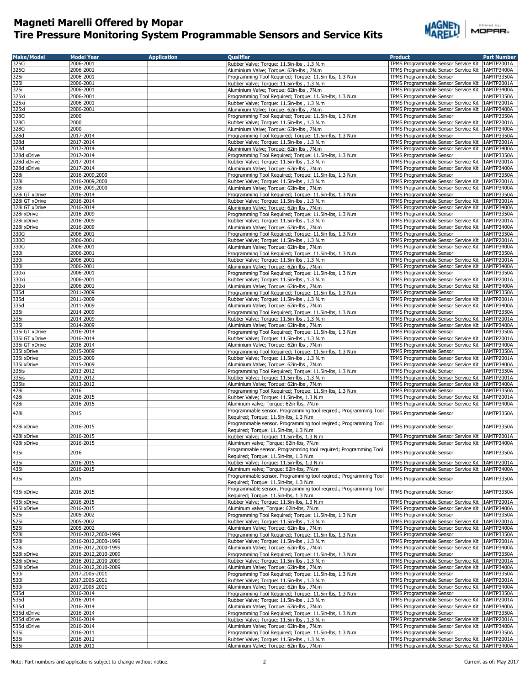

| <b>Make/Model</b>          | <b>Model Year</b>      | <b>Application</b> | <b>Oualifier</b>                                                                      | <b>Product</b>                                                                                         | <b>Part Number</b> |
|----------------------------|------------------------|--------------------|---------------------------------------------------------------------------------------|--------------------------------------------------------------------------------------------------------|--------------------|
| 325Ci                      | 2006-2001              |                    | Rubber Valve; Torque: 11.5in-lbs, 1.3 N.m.                                            | TPMS Programmable Sensor Service Kit   1AMTP2001A                                                      |                    |
| 325Ci                      | 2006-2001              |                    | Aluminium Valve; Torque: 62in-lbs, 7N.m                                               | TPMS Programmable Sensor Service Kit   1AMTP3400A                                                      |                    |
| 325i                       | 2006-2001              |                    | Programming Tool Required; Torque: 11.5in-lbs, 1.3 N.m                                | TPMS Programmable Sensor                                                                               | 1AMTP3350A         |
|                            |                        |                    |                                                                                       |                                                                                                        |                    |
| 325i                       | 2006-2001              |                    | Rubber Valve; Torque: 11.5in-lbs, 1.3 N.m.                                            | TPMS Programmable Sensor Service Kit   1AMTP2001A                                                      |                    |
| 325i                       | 2006-2001              |                    | Aluminium Valve; Torque: 62in-lbs, 7N.m                                               | TPMS Programmable Sensor Service Kit                                                                   | 1AMTP3400A         |
| 325xi                      | 2006-2001              |                    | Programming Tool Required; Torque: 11.5in-lbs, 1.3 N.m.                               | TPMS Programmable Sensor                                                                               | 1AMTP3350A         |
| 325xi                      | 2006-2001              |                    | Rubber Valve; Torque: 11.5in-lbs, 1.3 N.m.                                            | TPMS Programmable Sensor Service Kit                                                                   | 1AMTP2001A         |
| 325xi                      | 2006-2001              |                    | Aluminium Valve; Torque: 62in-lbs, 7N.m                                               | TPMS Programmable Sensor Service Kit 1AMTP3400A                                                        |                    |
| 328Ci                      | 2000                   |                    | Programming Tool Required; Torque: 11.5in-lbs, 1.3 N.m                                | <b>TPMS Programmable Sensor</b>                                                                        | 1AMTP3350A         |
|                            | 2000                   |                    |                                                                                       |                                                                                                        | 1AMTP2001A         |
| 328Ci                      |                        |                    | Rubber Valve; Torque: 11.5in-lbs, 1.3 N.m.                                            | TPMS Programmable Sensor Service Kit                                                                   |                    |
| 328Ci                      | 2000                   |                    | Aluminium Valve; Torque: 62in-lbs, 7N.m                                               | TPMS Programmable Sensor Service Kit   1AMTP3400A                                                      |                    |
| 328d                       | 2017-2014              |                    | Programming Tool Required; Torque: 11.5in-lbs, 1.3 N.m                                | TPMS Programmable Sensor                                                                               | 1AMTP3350A         |
| 328d                       | 2017-2014              |                    | Rubber Valve; Torque: 11.5in-lbs, 1.3 N.m.                                            | TPMS Programmable Sensor Service Kit                                                                   | 1AMTP2001A         |
| 328d                       | 2017-2014              |                    | Aluminium Valve: Torque: 62in-lbs, 7N.m.                                              | TPMS Programmable Sensor Service Kit   1AMTP3400A                                                      |                    |
| 328d xDrive                | 2017-2014              |                    | Programming Tool Required; Torque: 11.5in-lbs, 1.3 N.m                                | TPMS Programmable Sensor                                                                               | 1AMTP3350A         |
|                            |                        |                    |                                                                                       |                                                                                                        |                    |
| 328d xDrive                | 2017-2014              |                    | Rubber Valve; Torque: 11.5in-lbs, 1.3 N.m.                                            | TPMS Programmable Sensor Service Kit                                                                   | 1AMTP2001A         |
| 328d xDrive                | 2017-2014              |                    | Aluminium Valve; Torque: 62in-lbs, 7N.m                                               | TPMS Programmable Sensor Service Kit 1AMTP3400A                                                        |                    |
| 328i                       | 2016-2009,2000         |                    | Programming Tool Required; Torque: 11.5in-lbs, 1.3 N.m                                | TPMS Programmable Sensor                                                                               | 1AMTP3350A         |
| 328i                       | 2016-2009,2000         |                    | Rubber Valve; Torque: 11.5in-lbs, 1.3 N.m                                             | TPMS Programmable Sensor Service Kit   1AMTP2001A                                                      |                    |
| 328i                       | 2016-2009,2000         |                    | Aluminium Valve; Torque: 62in-lbs, 7N.m                                               | TPMS Programmable Sensor Service Kit   1AMTP3400A                                                      |                    |
| 328i GT xDrive             | 2016-2014              |                    | Programming Tool Required; Torque: 11.5in-lbs, 1.3 N.m                                | TPMS Programmable Sensor                                                                               | 1AMTP3350A         |
|                            |                        |                    |                                                                                       |                                                                                                        |                    |
| 328i GT xDrive             | 2016-2014              |                    | Rubber Valve; Torque: 11.5in-lbs, 1.3 N.m                                             | TPMS Programmable Sensor Service Kit 1AMTP2001A                                                        |                    |
| 328i GT xDrive             | 2016-2014              |                    | Aluminium Valve; Torque: 62in-lbs, 7N.m                                               | TPMS Programmable Sensor Service Kit   1AMTP3400A                                                      |                    |
| 328i xDrive                | 2016-2009              |                    | Programming Tool Required; Torque: 11.5in-lbs, 1.3 N.m                                | TPMS Programmable Sensor                                                                               | 1AMTP3350A         |
| 328i xDrive                | 2016-2009              |                    | Rubber Valve; Torque: 11.5in-lbs, 1.3 N.m                                             | TPMS Programmable Sensor Service Kit   1AMTP2001A                                                      |                    |
| 328i xDrive                | 2016-2009              |                    | Aluminium Valve; Torque: 62in-lbs, 7N.m                                               | TPMS Programmable Sensor Service Kit 1AMTP3400A                                                        |                    |
| 330Ci                      | 2006-2001              |                    | Programming Tool Required; Torque: 11.5in-lbs, 1.3 N.m                                | TPMS Programmable Sensor                                                                               | 1AMTP3350A         |
|                            |                        |                    |                                                                                       |                                                                                                        |                    |
| 330Ci                      | 2006-2001              |                    | Rubber Valve; Torque: 11.5in-lbs, 1.3 N.m                                             | TPMS Programmable Sensor Service Kit   1AMTP2001A                                                      |                    |
| 330Ci                      | 2006-2001              |                    | Aluminium Valve; Torque: 62in-lbs, 7N.m                                               | TPMS Programmable Sensor Service Kit 1AMTP3400A                                                        |                    |
| 330i                       | 2006-2001              |                    | Programming Tool Required; Torque: 11.5in-lbs, 1.3 N.m                                | TPMS Programmable Sensor                                                                               | 1AMTP3350A         |
| 330i                       | 2006-2001              |                    | Rubber Valve; Torque: 11.5in-lbs, 1.3 N.m.                                            | TPMS Programmable Sensor Service Kit 1AMTP2001A                                                        |                    |
| 330i                       | 2006-2001              |                    | Aluminium Valve; Torque: 62in-lbs, 7N.m                                               | TPMS Programmable Sensor Service Kit   1AMTP3400A                                                      |                    |
| 330xi                      | 2006-2001              |                    | Programming Tool Required; Torque: 11.5in-lbs, 1.3 N.m                                | TPMS Programmable Sensor                                                                               | 1AMTP3350A         |
|                            |                        |                    |                                                                                       | TPMS Programmable Sensor Service Kit 1AMTP2001A                                                        |                    |
| 330xi                      | 2006-2001              |                    | Rubber Valve; Torque: 11.5in-lbs, 1.3 N.m.                                            |                                                                                                        |                    |
| 330xi                      | 2006-2001              |                    | Aluminium Valve; Torque: 62in-lbs, 7N.m                                               | TPMS Programmable Sensor Service Kit 1AMTP3400A                                                        |                    |
| 335d                       | 2011-2009              |                    | Programming Tool Required; Torque: 11.5in-lbs, 1.3 N.m                                | TPMS Programmable Sensor                                                                               | 1AMTP3350A         |
| 335d                       | 2011-2009              |                    | Rubber Valve; Torque: 11.5in-lbs, 1.3 N.m                                             | TPMS Programmable Sensor Service Kit   1AMTP2001A                                                      |                    |
| 335d                       | 2011-2009              |                    | Aluminium Valve; Torque: 62in-lbs, 7N.m                                               | TPMS Programmable Sensor Service Kit   1AMTP3400A                                                      |                    |
| 335i                       | 2014-2009              |                    |                                                                                       | TPMS Programmable Sensor                                                                               | 1AMTP3350A         |
|                            |                        |                    | Programming Tool Required; Torque: 11.5in-lbs, 1.3 N.m.                               |                                                                                                        |                    |
| 335i                       | 2014-2009              |                    | Rubber Valve; Torque: 11.5in-lbs, 1.3 N.m.                                            | TPMS Programmable Sensor Service Kit                                                                   | 1AMTP2001A         |
| 335i                       | 2014-2009              |                    | Aluminium Valve; Torque: 62in-lbs, 7N.m                                               | TPMS Programmable Sensor Service Kit                                                                   | 1AMTP3400A         |
| 335i GT xDrive             | 2016-2014              |                    | Programming Tool Required; Torque: 11.5in-lbs, 1.3 N.m                                | TPMS Programmable Sensor                                                                               | 1AMTP3350A         |
| 335i GT xDrive             | 2016-2014              |                    | Rubber Valve; Torque: 11.5in-lbs, 1.3 N.m.                                            | TPMS Programmable Sensor Service Kit   1AMTP2001A                                                      |                    |
| 335i GT xDrive             | 2016-2014              |                    | Aluminium Valve; Torque: 62in-lbs, 7N.m                                               | TPMS Programmable Sensor Service Kit   1AMTP3400A                                                      |                    |
|                            |                        |                    |                                                                                       |                                                                                                        |                    |
| 335i xDrive                | 2015-2009              |                    | Programming Tool Required; Torque: 11.5in-lbs, 1.3 N.m                                | TPMS Programmable Sensor                                                                               | 1AMTP3350A         |
| 335i xDrive                | 2015-2009              |                    | Rubber Valve; Torque: 11.5in-lbs, 1.3 N.m                                             | TPMS Programmable Sensor Service Kit   1AMTP2001A                                                      |                    |
| 335i xDrive                | 2015-2009              |                    | Aluminium Valve; Torque: 62in-lbs, 7N.m                                               | TPMS Programmable Sensor Service Kit   1AMTP3400A                                                      |                    |
| 335is                      | 2013-2012              |                    | Programming Tool Required; Torque: 11.5in-lbs, 1.3 N.m                                | TPMS Programmable Sensor                                                                               | 1AMTP3350A         |
| 335is                      | 2013-2012              |                    | Rubber Valve; Torque: 11.5in-lbs, 1.3 N.m                                             | TPMS Programmable Sensor Service Kit   1AMTP2001A                                                      |                    |
| 335is                      | 2013-2012              |                    | Aluminium Valve; Torque: 62in-lbs, 7N.m                                               | TPMS Programmable Sensor Service Kit   1AMTP3400A                                                      |                    |
|                            |                        |                    |                                                                                       |                                                                                                        |                    |
| 428i                       | 2016                   |                    | Programming Tool Required; Torque: 11.5in-lbs, 1.3 N.m                                | TPMS Programmable Sensor                                                                               | 1AMTP3350A         |
| 428i                       | 2016-2015              |                    | Rubber Valve; Torque: 11.5in-lbs, 1.3 N.m                                             | TPMS Programmable Sensor Service Kit   1AMTP2001A                                                      |                    |
| 428i                       | 2016-2015              |                    | Aluminum valve; Torque: 62in-lbs, 7N.m                                                | TPMS Programmable Sensor Service Kit   1AMTP3400A                                                      |                    |
|                            |                        |                    | Programmable sensor. Programming tool reqired.; Programming Tool                      |                                                                                                        |                    |
| 428i                       | 2015                   |                    | Required; Torque: 11.5in-lbs, 1.3 N.m                                                 | TPMS Programmable Sensor                                                                               | 1AMTP3350A         |
|                            |                        |                    |                                                                                       |                                                                                                        |                    |
| 428i xDrive                | 2016-2015              |                    | Programmable sensor. Programming tool regired.; Programming Tool                      | TPMS Programmable Sensor                                                                               | 1AMTP3350A         |
|                            |                        |                    | Required; Torque: 11.5in-lbs, 1.3 N.m                                                 |                                                                                                        |                    |
| 428i xDrive                | 2016-2015              |                    | Rubber Valve; Torque: 11.5in-lbs, 1.3 N.m                                             | TPMS Programmable Sensor Service Kit   1AMTP2001A                                                      |                    |
| 428i xDrive                | 2016-2015              |                    | Aluminum valve; Torque: 62in-lbs, 7N.m                                                | TPMS Programmable Sensor Service Kit   1AMTP3400A                                                      |                    |
|                            |                        |                    | Progammable sensor. Programming tool required; Programming Tool                       |                                                                                                        |                    |
| 435i                       | 2016                   |                    | Required; Torque: 11.5in-lbs, 1.3 N.m.                                                | TPMS Programmable Sensor                                                                               | 1AMTP3350A         |
| 435i                       | 2016-2015              |                    | Rubber Valve; Torque: 11.5in-lbs, 1.3 N.m                                             | TPMS Programmable Sensor Service Kit 1AMTP2001A                                                        |                    |
| 435i                       | 2016-2015              |                    | Aluminum valve; Torque: 62in-lbs, 7N.m                                                | TPMS Programmable Sensor Service Kit   1AMTP3400A                                                      |                    |
|                            |                        |                    |                                                                                       |                                                                                                        |                    |
| 435i                       | 2015                   |                    | Programmable sensor. Programming tool reqired.; Programming Tool                      | TPMS Programmable Sensor                                                                               | 1AMTP3350A         |
|                            |                        |                    | Required; Torque: 11.5in-lbs, 1.3 N.m                                                 |                                                                                                        |                    |
| 435i xDrive                | 2016-2015              |                    | Programmable sensor. Programming tool reqired.; Programming Tool                      | TPMS Programmable Sensor                                                                               | 1AMTP3350A         |
|                            |                        |                    | Required; Torque: 11.5in-lbs, 1.3 N.m                                                 |                                                                                                        |                    |
| 435i xDrive                | 2016-2015              |                    | Rubber Valve; Torque: 11.5in-lbs, 1.3 N.m                                             | TPMS Programmable Sensor Service Kit                                                                   | 1AMTP2001A         |
| 435i xDrive                | 2016-2015              |                    | Aluminum valve; Torque: 62in-lbs, 7N.m                                                | TPMS Programmable Sensor Service Kit   1AMTP3400A                                                      |                    |
|                            | 2005-2002              |                    |                                                                                       |                                                                                                        | 1AMTP3350A         |
| 525i<br>525i               |                        |                    | Programming Tool Required; Torque: 11.5in-lbs, 1.3 N.m                                | TPMS Programmable Sensor                                                                               |                    |
|                            | 2005-2002              |                    | Rubber Valve; Torque: 11.5in-lbs, 1.3 N.m.                                            | TPMS Programmable Sensor Service Kit   1AMTP2001A                                                      |                    |
| 525i<br>528i               | 2005-2002              |                    | Aluminium Valve; Torque: 62in-lbs, 7N.m                                               | TPMS Programmable Sensor Service Kit   1AMTP3400A                                                      |                    |
|                            | 2016-2012,2000-1999    |                    | Programming Tool Required; Torque: 11.5in-lbs, 1.3 N.m                                | TPMS Programmable Sensor                                                                               | 1AMTP3350A         |
| 528i                       | 2016-2012,2000-1999    |                    | Rubber Valve; Torque: 11.5in-lbs, 1.3 N.m                                             | TPMS Programmable Sensor Service Kit   1AMTP2001A                                                      |                    |
| 528i                       | 2016-2012,2000-1999    |                    | Aluminium Valve; Torque: 62in-lbs, 7N.m                                               | TPMS Programmable Sensor Service Kit   1AMTP3400A                                                      |                    |
|                            | 2016-2012,2010-2009    |                    | Programming Tool Required; Torque: 11.5in-lbs, 1.3 N.m                                | TPMS Programmable Sensor                                                                               | 1AMTP3350A         |
| 528i xDrive<br>528i xDrive |                        |                    |                                                                                       |                                                                                                        |                    |
|                            | 2016-2012,2010-2009    |                    | Rubber Valve; Torque: 11.5in-lbs, 1.3 N.m                                             | TPMS Programmable Sensor Service Kit 1AMTP2001A                                                        |                    |
| 528i xDrive                | 2016-2012,2010-2009    |                    | Aluminium Valve; Torque: 62in-lbs, 7N.m                                               | TPMS Programmable Sensor Service Kit                                                                   | 1AMTP3400A         |
| 530i                       | 2017,2005-2001         |                    | Programming Tool Required; Torque: 11.5in-lbs, 1.3 N.m                                | TPMS Programmable Sensor                                                                               | 1AMTP3350A         |
|                            | 2017,2005-2001         |                    | Rubber Valve; Torque: 11.5in-lbs, 1.3 N.m.                                            | TPMS Programmable Sensor Service Kit                                                                   | 1AMTP2001A         |
| 530i<br>530i               | 2017,2005-2001         |                    | Aluminium Valve; Torque: 62in-lbs, 7N.m                                               | TPMS Programmable Sensor Service Kit   1AMTP3400A                                                      |                    |
| 535d                       | 2016-2014              |                    | Programming Tool Required; Torque: 11.5in-lbs, 1.3 N.m                                | TPMS Programmable Sensor                                                                               | 1AMTP3350A         |
|                            |                        |                    |                                                                                       |                                                                                                        |                    |
| 535d                       | 2016-2014              |                    | Rubber Valve; Torque: 11.5in-lbs, 1.3 N.m                                             | TPMS Programmable Sensor Service Kit                                                                   | 1AMTP2001A         |
| 535d<br>535d xDrive        | 2016-2014              |                    | Aluminium Valve; Torque: 62in-lbs, 7N.m                                               | TPMS Programmable Sensor Service Kit   1AMTP3400A                                                      |                    |
|                            | 2016-2014              |                    | Programming Tool Required; Torque: 11.5in-lbs, 1.3 N.m                                | TPMS Programmable Sensor                                                                               | 1AMTP3350A         |
| 535d xDrive                | 2016-2014              |                    | Rubber Valve; Torque: 11.5in-lbs, 1.3 N.m                                             | TPMS Programmable Sensor Service Kit                                                                   | 1AMTP2001A         |
| 535d xDrive                | 2016-2014              |                    | Aluminium Valve; Torque: 62in-lbs, 7N.m                                               | TPMS Programmable Sensor Service Kit   1AMTP3400A                                                      |                    |
| 535i                       | 2016-2011              |                    | Programming Tool Required; Torque: 11.5in-lbs, 1.3 N.m                                | TPMS Programmable Sensor                                                                               | 1AMTP3350A         |
|                            |                        |                    |                                                                                       |                                                                                                        |                    |
|                            |                        |                    |                                                                                       |                                                                                                        |                    |
| 535i<br>535i               | 2016-2011<br>2016-2011 |                    | Rubber Valve; Torque: 11.5in-lbs, 1.3 N.m.<br>Aluminium Valve; Torque: 62in-lbs, 7N.m | TPMS Programmable Sensor Service Kit   1AMTP2001A<br>TPMS Programmable Sensor Service Kit   1AMTP3400A |                    |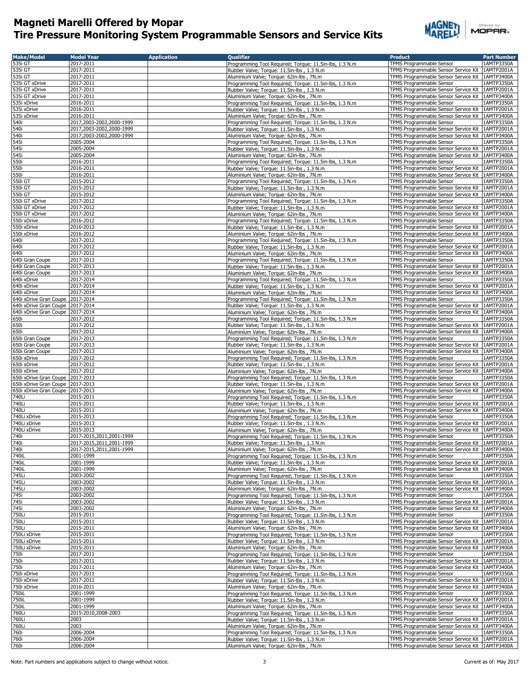

| <b>Make/Model</b>                  | <b>Model Year</b>                     | <b>Application</b> | <b>Qualifier</b>                                                                                  | Product                                                                                              | <b>Part Number</b>       |
|------------------------------------|---------------------------------------|--------------------|---------------------------------------------------------------------------------------------------|------------------------------------------------------------------------------------------------------|--------------------------|
| 535i GT                            | 2017-2011                             |                    | Programming Tool Required; Torque: 11.5in-lbs, 1.3 N.m                                            | TPMS Programmable Sensor                                                                             | 1AMTP3350A               |
| 535i GT                            | 2017-2011                             |                    | Rubber Valve; Torque: 11.5in-lbs, 1.3 N.m                                                         | TPMS Programmable Sensor Service Kit                                                                 | 1AMTP2001A               |
| 535i GT                            | 2017-2011                             |                    | Aluminium Valve; Torque: 62in-lbs, 7N.m                                                           | TPMS Programmable Sensor Service Kit                                                                 | 1AMTP3400A               |
| 535i GT xDrive                     | 2017-2011                             |                    | Programming Tool Required; Torque: 11.5in-lbs, 1.3 N.m                                            | TPMS Programmable Sensor                                                                             | 1AMTP3350A               |
| 535i GT xDrive                     | 2017-2011<br>2017-2011                |                    | Rubber Valve; Torque: 11.5in-lbs, 1.3 N.m                                                         | TPMS Programmable Sensor Service Kit                                                                 | 1AMTP2001A               |
| 535i GT xDrive<br>535i xDrive      | 2016-2011                             |                    | Aluminium Valve; Torque: 62in-lbs, 7N.m<br>Programming Tool Required; Torque: 11.5in-lbs, 1.3 N.m | TPMS Programmable Sensor Service Kit<br>TPMS Programmable Sensor                                     | 1AMTP3400A<br>1AMTP3350A |
| 535i xDrive                        | 2016-2011                             |                    | Rubber Valve; Torque: 11.5in-lbs, 1.3 N.m                                                         | TPMS Programmable Sensor Service Kit   1AMTP2001A                                                    |                          |
| 535i xDrive                        | 2016-2011                             |                    | Aluminium Valve; Torque: 62in-lbs, 7N.m                                                           | TPMS Programmable Sensor Service Kit   1AMTP3400A                                                    |                          |
| 540i                               | 2017,2003-2002,2000-1999              |                    | Programming Tool Required; Torque: 11.5in-lbs, 1.3 N.m                                            | TPMS Programmable Sensor                                                                             | 1AMTP3350A               |
| 540i                               | 2017,2003-2002,2000-1999              |                    | Rubber Valve; Torque: 11.5in-lbs, 1.3 N.m.                                                        | TPMS Programmable Sensor Service Kit   1AMTP2001A                                                    |                          |
| 540i                               | 2017,2003-2002,2000-1999              |                    | Aluminium Valve; Torque: 62in-lbs, 7N.m                                                           | TPMS Programmable Sensor Service Kit   1AMTP3400A                                                    |                          |
| 545i                               | 2005-2004                             |                    | Programming Tool Required; Torque: 11.5in-lbs, 1.3 N.m                                            | TPMS Programmable Sensor                                                                             | 1AMTP3350A               |
| 545i                               | 2005-2004                             |                    | Rubber Valve; Torque: 11.5in-lbs, 1.3 N.m                                                         | TPMS Programmable Sensor Service Kit   1AMTP2001A                                                    |                          |
| 545i                               | 2005-2004                             |                    | Aluminium Valve; Torque: 62in-lbs, 7N.m                                                           | TPMS Programmable Sensor Service Kit   1AMTP3400A                                                    |                          |
| 550i                               | 2016-2011                             |                    | Programming Tool Required; Torque: 11.5in-lbs, 1.3 N.m                                            | TPMS Programmable Sensor                                                                             | 1AMTP3350A               |
| 550i                               | 2016-2011                             |                    | Rubber Valve; Torque: 11.5in-lbs, 1.3 N.m                                                         | TPMS Programmable Sensor Service Kit                                                                 | 1AMTP2001A               |
| 550i                               | 2016-2011                             |                    | Aluminium Valve; Torque: 62in-lbs, 7N.m                                                           | TPMS Programmable Sensor Service Kit   1AMTP3400A                                                    |                          |
| 550i GT                            | 2015-2012                             |                    | Programming Tool Required; Torque: 11.5in-lbs, 1.3 N.m                                            | TPMS Programmable Sensor                                                                             | 1AMTP3350A               |
| 550i GT                            | 2015-2012                             |                    | Rubber Valve; Torque: 11.5in-lbs, 1.3 N.m.                                                        | TPMS Programmable Sensor Service Kit   1AMTP2001A                                                    |                          |
| 550i GT                            | 2015-2012                             |                    | Aluminium Valve; Torque: 62in-lbs, 7N.m                                                           | TPMS Programmable Sensor Service Kit                                                                 | 1AMTP3400A               |
| 550i GT xDrive                     | 2017-2012                             |                    | Programming Tool Required; Torque: 11.5in-lbs, 1.3 N.m                                            | TPMS Programmable Sensor                                                                             | 1AMTP3350A               |
| 550i GT xDrive                     | 2017-2012                             |                    | Rubber Valve; Torque: 11.5in-lbs, 1.3 N.m                                                         | TPMS Programmable Sensor Service Kit                                                                 | 1AMTP2001A               |
| 550i GT xDrive                     | 2017-2012                             |                    | Aluminium Valve; Torque: 62in-lbs, 7N.m                                                           | TPMS Programmable Sensor Service Kit   1AMTP3400A                                                    |                          |
| 550i xDrive                        | 2016-2012                             |                    | Programming Tool Required; Torque: 11.5in-lbs, 1.3 N.m                                            | TPMS Programmable Sensor                                                                             | 1AMTP3350A               |
| 550i xDrive                        | 2016-2012                             |                    | Rubber Valve; Torque: 11.5in-lbs, 1.3 N.m.                                                        | TPMS Programmable Sensor Service Kit                                                                 | 1AMTP2001A               |
| 550i xDrive                        | 2016-2012                             |                    | Aluminium Valve; Torque: 62in-lbs, 7N.m<br>Programming Tool Required; Torque: 11.5in-lbs, 1.3 N.m | TPMS Programmable Sensor Service Kit   1AMTP3400A                                                    | 1AMTP3350A               |
| 640i<br>640i                       | 2017-2012<br>2017-2012                |                    | Rubber Valve; Torque: 11.5in-lbs, 1.3 N.m                                                         | TPMS Programmable Sensor<br>TPMS Programmable Sensor Service Kit                                     | 1AMTP2001A               |
| 640i                               | 2017-2012                             |                    | Aluminium Valve; Torque: 62in-lbs, 7N.m                                                           | TPMS Programmable Sensor Service Kit                                                                 | 1AMTP3400A               |
| 640i Gran Coupe                    | 2017-2013                             |                    | Programming Tool Required; Torque: 11.5in-lbs, 1.3 N.m                                            | TPMS Programmable Sensor                                                                             | 1AMTP3350A               |
| 640i Gran Coupe                    | 2017-2013                             |                    | Rubber Valve; Torque: 11.5in-lbs, 1.3 N.m                                                         | TPMS Programmable Sensor Service Kit                                                                 | 1AMTP2001A               |
| 640i Gran Coupe                    | 2017-2013                             |                    | Aluminium Valve; Torque: 62in-lbs, 7N.m                                                           | TPMS Programmable Sensor Service Kit                                                                 | 1AMTP3400A               |
| 640i xDrive                        | 2017-2014                             |                    | Programming Tool Required; Torque: 11.5in-lbs, 1.3 N.m                                            | TPMS Programmable Sensor                                                                             | 1AMTP3350A               |
| 640i xDrive                        | 2017-2014                             |                    | Rubber Valve; Torque: 11.5in-lbs, 1.3 N.m                                                         | TPMS Programmable Sensor Service Kit 1AMTP2001A                                                      |                          |
| 640i xDrive                        | 2017-2014                             |                    | Aluminium Valve; Torque: 62in-lbs, 7N.m                                                           | TPMS Programmable Sensor Service Kit   1AMTP3400A                                                    |                          |
| 640i xDrive Gran Coupe 2017-2014   |                                       |                    | Programming Tool Required; Torque: 11.5in-lbs, 1.3 N.m                                            | TPMS Programmable Sensor                                                                             | 1AMTP3350A               |
| 640i xDrive Gran Coupe 2017-2014   |                                       |                    | Rubber Valve; Torque: 11.5in-lbs, 1.3 N.m                                                         | TPMS Programmable Sensor Service Kit   1AMTP2001A                                                    |                          |
| 640i xDrive Gran Coupe 2017-2014   |                                       |                    | Aluminium Valve; Torque: 62in-lbs, 7N.m                                                           | TPMS Programmable Sensor Service Kit   1AMTP3400A                                                    |                          |
| 650i                               | 2017-2012                             |                    | Programming Tool Required; Torque: 11.5in-lbs, 1.3 N.m                                            | TPMS Programmable Sensor                                                                             | 1AMTP3350A               |
| 650i                               | 2017-2012                             |                    | Rubber Valve; Torque: 11.5in-lbs, 1.3 N.m                                                         | TPMS Programmable Sensor Service Kit   1AMTP2001A                                                    |                          |
| 650i                               | 2017-2012                             |                    | Aluminium Valve; Torque: 62in-lbs, 7N.m                                                           | TPMS Programmable Sensor Service Kit   1AMTP3400A                                                    |                          |
| 650i Gran Coupe                    | 2017-2013                             |                    | Programming Tool Required; Torque: 11.5in-lbs, 1.3 N.m                                            | TPMS Programmable Sensor                                                                             | 1AMTP3350A               |
| 650i Gran Coupe<br>650i Gran Coupe | 2017-2013<br>2017-2013                |                    | Rubber Valve; Torque: 11.5in-lbs, 1.3 N.m                                                         | TPMS Programmable Sensor Service Kit<br>TPMS Programmable Sensor Service Kit   1AMTP3400A            | 1AMTP2001A               |
| 650i xDrive                        | 2017-2012                             |                    | Aluminium Valve; Torque: 62in-lbs, 7N.m<br>Programming Tool Required; Torque: 11.5in-lbs, 1.3 N.m | TPMS Programmable Sensor                                                                             | 1AMTP3350A               |
| 650i xDrive                        | 2017-2012                             |                    | Rubber Valve; Torque: 11.5in-lbs, 1.3 N.m                                                         | TPMS Programmable Sensor Service Kit                                                                 | 1AMTP2001A               |
| 650i xDrive                        | 2017-2012                             |                    | Aluminium Valve; Torque: 62in-lbs, 7N.m                                                           | TPMS Programmable Sensor Service Kit                                                                 | 1AMTP3400A               |
| 650i xDrive Gran Coupe 2017-2013   |                                       |                    | Programming Tool Required; Torque: 11.5in-lbs, 1.3 N.m                                            | TPMS Programmable Sensor                                                                             | 1AMTP3350A               |
| 650i xDrive Gran Coupe 2017-2013   |                                       |                    | Rubber Valve; Torque: 11.5in-lbs, 1.3 N.m                                                         | TPMS Programmable Sensor Service Kit                                                                 | 1AMTP2001A               |
| 650i xDrive Gran Coupe 2017-2013   |                                       |                    | Aluminium Valve; Torque: 62in-lbs, 7N.m                                                           | TPMS Programmable Sensor Service Kit   1AMTP3400A                                                    |                          |
| 740Li                              | 2015-2011                             |                    | Programming Tool Required; Torque: 11.5in-lbs, 1.3 N.m                                            | TPMS Programmable Sensor                                                                             | 1AMTP3350A               |
| 740Li                              | 2015-2011                             |                    | Rubber Valve; Torque: 11.5in-lbs, 1.3 N.m                                                         | TPMS Programmable Sensor Service Kit                                                                 | 1AMTP2001A               |
| 740Li                              | 2015-2011                             |                    | Aluminium Valve; Torque: 62in-lbs, 7N.m                                                           | TPMS Programmable Sensor Service Kit   1AMTP3400A                                                    |                          |
| 740Li xDrive                       | 2015-2013                             |                    | Programming Tool Required; Torque: 11.5in-lbs, 1.3 N.m                                            | TPMS Programmable Sensor                                                                             | 1AMTP3350A               |
| 740Li xDrive                       | 2015-2013                             |                    | Rubber Valve; Torque: 11.5in-lbs, 1.3 N.m                                                         | TPMS Programmable Sensor Service Kit   1AMTP2001A                                                    |                          |
| 740Li xDrive                       | 2015-2013                             |                    | Aluminium Valve; Torque: 62in-lbs, 7N.m                                                           | TPMS Programmable Sensor Service Kit   1AMTP3400A                                                    |                          |
| 740i                               | 2017-2015,2011,2001-1999              |                    | Programming Tool Required; Torque: 11.5in-lbs, 1.3 N.m                                            | TPMS Programmable Sensor                                                                             | 1AMTP3350A               |
| 740i                               | 2017-2015,2011,2001-1999              |                    | Rubber Valve; Torque: 11.5in-lbs, 1.3 N.m                                                         | TPMS Programmable Sensor Service Kit   1AMTP2001A<br>TPMS Programmable Sensor Service Kit 1AMTP3400A |                          |
| 740i<br>740iL                      | 2017-2015,2011,2001-1999<br>2001-1999 |                    | Aluminium Valve; Torque: 62in-lbs, 7N.m<br>Programming Tool Required; Torque: 11.5in-lbs, 1.3 N.m | TPMS Programmable Sensor                                                                             | 1AMTP3350A               |
| 740iL                              | 2001-1999                             |                    | Rubber Valve; Torque: 11.5in-lbs, 1.3 N.m                                                         | TPMS Programmable Sensor Service Kit 1AMTP2001A                                                      |                          |
| 740iL                              | 2001-1999                             |                    | Aluminium Valve; Torque: 62in-lbs, 7N.m                                                           | TPMS Programmable Sensor Service Kit   1AMTP3400A                                                    |                          |
| 745Li                              | 2003-2002                             |                    | Programming Tool Required; Torque: 11.5in-lbs, 1.3 N.m                                            | TPMS Programmable Sensor                                                                             | 1AMTP3350A               |
| 745Li                              | 2003-2002                             |                    | Rubber Valve; Torque: 11.5in-lbs, 1.3 N.m                                                         | TPMS Programmable Sensor Service Kit 1AMTP2001A                                                      |                          |
| 745Li                              | 2003-2002                             |                    | Aluminium Valve; Torque: 62in-lbs, 7N.m                                                           | TPMS Programmable Sensor Service Kit 1AMTP3400A                                                      |                          |
| 745i                               | 2003-2002                             |                    | Programming Tool Required; Torque: 11.5in-lbs, 1.3 N.m                                            | TPMS Programmable Sensor                                                                             | 1AMTP3350A               |
| 745i                               | 2003-2002                             |                    | Rubber Valve; Torque: 11.5in-lbs, 1.3 N.m                                                         | TPMS Programmable Sensor Service Kit                                                                 | 1AMTP2001A               |
| 745i                               | 2003-2002                             |                    | Aluminium Valve; Torque: 62in-lbs, 7N.m                                                           | TPMS Programmable Sensor Service Kit 1AMTP3400A                                                      |                          |
| 750Li                              | 2015-2011                             |                    | Programming Tool Required; Torque: 11.5in-lbs, 1.3 N.m                                            | <b>TPMS Programmable Sensor</b>                                                                      | 1AMTP3350A               |
| 750Li                              | 2015-2011                             |                    | Rubber Valve; Torque: 11.5in-lbs, 1.3 N.m                                                         | TPMS Programmable Sensor Service Kit                                                                 | 1AMTP2001A               |
| 750Li                              | 2015-2011                             |                    | Aluminium Valve; Torque: 62in-lbs, 7N.m                                                           | TPMS Programmable Sensor Service Kit                                                                 | 1AMTP3400A               |
| 750Li xDrive                       | 2015-2011                             |                    | Programming Tool Required; Torque: 11.5in-lbs, 1.3 N.m.                                           | TPMS Programmable Sensor                                                                             | 1AMTP3350A               |
| 750Li xDrive                       | 2015-2011                             |                    | Rubber Valve; Torque: 11.5in-lbs, 1.3 N.m.                                                        | TPMS Programmable Sensor Service Kit                                                                 | 1AMTP2001A               |
| 750Li xDrive<br>750i               | 2015-2011<br>2017-2011                |                    | Aluminium Valve; Torque: 62in-lbs, 7N.m<br>Programming Tool Required; Torque: 11.5in-lbs, 1.3 N.m | TPMS Programmable Sensor Service Kit<br>TPMS Programmable Sensor                                     | 1AMTP3400A<br>1AMTP3350A |
| 750i                               | 2017-2011                             |                    | Rubber Valve; Torque: 11.5in-lbs, 1.3 N.m                                                         | TPMS Programmable Sensor Service Kit                                                                 | 1AMTP2001A               |
| 750i                               | 2017-2011                             |                    | Aluminium Valve; Torque: 62in-lbs, 7N.m                                                           | TPMS Programmable Sensor Service Kit                                                                 | 1AMTP3400A               |
| 750i xDrive                        | 2017-2011                             |                    | Programming Tool Required; Torque: 11.5in-lbs, 1.3 N.m                                            | TPMS Programmable Sensor                                                                             | 1AMTP3350A               |
| 750i xDrive                        | 2017-2011                             |                    | Rubber Valve; Torque: 11.5in-lbs, 1.3 N.m                                                         | TPMS Programmable Sensor Service Kit                                                                 | 1AMTP2001A               |
| 750i xDrive                        | 2016-2011                             |                    | Aluminium Valve; Torque: 62in-lbs, 7N.m                                                           | TPMS Programmable Sensor Service Kit 1AMTP3400A                                                      |                          |
| 750iL                              | 2001-1999                             |                    | Programming Tool Required; Torque: 11.5in-lbs, 1.3 N.m                                            | TPMS Programmable Sensor                                                                             | 1AMTP3350A               |
| 750iL                              | 2001-1999                             |                    | Rubber Valve; Torque: 11.5in-lbs, 1.3 N.m                                                         | TPMS Programmable Sensor Service Kit   1AMTP2001A                                                    |                          |
| 750iL                              | 2001-1999                             |                    | Aluminium Valve; Torque: 62in-lbs, 7N.m                                                           | TPMS Programmable Sensor Service Kit   1AMTP3400A                                                    |                          |
| 760Li                              | 2015-2010, 2008-2003                  |                    | Programming Tool Required; Torque: 11.5in-lbs, 1.3 N.m                                            | TPMS Programmable Sensor                                                                             | 1AMTP3350A               |
| 760Li                              | 2003                                  |                    | Rubber Valve; Torque: 11.5in-lbs, 1.3 N.m                                                         | TPMS Programmable Sensor Service Kit 1AMTP2001A                                                      |                          |
| 760Li                              | 2003                                  |                    | Aluminium Valve; Torque: 62in-lbs, 7N.m                                                           | TPMS Programmable Sensor Service Kit   1AMTP3400A                                                    |                          |
| 760i                               | 2006-2004                             |                    | Programming Tool Required; Torque: 11.5in-lbs, 1.3 N.m                                            | TPMS Programmable Sensor                                                                             | 1AMTP3350A               |
| 760i                               | 2006-2004                             |                    | Rubber Valve; Torque: 11.5in-lbs, 1.3 N.m                                                         | TPMS Programmable Sensor Service Kit   1AMTP2001A                                                    |                          |
| 760i                               | 2006-2004                             |                    | Aluminium Valve; Torque: 62in-lbs, 7N.m                                                           | TPMS Programmable Sensor Service Kit   1AMTP3400A                                                    |                          |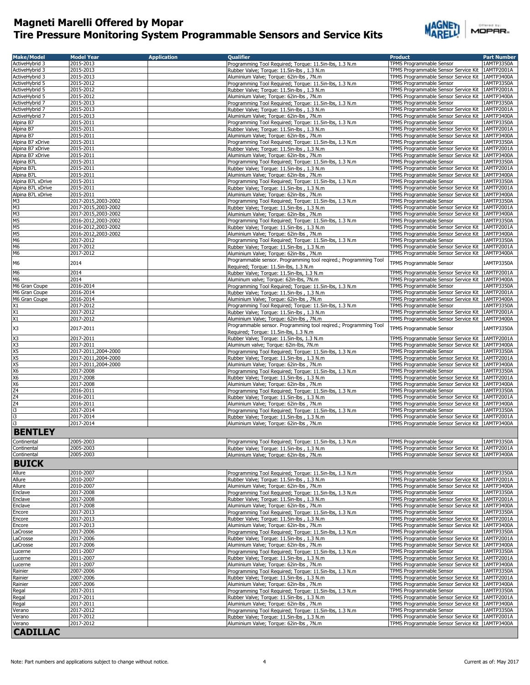

| Offered by: |        |  |
|-------------|--------|--|
|             | MOPAR. |  |
|             |        |  |

| <b>Make/Model</b>                                                                                            | <b>Model Year</b>                          | <b>Application</b> | <b>Oualifier</b>                                                                                          | <b>Product</b>                                                                                         | <b>Part Number</b>       |
|--------------------------------------------------------------------------------------------------------------|--------------------------------------------|--------------------|-----------------------------------------------------------------------------------------------------------|--------------------------------------------------------------------------------------------------------|--------------------------|
| ActiveHybrid 3                                                                                               | 2015-2013                                  |                    | Programming Tool Required; Torque: 11.5in-lbs, 1.3 N.m                                                    | <b>TPMS Programmable Sensor</b>                                                                        | 1AMTP3350A               |
| ActiveHybrid 3                                                                                               | 2015-2013<br>2015-2013                     |                    | Rubber Valve; Torque: 11.5in-lbs, 1.3 N.m                                                                 | TPMS Programmable Sensor Service Kit   1AMTP2001A<br>TPMS Programmable Sensor Service Kit   1AMTP3400A |                          |
| ActiveHybrid 3<br>ActiveHybrid 5                                                                             | 2015-2012                                  |                    | Aluminium Valve; Torque: 62in-lbs, 7N.m<br>Programming Tool Required; Torque: 11.5in-lbs, 1.3 N.m         | TPMS Programmable Sensor                                                                               | 1AMTP3350A               |
| ActiveHybrid 5                                                                                               | 2015-2012                                  |                    | Rubber Valve; Torque: 11.5in-lbs, 1.3 N.m                                                                 | TPMS Programmable Sensor Service Kit   1AMTP2001A                                                      |                          |
| ActiveHybrid 5                                                                                               | 2015-2012                                  |                    | Aluminium Valve; Torque: 62in-lbs, 7N.m                                                                   | TPMS Programmable Sensor Service Kit   1AMTP3400A                                                      |                          |
| ActiveHybrid 7                                                                                               | 2015-2013                                  |                    | Programming Tool Required; Torque: 11.5in-lbs, 1.3 N.m                                                    | TPMS Programmable Sensor                                                                               | 1AMTP3350A               |
| ActiveHybrid 7                                                                                               | 2015-2013                                  |                    | Rubber Valve; Torque: 11.5in-lbs, 1.3 N.m                                                                 | TPMS Programmable Sensor Service Kit   1AMTP2001A                                                      |                          |
| ActiveHybrid 7<br>Alpina B7                                                                                  | 2015-2013<br>2015-2011                     |                    | Aluminium Valve: Torque: 62in-lbs, 7N.m.<br>Programming Tool Required; Torque: 11.5in-lbs, 1.3 N.m        | TPMS Programmable Sensor Service Kit   1AMTP3400A<br>TPMS Programmable Sensor                          | 1AMTP3350A               |
| Alpina B7                                                                                                    | 2015-2011                                  |                    | Rubber Valve; Torque: 11.5in-lbs, 1.3 N.m                                                                 | TPMS Programmable Sensor Service Kit                                                                   | 1AMTP2001A               |
| Alpina B7                                                                                                    | 2015-2011                                  |                    | Aluminium Valve; Torque: 62in-lbs, 7N.m                                                                   | TPMS Programmable Sensor Service Kit   1AMTP3400A                                                      |                          |
| Alpina B7 xDrive                                                                                             | 2015-2011                                  |                    | Programming Tool Reguired: Torque: 11.5in-lbs, 1.3 N.m.                                                   | <b>TPMS Programmable Sensor</b>                                                                        | 1AMTP3350A               |
| Alpina B7 xDrive                                                                                             | 2015-2011                                  |                    | Rubber Valve; Torque: 11.5in-lbs, 1.3 N.m                                                                 | TPMS Programmable Sensor Service Kit 1AMTP2001A                                                        |                          |
| Alpina B7 xDrive                                                                                             | 2015-2011                                  |                    | Aluminium Valve; Torque: 62in-lbs, 7N.m                                                                   | TPMS Programmable Sensor Service Kit 1AMTP3400A<br>TPMS Programmable Sensor                            |                          |
| Alpina B7L<br>Alpina B7L                                                                                     | 2015-2011<br>2015-2011                     |                    | Programming Tool Required; Torque: 11.5in-lbs, 1.3 N.m<br>Rubber Valve; Torque: 11.5in-lbs, 1.3 N.m       | TPMS Programmable Sensor Service Kit 1AMTP2001A                                                        | 1AMTP3350A               |
| Alpina B7L                                                                                                   | 2015-2011                                  |                    | Aluminium Valve; Torque: 62in-lbs, 7N.m                                                                   | TPMS Programmable Sensor Service Kit   1AMTP3400A                                                      |                          |
| Alpina B7L xDrive                                                                                            | 2015-2011                                  |                    | Programming Tool Required; Torque: 11.5in-lbs, 1.3 N.m                                                    | TPMS Programmable Sensor                                                                               | 1AMTP3350A               |
| Alpina B7L xDrive                                                                                            | 2015-2011                                  |                    | Rubber Valve; Torque: 11.5in-lbs, 1.3 N.m                                                                 | TPMS Programmable Sensor Service Kit 1AMTP2001A                                                        |                          |
| Alpina B7L xDrive                                                                                            | 2015-2011                                  |                    | Aluminium Valve; Torque: 62in-lbs, 7N.m                                                                   | TPMS Programmable Sensor Service Kit   1AMTP3400A                                                      |                          |
| M <sub>3</sub><br>M <sub>3</sub>                                                                             | 2017-2015,2003-2002<br>2017-2015,2003-2002 |                    | Programming Tool Required; Torque: 11.5in-lbs, 1.3 N.m                                                    | TPMS Programmable Sensor<br>TPMS Programmable Sensor Service Kit                                       | 1AMTP3350A<br>1AMTP2001A |
| M <sub>3</sub>                                                                                               | 2017-2015,2003-2002                        |                    | Rubber Valve; Torque: 11.5in-lbs, 1.3 N.m<br>Aluminium Valve; Torque: 62in-lbs, 7N.m                      | TPMS Programmable Sensor Service Kit   1AMTP3400A                                                      |                          |
| M <sub>5</sub>                                                                                               | 2016-2012,2003-2002                        |                    | Programming Tool Required; Torque: 11.5in-lbs, 1.3 N.m                                                    | TPMS Programmable Sensor                                                                               | 1AMTP3350A               |
| M <sub>5</sub>                                                                                               | 2016-2012,2003-2002                        |                    | Rubber Valve; Torque: 11.5in-lbs, 1.3 N.m                                                                 | TPMS Programmable Sensor Service Kit   1AMTP2001A                                                      |                          |
| M5                                                                                                           | 2016-2012,2003-2002                        |                    | Aluminium Valve; Torque: 62in-lbs, 7N.m                                                                   | TPMS Programmable Sensor Service Kit   1AMTP3400A                                                      |                          |
| M <sub>6</sub>                                                                                               | 2017-2012                                  |                    | Programming Tool Required; Torque: 11.5in-lbs, 1.3 N.m                                                    | TPMS Programmable Sensor                                                                               | 1AMTP3350A               |
| M <sub>6</sub><br>M <sub>6</sub>                                                                             | 2017-2012<br>2017-2012                     |                    | Rubber Valve; Torque: 11.5in-lbs, 1.3 N.m<br>Aluminium Valve; Torque: 62in-lbs, 7N.m                      | TPMS Programmable Sensor Service Kit   1AMTP2001A<br>TPMS Programmable Sensor Service Kit 1AMTP3400A   |                          |
|                                                                                                              |                                            |                    | Programmable sensor. Programming tool regired.; Programming Tool                                          |                                                                                                        |                          |
| M <sub>6</sub>                                                                                               | 2014                                       |                    | Required; Torque: 11.5in-lbs, 1.3 N.m                                                                     | <b>TPMS Programmable Sensor</b>                                                                        | 1AMTP3350A               |
| M <sub>6</sub>                                                                                               | 2014                                       |                    | Rubber Valve; Torque: 11.5in-lbs, 1.3 N.m                                                                 | TPMS Programmable Sensor Service Kit 1AMTP2001A                                                        |                          |
| M <sub>6</sub>                                                                                               | 2014                                       |                    | Aluminum valve; Torque: 62in-lbs, 7N.m                                                                    | TPMS Programmable Sensor Service Kit   1AMTP3400A                                                      |                          |
| M6 Gran Coupe                                                                                                | 2016-2014                                  |                    | Programming Tool Required; Torque: 11.5in-lbs, 1.3 N.m                                                    | <b>TPMS Programmable Sensor</b><br>TPMS Programmable Sensor Service Kit   1AMTP2001A                   | 1AMTP3350A               |
| M6 Gran Coupe<br>M6 Gran Coupe                                                                               | 2016-2014<br>2016-2014                     |                    | Rubber Valve; Torque: 11.5in-lbs, 1.3 N.m<br>Aluminium Valve: Torque: 62in-lbs, 7N.m.                     | TPMS Programmable Sensor Service Kit   1AMTP3400A                                                      |                          |
|                                                                                                              | 2017-2012                                  |                    | Programming Tool Required; Torque: 11.5in-lbs, 1.3 N.m                                                    | TPMS Programmable Sensor                                                                               | 1AMTP3350A               |
| $\frac{1}{2}$                                                                                                | 2017-2012                                  |                    | Rubber Valve; Torque: 11.5in-lbs, 1.3 N.m                                                                 | TPMS Programmable Sensor Service Kit   1AMTP2001A                                                      |                          |
| X1                                                                                                           | 2017-2012                                  |                    | Aluminium Valve; Torque: 62in-lbs, 7N.m                                                                   | TPMS Programmable Sensor Service Kit   1AMTP3400A                                                      |                          |
| X3                                                                                                           | 2017-2011                                  |                    | Programmable sensor. Programming tool reqired.; Programming Tool<br>Required; Torque: 11.5in-lbs, 1.3 N.m | TPMS Programmable Sensor                                                                               | 1AMTP3350A               |
| X <sub>3</sub>                                                                                               | 2017-2011                                  |                    | Rubber Valve; Torque: 11.5in-lbs, 1.3 N.m                                                                 | TPMS Programmable Sensor Service Kit 1AMTP2001A                                                        |                          |
| $rac{X3}{X5}$                                                                                                | 2017-2011                                  |                    | Aluminum valve; Torque: 62in-lbs, 7N.m                                                                    | TPMS Programmable Sensor Service Kit 1AMTP3400A                                                        |                          |
|                                                                                                              | 2017-2011,2004-2000                        |                    | Programming Tool Required; Torque: 11.5in-lbs, 1.3 N.m                                                    | TPMS Programmable Sensor                                                                               | 1AMTP3350A               |
| $\times$<br>$\times$<br>$\times$<br>$\times$<br>$\times$<br><br>$\times$<br><br><br><br><br><br><br><br><br> | 2017-2011,2004-2000<br>2017-2011,2004-2000 |                    | Rubber Valve; Torque: 11.5in-lbs, 1.3 N.m                                                                 | TPMS Programmable Sensor Service Kit<br>TPMS Programmable Sensor Service Kit                           | 1AMTP2001A<br>1AMTP3400A |
|                                                                                                              | 2017-2008                                  |                    | Aluminium Valve; Torque: 62in-lbs, 7N.m<br>Programming Tool Required; Torque: 11.5in-lbs, 1.3 N.m         | <b>TPMS Programmable Sensor</b>                                                                        | 1AMTP3350A               |
| X <sub>6</sub>                                                                                               | 2017-2008                                  |                    | Rubber Valve; Torque: 11.5in-lbs, 1.3 N.m                                                                 | TPMS Programmable Sensor Service Kit 1AMTP2001A                                                        |                          |
| X <sub>6</sub>                                                                                               | 2017-2008                                  |                    | Aluminium Valve; Torque: 62in-lbs, 7N.m                                                                   | TPMS Programmable Sensor Service Kit   1AMTP3400A                                                      |                          |
| Z <sub>4</sub>                                                                                               | 2016-2011                                  |                    | Programming Tool Required; Torque: 11.5in-lbs, 1.3 N.m                                                    | TPMS Programmable Sensor                                                                               | 1AMTP3350A               |
| Z <sub>4</sub>                                                                                               | 2016-2011                                  |                    | Rubber Valve; Torque: 11.5in-lbs, 1.3 N.m                                                                 | TPMS Programmable Sensor Service Kit   1AMTP2001A                                                      |                          |
| Z4<br>i3                                                                                                     | 2016-2011<br>2017-2014                     |                    | Aluminium Valve; Torque: 62in-lbs, 7N.m<br>Programming Tool Required; Torque: 11.5in-lbs, 1.3 N.m         | TPMS Programmable Sensor Service Kit   1AMTP3400A<br>TPMS Programmable Sensor                          | 1AMTP3350A               |
| i3                                                                                                           | 2017-2014                                  |                    | Rubber Valve; Torque: 11.5in-lbs, 1.3 N.m                                                                 | TPMS Programmable Sensor Service Kit 1AMTP2001A                                                        |                          |
| i3                                                                                                           | 2017-2014                                  |                    | Aluminium Valve; Torque: 62in-lbs, 7N.m                                                                   | TPMS Programmable Sensor Service Kit   1AMTP3400A                                                      |                          |
| <b>BENTLEY</b>                                                                                               |                                            |                    |                                                                                                           |                                                                                                        |                          |
| Continental                                                                                                  | 2005-2003                                  |                    | Programming Tool Required; Torque: 11.5in-lbs, 1.3 N.m                                                    | TPMS Programmable Sensor                                                                               | 1AMIP3350A               |
| Continental                                                                                                  | 2005-2003                                  |                    | Rubber Valve; Torque: 11.5in-lbs, 1.3 N.m.                                                                | TPMS Programmable Sensor Service Kit 1AMTP2001A                                                        |                          |
| Continental                                                                                                  | 2005-2003                                  |                    | Aluminium Valve; Torque: 62in-lbs, 7N.m                                                                   | TPMS Programmable Sensor Service Kit 1AMTP3400A                                                        |                          |
| <b>BUICK</b>                                                                                                 |                                            |                    |                                                                                                           |                                                                                                        |                          |
| Allure                                                                                                       | 2010-2007                                  |                    | Programming Tool Required; Torque: 11.5in-lbs, 1.3 N.m                                                    | TPMS Programmable Sensor                                                                               | 1AMTP3350A               |
| Allure                                                                                                       | 2010-2007                                  |                    | Rubber Valve; Torque: 11.5in-lbs, 1.3 N.m.                                                                | TPMS Programmable Sensor Service Kit                                                                   | 1AMTP2001A               |
| Allure                                                                                                       | 2010-2007                                  |                    | Aluminium Valve; Torque: 62in-lbs, 7N.m<br>Programming Tool Required; Torque: 11.5in-lbs, 1.3 N.m         | TPMS Programmable Sensor Service Kit   1AMTP3400A                                                      |                          |
| Enclave<br>Enclave                                                                                           | 2017-2008<br>2017-2008                     |                    | Rubber Valve; Torque: 11.5in-lbs, 1.3 N.m                                                                 | TPMS Programmable Sensor<br>TPMS Programmable Sensor Service Kit   1AMTP2001A                          | 1AMTP3350A               |
| Enclave                                                                                                      | 2017-2008                                  |                    | Aluminium Valve; Torque: 62in-lbs, 7N.m                                                                   | TPMS Programmable Sensor Service Kit   1AMTP3400A                                                      |                          |
| Encore                                                                                                       | 2017-2013                                  |                    | Programming Tool Required; Torque: 11.5in-lbs, 1.3 N.m                                                    | TPMS Programmable Sensor                                                                               | 1AMTP3350A               |
| Encore                                                                                                       | 2017-2013                                  |                    | Rubber Valve; Torque: 11.5in-lbs, 1.3 N.m                                                                 | TPMS Programmable Sensor Service Kit                                                                   | 1AMTP2001A               |
| Encore                                                                                                       | 2017-2013                                  |                    | Aluminium Valve; Torque: 62in-lbs, 7N.m                                                                   | TPMS Programmable Sensor Service Kit                                                                   | 1AMTP3400A               |
| LaCrosse                                                                                                     | 2017-2006                                  |                    | Programming Tool Required; Torque: 11.5in-lbs, 1.3 N.m                                                    | TPMS Programmable Sensor                                                                               | 1AMTP3350A               |
| LaCrosse<br>LaCrosse                                                                                         | 2017-2006<br>2017-2006                     |                    | Rubber Valve; Torque: 11.5in-lbs, 1.3 N.m<br>Aluminium Valve; Torque: 62in-lbs, 7N.m                      | TPMS Programmable Sensor Service Kit<br>TPMS Programmable Sensor Service Kit                           | 1AMTP2001A<br>1AMTP3400A |
| Lucerne                                                                                                      | 2011-2007                                  |                    | Programming Tool Required; Torque: 11.5in-lbs, 1.3 N.m                                                    | TPMS Programmable Sensor                                                                               | 1AMTP3350A               |
| Lucerne                                                                                                      | 2011-2007                                  |                    | Rubber Valve; Torque: 11.5in-lbs, 1.3 N.m                                                                 | TPMS Programmable Sensor Service Kit 1AMTP2001A                                                        |                          |
| Lucerne                                                                                                      | 2011-2007                                  |                    | Aluminium Valve; Torque: 62in-lbs, 7N.m                                                                   | TPMS Programmable Sensor Service Kit                                                                   | 1AMTP3400A               |
| Rainier                                                                                                      | 2007-2006                                  |                    | Programming Tool Required; Torque: 11.5in-lbs, 1.3 N.m                                                    | TPMS Programmable Sensor                                                                               | 1AMTP3350A               |
| Rainier<br>Rainier                                                                                           | 2007-2006<br>2007-2006                     |                    | Rubber Valve; Torque: 11.5in-lbs, 1.3 N.m<br>Aluminium Valve; Torque: 62in-lbs, 7N.m                      | TPMS Programmable Sensor Service Kit   1AMTP2001A<br>TPMS Programmable Sensor Service Kit   1AMTP3400A |                          |
| Regal                                                                                                        | 2017-2011                                  |                    | Programming Tool Required; Torque: 11.5in-lbs, 1.3 N.m                                                    | TPMS Programmable Sensor                                                                               | 1AMTP3350A               |
| Regal                                                                                                        | 2017-2011                                  |                    | Rubber Valve; Torque: 11.5in-lbs, 1.3 N.m                                                                 | TPMS Programmable Sensor Service Kit   1AMTP2001A                                                      |                          |
| Regal                                                                                                        | 2017-2011                                  |                    | Aluminium Valve; Torque: 62in-lbs, 7N.m                                                                   | TPMS Programmable Sensor Service Kit   1AMTP3400A                                                      |                          |
| Verano                                                                                                       | 2017-2012                                  |                    | Programming Tool Required; Torque: 11.5in-lbs, 1.3 N.m                                                    | TPMS Programmable Sensor                                                                               | 1AMTP3350A               |
| Verano                                                                                                       | 2017-2012                                  |                    | Rubber Valve; Torque: 11.5in-lbs, 1.3 N.m                                                                 | TPMS Programmable Sensor Service Kit   1AMTP2001A                                                      |                          |
| Verano                                                                                                       | 2017-2012                                  |                    | Aluminium Valve; Torque: 62in-lbs, 7N.m                                                                   | TPMS Programmable Sensor Service Kit   1AMTP3400A                                                      |                          |
| <b>CADILLAC</b>                                                                                              |                                            |                    |                                                                                                           |                                                                                                        |                          |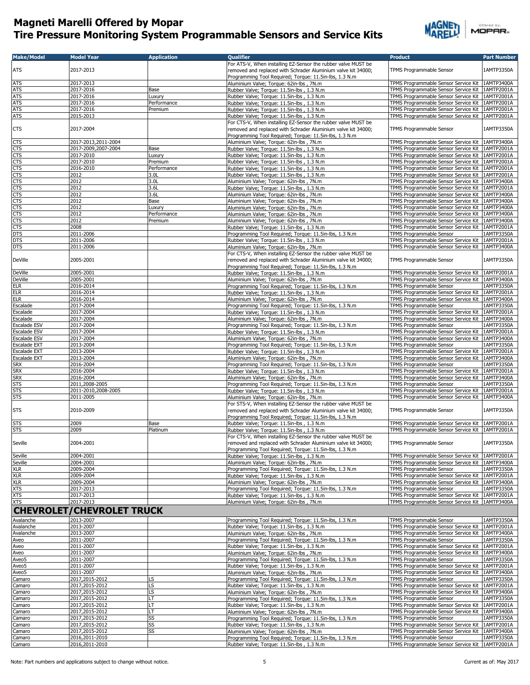

| <b>Make/Model</b>            | <b>Model Year</b>                     | <b>Application</b>     | <b>Qualifier</b>                                                                                                                                                                          | <b>Product</b>                                                                                       | <b>Part Number</b>       |
|------------------------------|---------------------------------------|------------------------|-------------------------------------------------------------------------------------------------------------------------------------------------------------------------------------------|------------------------------------------------------------------------------------------------------|--------------------------|
| <b>ATS</b>                   | 2017-2013                             |                        | For ATS-V, When installing EZ-Sensor the rubber valve MUST be<br>removed and replaced with Schrader Aluminium valve kit 34000;<br>Programming Tool Required; Torque: 11.5in-lbs, 1.3 N.m. | TPMS Programmable Sensor                                                                             | 1AMTP3350A               |
| <b>ATS</b>                   | 2017-2013                             |                        | Aluminium Valve; Torque: 62in-lbs, 7N.m                                                                                                                                                   | TPMS Programmable Sensor Service Kit                                                                 | 1AMTP3400A               |
| <b>ATS</b>                   | 2017-2016                             | Base                   | Rubber Valve; Torque: 11.5in-lbs, 1.3 N.m                                                                                                                                                 | TPMS Programmable Sensor Service Kit                                                                 | 1AMTP2001A               |
| <b>ATS</b>                   | 2017-2016                             | Luxury                 | Rubber Valve; Torque: 11.5in-lbs, 1.3 N.m                                                                                                                                                 | TPMS Programmable Sensor Service Kit   1AMTP2001A                                                    |                          |
| <b>ATS</b><br><b>ATS</b>     | 2017-2016<br>2017-2016                | Performance<br>Premium | Rubber Valve; Torque: 11.5in-lbs, 1.3 N.m<br>Rubber Valve; Torque: 11.5in-lbs, 1.3 N.m                                                                                                    | TPMS Programmable Sensor Service Kit<br>TPMS Programmable Sensor Service Kit                         | 1AMTP2001A<br>1AMTP2001A |
| <b>ATS</b>                   | 2015-2013                             |                        | Rubber Valve; Torque: 11.5in-lbs, 1.3 N.m                                                                                                                                                 | TPMS Programmable Sensor Service Kit                                                                 | 1AMTP2001A               |
|                              |                                       |                        | For CTS-V, When installing EZ-Sensor the rubber valve MUST be                                                                                                                             |                                                                                                      |                          |
| <b>CTS</b>                   | 2017-2004                             |                        | removed and replaced with Schrader Aluminium valve kit 34000;<br>Programming Tool Required; Torque: 11.5in-lbs, 1.3 N.m                                                                   | TPMS Programmable Sensor                                                                             | 1AMTP3350A               |
| <b>CTS</b>                   | 2017-2013,2011-2004                   |                        | Aluminium Valve: Torque: 62in-lbs, 7N.m.                                                                                                                                                  | TPMS Programmable Sensor Service Kit 1AMTP3400A                                                      |                          |
| CTS                          | 2017-2009,2007-2004                   | Base                   | Rubber Valve; Torque: 11.5in-lbs, 1.3 N.m                                                                                                                                                 | TPMS Programmable Sensor Service Kit   1AMTP2001A                                                    |                          |
| CTS<br>CTS                   | 2017-2010<br>2017-2010                | Luxury<br>Premium      | Rubber Valve; Torque: 11.5in-lbs, 1.3 N.m<br>Rubber Valve; Torque: 11.5in-lbs, 1.3 N.m.                                                                                                   | TPMS Programmable Sensor Service Kit   1AMTP2001A<br>TPMS Programmable Sensor Service Kit 1AMTP2001A |                          |
| <b>CTS</b>                   | 2016-2010                             | Performance            | Rubber Valve; Torque: 11.5in-lbs, 1.3 N.m                                                                                                                                                 | TPMS Programmable Sensor Service Kit 1AMTP2001A                                                      |                          |
| CTS                          | 2012                                  | 3.0L                   | Rubber Valve: Torque: 11.5in-lbs, 1.3 N.m.                                                                                                                                                | TPMS Programmable Sensor Service Kit   1AMTP2001A                                                    |                          |
| CTS                          | 2012                                  | 3.0L                   | Aluminium Valve; Torque: 62in-lbs, 7N.m                                                                                                                                                   | TPMS Programmable Sensor Service Kit                                                                 | 1AMTP3400A               |
| CTS                          | 2012                                  | 3.6L                   | Rubber Valve; Torque: 11.5in-lbs, 1.3 N.m                                                                                                                                                 | TPMS Programmable Sensor Service Kit                                                                 | 1AMTP2001A               |
| CTS                          | 2012                                  | 3.6L                   | Aluminium Valve; Torque: 62in-lbs, 7N.m                                                                                                                                                   | TPMS Programmable Sensor Service Kit   1AMTP3400A                                                    |                          |
| <b>CTS</b>                   | 2012                                  | Base                   | Aluminium Valve; Torque: 62in-lbs, 7N.m                                                                                                                                                   | TPMS Programmable Sensor Service Kit                                                                 | 1AMTP3400A               |
| CTS<br><b>CTS</b>            | 2012<br>2012                          | Luxury<br>Performance  | Aluminium Valve; Torque: 62in-lbs, 7N.m<br>Aluminium Valve; Torque: 62in-lbs, 7N.m                                                                                                        | TPMS Programmable Sensor Service Kit<br>TPMS Programmable Sensor Service Kit                         | 1AMTP3400A<br>1AMTP3400A |
| CTS                          | 2012                                  | Premium                | Aluminium Valve; Torque: 62in-lbs, 7N.m                                                                                                                                                   | TPMS Programmable Sensor Service Kit   1AMTP3400A                                                    |                          |
| CTS                          | 2008                                  |                        | Rubber Valve; Torque: 11.5in-lbs, 1.3 N.m.                                                                                                                                                | TPMS Programmable Sensor Service Kit   1AMTP2001A                                                    |                          |
| <b>DTS</b>                   | 2011-2006                             |                        | Programming Tool Required; Torque: 11.5in-lbs, 1.3 N.m                                                                                                                                    | TPMS Programmable Sensor                                                                             | 1AMTP3350A               |
| <b>DTS</b>                   | 2011-2006                             |                        | Rubber Valve; Torque: 11.5in-lbs, 1.3 N.m                                                                                                                                                 | TPMS Programmable Sensor Service Kit                                                                 | 1AMTP2001A               |
| <b>DTS</b>                   | 2011-2006                             |                        | Aluminium Valve; Torque: 62in-lbs, 7N.m                                                                                                                                                   | TPMS Programmable Sensor Service Kit                                                                 | 1AMTP3400A               |
| <b>DeVille</b>               | 2005-2001                             |                        | For CTS-V, When installing EZ-Sensor the rubber valve MUST be<br>removed and replaced with Schrader Aluminium valve kit 34000;                                                            | TPMS Programmable Sensor                                                                             | 1AMTP3350A               |
| <b>DeVille</b>               | 2005-2001                             |                        | Programming Tool Required; Torque: 11.5in-lbs, 1.3 N.m<br>Rubber Valve; Torque: 11.5in-lbs, 1.3 N.m.                                                                                      | TPMS Programmable Sensor Service Kit                                                                 | 1AMTP2001A               |
| <b>DeVille</b>               | 2005-2001                             |                        | Aluminium Valve; Torque: 62in-lbs, 7N.m                                                                                                                                                   | TPMS Programmable Sensor Service Kit                                                                 | 1AMTP3400A               |
| ELR                          | 2016-2014                             |                        | Programming Tool Required; Torque: 11.5in-lbs, 1.3 N.m                                                                                                                                    | TPMS Programmable Sensor                                                                             | 1AMTP3350A               |
| <b>ELR</b>                   | 2016-2014                             |                        | Rubber Valve; Torque: 11.5in-lbs, 1.3 N.m                                                                                                                                                 | TPMS Programmable Sensor Service Kit                                                                 | 1AMTP2001A               |
| <b>ELR</b>                   | 2016-2014                             |                        | Aluminium Valve; Torque: 62in-lbs, 7N.m                                                                                                                                                   | TPMS Programmable Sensor Service Kit 1AMTP3400A                                                      |                          |
| Escalade                     | 2017-2004                             |                        | Programming Tool Required; Torque: 11.5in-lbs, 1.3 N.m                                                                                                                                    | TPMS Programmable Sensor                                                                             | 1AMTP3350A               |
| Escalade                     | 2017-2004                             |                        | Rubber Valve; Torque: 11.5in-lbs, 1.3 N.m                                                                                                                                                 | TPMS Programmable Sensor Service Kit                                                                 | 1AMTP2001A               |
| Escalade                     | 2017-2004                             |                        | Aluminium Valve; Torque: 62in-lbs, 7N.m                                                                                                                                                   | TPMS Programmable Sensor Service Kit 1AMTP3400A                                                      |                          |
| Escalade ESV<br>Escalade ESV | 2017-2004<br>2017-2004                |                        | Programming Tool Required; Torque: 11.5in-lbs, 1.3 N.m<br>Rubber Valve; Torque: 11.5in-lbs, 1.3 N.m                                                                                       | TPMS Programmable Sensor<br>TPMS Programmable Sensor Service Kit                                     | 1AMTP3350A<br>1AMTP2001A |
| Escalade ESV                 | 2017-2004                             |                        | Aluminium Valve; Torque: 62in-lbs, 7N.m.                                                                                                                                                  | TPMS Programmable Sensor Service Kit                                                                 | 1AMTP3400A               |
| Escalade EXT                 | 2013-2004                             |                        | Programming Tool Required; Torque: 11.5in-lbs, 1.3 N.m                                                                                                                                    | TPMS Programmable Sensor                                                                             | 1AMTP3350A               |
| Escalade EXT                 | 2013-2004                             |                        | Rubber Valve; Torque: 11.5in-lbs, 1.3 N.m.                                                                                                                                                | TPMS Programmable Sensor Service Kit                                                                 | 1AMTP2001A               |
| Escalade EXT                 | 2013-2004                             |                        | Aluminium Valve; Torque: 62in-lbs, 7N.m                                                                                                                                                   | TPMS Programmable Sensor Service Kit                                                                 | 1AMTP3400A               |
| <b>SRX</b>                   | 2016-2004                             |                        | Programming Tool Required; Torque: 11.5in-lbs, 1.3 N.m                                                                                                                                    | TPMS Programmable Sensor                                                                             | 1AMTP3350A               |
| <b>SRX</b>                   | 2016-2004                             |                        | Rubber Valve; Torque: 11.5in-lbs, 1.3 N.m.                                                                                                                                                | TPMS Programmable Sensor Service Kit                                                                 | 1AMTP2001A               |
| <b>SRX</b>                   | 2016-2004                             |                        | Aluminium Valve; Torque: 62in-lbs, 7N.m                                                                                                                                                   | TPMS Programmable Sensor Service Kit                                                                 | 1AMTP3400A               |
| <b>STS</b><br><b>STS</b>     | 2011,2008-2005<br>2011-2010,2008-2005 |                        | Programming Tool Required; Torque: 11.5in-lbs, 1.3 N.m<br>Rubber Valve; Torque: 11.5in-lbs, 1.3 N.m.                                                                                      | TPMS Programmable Sensor<br>TPMS Programmable Sensor Service Kit                                     | 1AMTP3350A<br>1AMTP2001A |
| <b>STS</b>                   | 2011-2005                             |                        | Aluminium Valve; Torque: 62in-lbs, 7N.m                                                                                                                                                   | TPMS Programmable Sensor Service Kit                                                                 | 1AMTP3400A               |
|                              |                                       |                        | For STS-V, When installing EZ-Sensor the rubber valve MUST be                                                                                                                             |                                                                                                      |                          |
| <b>STS</b>                   | 2010-2009                             |                        | removed and replaced with Schrader Aluminium valve kit 34000;<br>Programming Tool Required; Torque: 11.5in-lbs, 1.3 N.m                                                                   | TPMS Programmable Sensor                                                                             | 1AMTP3350A               |
| <b>STS</b>                   | 2009                                  | Base                   | Rubber Valve; Torque: 11.5in-lbs, 1.3 N.m                                                                                                                                                 | TPMS Programmable Sensor Service Kit                                                                 | 1AMTP2001A               |
| <b>STS</b>                   | 2009                                  | Platinum               | Rubber Valve; Torque: 11.5in-lbs, 1.3 N.m.<br>For CTS-V, When installing EZ-Sensor the rubber valve MUST be                                                                               | TPMS Programmable Sensor Service Kit                                                                 | 1AMTP2001A               |
| Seville                      | 2004-2001                             |                        | removed and replaced with Schrader Aluminium valve kit 34000;<br>Programming Tool Required; Torque: 11.5in-lbs, 1.3 N.m                                                                   | TPMS Programmable Sensor                                                                             | 1AMTP3350A               |
| Seville                      | 2004-2001<br>2004-2001                |                        | Rubber Valve; Torque: 11.5in-lbs, 1.3 N.m.                                                                                                                                                | TPMS Programmable Sensor Service Kit<br>TPMS Programmable Sensor Service Kit                         | 1AMTP2001A<br>1AMTP3400A |
| Seville<br>XLR               | 2009-2004                             |                        | Aluminium Valve; Torque: 62in-lbs, 7N.m<br>Programming Tool Required; Torque: 11.5in-lbs, 1.3 N.m.                                                                                        | TPMS Programmable Sensor                                                                             | 1AMTP3350A               |
| <b>XLR</b>                   | 2009-2004                             |                        | Rubber Valve; Torque: 11.5in-lbs, 1.3 N.m.                                                                                                                                                | TPMS Programmable Sensor Service Kit   1AMTP2001A                                                    |                          |
| <b>XLR</b>                   | 2009-2004                             |                        | Aluminium Valve; Torque: 62in-lbs, 7N.m                                                                                                                                                   | TPMS Programmable Sensor Service Kit                                                                 | 1AMTP3400A               |
| ХTS                          | 2017-2013                             |                        | Programming Tool Required; Torque: 11.5in-lbs, 1.3 N.m                                                                                                                                    | TPMS Programmable Sensor                                                                             | 1AMTP3350A               |
| <b>XTS</b>                   | 2017-2013                             |                        | Rubber Valve; Torque: 11.5in-lbs, 1.3 N.m.                                                                                                                                                | TPMS Programmable Sensor Service Kit                                                                 | 1AMTP2001A               |
| ХTS                          | 2017-2013                             |                        | Aluminium Valve; Torque: 62in-lbs, 7N.m                                                                                                                                                   | TPMS Programmable Sensor Service Kit                                                                 | 1AMTP3400A               |
|                              | <b>CHEVROLET/CHEVROLET TRUCK</b>      |                        |                                                                                                                                                                                           |                                                                                                      |                          |
| Avalanche                    | 2013-2007                             |                        | Programming Tool Required; Torque: 11.5in-lbs, 1.3 N.m                                                                                                                                    | <b>TPMS Programmable Sensor</b>                                                                      | 1AMTP3350A               |
| Avalanche                    | 2013-2007                             |                        | Rubber Valve; Torque: 11.5in-lbs, 1.3 N.m.                                                                                                                                                | TPMS Programmable Sensor Service Kit                                                                 | 1AMTP2001A               |
| Avalanche                    | 2013-2007                             |                        | Aluminium Valve: Torque: 62in-lbs, 7N.m.                                                                                                                                                  | TPMS Programmable Sensor Service Kit                                                                 | 1AMTP3400A               |
| Aveo                         | 2011-2007                             |                        | Programming Tool Required; Torque: 11.5in-lbs, 1.3 N.m                                                                                                                                    | TPMS Programmable Sensor                                                                             | 1AMTP3350A               |
| Aveo                         | 2011-2007                             |                        | Rubber Valve; Torque: 11.5in-lbs, 1.3 N.m                                                                                                                                                 | TPMS Programmable Sensor Service Kit                                                                 | 1AMTP2001A               |
| Aveo<br>Aveo5                | 2011-2007<br>2011-2007                |                        | Aluminium Valve; Torque: 62in-lbs, 7N.m<br>Programming Tool Required; Torque: 11.5in-lbs, 1.3 N.m                                                                                         | TPMS Programmable Sensor Service Kit<br>TPMS Programmable Sensor                                     | 1AMTP3400A<br>1AMTP3350A |
| Aveo5                        | 2011-2007                             |                        | Rubber Valve; Torque: 11.5in-lbs, 1.3 N.m                                                                                                                                                 | TPMS Programmable Sensor Service Kit                                                                 | 1AMTP2001A               |
| Aveo5                        | 2011-2007                             |                        | Aluminium Valve; Torque: 62in-lbs, 7N.m                                                                                                                                                   | TPMS Programmable Sensor Service Kit                                                                 | 1AMTP3400A               |
| Camaro                       | 2017,2015-2012                        | LS                     | Programming Tool Required; Torque: 11.5in-lbs, 1.3 N.m                                                                                                                                    | <b>TPMS Programmable Sensor</b>                                                                      | 1AMTP3350A               |
| Camaro                       | 2017,2015-2012                        | LS                     | Rubber Valve; Torque: 11.5in-lbs, 1.3 N.m                                                                                                                                                 | TPMS Programmable Sensor Service Kit                                                                 | 1AMTP2001A               |
| Camaro                       | 2017,2015-2012                        | LS                     | Aluminium Valve; Torque: 62in-lbs, 7N.m                                                                                                                                                   | TPMS Programmable Sensor Service Kit                                                                 | 1AMTP3400A               |
| Camaro                       | 2017,2015-2012                        | LT                     | Programming Tool Required; Torque: 11.5in-lbs, 1.3 N.m                                                                                                                                    | TPMS Programmable Sensor                                                                             | 1AMTP3350A               |
| Camaro                       | 2017,2015-2012                        | LT                     | Rubber Valve; Torque: 11.5in-lbs, 1.3 N.m                                                                                                                                                 | TPMS Programmable Sensor Service Kit                                                                 | 1AMTP2001A               |
| Camaro<br>Camaro             | 2017,2015-2012<br>2017,2015-2012      | LT<br>SS               | Aluminium Valve; Torque: 62in-lbs, 7N.m<br>Programming Tool Required; Torque: 11.5in-lbs, 1.3 N.m                                                                                         | TPMS Programmable Sensor Service Kit<br>TPMS Programmable Sensor                                     | 1AMTP3400A<br>1AMTP3350A |
| Camaro                       | 2017,2015-2012                        | SS                     | Rubber Valve; Torque: 11.5in-lbs, 1.3 N.m                                                                                                                                                 | TPMS Programmable Sensor Service Kit                                                                 | 1AMTP2001A               |
| Camaro                       | 2017,2015-2012                        | SS                     | Aluminium Valve; Torque: 62in-lbs, 7N.m                                                                                                                                                   | TPMS Programmable Sensor Service Kit                                                                 | 1AMTP3400A               |
| Camaro                       | 2016, 2011-2010                       |                        | Programming Tool Required; Torque: 11.5in-lbs, 1.3 N.m                                                                                                                                    | TPMS Programmable Sensor                                                                             | 1AMTP3350A               |
| Camaro                       | 2016,2011-2010                        |                        | Rubber Valve; Torque: 11.5in-lbs, 1.3 N.m                                                                                                                                                 | TPMS Programmable Sensor Service Kit   1AMTP2001A                                                    |                          |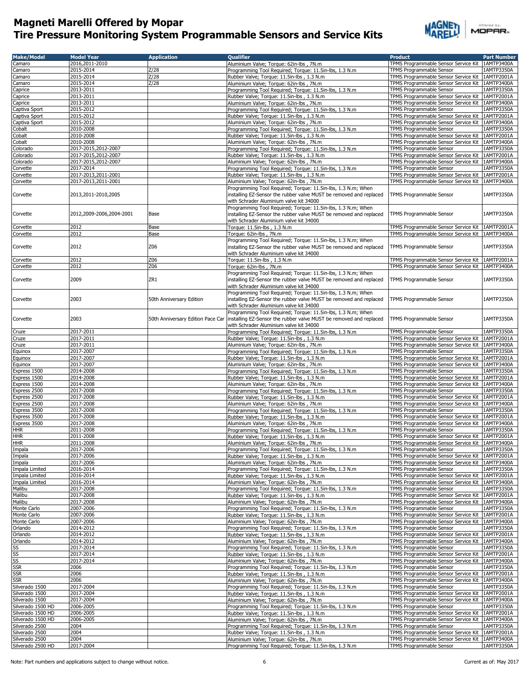

| <b>Make/Model</b>                      | <b>Model Year</b>        | <b>Application</b>                | <b>Oualifier</b>                                                                                                                                                              | <b>Product</b>                                                                                         | <b>Part Number</b>       |
|----------------------------------------|--------------------------|-----------------------------------|-------------------------------------------------------------------------------------------------------------------------------------------------------------------------------|--------------------------------------------------------------------------------------------------------|--------------------------|
| Camaro                                 | 2016,2011-2010           |                                   | Aluminium Valve; Torque: 62in-lbs, 7N.m                                                                                                                                       | TPMS Programmable Sensor Service Kit   1AMTP3400A                                                      |                          |
| Camaro                                 | 2015-2014                | Z/28                              | Programming Tool Required; Torque: 11.5in-lbs, 1.3 N.m                                                                                                                        | <b>TPMS Programmable Sensor</b>                                                                        | 1AMTP3350A               |
| Camaro                                 | 2015-2014                | Z/28                              | Rubber Valve; Torque: 11.5in-lbs, 1.3 N.m                                                                                                                                     | TPMS Programmable Sensor Service Kit                                                                   | 1AMTP2001A               |
| Camaro                                 | 2015-2014                | Z/28                              | Aluminium Valve; Torque: 62in-lbs, 7N.m                                                                                                                                       | TPMS Programmable Sensor Service Kit   1AMTP3400A                                                      |                          |
| Caprice                                | 2013-2011<br>2013-2011   |                                   | Programming Tool Required; Torque: 11.5in-lbs, 1.3 N.m                                                                                                                        | TPMS Programmable Sensor<br>TPMS Programmable Sensor Service Kit                                       | 1AMTP3350A<br>1AMTP2001A |
| Caprice<br>Caprice                     | 2013-2011                |                                   | Rubber Valve; Torque: 11.5in-lbs, 1.3 N.m<br>Aluminium Valve; Torque: 62in-lbs, 7N.m                                                                                          | TPMS Programmable Sensor Service Kit                                                                   | 1AMTP3400A               |
| Captiva Sport                          | 2015-2012                |                                   | Programming Tool Required; Torque: 11.5in-lbs, 1.3 N.m                                                                                                                        | TPMS Programmable Sensor                                                                               | 1AMTP3350A               |
| Captiva Sport                          | 2015-2012                |                                   | Rubber Valve; Torque: 11.5in-lbs, 1.3 N.m.                                                                                                                                    | TPMS Programmable Sensor Service Kit   1AMTP2001A                                                      |                          |
| Captiva Sport                          | 2015-2012                |                                   | Aluminium Valve; Torque: 62in-lbs, 7N.m                                                                                                                                       | TPMS Programmable Sensor Service Kit   1AMTP3400A                                                      |                          |
| Cobalt                                 | 2010-2008                |                                   | Programming Tool Required; Torque: 11.5in-lbs, 1.3 N.m                                                                                                                        | TPMS Programmable Sensor                                                                               | 1AMTP3350A               |
| Cobalt                                 | 2010-2008                |                                   | Rubber Valve; Torque: 11.5in-lbs, 1.3 N.m                                                                                                                                     | TPMS Programmable Sensor Service Kit   1AMTP2001A                                                      |                          |
| Cobalt                                 | 2010-2008                |                                   | Aluminium Valve; Torque: 62in-lbs, 7N.m                                                                                                                                       | TPMS Programmable Sensor Service Kit 1AMTP3400A                                                        |                          |
| Colorado                               | 2017-2015,2012-2007      |                                   | Programming Tool Required; Torque: 11.5in-lbs, 1.3 N.m                                                                                                                        | TPMS Programmable Sensor                                                                               | 1AMTP3350A               |
| Colorado                               | 2017-2015,2012-2007      |                                   | Rubber Valve; Torque: 11.5in-lbs, 1.3 N.m.                                                                                                                                    | TPMS Programmable Sensor Service Kit   1AMTP2001A                                                      |                          |
| Colorado                               | 2017-2015,2012-2007      |                                   | Aluminium Valve; Torque: 62in-lbs, 7N.m                                                                                                                                       | TPMS Programmable Sensor Service Kit   1AMTP3400A                                                      |                          |
| Corvette                               | 2017-2014                |                                   | Programming Tool Required; Torque: 11.5in-lbs, 1.3 N.m                                                                                                                        | TPMS Programmable Sensor                                                                               | 1AMTP3350A               |
| Corvette                               | 2017-2013,2011-2001      |                                   | Rubber Valve; Torque: 11.5in-lbs, 1.3 N.m                                                                                                                                     | TPMS Programmable Sensor Service Kit   1AMTP2001A                                                      |                          |
| Corvette                               | 2017-2013,2011-2001      |                                   | Aluminium Valve; Torque: 62in-lbs, 7N.m                                                                                                                                       | TPMS Programmable Sensor Service Kit   1AMTP3400A                                                      |                          |
| Corvette                               | 2013,2011-2010,2005      |                                   | Programming Tool Required; Torque: 11.5in-lbs, 1.3 N.m; When<br>installing EZ-Sensor the rubber valve MUST be removed and replaced<br>with Schrader Aluminium valve kit 34000 | TPMS Programmable Sensor                                                                               | 1AMTP3350A               |
| Corvette                               | 2012,2009-2006,2004-2001 | Base                              | Programming Tool Required; Torque: 11.5in-lbs, 1.3 N.m; When<br>installing EZ-Sensor the rubber valve MUST be removed and replaced<br>with Schrader Aluminium valve kit 34000 | TPMS Programmable Sensor                                                                               | 1AMTP3350A               |
| Corvette                               | 2012                     | Base                              | Torque: 11.5in-lbs, 1.3 N.m                                                                                                                                                   | TPMS Programmable Sensor Service Kit   1AMTP2001A                                                      |                          |
| Corvette                               | 2012                     | Base                              | Torque: 62in-lbs, 7N.m                                                                                                                                                        | TPMS Programmable Sensor Service Kit 1AMTP3400A                                                        |                          |
|                                        |                          |                                   | Programming Tool Reguired; Torgue: 11.5in-lbs, 1.3 N.m; When                                                                                                                  |                                                                                                        |                          |
| Corvette                               | 2012                     | Z06                               | installing EZ-Sensor the rubber valve MUST be removed and replaced<br>with Schrader Aluminium valve kit 34000                                                                 | TPMS Programmable Sensor                                                                               | 1AMTP3350A               |
| Corvette                               | 2012                     | Z06                               | Torque: 11.5in-lbs , 1.3 N.m                                                                                                                                                  | TPMS Programmable Sensor Service Kit                                                                   | 1AMTP2001A               |
| Corvette                               | 2012                     | Z06                               | Torque: 62in-lbs, 7N.m                                                                                                                                                        | TPMS Programmable Sensor Service Kit                                                                   | 1AMTP3400A               |
| Corvette                               | 2009                     | ZR1                               | Programming Tool Required; Torque: 11.5in-lbs, 1.3 N.m; When<br>installing EZ-Sensor the rubber valve MUST be removed and replaced<br>with Schrader Aluminium valve kit 34000 | TPMS Programmable Sensor                                                                               | 1AMTP3350A               |
| Corvette                               | 2003                     | 50th Anniversary Edition          | Programming Tool Required; Torque: 11.5in-lbs, 1.3 N.m; When<br>installing EZ-Sensor the rubber valve MUST be removed and replaced<br>with Schrader Aluminium valve kit 34000 | TPMS Programmable Sensor                                                                               | 1AMTP3350A               |
| Corvette                               | 2003                     | 50th Anniversary Edition Pace Car | Programming Tool Required; Torque: 11.5in-lbs, 1.3 N.m; When<br>installing EZ-Sensor the rubber valve MUST be removed and replaced                                            | TPMS Programmable Sensor                                                                               | 1AMTP3350A               |
|                                        |                          |                                   | with Schrader Aluminium valve kit 34000                                                                                                                                       |                                                                                                        |                          |
| Cruze                                  | 2017-2011                |                                   | Programming Tool Required; Torque: 11.5in-lbs, 1.3 N.m                                                                                                                        | TPMS Programmable Sensor                                                                               | 1AMTP3350A               |
| Cruze                                  | 2017-2011<br>2017-2011   |                                   | Rubber Valve; Torque: 11.5in-lbs, 1.3 N.m                                                                                                                                     | TPMS Programmable Sensor Service Kit   1AMTP2001A<br>TPMS Programmable Sensor Service Kit   1AMTP3400A |                          |
| Cruze<br>Equinox                       | 2017-2007                |                                   | Aluminium Valve; Torque: 62in-lbs, 7N.m<br>Programming Tool Required; Torque: 11.5in-lbs, 1.3 N.m                                                                             | TPMS Programmable Sensor                                                                               | 1AMTP3350A               |
| Equinox                                | 2017-2007                |                                   | Rubber Valve; Torque: 11.5in-lbs, 1.3 N.m                                                                                                                                     | TPMS Programmable Sensor Service Kit                                                                   | 1AMTP2001A               |
| Equinox                                | 2017-2007                |                                   | Aluminium Valve; Torque: 62in-lbs, 7N.m                                                                                                                                       | TPMS Programmable Sensor Service Kit   1AMTP3400A                                                      |                          |
| Express 1500                           | 2014-2008                |                                   | Programming Tool Required; Torque: 11.5in-lbs, 1.3 N.m                                                                                                                        | TPMS Programmable Sensor                                                                               | 1AMTP3350A               |
| Express 1500                           | 2014-2008                |                                   | Rubber Valve; Torque: 11.5in-lbs, 1.3 N.m                                                                                                                                     | TPMS Programmable Sensor Service Kit                                                                   | 1AMTP2001A               |
| Express 1500                           | 2014-2008                |                                   | Aluminium Valve; Torque: 62in-lbs, 7N.m                                                                                                                                       | TPMS Programmable Sensor Service Kit                                                                   | 1AMTP3400A               |
| Express 2500                           | 2017-2008                |                                   | Programming Tool Required; Torque: 11.5in-lbs, 1.3 N.m                                                                                                                        | TPMS Programmable Sensor                                                                               | 1AMTP3350A               |
| Express 2500                           | 2017-2008                |                                   | Rubber Valve; Torque: 11.5in-lbs, 1.3 N.m.                                                                                                                                    | TPMS Programmable Sensor Service Kit                                                                   | 1AMTP2001A               |
| Express 2500                           | 2017-2008                |                                   | Aluminium Valve; Torque: 62in-lbs, 7N.m                                                                                                                                       | TPMS Programmable Sensor Service Kit                                                                   | 1AMTP3400A               |
| Express 3500                           | 2017-2008                |                                   | Programming Tool Required; Torque: 11.5in-lbs, 1.3 N.m                                                                                                                        | TPMS Programmable Sensor                                                                               | 1AMTP3350A               |
| Express 3500                           | 2017-2008                |                                   | Rubber Valve; Torque: 11.5in-lbs, 1.3 N.m.                                                                                                                                    | TPMS Programmable Sensor Service Kit                                                                   | 1AMTP2001A               |
| Express 3500                           | 2017-2008                |                                   | Aluminium Valve; Torque: 62in-lbs, 7N.m                                                                                                                                       | TPMS Programmable Sensor Service Kit   1AMTP3400A                                                      |                          |
| hhr                                    | 2011-2008<br>2011-2008   |                                   | Programming Tool Required; Torque: 11.5in-lbs, 1.3 N.m                                                                                                                        | TPMS Programmable Sensor<br>TPMS Programmable Sensor Service Kit   1AMTP2001A                          | 1AMTP3350A               |
| <b>HHR</b><br><b>HHR</b>               | 2011-2008                |                                   | Rubber Valve; Torque: 11.5in-lbs, 1.3 N.m.<br>Aluminium Valve; Torque: 62in-lbs, 7N.m                                                                                         | TPMS Programmable Sensor Service Kit   1AMTP3400A                                                      |                          |
| Impala                                 | 2017-2006                |                                   | Programming Tool Required; Torque: 11.5in-lbs, 1.3 N.m                                                                                                                        | TPMS Programmable Sensor                                                                               | 1AMTP3350A               |
| Impala                                 | 2017-2006                |                                   | Rubber Valve; Torque: 11.5in-lbs, 1.3 N.m.                                                                                                                                    | TPMS Programmable Sensor Service Kit   1AMTP2001A                                                      |                          |
| Impala                                 | 2017-2006                |                                   | Aluminium Valve; Torque: 62in-lbs, 7N.m                                                                                                                                       | TPMS Programmable Sensor Service Kit 1AMTP3400A                                                        |                          |
| Impala Limited                         | 2016-2014                |                                   | Programming Tool Required; Torque: 11.5in-lbs, 1.3 N.m                                                                                                                        | TPMS Programmable Sensor                                                                               | 1AMTP3350A               |
| Impala Limited                         | 2016-2014                |                                   | Rubber Valve; Torque: 11.5in-lbs, 1.3 N.m                                                                                                                                     | TPMS Programmable Sensor Service Kit 1AMTP2001A                                                        |                          |
| Impala Limited                         | 2016-2014                |                                   | Aluminium Valve; Torque: 62in-lbs, 7N.m                                                                                                                                       | TPMS Programmable Sensor Service Kit   1AMTP3400A                                                      |                          |
| Malibu                                 | 2017-2008                |                                   | Programming Tool Required; Torque: 11.5in-lbs, 1.3 N.m                                                                                                                        | TPMS Programmable Sensor                                                                               | 1AMTP3350A               |
| Malibu                                 | 2017-2008                |                                   | Rubber Valve; Torque: 11.5in-lbs, 1.3 N.m.                                                                                                                                    | TPMS Programmable Sensor Service Kit                                                                   | 1AMTP2001A               |
| Malibu                                 | 2017-2008                |                                   | Aluminium Valve; Torque: 62in-lbs, 7N.m                                                                                                                                       | TPMS Programmable Sensor Service Kit   1AMTP3400A                                                      |                          |
| Monte Carlo                            | 2007-2006                |                                   | Programming Tool Required; Torque: 11.5in-lbs, 1.3 N.m                                                                                                                        | TPMS Programmable Sensor                                                                               | 1AMTP3350A               |
| Monte Carlo                            | 2007-2006                |                                   | Rubber Valve; Torque: 11.5in-lbs, 1.3 N.m                                                                                                                                     | TPMS Programmable Sensor Service Kit   1AMTP2001A                                                      |                          |
| Monte Carlo<br>Orlando                 | 2007-2006<br>2014-2012   |                                   | Aluminium Valve; Torque: 62in-lbs, 7N.m<br>Programming Tool Required: Torque: 11.5in-lbs, 1.3 N.m.                                                                            | TPMS Programmable Sensor Service Kit<br>TPMS Programmable Sensor                                       | 1AMTP3400A<br>1AMTP3350A |
| Orlando                                | 2014-2012                |                                   | Rubber Valve; Torque: 11.5in-lbs, 1.3 N.m.                                                                                                                                    | TPMS Programmable Sensor Service Kit                                                                   | 1AMTP2001A               |
| Orlando                                | 2014-2012                |                                   | Aluminium Valve; Torque: 62in-lbs, 7N.m                                                                                                                                       | TPMS Programmable Sensor Service Kit   1AMTP3400A                                                      |                          |
| SS                                     | 2017-2014                |                                   | Programming Tool Required; Torque: 11.5in-lbs, 1.3 N.m.                                                                                                                       | TPMS Programmable Sensor                                                                               | 1AMTP3350A               |
|                                        | 2017-2014                |                                   | Rubber Valve; Torque: 11.5in-lbs, 1.3 N.m                                                                                                                                     | TPMS Programmable Sensor Service Kit                                                                   | 1AMTP2001A               |
| $\frac{SS}{SS}$                        | 2017-2014                |                                   | Aluminium Valve; Torque: 62in-lbs, 7N.m                                                                                                                                       | TPMS Programmable Sensor Service Kit   1AMTP3400A                                                      |                          |
|                                        | 2006                     |                                   | Programming Tool Required; Torque: 11.5in-lbs, 1.3 N.m                                                                                                                        | TPMS Programmable Sensor                                                                               | 1AMTP3350A               |
| <b>SSR</b>                             | 2006                     |                                   | Rubber Valve; Torque: 11.5in-lbs, 1.3 N.m                                                                                                                                     | TPMS Programmable Sensor Service Kit                                                                   | 1AMTP2001A               |
| <b>SSR</b>                             | 2006                     |                                   | Aluminium Valve; Torque: 62in-lbs, 7N.m                                                                                                                                       | TPMS Programmable Sensor Service Kit                                                                   | 1AMTP3400A               |
| Silverado 1500                         | 2017-2004                |                                   | Programming Tool Required; Torque: 11.5in-lbs, 1.3 N.m                                                                                                                        | TPMS Programmable Sensor                                                                               | 1AMTP3350A               |
| Silverado 1500                         | 2017-2004                |                                   | Rubber Valve; Torque: 11.5in-lbs, 1.3 N.m.                                                                                                                                    | TPMS Programmable Sensor Service Kit                                                                   | 1AMTP2001A               |
| Silverado 1500                         | 2017-2004                |                                   | Aluminium Valve; Torque: 62in-lbs, 7N.m                                                                                                                                       | TPMS Programmable Sensor Service Kit   1AMTP3400A                                                      |                          |
| Silverado 1500 HD                      | 2006-2005                |                                   | Programming Tool Required; Torque: 11.5in-lbs, 1.3 N.m                                                                                                                        | TPMS Programmable Sensor                                                                               | 1AMTP3350A               |
| Silverado 1500 HD<br>Silverado 1500 HD | 2006-2005<br>2006-2005   |                                   | Rubber Valve; Torque: 11.5in-lbs, 1.3 N.m<br>Aluminium Valve; Torque: 62in-lbs, 7N.m                                                                                          | TPMS Programmable Sensor Service Kit 1AMTP2001A<br>TPMS Programmable Sensor Service Kit   1AMTP3400A   |                          |
| Silverado 2500                         | 2004                     |                                   | Programming Tool Required; Torque: 11.5in-lbs, 1.3 N.m                                                                                                                        | TPMS Programmable Sensor                                                                               | 1AMTP3350A               |
| Silverado 2500                         | 2004                     |                                   | Rubber Valve; Torque: 11.5in-lbs, 1.3 N.m.                                                                                                                                    | TPMS Programmable Sensor Service Kit 1AMTP2001A                                                        |                          |
| Silverado 2500                         | 2004                     |                                   | Aluminium Valve; Torque: 62in-lbs, 7N.m                                                                                                                                       | TPMS Programmable Sensor Service Kit   1AMTP3400A                                                      |                          |
| Silverado 2500 HD                      | 2017-2004                |                                   | Programming Tool Required; Torque: 11.5in-lbs, 1.3 N.m                                                                                                                        | TPMS Programmable Sensor                                                                               | 1AMTP3350A               |
|                                        |                          |                                   |                                                                                                                                                                               |                                                                                                        |                          |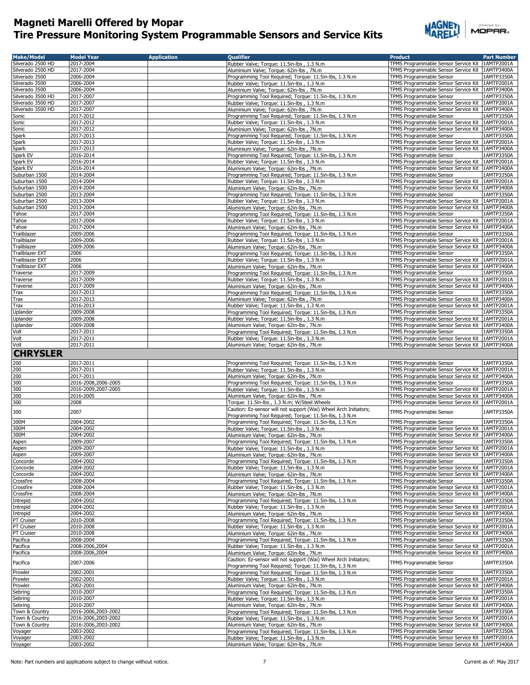

| <b>Make/Model</b>    | <b>Model Year</b>      | <b>Application</b> | <b>Qualifier</b>                                                                                    | <b>Product</b>                                                                                         | <b>Part Number</b>       |
|----------------------|------------------------|--------------------|-----------------------------------------------------------------------------------------------------|--------------------------------------------------------------------------------------------------------|--------------------------|
| Silverado 2500 HD    | 2017-2004              |                    | Rubber Valve; Torque: 11.5in-lbs, 1.3 N.m.                                                          | TPMS Programmable Sensor Service Kit   1AMTP2001A                                                      |                          |
| Silverado 2500 HD    | 2017-2004              |                    | Aluminium Valve; Torque: 62in-lbs, 7N.m                                                             | TPMS Programmable Sensor Service Kit   1AMTP3400A                                                      |                          |
| Silverado 3500       | 2006-2004              |                    | Programming Tool Required; Torque: 11.5in-lbs, 1.3 N.m                                              | TPMS Programmable Sensor                                                                               | 1AMTP3350A               |
| Silverado 3500       | 2006-2004              |                    | Rubber Valve; Torque: 11.5in-lbs, 1.3 N.m.                                                          | TPMS Programmable Sensor Service Kit 1AMTP2001A                                                        |                          |
| Silverado 3500       | 2006-2004              |                    | Aluminium Valve; Torque: 62in-lbs, 7N.m                                                             | TPMS Programmable Sensor Service Kit   1AMTP3400A                                                      |                          |
| Silverado 3500 HD    | 2017-2007              |                    | Programming Tool Required; Torque: 11.5in-lbs, 1.3 N.m                                              | TPMS Programmable Sensor                                                                               | 1AMTP3350A               |
| Silverado 3500 HD    | 2017-2007              |                    | Rubber Valve; Torque: 11.5in-lbs, 1.3 N.m.                                                          | TPMS Programmable Sensor Service Kit                                                                   | 1AMTP2001A               |
| Silverado 3500 HD    | 2017-2007              |                    | Aluminium Valve; Torque: 62in-lbs, 7N.m                                                             | TPMS Programmable Sensor Service Kit   1AMTP3400A                                                      |                          |
| Sonic                | 2017-2012              |                    | Programming Tool Required; Torque: 11.5in-lbs, 1.3 N.m                                              | <b>TPMS Programmable Sensor</b>                                                                        | 1AMTP3350A               |
| Sonic                | 2017-2012              |                    | Rubber Valve; Torque: 11.5in-lbs, 1.3 N.m                                                           | TPMS Programmable Sensor Service Kit                                                                   | 1AMTP2001A               |
| Sonic                | 2017-2012              |                    | Aluminium Valve; Torque: 62in-lbs, 7N.m                                                             | TPMS Programmable Sensor Service Kit   1AMTP3400A                                                      |                          |
| Spark                | 2017-2013              |                    | Programming Tool Required; Torque: 11.5in-lbs, 1.3 N.m                                              | TPMS Programmable Sensor                                                                               | 1AMTP3350A               |
| Spark                | 2017-2013              |                    | Rubber Valve; Torque: 11.5in-lbs, 1.3 N.m                                                           | TPMS Programmable Sensor Service Kit                                                                   | 1AMTP2001A               |
| Spark                | 2017-2013              |                    | Aluminium Valve; Torque: 62in-lbs, 7N.m                                                             | TPMS Programmable Sensor Service Kit   1AMTP3400A                                                      |                          |
| Spark EV             | 2016-2014              |                    | Programming Tool Required; Torque: 11.5in-lbs, 1.3 N.m                                              | TPMS Programmable Sensor                                                                               | 1AMTP3350A               |
| Spark EV             | 2016-2014              |                    | Rubber Valve; Torque: 11.5in-lbs, 1.3 N.m.                                                          | TPMS Programmable Sensor Service Kit                                                                   | 1AMTP2001A               |
| Spark EV             | 2016-2014              |                    | Aluminium Valve; Torque: 62in-lbs, 7N.m                                                             | TPMS Programmable Sensor Service Kit   1AMTP3400A                                                      |                          |
| Suburban 1500        | 2014-2004              |                    | Programming Tool Required; Torque: 11.5in-lbs, 1.3 N.m                                              | TPMS Programmable Sensor                                                                               | 1AMTP3350A               |
| Suburban 1500        | 2014-2004              |                    | Rubber Valve; Torque: 11.5in-lbs, 1.3 N.m                                                           | TPMS Programmable Sensor Service Kit   1AMTP2001A                                                      |                          |
| Suburban 1500        | 2014-2004              |                    | Aluminium Valve; Torque: 62in-lbs, 7N.m                                                             | TPMS Programmable Sensor Service Kit   1AMTP3400A                                                      |                          |
| Suburban 2500        | 2013-2004              |                    | Programming Tool Required; Torque: 11.5in-lbs, 1.3 N.m                                              | TPMS Programmable Sensor                                                                               | 1AMTP3350A               |
| Suburban 2500        | 2013-2004              |                    | Rubber Valve; Torque: 11.5in-lbs, 1.3 N.m.                                                          | TPMS Programmable Sensor Service Kit   1AMTP2001A                                                      |                          |
| Suburban 2500        | 2013-2004              |                    | Aluminium Valve; Torque: 62in-lbs, 7N.m                                                             | TPMS Programmable Sensor Service Kit   1AMTP3400A                                                      |                          |
| Tahoe                | 2017-2004              |                    | Programming Tool Required; Torque: 11.5in-lbs, 1.3 N.m                                              | TPMS Programmable Sensor                                                                               | 1AMTP3350A               |
| Tahoe                | 2017-2004              |                    | Rubber Valve; Torque: 11.5in-lbs, 1.3 N.m                                                           | TPMS Programmable Sensor Service Kit   1AMTP2001A                                                      |                          |
| Tahoe                | 2017-2004              |                    | Aluminium Valve; Torque: 62in-lbs, 7N.m                                                             | TPMS Programmable Sensor Service Kit   1AMTP3400A                                                      |                          |
|                      |                        |                    |                                                                                                     |                                                                                                        | 1AMTP3350A               |
| Trailblazer          | 2009-2006              |                    | Programming Tool Required; Torque: 11.5in-lbs, 1.3 N.m                                              | TPMS Programmable Sensor                                                                               |                          |
| Trailblazer          | 2009-2006              |                    | Rubber Valve; Torque: 11.5in-lbs, 1.3 N.m.                                                          | TPMS Programmable Sensor Service Kit   1AMTP2001A                                                      |                          |
| Trailblazer          | 2009-2006              |                    | Aluminium Valve; Torque: 62in-lbs, 7N.m                                                             | TPMS Programmable Sensor Service Kit   1AMTP3400A                                                      |                          |
| Trailblazer EXT      | 2006                   |                    | Programming Tool Required; Torque: 11.5in-lbs, 1.3 N.m                                              | TPMS Programmable Sensor                                                                               | 1AMTP3350A               |
| Trailblazer EXT      | 2006                   |                    | Rubber Valve; Torque: 11.5in-lbs, 1.3 N.m.                                                          | TPMS Programmable Sensor Service Kit 1AMTP2001A                                                        |                          |
| Trailblazer EXT      | 2006                   |                    | Aluminium Valve; Torque: 62in-lbs, 7N.m                                                             | TPMS Programmable Sensor Service Kit   1AMTP3400A                                                      |                          |
| Traverse             | 2017-2009              |                    | Programming Tool Required; Torque: 11.5in-lbs, 1.3 N.m                                              | TPMS Programmable Sensor                                                                               | 1AMTP3350A               |
| Traverse             | 2017-2009              |                    | Rubber Valve; Torque: 11.5in-lbs, 1.3 N.m.                                                          | TPMS Programmable Sensor Service Kit                                                                   | 1AMTP2001A               |
| Traverse             | 2017-2009              |                    | Aluminium Valve; Torque: 62in-lbs, 7N.m                                                             | TPMS Programmable Sensor Service Kit   1AMTP3400A                                                      |                          |
| Trax                 | 2017-2013              |                    | Programming Tool Required; Torque: 11.5in-lbs, 1.3 N.m                                              | TPMS Programmable Sensor                                                                               | 1AMTP3350A               |
| Trax                 | 2017-2013              |                    | Aluminium Valve; Torque: 62in-lbs, 7N.m                                                             | TPMS Programmable Sensor Service Kit                                                                   | 1AMTP3400A               |
| Trax                 | 2016-2013              |                    | Rubber Valve; Torque: 11.5in-lbs, 1.3 N.m.                                                          | TPMS Programmable Sensor Service Kit 1AMTP2001A                                                        |                          |
| Uplander             | 2009-2008              |                    | Programming Tool Required; Torque: 11.5in-lbs, 1.3 N.m                                              | TPMS Programmable Sensor                                                                               | 1AMTP3350A               |
| Uplander             | 2009-2008              |                    | Rubber Valve; Torque: 11.5in-lbs, 1.3 N.m.                                                          | TPMS Programmable Sensor Service Kit                                                                   | 1AMTP2001A               |
| Uplander             | 2009-2008              |                    | Aluminium Valve; Torque: 62in-lbs, 7N.m                                                             | TPMS Programmable Sensor Service Kit   1AMTP3400A                                                      |                          |
| Volt                 | 2017-2011              |                    | Programming Tool Required; Torque: 11.5in-lbs, 1.3 N.m                                              | TPMS Programmable Sensor                                                                               | 1AMTP3350A               |
| Volt                 | 2017-2011              |                    | Rubber Valve; Torque: 11.5in-lbs, 1.3 N.m.                                                          | TPMS Programmable Sensor Service Kit   1AMTP2001A                                                      |                          |
| Volt                 | 2017-2011              |                    | Aluminium Valve; Torque: 62in-lbs, 7N.m                                                             | TPMS Programmable Sensor Service Kit   1AMTP3400A                                                      |                          |
| <b>CHRYSLER</b>      |                        |                    |                                                                                                     |                                                                                                        |                          |
|                      |                        |                    |                                                                                                     |                                                                                                        |                          |
| 200                  | 2017-2011              |                    | Programming Tool Required; Torque: 11.5in-lbs, 1.3 N.m                                              | TPMS Programmable Sensor                                                                               | 1AMTP3350A               |
| 200                  | 2017-2011              |                    | Rubber Valve; Torque: 11.5in-lbs, 1.3 N.m.                                                          | TPMS Programmable Sensor Service Kit   1AMTP2001A                                                      |                          |
| 200                  | 2017-2011              |                    | Aluminium Valve; Torque: 62in-lbs, 7N.m                                                             | TPMS Programmable Sensor Service Kit   1AMTP3400A                                                      |                          |
| 300                  | 2016-2008,2006-2005    |                    | Programming Tool Required; Torque: 11.5in-lbs, 1.3 N.m                                              | TPMS Programmable Sensor                                                                               | 1AMTP3350A               |
| 300                  | 2016-2009,2007-2005    |                    | Rubber Valve; Torque: 11.5in-lbs, 1.3 N.m                                                           | TPMS Programmable Sensor Service Kit   1AMTP2001A                                                      |                          |
| 300                  | 2016-2005              |                    | Aluminium Valve; Torque: 62in-lbs, 7N.m                                                             | TPMS Programmable Sensor Service Kit   1AMTP3400A                                                      |                          |
| 300                  | 2008                   |                    | Torque: 11.5in-lbs, 1.3 N.m; W/Steel Wheels                                                         | TPMS Programmable Sensor Service Kit   1AMTP2001A                                                      |                          |
|                      | 2007                   |                    | Caution: Ez-sensor will not support (Wai) Wheel Arch Initiators;                                    |                                                                                                        |                          |
| 300                  |                        |                    |                                                                                                     |                                                                                                        |                          |
|                      |                        |                    | Programming Tool Required: Torque: 11.5in-lbs, 1.3 N.m.                                             | TPMS Programmable Sensor                                                                               | 1AMTP3350A               |
| 300M                 | 2004-2002              |                    | Programming Tool Required; Torque: 11.5in-lbs, 1.3 N.m                                              | TPMS Programmable Sensor                                                                               | 1AMTP3350A               |
| 300M                 | 2004-2002              |                    |                                                                                                     |                                                                                                        |                          |
| 300M                 | 2004-2002              |                    | Rubber Valve; Torque: 11.5in-lbs, 1.3 N.m                                                           | TPMS Programmable Sensor Service Kit   1AMTP2001A<br>TPMS Programmable Sensor Service Kit   1AMTP3400A |                          |
| Aspen                | 2009-2007              |                    | Aluminium Valve; Torgue: 62in-lbs, 7N.m.<br>Programming Tool Required: Torque: 11.5in-lbs, 1.3 N.m. | TPMS Programmable Sensor                                                                               | 1AMTP3350A               |
|                      |                        |                    |                                                                                                     |                                                                                                        |                          |
| Aspen                | 2009-2007<br>2009-2007 |                    | Rubber Valve; Torque: 11.5in-lbs, 1.3 N.m.<br>Aluminium Valve; Torque: 62in-lbs, 7N.m               | TPMS Programmable Sensor Service Kit 1AMTP2001A<br>TPMS Programmable Sensor Service Kit                | 1AMTP3400A               |
| Aspen                |                        |                    |                                                                                                     | TPMS Programmable Sensor                                                                               |                          |
| Concorde<br>Concorde | 2004-2002<br>2004-2002 |                    | Programming Tool Required; Torque: 11.5in-lbs, 1.3 N.m                                              | TPMS Programmable Sensor Service Kit                                                                   | 1AMTP3350A<br>1AMTP2001A |
| Concorde             | 2004-2002              |                    | Rubber Valve; Torque: 11.5in-lbs, 1.3 N.m.                                                          | TPMS Programmable Sensor Service Kit                                                                   | 1AMTP3400A               |
|                      |                        |                    | Aluminium Valve; Torque: 62in-lbs, 7N.m.                                                            |                                                                                                        |                          |
| Crossfire            | 2008-2004              |                    | Programming Tool Required; Torque: 11.5in-lbs, 1.3 N.m                                              | TPMS Programmable Sensor                                                                               | 1AMTP3350A               |
| Crossfire            | 2008-2004              |                    | Rubber Valve; Torque: 11.5in-lbs, 1.3 N.m.                                                          | TPMS Programmable Sensor Service Kit                                                                   | 1AMTP2001A               |
| Crossfire            | 2008-2004              |                    | Aluminium Valve; Torque: 62in-lbs, 7N.m                                                             | TPMS Programmable Sensor Service Kit                                                                   | 1AMTP3400A               |
| Intrepid             | 2004-2002              |                    | Programming Tool Required; Torque: 11.5in-lbs, 1.3 N.m                                              | <b>TPMS Programmable Sensor</b>                                                                        | 1AMTP3350A               |
| Intrepid             | 2004-2002              |                    | Rubber Valve; Torque: 11.5in-lbs, 1.3 N.m.                                                          | TPMS Programmable Sensor Service Kit                                                                   | 1AMTP2001A               |
| Intrepid             | 2004-2002              |                    | Aluminium Valve; Torque: 62in-lbs, 7N.m                                                             | TPMS Programmable Sensor Service Kit   1AMTP3400A                                                      |                          |
| PT Cruiser           | 2010-2008              |                    | Programming Tool Required; Torque: 11.5in-lbs, 1.3 N.m                                              | TPMS Programmable Sensor                                                                               | 1AMTP3350A               |
| PT Cruiser           | 2010-2008              |                    | Rubber Valve; Torque: 11.5in-lbs, 1.3 N.m.                                                          | TPMS Programmable Sensor Service Kit                                                                   | 1AMTP2001A               |
| PT Cruiser           | 2010-2008              |                    | Aluminium Valve; Torque: 62in-lbs, 7N.m                                                             | TPMS Programmable Sensor Service Kit   1AMTP3400A                                                      |                          |
| Pacifica             | 2008-2004              |                    | Programming Tool Required; Torque: 11.5in-lbs, 1.3 N.m                                              | TPMS Programmable Sensor                                                                               | 1AMTP3350A               |
| Pacifica             | 2008-2006,2004         |                    | Rubber Valve; Torque: 11.5in-lbs, 1.3 N.m.                                                          | TPMS Programmable Sensor Service Kit                                                                   | 1AMTP2001A               |
| Pacifica             | 2008-2006,2004         |                    | Aluminium Valve; Torque: 62in-lbs, 7N.m                                                             | TPMS Programmable Sensor Service Kit   1AMTP3400A                                                      |                          |
| Pacifica             | 2007-2006              |                    | Caution: Ez-sensor will not support (Wai) Wheel Arch Initiators;                                    | TPMS Programmable Sensor                                                                               | 1AMTP3350A               |
|                      |                        |                    | Programming Tool Required; Torque: 11.5in-lbs, 1.3 N.m                                              |                                                                                                        |                          |
| Prowler              | 2002-2001              |                    | Programming Tool Required; Torque: 11.5in-lbs, 1.3 N.m                                              | TPMS Programmable Sensor                                                                               | 1AMTP3350A               |
| Prowler              | 2002-2001              |                    | Rubber Valve; Torque: 11.5in-lbs, 1.3 N.m                                                           | TPMS Programmable Sensor Service Kit                                                                   | 1AMTP2001A               |
| Prowler              | 2002-2001              |                    | Aluminium Valve; Torque: 62in-lbs, 7N.m                                                             | TPMS Programmable Sensor Service Kit   1AMTP3400A                                                      |                          |
| Sebring              | 2010-2007              |                    | Programming Tool Required; Torque: 11.5in-lbs, 1.3 N.m                                              | TPMS Programmable Sensor                                                                               | 1AMTP3350A               |
| Sebring              | 2010-2007              |                    | Rubber Valve; Torque: 11.5in-lbs, 1.3 N.m                                                           | TPMS Programmable Sensor Service Kit                                                                   | 1AMTP2001A               |
| Sebring              | 2010-2007              |                    | Aluminium Valve; Torque: 62in-lbs, 7N.m                                                             | TPMS Programmable Sensor Service Kit                                                                   | 1AMTP3400A               |
| Town & Country       | 2016-2006,2003-2002    |                    | Programming Tool Required; Torque: 11.5in-lbs, 1.3 N.m                                              | TPMS Programmable Sensor                                                                               | 1AMTP3350A               |
| Town & Country       | 2016-2006,2003-2002    |                    | Rubber Valve; Torque: 11.5in-lbs, 1.3 N.m.                                                          | TPMS Programmable Sensor Service Kit                                                                   | 1AMTP2001A               |
| Town & Country       | 2016-2006,2003-2002    |                    | Aluminium Valve; Torque: 62in-lbs, 7N.m                                                             | TPMS Programmable Sensor Service Kit                                                                   | 1AMTP3400A               |
| Voyager              | 2003-2002              |                    | Programming Tool Required; Torque: 11.5in-lbs, 1.3 N.m                                              | TPMS Programmable Sensor                                                                               | 1AMTP3350A               |
| Voyager              | 2003-2002              |                    | Rubber Valve; Torque: 11.5in-lbs, 1.3 N.m                                                           | TPMS Programmable Sensor Service Kit   1AMTP2001A                                                      |                          |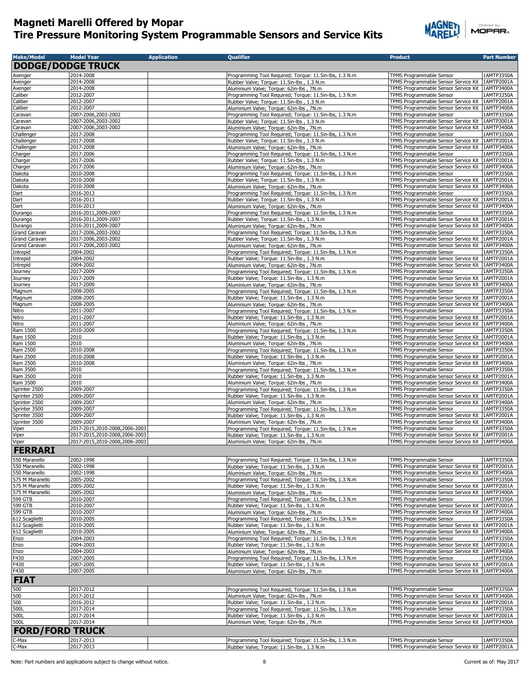

| <b>Make/Model</b>              | <b>Model Year</b>                          | <b>Application</b> | <b>Qualifier</b>                                                                                     | <b>Product</b>                                                                            | <b>Part Number</b>       |
|--------------------------------|--------------------------------------------|--------------------|------------------------------------------------------------------------------------------------------|-------------------------------------------------------------------------------------------|--------------------------|
| <b>DODGE/DODGE TRUCK</b>       |                                            |                    |                                                                                                      |                                                                                           |                          |
| Avenger                        | 2014-2008                                  |                    |                                                                                                      | TPMS Programmable Sensor                                                                  | 1AMTP3350A               |
| Avenger                        | 2014-2008                                  |                    | Programming Tool Required; Torque: 11.5in-lbs, 1.3 N.m<br>Rubber Valve; Torque: 11.5in-lbs, 1.3 N.m. | TPMS Programmable Sensor Service Kit                                                      | 1AMTP2001A               |
| Avenger                        | 2014-2008                                  |                    | Aluminium Valve; Torque: 62in-lbs, 7N.m                                                              | TPMS Programmable Sensor Service Kit                                                      | 1AMTP3400A               |
| Caliber                        | 2012-2007                                  |                    | Programming Tool Required; Torque: 11.5in-lbs, 1.3 N.m                                               | TPMS Programmable Sensor                                                                  | 1AMTP3350A               |
| Caliber                        | 2012-2007                                  |                    | Rubber Valve; Torque: 11.5in-lbs, 1.3 N.m.                                                           | TPMS Programmable Sensor Service Kit                                                      | 1AMTP2001A               |
| Caliber                        | 2012-2007                                  |                    | Aluminium Valve; Torque: 62in-lbs, 7N.m                                                              | TPMS Programmable Sensor Service Kit                                                      | 1AMTP3400A               |
| Caravan                        | 2007-2006,2003-2002                        |                    | Programming Tool Required; Torque: 11.5in-lbs, 1.3 N.m                                               | TPMS Programmable Sensor                                                                  | 1AMTP3350A               |
| Caravan<br>Caravan             | 2007-2006,2003-2002<br>2007-2006,2003-2002 |                    | Rubber Valve; Torque: 11.5in-lbs, 1.3 N.m.<br>Aluminium Valve; Torque: 62in-lbs, 7N.m                | TPMS Programmable Sensor Service Kit<br>TPMS Programmable Sensor Service Kit              | 1AMTP2001A<br>1AMTP3400A |
| Challenger                     | 2017-2008                                  |                    | Programming Tool Required; Torque: 11.5in-lbs, 1.3 N.m                                               | TPMS Programmable Sensor                                                                  | 1AMTP3350A               |
| Challenger                     | 2017-2008                                  |                    | Rubber Valve; Torque: 11.5in-lbs, 1.3 N.m                                                            | TPMS Programmable Sensor Service Kit                                                      | 1AMTP2001A               |
| Challenger                     | 2017-2008                                  |                    | Aluminium Valve; Torque: 62in-lbs, 7N.m                                                              | TPMS Programmable Sensor Service Kit                                                      | 1AMTP3400A               |
| Charger                        | 2017-2006                                  |                    | Programming Tool Required; Torque: 11.5in-lbs, 1.3 N.m                                               | TPMS Programmable Sensor                                                                  | 1AMTP3350A               |
| Charger                        | 2017-2006                                  |                    | Rubber Valve; Torque: 11.5in-lbs, 1.3 N.m                                                            | TPMS Programmable Sensor Service Kit                                                      | 1AMTP2001A               |
| Charger<br>Dakota              | 2017-2006<br>2010-2008                     |                    | Aluminium Valve; Torque: 62in-lbs, 7N.m<br>Programming Tool Required; Torque: 11.5in-lbs, 1.3 N.m    | TPMS Programmable Sensor Service Kit<br>TPMS Programmable Sensor                          | 1AMTP3400A<br>1AMTP3350A |
| Dakota                         | 2010-2008                                  |                    | Rubber Valve; Torque: 11.5in-lbs, 1.3 N.m.                                                           | TPMS Programmable Sensor Service Kit                                                      | 1AMTP2001A               |
| Dakota                         | 2010-2008                                  |                    | Aluminium Valve; Torque: 62in-lbs, 7N.m                                                              | TPMS Programmable Sensor Service Kit                                                      | 1AMTP3400A               |
| Dart                           | 2016-2013                                  |                    | Programming Tool Required; Torque: 11.5in-lbs, 1.3 N.m                                               | TPMS Programmable Sensor                                                                  | 1AMTP3350A               |
| Dart                           | 2016-2013                                  |                    | Rubber Valve; Torque: 11.5in-lbs, 1.3 N.m.                                                           | TPMS Programmable Sensor Service Kit                                                      | 1AMTP2001A               |
| Dart                           | 2016-2013                                  |                    | Aluminium Valve; Torque: 62in-lbs, 7N.m                                                              | TPMS Programmable Sensor Service Kit                                                      | 1AMTP3400A               |
| Durango                        | 2016-2011,2009-2007                        |                    | Programming Tool Required; Torque: 11.5in-lbs, 1.3 N.m                                               | TPMS Programmable Sensor                                                                  | 1AMTP3350A               |
| Durango<br>Durango             | 2016-2011,2009-2007<br>2016-2011,2009-2007 |                    | Rubber Valve; Torque: 11.5in-lbs, 1.3 N.m.                                                           | TPMS Programmable Sensor Service Kit<br>TPMS Programmable Sensor Service Kit   1AMTP3400A | 1AMTP2001A               |
| Grand Caravan                  | 2017-2006,2003-2002                        |                    | Aluminium Valve; Torque: 62in-lbs, 7N.m<br>Programming Tool Required; Torque: 11.5in-lbs, 1.3 N.m    | TPMS Programmable Sensor                                                                  | 1AMTP3350A               |
| Grand Caravan                  | 2017-2006,2003-2002                        |                    | Rubber Valve; Torque: 11.5in-lbs, 1.3 N.m.                                                           | TPMS Programmable Sensor Service Kit                                                      | 1AMTP2001A               |
| Grand Caravan                  | 2017-2006,2003-2002                        |                    | Aluminium Valve; Torque: 62in-lbs, 7N.m                                                              | TPMS Programmable Sensor Service Kit                                                      | 1AMTP3400A               |
| Intrepid                       | 2004-2002                                  |                    | Programming Tool Required; Torque: 11.5in-lbs, 1.3 N.m                                               | TPMS Programmable Sensor                                                                  | 1AMTP3350A               |
| Intrepid                       | 2004-2002                                  |                    | Rubber Valve; Torque: 11.5in-lbs, 1.3 N.m.                                                           | TPMS Programmable Sensor Service Kit                                                      | 1AMTP2001A               |
| Intrepid                       | 2004-2002                                  |                    | Aluminium Valve; Torque: 62in-lbs, 7N.m                                                              | TPMS Programmable Sensor Service Kit                                                      | 1AMTP3400A               |
| Journey                        | 2017-2009                                  |                    | Programming Tool Required; Torque: 11.5in-lbs, 1.3 N.m                                               | TPMS Programmable Sensor                                                                  | 1AMTP3350A               |
| Journey                        | 2017-2009                                  |                    | Rubber Valve; Torque: 11.5in-lbs, 1.3 N.m.                                                           | TPMS Programmable Sensor Service Kit                                                      | 1AMTP2001A               |
| Journey                        | 2017-2009<br>2008-2005                     |                    | Aluminium Valve; Torque: 62in-lbs, 7N.m<br>Programming Tool Required; Torque: 11.5in-lbs, 1.3 N.m    | TPMS Programmable Sensor Service Kit   1AMTP3400A<br>TPMS Programmable Sensor             | 1AMTP3350A               |
| Magnum<br>Magnum               | 2008-2005                                  |                    | Rubber Valve; Torque: 11.5in-lbs, 1.3 N.m.                                                           | TPMS Programmable Sensor Service Kit                                                      | 1AMTP2001A               |
| Magnum                         | 2008-2005                                  |                    | Aluminium Valve; Torque: 62in-lbs, 7N.m                                                              | TPMS Programmable Sensor Service Kit                                                      | 1AMTP3400A               |
| Nitro                          | 2011-2007                                  |                    | Programming Tool Required; Torque: 11.5in-lbs, 1.3 N.m                                               | TPMS Programmable Sensor                                                                  | 1AMTP3350A               |
| Nitro                          | 2011-2007                                  |                    | Rubber Valve; Torque: 11.5in-lbs, 1.3 N.m                                                            | TPMS Programmable Sensor Service Kit                                                      | 1AMTP2001A               |
| Nitro                          | 2011-2007                                  |                    | Aluminium Valve; Torque: 62in-lbs, 7N.m                                                              | TPMS Programmable Sensor Service Kit   1AMTP3400A                                         |                          |
| Ram 1500                       | 2010-2009                                  |                    | Programming Tool Required; Torque: 11.5in-lbs, 1.3 N.m                                               | TPMS Programmable Sensor                                                                  | 1AMTP3350A               |
| Ram 1500                       | 2010                                       |                    | Rubber Valve; Torque: 11.5in-lbs, 1.3 N.m                                                            | TPMS Programmable Sensor Service Kit                                                      | 1AMTP2001A               |
| Ram 1500<br>Ram 2500           | 2010<br>2010-2008                          |                    | Aluminium Valve; Torque: 62in-lbs, 7N.m                                                              | TPMS Programmable Sensor Service Kit<br>TPMS Programmable Sensor                          | 1AMTP3400A<br>1AMTP3350A |
| Ram 2500                       | 2010-2008                                  |                    | Programming Tool Required; Torque: 11.5in-lbs, 1.3 N.m<br>Rubber Valve; Torque: 11.5in-lbs, 1.3 N.m. | TPMS Programmable Sensor Service Kit                                                      | 1AMTP2001A               |
| Ram 2500                       | 2010-2008                                  |                    | Aluminium Valve; Torque: 62in-lbs, 7N.m                                                              | TPMS Programmable Sensor Service Kit                                                      | 1AMTP3400A               |
| Ram 3500                       | 2010                                       |                    | Programming Tool Required; Torque: 11.5in-lbs, 1.3 N.m                                               | TPMS Programmable Sensor                                                                  | 1AMTP3350A               |
| Ram 3500                       | 2010                                       |                    | Rubber Valve; Torque: 11.5in-lbs, 1.3 N.m                                                            | TPMS Programmable Sensor Service Kit                                                      | 1AMTP2001A               |
| Ram 3500                       | 2010                                       |                    | Aluminium Valve; Torque: 62in-lbs, 7N.m                                                              | TPMS Programmable Sensor Service Kit                                                      | 1AMTP3400A               |
| Sprinter 2500                  | 2009-2007                                  |                    | Programming Tool Required; Torque: 11.5in-lbs, 1.3 N.m                                               | TPMS Programmable Sensor                                                                  | 1AMTP3350A               |
| Sprinter 2500                  | 2009-2007                                  |                    | Rubber Valve; Torque: 11.5in-lbs, 1.3 N.m                                                            | TPMS Programmable Sensor Service Kit                                                      | 1AMTP2001A               |
| Sprinter 2500                  | 2009-2007                                  |                    | Aluminium Valve; Torque: 62in-lbs, 7N.m                                                              | TPMS Programmable Sensor Service Kit 1AMTP3400A                                           |                          |
| Sprinter 3500<br>Sprinter 3500 | 2009-2007<br>2009-2007                     |                    | Programming Tool Required; Torque: 11.5in-lbs, 1.3 N.m<br>Rubber Valve; Torque: 11.5in-lbs, 1.3 N.m. | TPMS Programmable Sensor<br>TPMS Programmable Sensor Service Kit                          | 1AMTP3350A<br>1AMTP2001A |
| Sprinter 3500                  | 2009-2007                                  |                    | Aluminium Valve; Torque: 62in-lbs, 7N.m                                                              | TPMS Programmable Sensor Service Kit                                                      | 1AMTP3400A               |
| Viper                          | 2017-2015,2010-2008,2006-2003              |                    | Programming Tool Required; Torque: 11.5in-lbs, 1.3 N.m                                               | TPMS Programmable Sensor                                                                  | 1AMTP3350A               |
| Viper                          | 2017-2015,2010-2008,2006-2003              |                    | Rubber Valve; Torque: 11.5in-lbs, 1.3 N.m.                                                           | TPMS Programmable Sensor Service Kit   1AMTP2001A                                         |                          |
| Viper                          | 2017-2015,2010-2008,2006-2003              |                    | Aluminium Valve; Torque: 62in-lbs, 7N.m                                                              | TPMS Programmable Sensor Service Kit   IAMTP3400A                                         |                          |
| <b>FERRARI</b>                 |                                            |                    |                                                                                                      |                                                                                           |                          |
| 550 Maranello                  | 2002-1998                                  |                    | Programming Tool Required; Torque: 11.5in-lbs, 1.3 N.m                                               | TPMS Programmable Sensor                                                                  | 1AMTP3350A               |
| 550 Maranello                  | 2002-1998                                  |                    | Rubber Valve; Torque: 11.5in-lbs, 1.3 N.m                                                            | TPMS Programmable Sensor Service Kit                                                      | 1AMTP2001A               |
| 550 Maranello                  | 2002-1998                                  |                    | Aluminium Valve; Torque: 62in-lbs, 7N.m                                                              | TPMS Programmable Sensor Service Kit                                                      | 1AMTP3400A               |
| 575 M Maranello                | 2005-2002                                  |                    | Programming Tool Required; Torque: 11.5in-lbs, 1.3 N.m                                               | TPMS Programmable Sensor                                                                  | 1AMTP3350A               |
| 575 M Maranello                | 2005-2002                                  |                    | Rubber Valve; Torque: 11.5in-lbs, 1.3 N.m                                                            | TPMS Programmable Sensor Service Kit                                                      | 1AMTP2001A               |
| 575 M Maranello                | 2005-2002                                  |                    | Aluminium Valve; Torque: 62in-lbs, 7N.m                                                              | TPMS Programmable Sensor Service Kit                                                      | 1AMTP3400A               |
| 599 GTB                        | 2010-2007                                  |                    | Programming Tool Required; Torque: 11.5in-lbs, 1.3 N.m                                               | TPMS Programmable Sensor                                                                  | 1AMTP3350A               |
| 599 GTB<br>599 GTB             | 2010-2007<br>2010-2007                     |                    | Rubber Valve; Torque: 11.5in-lbs, 1.3 N.m<br>Aluminium Valve; Torque: 62in-lbs, 7N.m.                | TPMS Programmable Sensor Service Kit<br>TPMS Programmable Sensor Service Kit              | 1AMTP2001A<br>1AMTP3400A |
| 612 Scaglietti                 | 2010-2005                                  |                    | Programming Tool Required; Torque: 11.5in-lbs, 1.3 N.m                                               | TPMS Programmable Sensor                                                                  | 1AMTP3350A               |
| 612 Scaglietti                 | 2010-2005                                  |                    | Rubber Valve; Torque: 11.5in-lbs, 1.3 N.m.                                                           | TPMS Programmable Sensor Service Kit                                                      | 1AMTP2001A               |
| 612 Scaglietti                 | 2010-2005                                  |                    | Aluminium Valve; Torque: 62in-lbs, 7N.m                                                              | TPMS Programmable Sensor Service Kit                                                      | 1AMTP3400A               |
| Enzo                           | 2004-2003                                  |                    | Programming Tool Required; Torque: 11.5in-lbs, 1.3 N.m                                               | TPMS Programmable Sensor                                                                  | 1AMTP3350A               |
| Enzo                           | 2004-2003                                  |                    | Rubber Valve; Torque: 11.5in-lbs, 1.3 N.m                                                            | TPMS Programmable Sensor Service Kit                                                      | 1AMTP2001A               |
| Enzo                           | 2004-2003                                  |                    | Aluminium Valve; Torque: 62in-lbs, 7N.m                                                              | TPMS Programmable Sensor Service Kit                                                      | 1AMTP3400A               |
| F430                           | 2007-2005                                  |                    | Programming Tool Required; Torque: 11.5in-lbs, 1.3 N.m                                               | TPMS Programmable Sensor                                                                  | 1AMTP3350A               |
| F430                           | 2007-2005                                  |                    | Rubber Valve; Torque: 11.5in-lbs, 1.3 N.m.                                                           | TPMS Programmable Sensor Service Kit                                                      | 1AMTP2001A               |
| F430                           | 2007-2005                                  |                    | Aluminium Valve; Torque: 62in-lbs, 7N.m                                                              | TPMS Programmable Sensor Service Kit                                                      | 1AMTP3400A               |
| <b>FIAT</b>                    |                                            |                    |                                                                                                      |                                                                                           |                          |
| 500                            | 2017-2012                                  |                    | Programming Tool Required; Torque: 11.5in-lbs, 1.3 N.m                                               | TPMS Programmable Sensor                                                                  | 1AMTP3350A               |
| 500                            | 2017-2012                                  |                    | Aluminium Valve; Torque: 62in-lbs, 7N.m                                                              | TPMS Programmable Sensor Service Kit                                                      | 1AMTP3400A               |
| 500                            | 2016-2012                                  |                    | Rubber Valve; Torque: 11.5in-lbs, 1.3 N.m.                                                           | TPMS Programmable Sensor Service Kit                                                      | 1AMTP2001A               |
| 500L                           | 2017-2014                                  |                    | Programming Tool Required; Torque: 11.5in-lbs, 1.3 N.m                                               | TPMS Programmable Sensor                                                                  | 1AMTP3350A               |
| 500L<br>500L                   | 2017-2014<br>2017-2014                     |                    | Rubber Valve; Torque: 11.5in-lbs, 1.3 N.m.<br>Aluminium Valve; Torque: 62in-lbs, 7N.m                | TPMS Programmable Sensor Service Kit   1AMTP2001A<br>TPMS Programmable Sensor Service Kit | 1AMTP3400A               |
|                                |                                            |                    |                                                                                                      |                                                                                           |                          |
| <b>FORD/FORD TRUCK</b>         |                                            |                    |                                                                                                      |                                                                                           |                          |
| C-Max                          | 2017-2013                                  |                    | Programming Tool Required; Torque: 11.5in-lbs, 1.3 N.m                                               | TPMS Programmable Sensor                                                                  | 1AMTP3350A               |
| C-Max                          | 2017-2013                                  |                    | Rubber Valve; Torque: 11.5in-lbs, 1.3 N.m.                                                           | TPMS Programmable Sensor Service Kit   1AMTP2001A                                         |                          |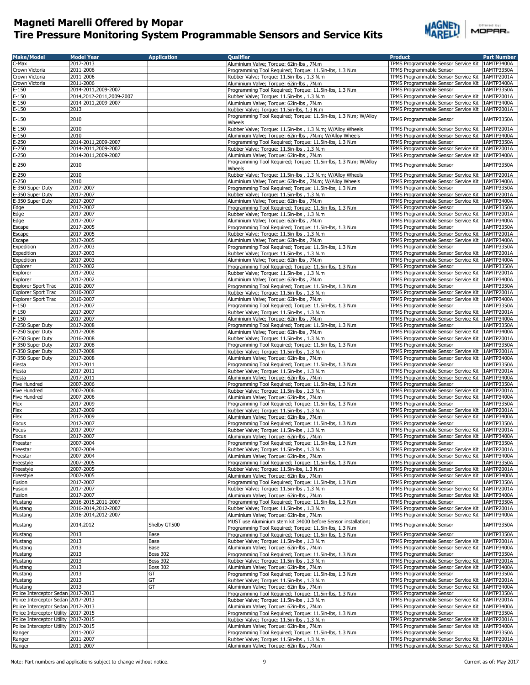

|  | Offered by: |  |  |
|--|-------------|--|--|
|  | VIOPAR-     |  |  |

| <b>Make/Model</b>                    | <b>Model Year</b>        | <b>Application</b> | <b>Qualifier</b>                                                                                           | <b>Product</b>                                    | <b>Part Number</b> |
|--------------------------------------|--------------------------|--------------------|------------------------------------------------------------------------------------------------------------|---------------------------------------------------|--------------------|
| C-Max                                | 2017-2013                |                    | Aluminium Valve; Torque: 62in-lbs, 7N.m                                                                    | TPMS Programmable Sensor Service Kit              | 1AMTP3400A         |
| Crown Victoria                       | 2011-2006                |                    | Programming Tool Required; Torque: 11.5in-lbs, 1.3 N.m                                                     | <b>TPMS Programmable Sensor</b>                   | 1AMTP3350A         |
| Crown Victoria                       | 2011-2006                |                    | Rubber Valve; Torque: 11.5in-lbs, 1.3 N.m.                                                                 | TPMS Programmable Sensor Service Kit              | 1AMTP2001A         |
| Crown Victoria                       | 2011-2006                |                    | Aluminium Valve; Torque: 62in-lbs, 7N.m                                                                    | TPMS Programmable Sensor Service Kit              | 1AMTP3400A         |
| $E-150$                              | 2014-2011,2009-2007      |                    | Programming Tool Required; Torque: 11.5in-lbs, 1.3 N.m                                                     | TPMS Programmable Sensor                          | 1AMTP3350A         |
| $E-150$                              | 2014,2012-2011,2009-2007 |                    | Rubber Valve; Torque: 11.5in-lbs, 1.3 N.m                                                                  | TPMS Programmable Sensor Service Kit              | 1AMTP2001A         |
| $E-150$                              | 2014-2011,2009-2007      |                    | Aluminium Valve; Torque: 62in-lbs, 7N.m                                                                    | TPMS Programmable Sensor Service Kit              | 1AMTP3400A         |
| $E-150$                              | 2013                     |                    | Rubber Valve; Torque: 11.5in-lbs, 1.3 N.m                                                                  | TPMS Programmable Sensor Service Kit              | 1AMTP2001A         |
|                                      |                          |                    | Programming Tool Required; Torque: 11.5in-lbs, 1.3 N.m; W/Alloy                                            |                                                   |                    |
| $E-150$                              | 2010                     |                    | Wheels                                                                                                     | TPMS Programmable Sensor                          | 1AMTP3350A         |
| $E-150$                              | 2010                     |                    | Rubber Valve; Torque: 11.5in-lbs, 1.3 N.m; W/Alloy Wheels                                                  | TPMS Programmable Sensor Service Kit              | 1AMTP2001A         |
| $E-150$                              | 2010                     |                    |                                                                                                            | TPMS Programmable Sensor Service Kit              | 1AMTP3400A         |
| E-250                                | 2014-2011,2009-2007      |                    | Aluminium Valve; Torque: 62in-lbs, 7N.m; W/Alloy Wheels                                                    | <b>TPMS Programmable Sensor</b>                   | 1AMTP3350A         |
|                                      | 2014-2011,2009-2007      |                    | Programming Tool Required; Torque: 11.5in-lbs, 1.3 N.m                                                     |                                                   | 1AMTP2001A         |
| $E-250$                              |                          |                    | Rubber Valve; Torque: 11.5in-lbs, 1.3 N.m                                                                  | TPMS Programmable Sensor Service Kit              |                    |
| $E-250$                              | 2014-2011,2009-2007      |                    | Aluminium Valve; Torque: 62in-lbs, 7N.m<br>Programming Tool Reguired; Torque: 11.5in-lbs, 1.3 N.m; W/Alloy | TPMS Programmable Sensor Service Kit              | 1AMTP3400A         |
| $E-250$                              | 2010                     |                    |                                                                                                            | TPMS Programmable Sensor                          | 1AMTP3350A         |
|                                      | 2010                     |                    | Wheels                                                                                                     | TPMS Programmable Sensor Service Kit   1AMTP2001A |                    |
| $E-250$                              | 2010                     |                    | Rubber Valve; Torque: 11.5in-lbs, 1.3 N.m; W/Alloy Wheels                                                  |                                                   |                    |
| $E-250$                              |                          |                    | Aluminium Valve; Torque: 62in-lbs, 7N.m; W/Alloy Wheels                                                    | TPMS Programmable Sensor Service Kit   1AMTP3400A |                    |
| E-350 Super Duty                     | 2017-2007                |                    | Programming Tool Required; Torque: 11.5in-lbs, 1.3 N.m                                                     | TPMS Programmable Sensor                          | 1AMTP3350A         |
| E-350 Super Duty                     | 2017-2007                |                    | Rubber Valve; Torque: 11.5in-lbs, 1.3 N.m                                                                  | TPMS Programmable Sensor Service Kit              | 1AMTP2001A         |
| E-350 Super Duty                     | 2017-2007                |                    | Aluminium Valve; Torque: 62in-lbs, 7N.m                                                                    | TPMS Programmable Sensor Service Kit   1AMTP3400A |                    |
| Edge                                 | 2017-2007                |                    | Programming Tool Required; Torque: 11.5in-lbs, 1.3 N.m                                                     | TPMS Programmable Sensor                          | 1AMTP3350A         |
| Edge                                 | 2017-2007                |                    | Rubber Valve; Torque: 11.5in-lbs, 1.3 N.m.                                                                 | TPMS Programmable Sensor Service Kit              | 1AMTP2001A         |
| Edge                                 | 2017-2007                |                    | Aluminium Valve; Torque: 62in-lbs, 7N.m                                                                    | TPMS Programmable Sensor Service Kit              | 1AMTP3400A         |
| Escape                               | 2017-2005                |                    | Programming Tool Required; Torque: 11.5in-lbs, 1.3 N.m.                                                    | TPMS Programmable Sensor                          | 1AMTP3350A         |
| Escape                               | 2017-2005                |                    | Rubber Valve; Torque: 11.5in-lbs, 1.3 N.m.                                                                 | TPMS Programmable Sensor Service Kit              | 1AMTP2001A         |
| Escape                               | 2017-2005                |                    | Aluminium Valve; Torque: 62in-lbs, 7N.m                                                                    | TPMS Programmable Sensor Service Kit              | 1AMTP3400A         |
| Expedition                           | 2017-2003                |                    | Programming Tool Required; Torque: 11.5in-lbs, 1.3 N.m                                                     | TPMS Programmable Sensor                          | 1AMTP3350A         |
| Expedition                           | 2017-2003                |                    | Rubber Valve; Torque: 11.5in-lbs, 1.3 N.m.                                                                 | TPMS Programmable Sensor Service Kit              | 1AMTP2001A         |
| Expedition                           | 2017-2003                |                    | Aluminium Valve; Torque: 62in-lbs, 7N.m                                                                    | TPMS Programmable Sensor Service Kit              | 1AMTP3400A         |
| Explorer                             | 2017-2002                |                    | Programming Tool Required; Torque: 11.5in-lbs, 1.3 N.m.                                                    | TPMS Programmable Sensor                          | 1AMTP3350A         |
| Explorer                             | 2017-2002                |                    | Rubber Valve; Torque: 11.5in-lbs, 1.3 N.m                                                                  | TPMS Programmable Sensor Service Kit              | 1AMTP2001A         |
| Explorer                             | 2017-2002                |                    | Aluminium Valve; Torque: 62in-lbs, 7N.m                                                                    | TPMS Programmable Sensor Service Kit              | 1AMTP3400A         |
|                                      | 2010-2007                |                    |                                                                                                            | <b>TPMS Programmable Sensor</b>                   | 1AMTP3350A         |
| <b>Explorer Sport Trac</b>           |                          |                    | Programming Tool Required; Torque: 11.5in-lbs, 1.3 N.m                                                     |                                                   |                    |
| <b>Explorer Sport Trac</b>           | 2010-2007                |                    | Rubber Valve; Torque: 11.5in-lbs, 1.3 N.m.                                                                 | TPMS Programmable Sensor Service Kit              | 1AMTP2001A         |
| <b>Explorer Sport Trac</b>           | 2010-2007                |                    | Aluminium Valve; Torque: 62in-lbs, 7N.m                                                                    | TPMS Programmable Sensor Service Kit              | 1AMTP3400A         |
| F-150                                | 2017-2007                |                    | Programming Tool Required; Torque: 11.5in-lbs, 1.3 N.m                                                     | TPMS Programmable Sensor                          | 1AMTP3350A         |
| $F-150$                              | 2017-2007                |                    | Rubber Valve; Torque: 11.5in-lbs, 1.3 N.m.                                                                 | TPMS Programmable Sensor Service Kit              | 1AMTP2001A         |
| $F-150$                              | 2017-2007                |                    | Aluminium Valve; Torque: 62in-lbs, 7N.m                                                                    | TPMS Programmable Sensor Service Kit              | 1AMTP3400A         |
| F-250 Super Duty                     | 2017-2008                |                    | Programming Tool Required; Torque: 11.5in-lbs, 1.3 N.m                                                     | TPMS Programmable Sensor                          | 1AMTP3350A         |
| F-250 Super Duty                     | 2017-2008                |                    | Aluminium Valve; Torque: 62in-lbs, 7N.m                                                                    | TPMS Programmable Sensor Service Kit 1AMTP3400A   |                    |
| F-250 Super Duty                     | 2016-2008                |                    | Rubber Valve; Torque: 11.5in-lbs, 1.3 N.m                                                                  | TPMS Programmable Sensor Service Kit   1AMTP2001A |                    |
| F-350 Super Duty                     | 2017-2008                |                    | Programming Tool Required; Torque: 11.5in-lbs, 1.3 N.m                                                     | TPMS Programmable Sensor                          | 1AMTP3350A         |
| F-350 Super Duty                     | 2017-2008                |                    | Rubber Valve; Torque: 11.5in-lbs, 1.3 N.m                                                                  | TPMS Programmable Sensor Service Kit   1AMTP2001A |                    |
| F-350 Super Duty                     | 2017-2008                |                    | Aluminium Valve; Torque: 62in-lbs, 7N.m                                                                    | TPMS Programmable Sensor Service Kit   1AMTP3400A |                    |
| Fiesta                               | 2017-2011                |                    | Programming Tool Required; Torque: 11.5in-lbs, 1.3 N.m                                                     | TPMS Programmable Sensor                          | 1AMTP3350A         |
| Fiesta                               | 2017-2011                |                    | Rubber Valve; Torque: 11.5in-lbs, 1.3 N.m.                                                                 | TPMS Programmable Sensor Service Kit              | 1AMTP2001A         |
| Fiesta                               | 2017-2011                |                    | Aluminium Valve; Torque: 62in-lbs, 7N.m.                                                                   | TPMS Programmable Sensor Service Kit 1AMTP3400A   |                    |
|                                      |                          |                    |                                                                                                            |                                                   |                    |
| Five Hundred                         | 2007-2006                |                    | Programming Tool Required; Torque: 11.5in-lbs, 1.3 N.m                                                     | TPMS Programmable Sensor                          | 1AMTP3350A         |
| Five Hundred                         | 2007-2006                |                    | Rubber Valve; Torque: 11.5in-lbs, 1.3 N.m                                                                  | TPMS Programmable Sensor Service Kit              | 1AMTP2001A         |
| Five Hundred                         | 2007-2006                |                    | Aluminium Valve; Torque: 62in-lbs, 7N.m                                                                    | TPMS Programmable Sensor Service Kit              | 1AMTP3400A         |
| Flex                                 | 2017-2009                |                    | Programming Tool Required; Torque: 11.5in-lbs, 1.3 N.m.                                                    | TPMS Programmable Sensor                          | 1AMTP3350A         |
| Flex                                 | 2017-2009                |                    | Rubber Valve; Torque: 11.5in-lbs, 1.3 N.m.                                                                 | TPMS Programmable Sensor Service Kit              | 1AMTP2001A         |
| Flex                                 | 2017-2009                |                    | Aluminium Valve; Torque: 62in-lbs, 7N.m                                                                    | TPMS Programmable Sensor Service Kit              | 1AMTP3400A         |
| Focus                                | 2017-2007                |                    | Programming Tool Required; Torque: 11.5in-lbs, 1.3 N.m                                                     | TPMS Programmable Sensor                          | 1AMTP3350A         |
| Focus                                | 2017-2007                |                    | Rubber Valve; Torque: 11.5in-lbs, 1.3 N.m.                                                                 | TPMS Programmable Sensor Service Kit              | 1AMTP2001A         |
| Focus                                | 2017-2007                |                    | Aluminium Valve; Torque: 62in-lbs, 7N.m.                                                                   | TPMS Programmable Sensor Service Kit   1AMTP3400A |                    |
| Freestar                             | 2007-2004                |                    | Programming Tool Required; Torque: 11.5in-lbs, 1.3 N.m.                                                    | TPMS Programmable Sensor                          | 1AMTP3350A         |
| Freestar                             | 2007-2004                |                    | Rubber Valve; Torque: 11.5in-lbs, 1.3 N.m                                                                  | TPMS Programmable Sensor Service Kit              | 1AMTP2001A         |
| Freestar                             | 2007-2004                |                    | Aluminium Valve; Torque: 62in-lbs, 7N.m                                                                    | TPMS Programmable Sensor Service Kit              | 1AMTP3400A         |
| Freestyle                            | 2007-2005                |                    | Programming Tool Required; Torque: 11.5in-lbs, 1.3 N.m                                                     | TPMS Programmable Sensor                          | 1AMTP3350A         |
| Freestyle                            | 2007-2005                |                    | Rubber Valve; Torque: 11.5in-lbs, 1.3 N.m                                                                  | TPMS Programmable Sensor Service Kit              | 1AMTP2001A         |
| Freestyle                            | 2007-2005                |                    | Aluminium Valve; Torque: 62in-lbs, 7N.m                                                                    | TPMS Programmable Sensor Service Kit   1AMTP3400A |                    |
| Fusion                               | 2017-2007                |                    | Programming Tool Required; Torque: 11.5in-lbs, 1.3 N.m                                                     | TPMS Programmable Sensor                          | 1AMTP3350A         |
| Fusion                               | 2017-2007                |                    | Rubber Valve; Torque: 11.5in-lbs, 1.3 N.m                                                                  | TPMS Programmable Sensor Service Kit              | 1AMTP2001A         |
| Fusion                               | 2017-2007                |                    | Aluminium Valve: Torque: 62in-lbs, 7N.m.                                                                   | TPMS Programmable Sensor Service Kit              | 1AMTP3400A         |
| Mustang                              | 2016-2015,2011-2007      |                    | Programming Tool Required; Torque: 11.5in-lbs, 1.3 N.m                                                     | TPMS Programmable Sensor                          | 1AMTP3350A         |
| Mustang                              | 2016-2014,2012-2007      |                    | Rubber Valve; Torque: 11.5in-lbs, 1.3 N.m                                                                  | TPMS Programmable Sensor Service Kit              | 1AMTP2001A         |
| Mustang                              | 2016-2014,2012-2007      |                    | Aluminium Valve; Torque: 62in-lbs, 7N.m                                                                    | TPMS Programmable Sensor Service Kit 1AMTP3400A   |                    |
|                                      |                          |                    | MUST use Aluminium stem kit 34000 before Sensor installation;                                              |                                                   |                    |
| Mustang                              | 2014,2012                | Shelby GT500       |                                                                                                            | TPMS Programmable Sensor                          | 1AMTP3350A         |
|                                      |                          |                    | Programming Tool Required; Torque: 11.5in-lbs, 1.3 N.m                                                     |                                                   | 1AMTP3350A         |
| Mustang                              | 2013                     | Base               | Programming Tool Required; Torque: 11.5in-lbs, 1.3 N.m                                                     | TPMS Programmable Sensor                          |                    |
| Mustang                              | 2013                     | Base               | Rubber Valve; Torque: 11.5in-lbs, 1.3 N.m.                                                                 | TPMS Programmable Sensor Service Kit              | 1AMTP2001A         |
| Mustang                              | 2013                     | Base               | Aluminium Valve: Torque: 62in-lbs, 7N.m.                                                                   | TPMS Programmable Sensor Service Kit              | 1AMTP3400A         |
| Mustang                              | 2013                     | <b>Boss 302</b>    | Programming Tool Required; Torque: 11.5in-lbs, 1.3 N.m                                                     | TPMS Programmable Sensor                          | 1AMTP3350A         |
| Mustang                              | 2013                     | <b>Boss 302</b>    | Rubber Valve; Torque: 11.5in-lbs, 1.3 N.m                                                                  | TPMS Programmable Sensor Service Kit              | 1AMTP2001A         |
| Mustang                              | 2013                     | <b>Boss 302</b>    | Aluminium Valve; Torque: 62in-lbs, 7N.m                                                                    | TPMS Programmable Sensor Service Kit              | 1AMTP3400A         |
| Mustang                              | 2013                     | GT                 | Programming Tool Required; Torque: 11.5in-lbs, 1.3 N.m                                                     | TPMS Programmable Sensor                          | 1AMTP3350A         |
| Mustang                              | 2013                     | GT                 | Rubber Valve; Torque: 11.5in-lbs, 1.3 N.m.                                                                 | TPMS Programmable Sensor Service Kit              | 1AMTP2001A         |
| Mustang                              | 2013                     | GT                 | Aluminium Valve; Torque: 62in-lbs, 7N.m                                                                    | TPMS Programmable Sensor Service Kit              | 1AMTP3400A         |
| Police Interceptor Sedan 2017-2013   |                          |                    | Programming Tool Required; Torque: 11.5in-lbs, 1.3 N.m                                                     | TPMS Programmable Sensor                          | 1AMTP3350A         |
| Police Interceptor Sedan 2017-2013   |                          |                    | Rubber Valve; Torque: 11.5in-lbs, 1.3 N.m                                                                  | TPMS Programmable Sensor Service Kit              | 1AMTP2001A         |
| Police Interceptor Sedan 2017-2013   |                          |                    | Aluminium Valve; Torque: 62in-lbs, 7N.m                                                                    | TPMS Programmable Sensor Service Kit              | 1AMTP3400A         |
| Police Interceptor Utility           | 2017-2015                |                    | Programming Tool Required; Torque: 11.5in-lbs, 1.3 N.m                                                     | TPMS Programmable Sensor                          | 1AMTP3350A         |
| Police Interceptor Utility 2017-2015 |                          |                    | Rubber Valve; Torque: 11.5in-lbs, 1.3 N.m                                                                  | TPMS Programmable Sensor Service Kit              | 1AMTP2001A         |
| Police Interceptor Utility 2017-2015 |                          |                    | Aluminium Valve; Torque: 62in-lbs, 7N.m                                                                    | TPMS Programmable Sensor Service Kit              | 1AMTP3400A         |
|                                      | 2011-2007                |                    |                                                                                                            | TPMS Programmable Sensor                          | 1AMTP3350A         |
| Ranger                               |                          |                    | Programming Tool Required; Torque: 11.5in-lbs, 1.3 N.m                                                     |                                                   |                    |
| Ranger                               | 2011-2007                |                    | Rubber Valve; Torque: 11.5in-lbs, 1.3 N.m.                                                                 | TPMS Programmable Sensor Service Kit              | 1AMTP2001A         |
| Ranger                               | 2011-2007                |                    | Aluminium Valve; Torque: 62in-lbs, 7N.m                                                                    | TPMS Programmable Sensor Service Kit   1AMTP3400A |                    |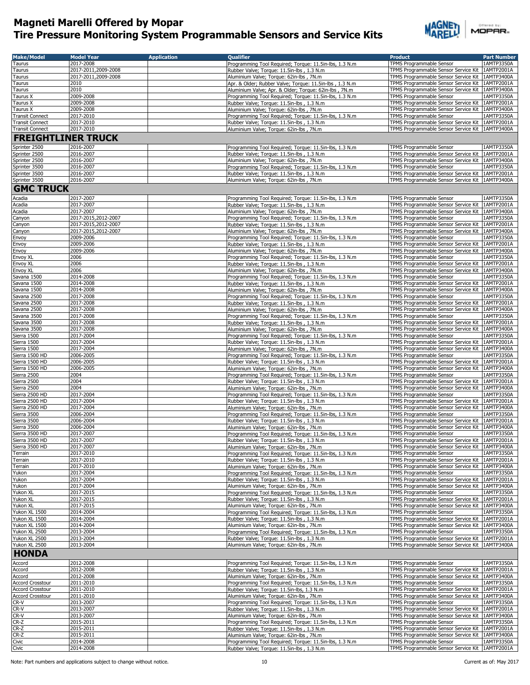

| <b>Make/Model</b>                    | <b>Model Year</b>      | <b>Application</b> | <b>Oualifier</b>                                                                                                 | <b>Product</b>                                                                                         | <b>Part Number</b>       |
|--------------------------------------|------------------------|--------------------|------------------------------------------------------------------------------------------------------------------|--------------------------------------------------------------------------------------------------------|--------------------------|
| Taurus                               | 2017-2008              |                    | Programming Tool Required; Torque: 11.5in-lbs, 1.3 N.m                                                           | TPMS Programmable Sensor                                                                               | 1AMTP3350A               |
| Taurus                               | 2017-2011.2009-2008    |                    | Rubber Valve; Torque: 11.5in-lbs, 1.3 N.m.                                                                       | TPMS Programmable Sensor Service Kit                                                                   | 1AMTP2001A               |
| Taurus                               | 2017-2011,2009-2008    |                    | Aluminium Valve; Torque: 62in-lbs, 7N.m                                                                          | TPMS Programmable Sensor Service Kit                                                                   | 1AMTP3400A               |
| Taurus<br>Taurus                     | 2010<br>2010           |                    | Apr. & Older; Rubber Valve; Torque: 11.5in-lbs, 1.3 N.m<br>Aluminium Valve; Apr. & Older; Torque: 62in-lbs, 7N.m | TPMS Programmable Sensor Service Kit<br>TPMS Programmable Sensor Service Kit                           | 1AMTP2001A<br>1AMTP3400A |
| Taurus X                             | 2009-2008              |                    | Programming Tool Required; Torque: 11.5in-lbs, 1.3 N.m                                                           | TPMS Programmable Sensor                                                                               | 1AMTP3350A               |
| Taurus X                             | 2009-2008              |                    | Rubber Valve; Torque: 11.5in-lbs, 1.3 N.m                                                                        | TPMS Programmable Sensor Service Kit                                                                   | 1AMTP2001A               |
| Taurus X                             | 2009-2008              |                    | Aluminium Valve; Torque: 62in-lbs, 7N.m                                                                          | TPMS Programmable Sensor Service Kit                                                                   | 1AMTP3400A               |
| <b>Transit Connect</b>               | 2017-2010              |                    | Programming Tool Required; Torque: 11.5in-lbs, 1.3 N.m                                                           | TPMS Programmable Sensor                                                                               | 1AMTP3350A               |
| <b>Transit Connect</b>               | 2017-2010              |                    | Rubber Valve; Torque: 11.5in-lbs, 1.3 N.m                                                                        | TPMS Programmable Sensor Service Kit 1AMTP2001A                                                        |                          |
| <b>Transit Connect</b>               | 2017-2010              |                    | Aluminium Valve; Torque: 62in-lbs, 7N.m                                                                          | TPMS Programmable Sensor Service Kit   1AMTP3400A                                                      |                          |
| <b>FREIGHTLINER TRUCK</b>            |                        |                    |                                                                                                                  |                                                                                                        |                          |
| Sprinter 2500                        | 2016-2007              |                    | Programming Tool Required; Torque: 11.5in-lbs, 1.3 N.m                                                           | TPMS Programmable Sensor                                                                               | 1AMTP3350A               |
| Sprinter 2500                        | 2016-2007              |                    | Rubber Valve; Torque: 11.5in-lbs, 1.3 N.m.                                                                       | TPMS Programmable Sensor Service Kit   1AMTP2001A                                                      |                          |
| Sprinter 2500<br>Sprinter 3500       | 2016-2007<br>2016-2007 |                    | Aluminium Valve; Torque: 62in-lbs, 7N.m<br>Programming Tool Required; Torque: 11.5in-lbs, 1.3 N.m                | TPMS Programmable Sensor Service Kit   1AMTP3400A<br>TPMS Programmable Sensor                          | 1AMTP3350A               |
| Sprinter 3500                        | 2016-2007              |                    | Rubber Valve; Torque: 11.5in-lbs, 1.3 N.m.                                                                       | TPMS Programmable Sensor Service Kit   1AMTP2001A                                                      |                          |
| Sprinter 3500                        | 2016-2007              |                    | Aluminium Valve; Torque: 62in-lbs, 7N.m.                                                                         | TPMS Programmable Sensor Service Kit   1AMTP3400A                                                      |                          |
| <b>GMC TRUCK</b>                     |                        |                    |                                                                                                                  |                                                                                                        |                          |
| Acadia                               | 2017-2007              |                    | Programming Tool Required; Torque: 11.5in-lbs, 1.3 N.m                                                           | TPMS Programmable Sensor                                                                               | 1AMTP3350A               |
| Acadia                               | 2017-2007              |                    | Rubber Valve; Torque: 11.5in-lbs, 1.3 N.m                                                                        | TPMS Programmable Sensor Service Kit                                                                   | 1AMTP2001A               |
| Acadia                               | 2017-2007              |                    | Aluminium Valve; Torque: 62in-lbs, 7N.m                                                                          | TPMS Programmable Sensor Service Kit                                                                   | 1AMTP3400A               |
| Canyon                               | 2017-2015,2012-2007    |                    | Programming Tool Required; Torque: 11.5in-lbs, 1.3 N.m                                                           | TPMS Programmable Sensor                                                                               | 1AMTP3350A               |
| Canyon                               | 2017-2015,2012-2007    |                    | Rubber Valve; Torque: 11.5in-lbs, 1.3 N.m                                                                        | TPMS Programmable Sensor Service Kit   1AMTP2001A                                                      |                          |
| Canyon                               | 2017-2015,2012-2007    |                    | Aluminium Valve; Torque: 62in-lbs, 7N.m                                                                          | TPMS Programmable Sensor Service Kit   1AMTP3400A                                                      |                          |
| Envoy                                | 2009-2006              |                    | Programming Tool Required; Torque: 11.5in-lbs, 1.3 N.m                                                           | TPMS Programmable Sensor                                                                               | 1AMTP3350A               |
| Envoy<br>Envoy                       | 2009-2006<br>2009-2006 |                    | Rubber Valve; Torque: 11.5in-lbs, 1.3 N.m<br>Aluminium Valve; Torque: 62in-lbs, 7N.m                             | TPMS Programmable Sensor Service Kit<br>TPMS Programmable Sensor Service Kit                           | 1AMTP2001A<br>1AMTP3400A |
| Envoy XL                             | 2006                   |                    | Programming Tool Required; Torque: 11.5in-lbs, 1.3 N.m                                                           | TPMS Programmable Sensor                                                                               | 1AMTP3350A               |
| Envov XL                             | 2006                   |                    | Rubber Valve; Torque: 11.5in-lbs, 1.3 N.m                                                                        | TPMS Programmable Sensor Service Kit                                                                   | 1AMTP2001A               |
| Envoy XL                             | 2006                   |                    | Aluminium Valve; Torque: 62in-lbs, 7N.m                                                                          | TPMS Programmable Sensor Service Kit                                                                   | 1AMTP3400A               |
| Savana 1500                          | 2014-2008              |                    | Programming Tool Required; Torque: 11.5in-lbs, 1.3 N.m                                                           | TPMS Programmable Sensor                                                                               | 1AMTP3350A               |
| Savana 1500                          | 2014-2008              |                    | Rubber Valve; Torque: 11.5in-lbs, 1.3 N.m                                                                        | TPMS Programmable Sensor Service Kit   1AMTP2001A                                                      |                          |
| Savana 1500<br>Savana 2500           | 2014-2008<br>2017-2008 |                    | Aluminium Valve; Torque: 62in-lbs, 7N.m<br>Programming Tool Required; Torque: 11.5in-lbs, 1.3 N.m                | TPMS Programmable Sensor Service Kit   1AMTP3400A<br>TPMS Programmable Sensor                          | 1AMTP3350A               |
| Savana 2500                          | 2017-2008              |                    | Rubber Valve; Torque: 11.5in-lbs, 1.3 N.m                                                                        | TPMS Programmable Sensor Service Kit   1AMTP2001A                                                      |                          |
| Savana 2500                          | 2017-2008              |                    | Aluminium Valve; Torque: 62in-lbs, 7N.m                                                                          | TPMS Programmable Sensor Service Kit   1AMTP3400A                                                      |                          |
| Savana 3500                          | 2017-2008              |                    | Programming Tool Required; Torque: 11.5in-lbs, 1.3 N.m                                                           | TPMS Programmable Sensor                                                                               | 1AMTP3350A               |
| Savana 3500                          | 2017-2008              |                    | Rubber Valve; Torque: 11.5in-lbs, 1.3 N.m                                                                        | TPMS Programmable Sensor Service Kit   1AMTP2001A                                                      |                          |
| Savana 3500                          | 2017-2008              |                    | Aluminium Valve; Torque: 62in-lbs, 7N.m                                                                          | TPMS Programmable Sensor Service Kit   1AMTP3400A                                                      |                          |
| Sierra 1500<br>Sierra 1500           | 2017-2004<br>2017-2004 |                    | Programming Tool Required; Torque: 11.5in-lbs, 1.3 N.m<br>Rubber Valve; Torque: 11.5in-lbs, 1.3 N.m              | TPMS Programmable Sensor<br>TPMS Programmable Sensor Service Kit                                       | 1AMTP3350A<br>1AMTP2001A |
| Sierra 1500                          | 2017-2004              |                    | Aluminium Valve; Torque: 62in-lbs, 7N.m                                                                          | TPMS Programmable Sensor Service Kit   1AMTP3400A                                                      |                          |
| Sierra 1500 HD                       | 2006-2005              |                    | Programming Tool Required; Torque: 11.5in-lbs, 1.3 N.m                                                           | TPMS Programmable Sensor                                                                               | 1AMTP3350A               |
| Sierra 1500 HD                       | 2006-2005              |                    | Rubber Valve; Torque: 11.5in-lbs, 1.3 N.m.                                                                       | TPMS Programmable Sensor Service Kit   1AMTP2001A                                                      |                          |
| Sierra 1500 HD                       | 2006-2005              |                    | Aluminium Valve; Torque: 62in-lbs, 7N.m                                                                          | TPMS Programmable Sensor Service Kit                                                                   | 1AMTP3400A               |
| Sierra 2500<br>Sierra 2500           | 2004<br>2004           |                    | Programming Tool Required; Torque: 11.5in-lbs, 1.3 N.m                                                           | TPMS Programmable Sensor<br>TPMS Programmable Sensor Service Kit   1AMTP2001A                          | 1AMTP3350A               |
| Sierra 2500                          | 2004                   |                    | Rubber Valve; Torque: 11.5in-lbs, 1.3 N.m<br>Aluminium Valve; Torque: 62in-lbs, 7N.m                             | TPMS Programmable Sensor Service Kit   1AMTP3400A                                                      |                          |
| Sierra 2500 HD                       | 2017-2004              |                    | Programming Tool Required; Torque: 11.5in-lbs, 1.3 N.m                                                           | TPMS Programmable Sensor                                                                               | 1AMTP3350A               |
| Sierra 2500 HD                       | 2017-2004              |                    | Rubber Valve; Torque: 11.5in-lbs, 1.3 N.m.                                                                       | TPMS Programmable Sensor Service Kit   1AMTP2001A                                                      |                          |
| Sierra 2500 HD                       | 2017-2004              |                    | Aluminium Valve; Torque: 62in-lbs, 7N.m                                                                          | TPMS Programmable Sensor Service Kit   1AMTP3400A                                                      |                          |
| Sierra 3500                          | 2006-2004              |                    | Programming Tool Required; Torque: 11.5in-lbs, 1.3 N.m                                                           | TPMS Programmable Sensor                                                                               | 1AMTP3350A               |
| Sierra 3500<br>Sierra 3500           | 2006-2004<br>2006-2004 |                    | Rubber Valve; Torque: 11.5in-lbs, 1.3 N.m.<br>Aluminium Valve; Torque: 62in-lbs, 7N.m                            | TPMS Programmable Sensor Service Kit   1AMTP2001A<br>TPMS Programmable Sensor Service Kit   1AMTP3400A |                          |
| Sierra 3500 HD                       | 2017-2007              |                    | Programming Tool Required; Torque: 11.5in-lbs, 1.3 N.m                                                           | TPMS Programmable Sensor                                                                               | 1AMTP3350A               |
| Sierra 3500 HD                       | 2017-2007              |                    | Rubber Valve; Torque: 11.5in-lbs, 1.3 N.m                                                                        | TPMS Programmable Sensor Service Kit 14MTP2001A                                                        |                          |
| Sierra 3500 HD                       | 2017-2007              |                    | Aluminium Valve; Torque: 62in-lbs, 7N.m                                                                          | TPMS Programmable Sensor Service Kit   1AMTP3400A                                                      |                          |
| Terrain                              | 2017-2010              |                    | Programming Tool Required; Torque: 11.5in-lbs, 1.3 N.m                                                           | TPMS Programmable Sensor                                                                               | 1AMTP3350A               |
| Terrain                              | 2017-2010<br>2017-2010 |                    | Rubber Valve; Torque: 11.5in-lbs, 1.3 N.m.<br>Aluminium Valve; Torque: 62in-lbs, 7N.m                            | TPMS Programmable Sensor Service Kit<br>TPMS Programmable Sensor Service Kit                           | 1AMTP2001A<br>1AMTP3400A |
| Terrain<br>Yukon                     | 2017-2004              |                    | Programming Tool Required; Torque: 11.5in-lbs, 1.3 N.m                                                           | TPMS Programmable Sensor                                                                               | 1AMTP3350A               |
| Yukon                                | 2017-2004              |                    | Rubber Valve; Torque: 11.5in-lbs, 1.3 N.m.                                                                       | TPMS Programmable Sensor Service Kit                                                                   | 1AMTP2001A               |
| Yukon                                | 2017-2004              |                    | Aluminium Valve; Torque: 62in-lbs, 7N.m                                                                          | TPMS Programmable Sensor Service Kit                                                                   | 1AMTP3400A               |
| Yukon XL                             | 2017-2015              |                    | Programming Tool Required; Torque: 11.5in-lbs, 1.3 N.m                                                           | TPMS Programmable Sensor                                                                               | 1AMTP3350A               |
| Yukon XL                             | 2017-2015              |                    | Rubber Valve; Torque: 11.5in-lbs, 1.3 N.m                                                                        | TPMS Programmable Sensor Service Kit                                                                   | 1AMTP2001A               |
| Yukon XL<br>Yukon XL 1500            | 2017-2015<br>2014-2004 |                    | Aluminium Valve; Torque: 62in-lbs, 7N.m<br>Programming Tool Required; Torque: 11.5in-lbs, 1.3 N.m                | TPMS Programmable Sensor Service Kit<br>TPMS Programmable Sensor                                       | 1AMTP3400A<br>1AMTP3350A |
| Yukon XL 1500                        | 2014-2004              |                    | Rubber Valve; Torque: 11.5in-lbs, 1.3 N.m.                                                                       | TPMS Programmable Sensor Service Kit                                                                   | 1AMTP2001A               |
| Yukon XL 1500                        | 2014-2004              |                    | Aluminium Valve; Torque: 62in-lbs, 7N.m                                                                          | TPMS Programmable Sensor Service Kit                                                                   | 1AMTP3400A               |
| Yukon XL 2500                        | 2013-2004              |                    | Programming Tool Required; Torque: 11.5in-lbs, 1.3 N.m                                                           | TPMS Programmable Sensor                                                                               | 1AMTP3350A               |
| Yukon XL 2500                        | 2013-2004              |                    | Rubber Valve; Torque: 11.5in-lbs, 1.3 N.m                                                                        | TPMS Programmable Sensor Service Kit                                                                   | 1AMTP2001A               |
| Yukon XL 2500                        | 2013-2004              |                    | Aluminium Valve; Torque: 62in-lbs, 7N.m                                                                          | TPMS Programmable Sensor Service Kit                                                                   | 1AMTP3400A               |
| <b>HONDA</b>                         |                        |                    |                                                                                                                  |                                                                                                        |                          |
| Accord                               | 2012-2008              |                    | Programming Tool Required; Torque: 11.5in-lbs, 1.3 N.m                                                           | TPMS Programmable Sensor                                                                               | 1AMTP3350A               |
| Accord                               | 2012-2008              |                    | Rubber Valve; Torque: 11.5in-lbs, 1.3 N.m                                                                        | TPMS Programmable Sensor Service Kit                                                                   | 1AMTP2001A               |
| Accord                               | 2012-2008              |                    | Aluminium Valve; Torque: 62in-lbs, 7N.m                                                                          | TPMS Programmable Sensor Service Kit                                                                   | 1AMTP3400A<br>1AMTP3350A |
| Accord Crosstour<br>Accord Crosstour | 2011-2010<br>2011-2010 |                    | Programming Tool Required; Torque: 11.5in-lbs, 1.3 N.m<br>Rubber Valve; Torque: 11.5in-lbs, 1.3 N.m              | TPMS Programmable Sensor<br>TPMS Programmable Sensor Service Kit                                       | 1AMTP2001A               |
| <b>Accord Crosstour</b>              | 2011-2010              |                    | Aluminium Valve; Torque: 62in-lbs, 7N.m                                                                          | TPMS Programmable Sensor Service Kit                                                                   | 1AMTP3400A               |
| CR-V                                 | 2013-2007              |                    | Programming Tool Required; Torque: 11.5in-lbs, 1.3 N.m                                                           | TPMS Programmable Sensor                                                                               | 1AMTP3350A               |
| CR-V                                 | 2013-2007              |                    | Rubber Valve; Torque: 11.5in-lbs, 1.3 N.m                                                                        | TPMS Programmable Sensor Service Kit                                                                   | 1AMTP2001A               |
| CR-V                                 | 2013-2007              |                    | Aluminium Valve; Torque: 62in-lbs, 7N.m                                                                          | TPMS Programmable Sensor Service Kit                                                                   | 1AMTP3400A               |
| $CR-Z$<br>CR-Z                       | 2015-2011<br>2015-2011 |                    | Programming Tool Required; Torque: 11.5in-lbs, 1.3 N.m<br>Rubber Valve; Torque: 11.5in-lbs, 1.3 N.m              | TPMS Programmable Sensor<br>TPMS Programmable Sensor Service Kit                                       | 1AMTP3350A<br>1AMTP2001A |
| $CR-Z$                               | 2015-2011              |                    | Aluminium Valve; Torque: 62in-lbs, 7N.m                                                                          | TPMS Programmable Sensor Service Kit                                                                   | 1AMTP3400A               |
| Civic                                | 2014-2008              |                    | Programming Tool Required; Torque: 11.5in-lbs, 1.3 N.m                                                           | TPMS Programmable Sensor                                                                               | 1AMTP3350A               |
| Civic                                | 2014-2008              |                    | Rubber Valve; Torque: 11.5in-lbs, 1.3 N.m.                                                                       | TPMS Programmable Sensor Service Kit                                                                   | 1AMTP2001A               |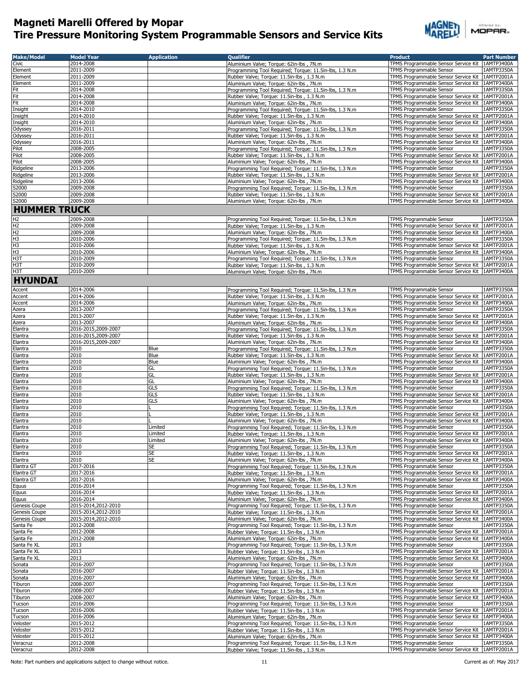

|        | Offered by: |  |  |  |
|--------|-------------|--|--|--|
| MOPAR- |             |  |  |  |
|        |             |  |  |  |

| <b>Make/Model</b>       | <b>Model Year</b>      | <b>Application</b> | <b>Oualifier</b>                                                                                     | <b>Product</b>                                                                                         | <b>Part Number</b>       |
|-------------------------|------------------------|--------------------|------------------------------------------------------------------------------------------------------|--------------------------------------------------------------------------------------------------------|--------------------------|
| Civic                   | 2014-2008              |                    | Aluminium Valve; Torque: 62in-lbs, 7N.m                                                              | TPMS Programmable Sensor Service Kit   1AMTP3400A                                                      |                          |
| Element                 | 2011-2009              |                    | Programming Tool Required; Torque: 11.5in-lbs, 1.3 N.m                                               | TPMS Programmable Sensor                                                                               | 1AMTP3350A               |
| Element                 | 2011-2009              |                    | Rubber Valve; Torque: 11.5in-lbs, 1.3 N.m                                                            | TPMS Programmable Sensor Service Kit                                                                   | 1AMTP2001A               |
| Element                 | 2011-2009              |                    | Aluminium Valve; Torque: 62in-lbs, 7N.m                                                              | TPMS Programmable Sensor Service Kit   1AMTP3400A                                                      |                          |
| Fit                     | 2014-2008              |                    | Programming Tool Required; Torque: 11.5in-lbs, 1.3 N.m                                               | TPMS Programmable Sensor                                                                               | 1AMTP3350A               |
| Fit                     | 2014-2008              |                    | Rubber Valve; Torque: 11.5in-lbs, 1.3 N.m.                                                           | TPMS Programmable Sensor Service Kit   1AMTP2001A                                                      |                          |
| Fit                     | 2014-2008              |                    | Aluminium Valve; Torque: 62in-lbs, 7N.m                                                              | TPMS Programmable Sensor Service Kit   1AMTP3400A                                                      |                          |
| Insight                 | 2014-2010              |                    | Programming Tool Required; Torque: 11.5in-lbs, 1.3 N.m                                               | <b>TPMS Programmable Sensor</b>                                                                        | 1AMTP3350A               |
| Insight                 | 2014-2010              |                    | Rubber Valve; Torque: 11.5in-lbs, 1.3 N.m                                                            | TPMS Programmable Sensor Service Kit   1AMTP2001A                                                      |                          |
| Insight                 | 2014-2010              |                    | Aluminium Valve; Torque: 62in-lbs, 7N.m                                                              | TPMS Programmable Sensor Service Kit   1AMTP3400A<br><b>TPMS Programmable Sensor</b>                   |                          |
| Odyssey                 | 2016-2011<br>2016-2011 |                    | Programming Tool Required; Torque: 11.5in-lbs, 1.3 N.m                                               |                                                                                                        | 1AMTP3350A<br>1AMTP2001A |
| Odyssey<br>Odyssey      | 2016-2011              |                    | Rubber Valve; Torque: 11.5in-lbs, 1.3 N.m<br>Aluminium Valve; Torque: 62in-lbs, 7N.m                 | TPMS Programmable Sensor Service Kit<br>TPMS Programmable Sensor Service Kit   1AMTP3400A              |                          |
| Pilot                   | 2008-2005              |                    | Programming Tool Required; Torque: 11.5in-lbs, 1.3 N.m                                               | TPMS Programmable Sensor                                                                               | 1AMTP3350A               |
| Pilot                   | 2008-2005              |                    | Rubber Valve; Torque: 11.5in-lbs, 1.3 N.m                                                            | TPMS Programmable Sensor Service Kit 1AMTP2001A                                                        |                          |
| Pilot                   | 2008-2005              |                    | Aluminium Valve; Torque: 62in-lbs, 7N.m                                                              | TPMS Programmable Sensor Service Kit 1AMTP3400A                                                        |                          |
| Ridgeline               | 2013-2006              |                    | Programming Tool Required; Torque: 11.5in-lbs, 1.3 N.m                                               | TPMS Programmable Sensor                                                                               | 1AMTP3350A               |
| Ridgeline               | 2013-2006              |                    | Rubber Valve; Torque: 11.5in-lbs, 1.3 N.m.                                                           | TPMS Programmable Sensor Service Kit 1AMTP2001A                                                        |                          |
| Ridgeline               | 2013-2006              |                    | Aluminium Valve; Torque: 62in-lbs, 7N.m                                                              | TPMS Programmable Sensor Service Kit 1AMTP3400A                                                        |                          |
| S2000                   | 2009-2008              |                    | Programming Tool Required; Torque: 11.5in-lbs, 1.3 N.m                                               | TPMS Programmable Sensor                                                                               | 1AMTP3350A               |
| S2000                   | 2009-2008              |                    | Rubber Valve; Torque: 11.5in-lbs, 1.3 N.m                                                            | TPMS Programmable Sensor Service Kit 1AMTP2001A                                                        |                          |
| S2000                   | 2009-2008              |                    | Aluminium Valve; Torque: 62in-lbs, 7N.m                                                              | TPMS Programmable Sensor Service Kit   1AMTP3400A                                                      |                          |
| <b>HUMMER TRUCK</b>     |                        |                    |                                                                                                      |                                                                                                        |                          |
|                         |                        |                    |                                                                                                      |                                                                                                        |                          |
| $\frac{H2}{H2}$         | 2009-2008              |                    | Programming Tool Required; Torque: 11.5in-lbs, 1.3 N.m                                               | TPMS Programmable Sensor<br>TPMS Programmable Sensor Service Kit 1AMTP2001A                            | 1AMTP3350A               |
|                         | 2009-2008<br>2009-2008 |                    | Rubber Valve; Torque: 11.5in-lbs, 1.3 N.m<br>Aluminium Valve; Torque: 62in-lbs, 7N.m                 | TPMS Programmable Sensor Service Kit   1AMTP3400A                                                      |                          |
| 电压出出                    | 2010-2006              |                    | Programming Tool Required; Torque: 11.5in-lbs, 1.3 N.m                                               | <b>TPMS Programmable Sensor</b>                                                                        | 1AMTP3350A               |
|                         | 2010-2006              |                    | Rubber Valve; Torque: 11.5in-lbs, 1.3 N.m.                                                           | TPMS Programmable Sensor Service Kit 1AMTP2001A                                                        |                          |
|                         | 2010-2006              |                    | Aluminium Valve; Torque: 62in-lbs, 7N.m                                                              | TPMS Programmable Sensor Service Kit   1AMTP3400A                                                      |                          |
| H <sub>3</sub> T        | 2010-2009              |                    | Programming Tool Required; Torque: 11.5in-lbs, 1.3 N.m                                               | TPMS Programmable Sensor                                                                               | 1AMTP3350A               |
| H <sub>3</sub> T        | 2010-2009              |                    | Rubber Valve; Torque: 11.5in-lbs, 1.3 N.m                                                            | TPMS Programmable Sensor Service Kit 1AMTP2001A                                                        |                          |
| H <sub>3</sub> T        | 2010-2009              |                    | Aluminium Valve; Torque: 62in-lbs, 7N.m                                                              | TPMS Programmable Sensor Service Kit 1AMTP3400A                                                        |                          |
| <b>HYUNDAI</b>          |                        |                    |                                                                                                      |                                                                                                        |                          |
|                         |                        |                    |                                                                                                      |                                                                                                        |                          |
| Accent                  | 2014-2006              |                    | Programming Tool Required; Torque: 11.5in-lbs, 1.3 N.m.                                              | TPMS Programmable Sensor                                                                               | 1AMTP3350A               |
| <b>Accent</b>           | 2014-2006              |                    | Rubber Valve; Torque: 11.5in-lbs, 1.3 N.m                                                            | TPMS Programmable Sensor Service Kit                                                                   | 1AMTP2001A               |
| Accent                  | 2014-2006              |                    | Aluminium Valve; Torque: 62in-lbs, 7N.m                                                              | TPMS Programmable Sensor Service Kit   1AMTP3400A                                                      |                          |
| Azera<br>Azera          | 2013-2007<br>2013-2007 |                    | Programming Tool Required; Torque: 11.5in-lbs, 1.3 N.m                                               | TPMS Programmable Sensor<br>TPMS Programmable Sensor Service Kit   1AMTP2001A                          | 1AMTP3350A               |
| Azera                   | 2013-2007              |                    | Rubber Valve; Torque: 11.5in-lbs, 1.3 N.m<br>Aluminium Valve; Torque: 62in-lbs, 7N.m                 | TPMS Programmable Sensor Service Kit   1AMTP3400A                                                      |                          |
| Elantra                 | 2016-2015,2009-2007    |                    | Programming Tool Required; Torque: 11.5in-lbs, 1.3 N.m.                                              | TPMS Programmable Sensor                                                                               | 1AMTP3350A               |
| Elantra                 | 2016-2015,2009-2007    |                    | Rubber Valve; Torque: 11.5in-lbs, 1.3 N.m.                                                           | TPMS Programmable Sensor Service Kit   1AMTP2001A                                                      |                          |
| Elantra                 | 2016-2015,2009-2007    |                    | Aluminium Valve; Torque: 62in-lbs, 7N.m                                                              | TPMS Programmable Sensor Service Kit   1AMTP3400A                                                      |                          |
| Elantra                 | 2010                   | Blue               | Programming Tool Required; Torque: 11.5in-lbs, 1.3 N.m                                               | TPMS Programmable Sensor                                                                               | 1AMTP3350A               |
| Elantra                 | 2010                   | Blue               | Rubber Valve; Torque: 11.5in-lbs, 1.3 N.m                                                            | TPMS Programmable Sensor Service Kit   1AMTP2001A                                                      |                          |
| Elantra                 | 2010                   | Blue               | Aluminium Valve; Torque: 62in-lbs, 7N.m                                                              | TPMS Programmable Sensor Service Kit   1AMTP3400A                                                      |                          |
| Elantra                 | 2010                   | GL                 | Programming Tool Required; Torque: 11.5in-lbs, 1.3 N.m                                               | TPMS Programmable Sensor                                                                               | 1AMTP3350A               |
| Elantra                 | 2010                   | GL                 | Rubber Valve; Torque: 11.5in-lbs, 1.3 N.m.                                                           | TPMS Programmable Sensor Service Kit   1AMTP2001A                                                      |                          |
| Elantra                 | 2010                   | GL                 | Aluminium Valve; Torque: 62in-lbs, 7N.m                                                              | TPMS Programmable Sensor Service Kit 1AMTP3400A                                                        |                          |
| Elantra                 | 2010                   | GLS                | Programming Tool Required; Torque: 11.5in-lbs, 1.3 N.m                                               | TPMS Programmable Sensor                                                                               | 1AMTP3350A               |
| Elantra                 | 2010                   | GLS                | Rubber Valve; Torque: 11.5in-lbs, 1.3 N.m                                                            | TPMS Programmable Sensor Service Kit   1AMTP2001A                                                      |                          |
| Elantra                 | 2010                   | GLS                | Aluminium Valve; Torque: 62in-lbs, 7N.m.                                                             | TPMS Programmable Sensor Service Kit 1AMTP3400A                                                        |                          |
| Elantra                 | 2010                   |                    | Programming Tool Required; Torque: 11.5in-lbs, 1.3 N.m                                               | TPMS Programmable Sensor                                                                               | 1AMTP3350A               |
| Elantra                 | 2010                   |                    | Rubber Valve; Torque: 11.5in-lbs, 1.3 N.m                                                            | TPMS Programmable Sensor Service Kit   1AMTP2001A                                                      |                          |
| Elantra                 | 2010                   |                    | Aluminium Valve: Torque: 62in-lbs, 7N.m.                                                             | TPMS Programmable Sensor Service Kit   1AMTP3400A                                                      |                          |
| Elantra<br>Elantra      | 2010<br>2010           | Limited<br>Limited | Programming Tool Required; Torque: 11.5in-lbs, 1.3 N.m                                               | TPMS Programmable Sensor<br>TPMS Programmable Sensor Service Kit 1AMTP2001A                            | 1AMTP3350A               |
| Elantra                 | 2010                   | Limited            | Rubber Valve; Torque: 11.5in-lbs, 1.3 N.m.<br>Aluminium Valve; Torque: 62in-lbs, 7N.m                | TPMS Programmable Sensor Service Kit 1AMTP3400A                                                        |                          |
| Elantra                 | 2010                   | SE                 | Programming Tool Required; Torque: 11.5in-lbs, 1.3 N.m                                               | TPMS Programmable Sensor                                                                               | 1AMTP3350A               |
| Elantra                 | 2010                   | SE                 | Rubber Valve; Torque: 11.5in-lbs, 1.3 N.m                                                            | TPMS Programmable Sensor Service Kit   1AMTP2001A                                                      |                          |
| Elantra                 | 2010                   | SE                 | Aluminium Valve; Torque: 62in-lbs, 7N.m                                                              | TPMS Programmable Sensor Service Kit                                                                   | 1AMTP3400A               |
| Elantra GT              | 2017-2016              |                    | Programming Tool Required; Torque: 11.5in-lbs, 1.3 N.m.                                              | <b>TPMS Programmable Sensor</b>                                                                        | 1AMTP3350A               |
| Elantra GT              | 2017-2016              |                    | Rubber Valve; Torque: 11.5in-lbs, 1.3 N.m.                                                           | TPMS Programmable Sensor Service Kit                                                                   | 1AMTP2001A               |
| Elantra GT              | 2017-2016              |                    | Aluminium Valve; Torque: 62in-lbs, 7N.m                                                              | TPMS Programmable Sensor Service Kit   1AMTP3400A                                                      |                          |
| Equus                   | 2016-2014              |                    | Programming Tool Required; Torque: 11.5in-lbs, 1.3 N.m                                               | TPMS Programmable Sensor                                                                               | 1AMTP3350A               |
| Equus                   | 2016-2014              |                    | Rubber Valve; Torque: 11.5in-lbs, 1.3 N.m                                                            | TPMS Programmable Sensor Service Kit   1AMTP2001A                                                      |                          |
| Equus                   | 2016-2014              |                    | Aluminium Valve; Torque: 62in-lbs, 7N.m                                                              | TPMS Programmable Sensor Service Kit 1AMTP3400A                                                        |                          |
| Genesis Coupe           | 2015-2014,2012-2010    |                    | Programming Tool Required; Torque: 11.5in-lbs, 1.3 N.m                                               | TPMS Programmable Sensor                                                                               | 1AMTP3350A               |
| Genesis Coupe           | 2015-2014,2012-2010    |                    | Rubber Valve; Torque: 11.5in-lbs, 1.3 N.m.                                                           | TPMS Programmable Sensor Service Kit 1AMTP2001A                                                        |                          |
| Genesis Coupe           | 2015-2014,2012-2010    |                    | Aluminium Valve; Torque: 62in-lbs, 7N.m                                                              | TPMS Programmable Sensor Service Kit 1AMTP3400A                                                        |                          |
| Santa Fe                | 2012-2008<br>2012-2008 |                    | Programming Tool Required; Torque: 11.5in-lbs, 1.3 N.m<br>Rubber Valve; Torque: 11.5in-lbs, 1.3 N.m. | TPMS Programmable Sensor                                                                               | 1AMTP3350A               |
| Santa Fe                |                        |                    |                                                                                                      | TPMS Programmable Sensor Service Kit   1AMTP2001A                                                      |                          |
| Santa Fe<br>Santa Fe XL | 2012-2008<br>2013      |                    | Aluminium Valve; Torque: 62in-lbs, 7N.m<br>Programming Tool Required; Torque: 11.5in-lbs, 1.3 N.m    | TPMS Programmable Sensor Service Kit 1AMTP3400A<br><b>TPMS Programmable Sensor</b>                     | 1AMTP3350A               |
| Santa Fe XL             | 2013                   |                    | Rubber Valve; Torque: 11.5in-lbs, 1.3 N.m                                                            | TPMS Programmable Sensor Service Kit 1AMTP2001A                                                        |                          |
| Santa Fe XL             | 2013                   |                    | Aluminium Valve; Torque: 62in-lbs, 7N.m.                                                             | TPMS Programmable Sensor Service Kit   1AMTP3400A                                                      |                          |
| Sonata                  | 2016-2007              |                    | Programming Tool Required; Torque: 11.5in-lbs, 1.3 N.m.                                              | TPMS Programmable Sensor                                                                               | 1AMTP3350A               |
| Sonata                  | 2016-2007              |                    | Rubber Valve; Torque: 11.5in-lbs, 1.3 N.m                                                            | TPMS Programmable Sensor Service Kit                                                                   | 1AMTP2001A               |
| Sonata                  | 2016-2007              |                    | Aluminium Valve; Torque: 62in-lbs, 7N.m                                                              | TPMS Programmable Sensor Service Kit   1AMTP3400A                                                      |                          |
| Tiburon                 | 2008-2007              |                    | Programming Tool Required; Torque: 11.5in-lbs, 1.3 N.m                                               | TPMS Programmable Sensor                                                                               | 1AMTP3350A               |
| Tiburon                 | 2008-2007              |                    | Rubber Valve; Torque: 11.5in-lbs, 1.3 N.m                                                            | TPMS Programmable Sensor Service Kit                                                                   | 1AMTP2001A               |
| Tiburon                 | 2008-2007              |                    | Aluminium Valve; Torque: 62in-lbs, 7N.m                                                              | TPMS Programmable Sensor Service Kit   1AMTP3400A                                                      |                          |
| Tucson                  | 2016-2006              |                    | Programming Tool Required; Torque: 11.5in-lbs, 1.3 N.m.                                              | TPMS Programmable Sensor                                                                               | 1AMTP3350A               |
| Tucson                  | 2016-2006              |                    | Rubber Valve; Torque: 11.5in-lbs, 1.3 N.m.                                                           | TPMS Programmable Sensor Service Kit   1AMTP2001A                                                      |                          |
| Tucson                  | 2016-2006              |                    | Aluminium Valve; Torque: 62in-lbs, 7N.m                                                              | TPMS Programmable Sensor Service Kit   1AMTP3400A                                                      |                          |
| Veloster                | 2015-2012              |                    | Programming Tool Required; Torque: 11.5in-lbs, 1.3 N.m                                               | TPMS Programmable Sensor                                                                               | 1AMTP3350A               |
| Veloster<br>Veloster    | 2015-2012<br>2015-2012 |                    | Rubber Valve; Torque: 11.5in-lbs, 1.3 N.m<br>Aluminium Valve; Torque: 62in-lbs, 7N.m                 | TPMS Programmable Sensor Service Kit   1AMTP2001A<br>TPMS Programmable Sensor Service Kit   1AMTP3400A |                          |
| Veracruz                | 2012-2008              |                    | Programming Tool Required; Torque: 11.5in-lbs, 1.3 N.m.                                              | TPMS Programmable Sensor                                                                               | 1AMTP3350A               |
| Veracruz                | 2012-2008              |                    | Rubber Valve; Torque: 11.5in-lbs, 1.3 N.m                                                            | TPMS Programmable Sensor Service Kit   1AMTP2001A                                                      |                          |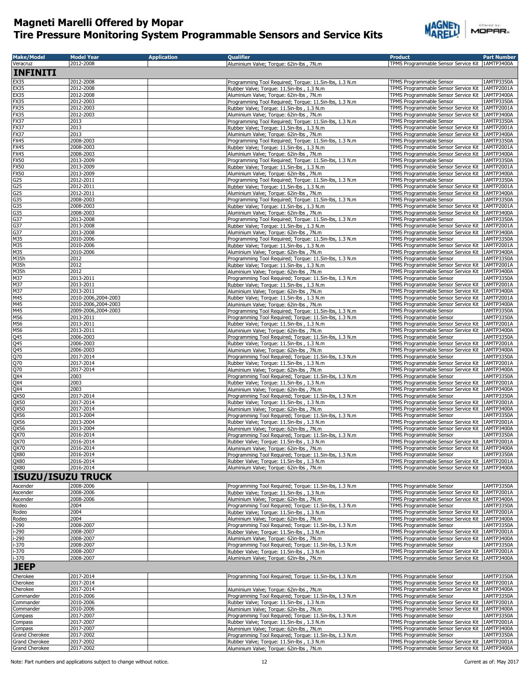

| <b>Make/Model</b><br>Veracruz | <b>Model Year</b><br>2012-2008             | <b>Application</b> | <b>Qualifier</b>                                                                                      | <b>Product</b><br>TPMS Programmable Sensor Service Kit   1AMTP3400A                                  | <b>Part Number</b>       |
|-------------------------------|--------------------------------------------|--------------------|-------------------------------------------------------------------------------------------------------|------------------------------------------------------------------------------------------------------|--------------------------|
| INFINITI                      |                                            |                    | Aluminium Valve; Torque: 62in-lbs, 7N.m                                                               |                                                                                                      |                          |
|                               |                                            |                    |                                                                                                       |                                                                                                      |                          |
| EX35<br><b>EX35</b>           | 2012-2008<br>2012-2008                     |                    | Programming Tool Required; Torque: 11.5in-lbs, 1.3 N.m<br>Rubber Valve; Torque: 11.5in-lbs, 1.3 N.m   | TPMS Programmable Sensor<br>TPMS Programmable Sensor Service Kit                                     | 1AMTP3350A<br>1AMTP2001A |
| EX35                          | 2012-2008                                  |                    | Aluminium Valve; Torque: 62in-lbs, 7N.m                                                               | TPMS Programmable Sensor Service Kit                                                                 | 1AMTP3400A               |
| FX35                          | 2012-2003                                  |                    | Programming Tool Required; Torque: 11.5in-lbs, 1.3 N.m                                                | TPMS Programmable Sensor                                                                             | 1AMTP3350A               |
| FX35<br><b>FX35</b>           | 2012-2003<br>2012-2003                     |                    | Rubber Valve; Torque: 11.5in-lbs, 1.3 N.m.<br>Aluminium Valve; Torque: 62in-lbs, 7N.m                 | TPMS Programmable Sensor Service Kit<br>TPMS Programmable Sensor Service Kit                         | 1AMTP2001A<br>1AMTP3400A |
| FX37                          | 2013                                       |                    | Programming Tool Required; Torque: 11.5in-lbs, 1.3 N.m.                                               | TPMS Programmable Sensor                                                                             | 1AMTP3350A               |
| FX37                          | 2013                                       |                    | Rubber Valve; Torque: 11.5in-lbs, 1.3 N.m.                                                            | TPMS Programmable Sensor Service Kit                                                                 | 1AMTP2001A               |
| FX37<br>FX45                  | 2013<br>2008-2003                          |                    | Aluminium Valve; Torque: 62in-lbs, 7N.m<br>Programming Tool Required; Torque: 11.5in-lbs, 1.3 N.m     | TPMS Programmable Sensor Service Kit   1AMTP3400A<br>TPMS Programmable Sensor                        | 1AMTP3350A               |
| FX45                          | 2008-2003                                  |                    | Rubber Valve; Torque: 11.5in-lbs, 1.3 N.m                                                             | TPMS Programmable Sensor Service Kit                                                                 | 1AMTP2001A               |
| FX45                          | 2008-2003                                  |                    | Aluminium Valve; Torque: 62in-lbs, 7N.m                                                               | TPMS Programmable Sensor Service Kit                                                                 | 1AMTP3400A               |
| <b>FX50</b><br><b>FX50</b>    | 2013-2009<br>2013-2009                     |                    | Programming Tool Required; Torque: 11.5in-lbs, 1.3 N.m<br>Rubber Valve; Torque: 11.5in-lbs, 1.3 N.m.  | TPMS Programmable Sensor<br>TPMS Programmable Sensor Service Kit   1AMTP2001A                        | 1AMTP3350A               |
| <b>FX50</b>                   | 2013-2009                                  |                    | Aluminium Valve; Torque: 62in-lbs, 7N.m                                                               | TPMS Programmable Sensor Service Kit 1AMTP3400A                                                      |                          |
| G25                           | 2012-2011                                  |                    | Programming Tool Required; Torque: 11.5in-lbs, 1.3 N.m                                                | TPMS Programmable Sensor                                                                             | 1AMTP3350A               |
| G25<br>G25                    | 2012-2011<br>2012-2011                     |                    | Rubber Valve; Torque: 11.5in-lbs, 1.3 N.m.<br>Aluminium Valve; Torque: 62in-lbs, 7N.m                 | TPMS Programmable Sensor Service Kit 1AMTP2001A<br>TPMS Programmable Sensor Service Kit   1AMTP3400A |                          |
| G <sub>35</sub>               | 2008-2003                                  |                    | Programming Tool Required; Torque: 11.5in-lbs, 1.3 N.m                                                | TPMS Programmable Sensor                                                                             | 1AMTP3350A               |
| G35                           | 2008-2003                                  |                    | Rubber Valve; Torque: 11.5in-lbs, 1.3 N.m.                                                            | TPMS Programmable Sensor Service Kit   1AMTP2001A                                                    |                          |
| G35                           | 2008-2003                                  |                    | Aluminium Valve; Torque: 62in-lbs, 7N.m                                                               | TPMS Programmable Sensor Service Kit   1AMTP3400A                                                    |                          |
| G37<br>G37                    | 2013-2008<br>2013-2008                     |                    | Programming Tool Required; Torque: 11.5in-lbs, 1.3 N.m<br>Rubber Valve; Torque: 11.5in-lbs, 1.3 N.m   | TPMS Programmable Sensor<br>TPMS Programmable Sensor Service Kit                                     | 1AMTP3350A<br>1AMTP2001A |
| G <sub>37</sub>               | 2013-2008                                  |                    | Aluminium Valve; Torque: 62in-lbs, 7N.m                                                               | TPMS Programmable Sensor Service Kit 1AMTP3400A                                                      |                          |
| M35                           | 2010-2006                                  |                    | Programming Tool Required; Torque: 11.5in-lbs, 1.3 N.m                                                | <b>TPMS Programmable Sensor</b>                                                                      | 1AMTP3350A               |
| M35<br>M35                    | 2010-2006<br>2010-2006                     |                    | Rubber Valve; Torque: 11.5in-lbs, 1.3 N.m.<br>Aluminium Valve; Torque: 62in-lbs, 7N.m                 | TPMS Programmable Sensor Service Kit<br>TPMS Programmable Sensor Service Kit                         | 1AMTP2001A<br>1AMTP3400A |
| M35h                          | 2012                                       |                    | Programming Tool Required; Torque: 11.5in-lbs, 1.3 N.m                                                | TPMS Programmable Sensor                                                                             | 1AMTP3350A               |
| M35h                          | 2012                                       |                    | Rubber Valve; Torque: 11.5in-lbs, 1.3 N.m.                                                            | TPMS Programmable Sensor Service Kit                                                                 | 1AMTP2001A               |
| M35h<br>M37                   | 2012<br>2013-2011                          |                    | Aluminium Valve; Torque: 62in-lbs, 7N.m.<br>Programming Tool Required; Torque: 11.5in-lbs, 1.3 N.m    | TPMS Programmable Sensor Service Kit<br>TPMS Programmable Sensor                                     | 1AMTP3400A<br>1AMTP3350A |
| M37                           | 2013-2011                                  |                    | Rubber Valve; Torque: 11.5in-lbs, 1.3 N.m.                                                            | TPMS Programmable Sensor Service Kit 1AMTP2001A                                                      |                          |
| M37                           | 2013-2011                                  |                    | Aluminium Valve; Torque: 62in-lbs, 7N.m                                                               | TPMS Programmable Sensor Service Kit                                                                 | 1AMTP3400A               |
| M45<br>M45                    | 2010-2006,2004-2003<br>2010-2006,2004-2003 |                    | Rubber Valve; Torque: 11.5in-lbs, 1.3 N.m.<br>Aluminium Valve; Torque: 62in-lbs, 7N.m                 | TPMS Programmable Sensor Service Kit<br>TPMS Programmable Sensor Service Kit                         | 1AMTP2001A<br>1AMTP3400A |
| M45                           | 2009-2006,2004-2003                        |                    | Programming Tool Required; Torque: 11.5in-lbs, 1.3 N.m                                                | TPMS Programmable Sensor                                                                             | 1AMTP3350A               |
| M56                           | 2013-2011                                  |                    | Programming Tool Required; Torque: 11.5in-lbs, 1.3 N.m                                                | TPMS Programmable Sensor                                                                             | 1AMTP3350A               |
| M56<br>M56                    | 2013-2011<br>2013-2011                     |                    | Rubber Valve; Torque: 11.5in-lbs, 1.3 N.m<br>Aluminium Valve; Torque: 62in-lbs, 7N.m                  | TPMS Programmable Sensor Service Kit 1AMTP2001A<br>TPMS Programmable Sensor Service Kit   1AMTP3400A |                          |
|                               | 2006-2003                                  |                    | Programming Tool Required; Torque: 11.5in-lbs, 1.3 N.m                                                | TPMS Programmable Sensor                                                                             | 1AMTP3350A               |
| $\frac{Q45}{Q45}$             | 2006-2003                                  |                    | Rubber Valve; Torque: 11.5in-lbs, 1.3 N.m.                                                            | TPMS Programmable Sensor Service Kit   1AMTP2001A                                                    |                          |
|                               | 2006-2003<br>2017-2014                     |                    | Aluminium Valve; Torque: 62in-lbs, 7N.m<br>Programming Tool Required; Torque: 11.5in-lbs, 1.3 N.m     | TPMS Programmable Sensor Service Kit 1AMTP3400A<br>TPMS Programmable Sensor                          | 1AMTP3350A               |
| Q70<br>Q70                    | 2017-2014                                  |                    | Rubber Valve; Torque: 11.5in-lbs, 1.3 N.m                                                             | TPMS Programmable Sensor Service Kit   1AMTP2001A                                                    |                          |
| Q70<br>QX4                    | 2017-2014                                  |                    | Aluminium Valve; Torque: 62in-lbs, 7N.m                                                               | TPMS Programmable Sensor Service Kit   1AMTP3400A                                                    |                          |
|                               | 2003<br>2003                               |                    | Programming Tool Required; Torque: 11.5in-lbs, 1.3 N.m<br>Rubber Valve; Torque: 11.5in-lbs, 1.3 N.m.  | TPMS Programmable Sensor<br>TPMS Programmable Sensor Service Kit                                     | 1AMTP3350A<br>1AMTP2001A |
| QX4<br>QX4                    | 2003                                       |                    | Aluminium Valve; Torque: 62in-lbs, 7N.m.                                                              | TPMS Programmable Sensor Service Kit 1AMTP3400A                                                      |                          |
| QX50                          | 2017-2014                                  |                    | Programming Tool Required; Torque: 11.5in-lbs, 1.3 N.m                                                | TPMS Programmable Sensor                                                                             | 1AMTP3350A               |
| QX50                          | 2017-2014<br>2017-2014                     |                    | Rubber Valve; Torque: 11.5in-lbs, 1.3 N.m                                                             | TPMS Programmable Sensor Service Kit                                                                 | 1AMTP2001A               |
| QX50<br>QX56                  | 2013-2004                                  |                    | Aluminium Valve; Torque: 62in-lbs, 7N.m<br>Programming Tool Required; Torque: 11.5in-lbs, 1.3 N.m     | TPMS Programmable Sensor Service Kit   1AMTP3400A<br>TPMS Programmable Sensor                        | 1AMTP3350A               |
| QX56                          | 2013-2004                                  |                    | Rubber Valve; Torque: 11.5in-lbs, 1.3 N.m                                                             | TPMS Programmable Sensor Service Kit                                                                 | 1AMTP2001A               |
| QX56                          | 2013-2004<br>2016-2014                     |                    | Aluminium Valve; Torque: 62in-lbs, 7N.m                                                               | TPMS Programmable Sensor Service Kit   1AMTP3400A<br>TPMS Programmable Sensor                        | 1AMTP3350A               |
| QX70<br>QX70                  | 2016-2014                                  |                    | Programming Tool Required; Torque: 11.5in-lbs, 1.3 N.m<br>Rubber Valve: Torque: 11.5in-lbs . 1.3 N.m. | TPMS Programmable Sensor Service Kit 1AMTP2001A                                                      |                          |
| QX70                          | 2016-2014                                  |                    | Aluminium Valve; Torque: 62in-lbs, 7N.m                                                               | TPMS Programmable Sensor Service Kit                                                                 | 1AMTP3400A               |
| QX80<br>QX80                  | 2016-2014<br>2016-2014                     |                    | Programming Tool Required; Torque: 11.5in-lbs, 1.3 N.m                                                | TPMS Programmable Sensor<br>TPMS Programmable Sensor Service Kit                                     | 1AMTP3350A<br>1AMTP2001A |
| QX80                          | 2016-2014                                  |                    | Rubber Valve; Torque: 11.5in-lbs, 1.3 N.m.<br>Aluminium Valve; Torque: 62in-lbs, 7N.m                 | TPMS Programmable Sensor Service Kit                                                                 | 1AMTP3400A               |
| <b>ISUZU/ISUZU TRUCK</b>      |                                            |                    |                                                                                                       |                                                                                                      |                          |
| Ascender                      | 2008-2006                                  |                    | Programming Tool Required; Torque: 11.5in-lbs, 1.3 N.m                                                | TPMS Programmable Sensor                                                                             | 1AMTP3350A               |
| Ascender                      | 2008-2006                                  |                    | Rubber Valve; Torque: 11.5in-lbs, 1.3 N.m.                                                            | TPMS Programmable Sensor Service Kit                                                                 | 1AMTP2001A               |
| Ascender<br>Rodeo             | 2008-2006<br>2004                          |                    | Aluminium Valve; Torque: 62in-lbs, 7N.m<br>Programming Tool Required; Torque: 11.5in-lbs, 1.3 N.m     | TPMS Programmable Sensor Service Kit<br>TPMS Programmable Sensor                                     | 1AMTP3400A<br>1AMTP3350A |
| Rodeo                         | 2004                                       |                    | Rubber Valve; Torque: 11.5in-lbs, 1.3 N.m.                                                            | TPMS Programmable Sensor Service Kit                                                                 | 1AMTP2001A               |
| Rodeo                         | 2004                                       |                    | Aluminium Valve; Torque: 62in-lbs, 7N.m                                                               | TPMS Programmable Sensor Service Kit   1AMTP3400A                                                    |                          |
| i-290                         | 2008-2007                                  |                    | Programming Tool Required; Torque: 11.5in-lbs, 1.3 N.m                                                | TPMS Programmable Sensor                                                                             | 1AMTP3350A<br>1AMTP2001A |
| $-290$<br>-290                | 2008-2007<br>2008-2007                     |                    | Rubber Valve; Torque: 11.5in-lbs, 1.3 N.m.<br>Aluminium Valve; Torque: 62in-lbs, 7N.m                 | TPMS Programmable Sensor Service Kit<br>TPMS Programmable Sensor Service Kit                         | 1AMTP3400A               |
| $-370$                        | 2008-2007                                  |                    | Programming Tool Required; Torque: 11.5in-lbs, 1.3 N.m                                                | TPMS Programmable Sensor                                                                             | 1AMTP3350A               |
| -370<br>i-370                 | 2008-2007<br>2008-2007                     |                    | Rubber Valve; Torque: 11.5in-lbs, 1.3 N.m.                                                            | TPMS Programmable Sensor Service Kit<br>TPMS Programmable Sensor Service Kit                         | 1AMTP2001A<br>1AMTP3400A |
|                               |                                            |                    | Aluminium Valve; Torque: 62in-lbs, 7N.m                                                               |                                                                                                      |                          |
| <b>JEEP</b>                   |                                            |                    |                                                                                                       |                                                                                                      |                          |
| Cherokee<br>Cherokee          | 2017-2014<br>2017-2014                     |                    | Programming Tool Required; Torque: 11.5in-lbs, 1.3 N.m                                                | TPMS Programmable Sensor<br>TPMS Programmable Sensor Service Kit                                     | 1AMTP3350A<br>1AMTP2001A |
| Cherokee                      | 2017-2014                                  |                    | Aluminium Valve; Torque: 62in-lbs, 7N.m                                                               | TPMS Programmable Sensor Service Kit                                                                 | 1AMTP3400A               |
| Commander                     | 2010-2006                                  |                    | Programming Tool Required; Torque: 11.5in-lbs, 1.3 N.m                                                | TPMS Programmable Sensor                                                                             | 1AMTP3350A               |
| Commander<br>Commander        | 2010-2006<br>2010-2006                     |                    | Rubber Valve; Torque: 11.5in-lbs, 1.3 N.m.<br>Aluminium Valve; Torque: 62in-lbs, 7N.m.                | TPMS Programmable Sensor Service Kit<br>TPMS Programmable Sensor Service Kit                         | 1AMTP2001A<br>1AMTP3400A |
| Compass                       | 2017-2007                                  |                    | Programming Tool Required; Torque: 11.5in-lbs, 1.3 N.m                                                | TPMS Programmable Sensor                                                                             | 1AMTP3350A               |
| Compass                       | 2017-2007                                  |                    | Rubber Valve; Torque: 11.5in-lbs, 1.3 N.m.                                                            | TPMS Programmable Sensor Service Kit                                                                 | 1AMTP2001A               |
| Compass<br>Grand Cherokee     | 2017-2007<br>2017-2002                     |                    | Aluminium Valve; Torque: 62in-lbs, 7N.m<br>Programming Tool Required; Torque: 11.5in-lbs, 1.3 N.m     | TPMS Programmable Sensor Service Kit<br>TPMS Programmable Sensor                                     | 1AMTP3400A<br>1AMTP3350A |
| Grand Cherokee                | 2017-2002                                  |                    | Rubber Valve; Torque: 11.5in-lbs, 1.3 N.m.                                                            | TPMS Programmable Sensor Service Kit                                                                 | 1AMTP2001A               |
| <b>Grand Cherokee</b>         | 2017-2002                                  |                    | Aluminium Valve; Torque: 62in-lbs, 7N.m                                                               | TPMS Programmable Sensor Service Kit   1AMTP3400A                                                    |                          |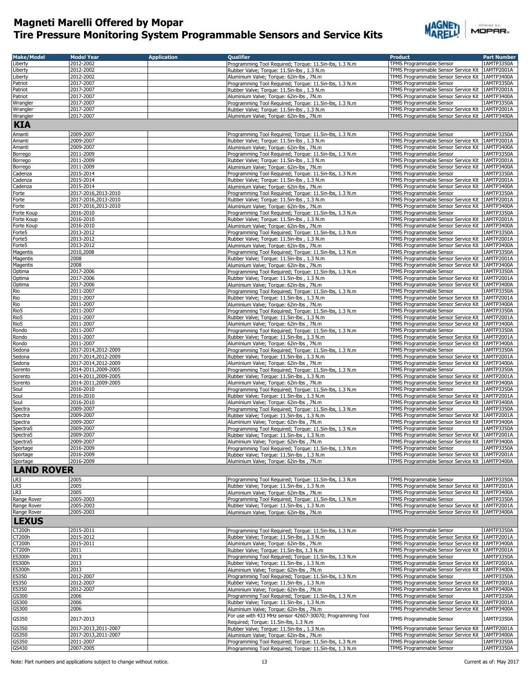

|        | Offered by: |  |  |  |
|--------|-------------|--|--|--|
| MOPAR- |             |  |  |  |

| <b>Make/Model</b>          | <b>Model Year</b>                | <b>Application</b> | <b>Oualifier</b>                                                                                      | <b>Product</b>                                                                | <b>Part Number</b>       |
|----------------------------|----------------------------------|--------------------|-------------------------------------------------------------------------------------------------------|-------------------------------------------------------------------------------|--------------------------|
| Liberty                    | 2012-2002                        |                    | Programming Tool Required; Torque: 11.5in-lbs, 1.3 N.m.                                               | TPMS Programmable Sensor                                                      | 1AMTP3350A               |
| Liberty                    | 2012-2002                        |                    | Rubber Valve; Torque: 11.5in-lbs, 1.3 N.m.                                                            | TPMS Programmable Sensor Service Kit                                          | 1AMTP2001A               |
| Liberty                    | 2012-2002                        |                    | Aluminium Valve; Torque: 62in-lbs, 7N.m                                                               | TPMS Programmable Sensor Service Kit                                          | 1AMTP3400A               |
| Patriot                    | 2017-2007                        |                    | Programming Tool Required; Torque: 11.5in-lbs, 1.3 N.m.                                               | TPMS Programmable Sensor                                                      | 1AMTP3350A               |
| Patriot                    | 2017-2007                        |                    | Rubber Valve; Torque: 11.5in-lbs, 1.3 N.m.                                                            | TPMS Programmable Sensor Service Kit                                          | 1AMTP2001A               |
| Patriot                    | 2017-2007                        |                    | Aluminium Valve; Torque: 62in-lbs, 7N.m                                                               | TPMS Programmable Sensor Service Kit                                          | 1AMTP3400A               |
| Wrangler                   | 2017-2007                        |                    | Programming Tool Required; Torque: 11.5in-lbs, 1.3 N.m                                                | TPMS Programmable Sensor                                                      | 1AMTP3350A               |
| Wrangler                   | 2017-2007<br>2017-2007           |                    | Rubber Valve; Torque: 11.5in-lbs, 1.3 N.m.                                                            | TPMS Programmable Sensor Service Kit                                          | 1AMTP2001A               |
| Wrangler                   |                                  |                    | Aluminium Valve; Torque: 62in-lbs, 7N.m                                                               | TPMS Programmable Sensor Service Kit   1AMTP3400A                             |                          |
| <b>KIA</b>                 |                                  |                    |                                                                                                       |                                                                               |                          |
| Amanti                     | 2009-2007                        |                    | Programming Tool Required; Torque: 11.5in-lbs, 1.3 N.m                                                | TPMS Programmable Sensor                                                      | 1AMTP3350A               |
| Amanti                     | 2009-2007                        |                    | Rubber Valve; Torque: 11.5in-lbs, 1.3 N.m                                                             | TPMS Programmable Sensor Service Kit                                          | 1AMTP2001A               |
| Amanti                     | 2009-2007                        |                    | Aluminium Valve; Torque: 62in-lbs, 7N.m                                                               | TPMS Programmable Sensor Service Kit                                          | 1AMTP3400A               |
| Borrego                    | 2011-2009                        |                    | Programming Tool Required; Torque: 11.5in-lbs, 1.3 N.m                                                | TPMS Programmable Sensor                                                      | 1AMTP3350A               |
| Borrego                    | 2011-2009                        |                    | Rubber Valve; Torque: 11.5in-lbs, 1.3 N.m                                                             | TPMS Programmable Sensor Service Kit                                          | 1AMTP2001A               |
| Borrego<br>Cadenza         | 2011-2009<br>2015-2014           |                    | Aluminium Valve; Torque: 62in-lbs, 7N.m<br>Programming Tool Required; Torque: 11.5in-lbs, 1.3 N.m     | TPMS Programmable Sensor Service Kit<br>TPMS Programmable Sensor              | 1AMTP3400A<br>1AMTP3350A |
| Cadenza                    | 2015-2014                        |                    | Rubber Valve; Torque: 11.5in-lbs, 1.3 N.m.                                                            | TPMS Programmable Sensor Service Kit                                          | 1AMTP2001A               |
| Cadenza                    | 2015-2014                        |                    | Aluminium Valve; Torque: 62in-lbs, 7N.m                                                               | TPMS Programmable Sensor Service Kit 1AMTP3400A                               |                          |
| Forte                      | 2017-2016,2013-2010              |                    | Programming Tool Required; Torque: 11.5in-lbs, 1.3 N.m                                                | TPMS Programmable Sensor                                                      | 1AMTP3350A               |
| Forte                      | 2017-2016,2013-2010              |                    | Rubber Valve; Torque: 11.5in-lbs, 1.3 N.m                                                             | TPMS Programmable Sensor Service Kit   1AMTP2001A                             |                          |
| Forte                      | 2017-2016,2013-2010              |                    | Aluminium Valve; Torque: 62in-lbs, 7N.m                                                               | TPMS Programmable Sensor Service Kit                                          | 1AMTP3400A               |
| Forte Koup                 | 2016-2010                        |                    | Programming Tool Required; Torque: 11.5in-lbs, 1.3 N.m                                                | TPMS Programmable Sensor                                                      | 1AMTP3350A               |
| Forte Koup                 | 2016-2010                        |                    | Rubber Valve; Torque: 11.5in-lbs, 1.3 N.m.                                                            | TPMS Programmable Sensor Service Kit                                          | 1AMTP2001A               |
| Forte Koup                 | 2016-2010                        |                    | Aluminium Valve: Torque: 62in-lbs, 7N.m.                                                              | TPMS Programmable Sensor Service Kit                                          | 1AMTP3400A               |
| Forte <sub>5</sub>         | 2013-2012                        |                    | Programming Tool Required; Torque: 11.5in-lbs, 1.3 N.m                                                | TPMS Programmable Sensor                                                      | 1AMTP3350A               |
| Forte5                     | 2013-2012                        |                    | Rubber Valve; Torque: 11.5in-lbs, 1.3 N.m                                                             | TPMS Programmable Sensor Service Kit                                          | 1AMTP2001A               |
| Forte <sub>5</sub>         | 2013-2012                        |                    | Aluminium Valve; Torque: 62in-lbs, 7N.m                                                               | TPMS Programmable Sensor Service Kit                                          | 1AMTP3400A               |
| Magentis<br>Magentis       | 2010,2008<br>2008                |                    | Programming Tool Required; Torque: 11.5in-lbs, 1.3 N.m.<br>Rubber Valve; Torque: 11.5in-lbs, 1.3 N.m. | TPMS Programmable Sensor<br>TPMS Programmable Sensor Service Kit              | 1AMTP3350A<br>1AMTP2001A |
| Magentis                   | 2008                             |                    | Aluminium Valve; Torque: 62in-lbs, 7N.m                                                               | TPMS Programmable Sensor Service Kit                                          | 1AMTP3400A               |
| Optima                     | 2017-2006                        |                    | Programming Tool Required; Torque: 11.5in-lbs, 1.3 N.m                                                | <b>TPMS Programmable Sensor</b>                                               | 1AMTP3350A               |
| Optima                     | 2017-2006                        |                    | Rubber Valve; Torque: 11.5in-lbs, 1.3 N.m.                                                            | TPMS Programmable Sensor Service Kit                                          | 1AMTP2001A               |
| Optima                     | 2017-2006                        |                    | Aluminium Valve; Torque: 62in-lbs, 7N.m.                                                              | TPMS Programmable Sensor Service Kit                                          | 1AMTP3400A               |
| Rio                        | 2011-2007                        |                    | Programming Tool Required; Torque: 11.5in-lbs, 1.3 N.m.                                               | <b>TPMS Programmable Sensor</b>                                               | 1AMTP3350A               |
| Rio                        | 2011-2007                        |                    | Rubber Valve; Torque: 11.5in-lbs, 1.3 N.m                                                             | TPMS Programmable Sensor Service Kit                                          | 1AMTP2001A               |
| Rio                        | 2011-2007                        |                    | Aluminium Valve; Torque: 62in-lbs, 7N.m                                                               | TPMS Programmable Sensor Service Kit                                          | 1AMTP3400A               |
| Rio5                       | 2011-2007                        |                    | Programming Tool Required; Torque: 11.5in-lbs, 1.3 N.m                                                | TPMS Programmable Sensor                                                      | 1AMTP3350A               |
| Rio5                       | 2011-2007                        |                    | Rubber Valve; Torque: 11.5in-lbs, 1.3 N.m                                                             | TPMS Programmable Sensor Service Kit                                          | 1AMTP2001A               |
| Rio5                       | 2011-2007                        |                    | Aluminium Valve; Torque: 62in-lbs, 7N.m                                                               | TPMS Programmable Sensor Service Kit   1AMTP3400A                             |                          |
| Rondo                      | 2011-2007                        |                    | Programming Tool Required; Torque: 11.5in-lbs, 1.3 N.m                                                | TPMS Programmable Sensor                                                      | 1AMTP3350A               |
| Rondo                      | 2011-2007                        |                    | Rubber Valve; Torque: 11.5in-lbs, 1.3 N.m                                                             | TPMS Programmable Sensor Service Kit                                          | 1AMTP2001A               |
| Rondo<br>Sedona            | 2011-2007<br>2017-2014,2012-2009 |                    | Aluminium Valve; Torque: 62in-lbs, 7N.m<br>Programming Tool Required; Torque: 11.5in-lbs, 1.3 N.m     | TPMS Programmable Sensor Service Kit<br>TPMS Programmable Sensor              | 1AMTP3400A<br>1AMTP3350A |
| Sedona                     | 2017-2014,2012-2009              |                    | Rubber Valve; Torque: 11.5in-lbs, 1.3 N.m.                                                            | TPMS Programmable Sensor Service Kit                                          | 1AMTP2001A               |
| Sedona                     | 2017-2014,2012-2009              |                    | Aluminium Valve; Torque: 62in-lbs, 7N.m                                                               | TPMS Programmable Sensor Service Kit   1AMTP3400A                             |                          |
| Sorento                    | 2014-2011,2009-2005              |                    | Programming Tool Required; Torque: 11.5in-lbs, 1.3 N.m                                                | TPMS Programmable Sensor                                                      | 1AMTP3350A               |
| Sorento                    | 2014-2011,2009-2005              |                    | Rubber Valve; Torque: 11.5in-lbs, 1.3 N.m.                                                            | TPMS Programmable Sensor Service Kit                                          | 1AMTP2001A               |
| Sorento                    | 2014-2011,2009-2005              |                    | Aluminium Valve; Torque: 62in-lbs, 7N.m                                                               | TPMS Programmable Sensor Service Kit                                          | 1AMTP3400A               |
| Soul                       | 2016-2010                        |                    | Programming Tool Required; Torque: 11.5in-lbs, 1.3 N.m                                                | TPMS Programmable Sensor                                                      | 1AMTP3350A               |
| Soul                       | 2016-2010                        |                    | Rubber Valve; Torque: 11.5in-lbs, 1.3 N.m                                                             | TPMS Programmable Sensor Service Kit                                          | 1AMTP2001A               |
| Soul                       | 2016-2010                        |                    | Aluminium Valve; Torque: 62in-lbs, 7N.m                                                               | TPMS Programmable Sensor Service Kit                                          | 1AMTP3400A               |
| Spectra                    | 2009-2007                        |                    | Programming Tool Required; Torque: 11.5in-lbs, 1.3 N.m                                                | TPMS Programmable Sensor                                                      | 1AMTP3350A               |
| Spectra                    | 2009-2007                        |                    | Rubber Valve; Torque: 11.5in-lbs, 1.3 N.m.                                                            | TPMS Programmable Sensor Service Kit                                          | 1AMTP2001A               |
| Spectra                    | 2009-2007                        |                    | Aluminium Valve; Torque: 62in-lbs, 7N.m                                                               | TPMS Programmable Sensor Service Kit                                          | 1AMTP3400A<br>1AMTP3350A |
| Spectra5                   | 2009-2007<br>2009-2007           |                    | Programming Tool Required; Torque: 11.5in-lbs, 1.3 N.m.                                               | TPMS Programmable Sensor<br>TPMS Programmable Sensor Service Kit              | 1AMTP2001A               |
| Spectra5                   | 2009-2007                        |                    | Rubber Valve; Torque: 11.5in-lbs, 1.3 N.m.<br>Aluminium Valve; Torque: 62in-lbs, 7N.m                 |                                                                               |                          |
| Spectra5<br>Sportage       | 2016-2009                        |                    | Programming Tool Required; Torque: 11.5in-lbs, 1.3 N.m                                                | TPMS Programmable Sensor Service Kit   1AMTP3400A<br>TPMS Programmable Sensor | 1AMTP3350A               |
| Sportage                   | 2016-2009                        |                    | Rubber Valve; Torque: 11.5in-lbs, 1.3 N.m                                                             | TPMS Programmable Sensor Service Kit                                          | 1AMTP2001A               |
| Sportage                   | 2016-2009                        |                    | Aluminium Valve; Torque: 62in-lbs, 7N.m                                                               | TPMS Programmable Sensor Service Kit 1AMTP3400A                               |                          |
| <b>LAND ROVER</b>          |                                  |                    |                                                                                                       |                                                                               |                          |
|                            |                                  |                    |                                                                                                       |                                                                               |                          |
| LR3                        | 2005                             |                    | Programming Tool Required; Torque: 11.5in-lbs, 1.3 N.m                                                | TPMS Programmable Sensor                                                      | 1AMTP3350A               |
| LR3                        | 2005                             |                    | Rubber Valve; Torque: 11.5in-lbs, 1.3 N.m.                                                            | TPMS Programmable Sensor Service Kit                                          | 1AMTP2001A               |
| LR3                        | 2005                             |                    | Aluminium Valve; Torque: 62in-lbs, 7N.m<br>Programming Tool Required; Torque: 11.5in-lbs, 1.3 N.m     | TPMS Programmable Sensor Service Kit 1AMTP3400A<br>TPMS Programmable Sensor   |                          |
| Range Rover<br>Range Rover | 2005-2003<br>2005-2003           |                    | Rubber Valve; Torque: 11.5in-lbs, 1.3 N.m                                                             | TPMS Programmable Sensor Service Kit 1AMTP2001A                               | 1AMTP3350A               |
| Range Rover                | 2005-2003                        |                    | Aluminium Valve; Torque: 62in-lbs, 7N.m                                                               | TPMS Programmable Sensor Service Kit 1AMTP3400A                               |                          |
|                            |                                  |                    |                                                                                                       |                                                                               |                          |
| <b>LEXUS</b>               |                                  |                    |                                                                                                       |                                                                               |                          |
| CT200h                     | 2015-2011                        |                    | Programming Tool Required; Torque: 11.5in-lbs, 1.3 N.m                                                | TPMS Programmable Sensor                                                      | 1AMTP3350A               |
| CT200h                     | 2015-2012                        |                    | Rubber Valve; Torque: 11.5in-lbs, 1.3 N.m                                                             | TPMS Programmable Sensor Service Kit                                          | 1AMTP2001A               |
| CT200h                     | 2015-2011                        |                    | Aluminium Valve; Torque: 62in-lbs, 7N.m                                                               | TPMS Programmable Sensor Service Kit                                          | 1AMTP3400A               |
| CT200h                     | 2011                             |                    | Rubber Valve; Torque: 11.5in-lbs, 1.3 N.m                                                             | TPMS Programmable Sensor Service Kit                                          | 1AMTP2001A               |
| <b>ES300h</b>              | 2013                             |                    | Programming Tool Required; Torque: 11.5in-lbs, 1.3 N.m                                                | TPMS Programmable Sensor                                                      | 1AMTP3350A               |
| ES300h                     | 2013                             |                    | Rubber Valve; Torque: 11.5in-lbs, 1.3 N.m.                                                            | TPMS Programmable Sensor Service Kit                                          | 1AMTP2001A               |
| ES300h<br>ES350            | 2013<br>2012-2007                |                    | Aluminium Valve; Torque: 62in-lbs, 7N.m<br>Programming Tool Required; Torque: 11.5in-lbs, 1.3 N.m     | TPMS Programmable Sensor Service Kit<br>TPMS Programmable Sensor              | 1AMTP3400A<br>1AMTP3350A |
| ES350                      | 2012-2007                        |                    | Rubber Valve; Torque: 11.5in-lbs, 1.3 N.m                                                             | TPMS Programmable Sensor Service Kit                                          | 1AMTP2001A               |
| ES350                      | 2012-2007                        |                    | Aluminium Valve; Torque: 62in-lbs, 7N.m                                                               | TPMS Programmable Sensor Service Kit                                          | 1AMTP3400A               |
| GS300                      | 2006                             |                    | Programming Tool Required; Torque: 11.5in-lbs, 1.3 N.m                                                | TPMS Programmable Sensor                                                      | 1AMTP3350A               |
| GS300                      | 2006                             |                    | Rubber Valve; Torque: 11.5in-lbs, 1.3 N.m                                                             | TPMS Programmable Sensor Service Kit                                          | 1AMTP2001A               |
| GS300                      | 2006                             |                    | Aluminium Valve; Torque: 62in-lbs, 7N.m                                                               | TPMS Programmable Sensor Service Kit                                          | 1AMTP3400A               |
|                            |                                  |                    | For use with 433 MHz sensor 42607-30070; Programming Tool                                             |                                                                               |                          |
| GS350                      | 2017-2013                        |                    | Required; Torque: 11.5in-lbs, 1.3 N.m                                                                 | TPMS Programmable Sensor                                                      | 1AMTP3350A               |
| GS350                      | 2017-2013,2011-2007              |                    | Rubber Valve; Torque: 11.5in-lbs, 1.3 N.m.                                                            | TPMS Programmable Sensor Service Kit                                          | 1AMTP2001A               |
| GS350                      | 2017-2013,2011-2007              |                    | Aluminium Valve; Torque: 62in-lbs, 7N.m                                                               | TPMS Programmable Sensor Service Kit                                          | 1AMTP3400A               |
| GS350                      | 2011-2007                        |                    | Programming Tool Required; Torque: 11.5in-lbs, 1.3 N.m                                                | TPMS Programmable Sensor                                                      | 1AMTP3350A               |
| GS430                      | 2007-2005                        |                    | Programming Tool Required; Torque: 11.5in-lbs, 1.3 N.m                                                | TPMS Programmable Sensor                                                      | 1AMTP3350A               |

Note: Part numbers and applications subject to change without notice. 13 Current as of: May 2017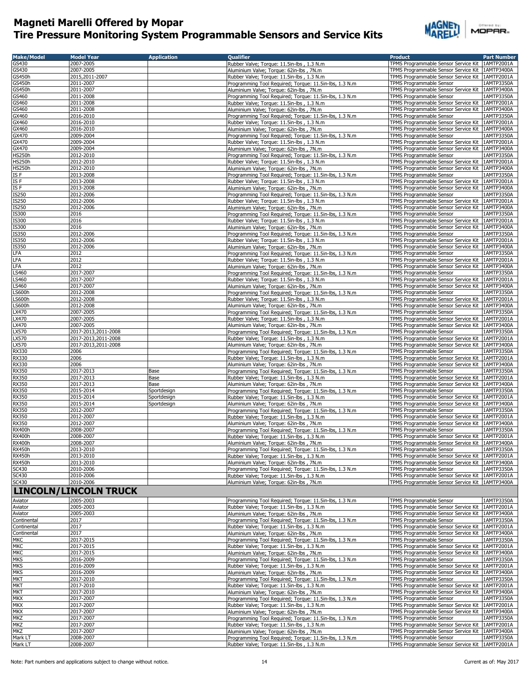

| Offered by: |  |  |  |
|-------------|--|--|--|
| MOPAR.      |  |  |  |

| <b>Make/Model</b>           | <b>Model Year</b>            | <b>Application</b> | <b>Oualifier</b>                                        | <b>Product</b>                                    | <b>Part Number</b> |
|-----------------------------|------------------------------|--------------------|---------------------------------------------------------|---------------------------------------------------|--------------------|
| GS430                       | 2007-2005                    |                    | Rubber Valve; Torque: 11.5in-lbs, 1.3 N.m.              | TPMS Programmable Sensor Service Kit              | 1AMTP2001A         |
| GS430                       | 2007-2005                    |                    | Aluminium Valve; Torque: 62in-lbs, 7N.m                 | TPMS Programmable Sensor Service Kit              | 1AMTP3400A         |
| GS450h                      | 2015,2011-2007               |                    | Rubber Valve; Torque: 11.5in-lbs, 1.3 N.m.              | TPMS Programmable Sensor Service Kit              | 1AMTP2001A         |
| GS450h                      | 2011-2007                    |                    | Programming Tool Required; Torque: 11.5in-lbs, 1.3 N.m  | TPMS Programmable Sensor                          | 1AMTP3350A         |
| $\overline{\text{GS}}$ 450h | 2011-2007                    |                    | Aluminium Valve; Torque: 62in-lbs, 7N.m                 | TPMS Programmable Sensor Service Kit              | 1AMTP3400A         |
| GS460                       | 2011-2008                    |                    | Programming Tool Required; Torque: 11.5in-lbs, 1.3 N.m  | TPMS Programmable Sensor                          | 1AMTP3350A         |
| GS460                       | 2011-2008                    |                    | Rubber Valve; Torque: 11.5in-lbs, 1.3 N.m.              | TPMS Programmable Sensor Service Kit              | 1AMTP2001A         |
| GS460                       | 2011-2008                    |                    | Aluminium Valve; Torque: 62in-lbs, 7N.m                 | TPMS Programmable Sensor Service Kit              | 1AMTP3400A         |
|                             |                              |                    |                                                         |                                                   |                    |
| GX460                       | 2016-2010                    |                    | Programming Tool Required; Torque: 11.5in-lbs, 1.3 N.m  | TPMS Programmable Sensor                          | 1AMTP3350A         |
| GX460                       | 2016-2010                    |                    | Rubber Valve; Torque: 11.5in-lbs, 1.3 N.m               | TPMS Programmable Sensor Service Kit              | 1AMTP2001A         |
| GX460                       | 2016-2010                    |                    | Aluminium Valve; Torque: 62in-lbs, 7N.m                 | TPMS Programmable Sensor Service Kit   1AMTP3400A |                    |
| GX470                       | 2009-2004                    |                    | Programming Tool Required; Torque: 11.5in-lbs, 1.3 N.m  | TPMS Programmable Sensor                          | 1AMTP3350A         |
| GX470                       | 2009-2004                    |                    | Rubber Valve; Torque: 11.5in-lbs, 1.3 N.m.              | TPMS Programmable Sensor Service Kit              | 1AMTP2001A         |
| GX470                       | 2009-2004                    |                    | Aluminium Valve; Torque: 62in-lbs, 7N.m.                | TPMS Programmable Sensor Service Kit   1AMTP3400A |                    |
| <b>HS250h</b>               | 2012-2010                    |                    | Programming Tool Required; Torque: 11.5in-lbs, 1.3 N.m  | TPMS Programmable Sensor                          | 1AMTP3350A         |
| <b>HS250h</b>               | 2012-2010                    |                    | Rubber Valve; Torque: 11.5in-lbs, 1.3 N.m               | TPMS Programmable Sensor Service Kit              | 1AMTP2001A         |
| <b>HS250h</b>               | 2012-2010                    |                    | Aluminium Valve; Torque: 62in-lbs, 7N.m                 | TPMS Programmable Sensor Service Kit              | 1AMTP3400A         |
| IS F                        | 2013-2008                    |                    | Programming Tool Required; Torque: 11.5in-lbs, 1.3 N.m. | TPMS Programmable Sensor                          | 1AMTP3350A         |
| ISF                         | 2013-2008                    |                    | Rubber Valve; Torque: 11.5in-lbs, 1.3 N.m               | TPMS Programmable Sensor Service Kit              | 1AMTP2001A         |
| ISF                         | 2013-2008                    |                    | Aluminium Valve; Torque: 62in-lbs, 7N.m.                | TPMS Programmable Sensor Service Kit              | 1AMTP3400A         |
| <b>IS250</b>                | 2012-2006                    |                    | Programming Tool Required; Torque: 11.5in-lbs, 1.3 N.m  | TPMS Programmable Sensor                          | 1AMTP3350A         |
| IS250                       | 2012-2006                    |                    | Rubber Valve; Torque: 11.5in-lbs, 1.3 N.m               | TPMS Programmable Sensor Service Kit              | 1AMTP2001A         |
| IS250                       | 2012-2006                    |                    | Aluminium Valve; Torque: 62in-lbs, 7N.m                 | TPMS Programmable Sensor Service Kit              | 1AMTP3400A         |
| <b>IS300</b>                | 2016                         |                    | Programming Tool Required; Torque: 11.5in-lbs, 1.3 N.m  | <b>TPMS Programmable Sensor</b>                   | 1AMTP3350A         |
| IS300                       | 2016                         |                    | Rubber Valve; Torque: 11.5in-lbs, 1.3 N.m               | TPMS Programmable Sensor Service Kit              | 1AMTP2001A         |
| <b>IS300</b>                | 2016                         |                    | Aluminium Valve; Torque: 62in-lbs, 7N.m                 | TPMS Programmable Sensor Service Kit              | 1AMTP3400A         |
| IS350                       | 2012-2006                    |                    | Programming Tool Required; Torque: 11.5in-lbs, 1.3 N.m. | TPMS Programmable Sensor                          | 1AMTP3350A         |
| IS350                       | 2012-2006                    |                    | Rubber Valve; Torque: 11.5in-lbs, 1.3 N.m.              | TPMS Programmable Sensor Service Kit              | 1AMTP2001A         |
| <b>IS350</b>                | 2012-2006                    |                    | Aluminium Valve; Torque: 62in-lbs, 7N.m                 | TPMS Programmable Sensor Service Kit   1AMTP3400A |                    |
| LFA                         | 2012                         |                    | Programming Tool Required; Torque: 11.5in-lbs, 1.3 N.m  | TPMS Programmable Sensor                          | 1AMTP3350A         |
| LFA                         | 2012                         |                    | Rubber Valve; Torque: 11.5in-lbs, 1.3 N.m.              | TPMS Programmable Sensor Service Kit              | 1AMTP2001A         |
| LFA                         | 2012                         |                    | Aluminium Valve; Torque: 62in-lbs, 7N.m                 | TPMS Programmable Sensor Service Kit              | 1AMTP3400A         |
| LS460                       | 2017-2007                    |                    | Programming Tool Required; Torque: 11.5in-lbs, 1.3 N.m  | TPMS Programmable Sensor                          | 1AMTP3350A         |
| S460                        | 2017-2007                    |                    | Rubber Valve; Torque: 11.5in-lbs, 1.3 N.m.              | TPMS Programmable Sensor Service Kit 1AMTP2001A   |                    |
| S460                        | 2017-2007                    |                    | Aluminium Valve; Torque: 62in-lbs, 7N.m                 | TPMS Programmable Sensor Service Kit              | 1AMTP3400A         |
| <b>LS600h</b>               | 2012-2008                    |                    | Programming Tool Required; Torque: 11.5in-lbs, 1.3 N.m  | TPMS Programmable Sensor                          | 1AMTP3350A         |
| <b>LS600h</b>               | 2012-2008                    |                    | Rubber Valve; Torque: 11.5in-lbs, 1.3 N.m               | TPMS Programmable Sensor Service Kit 1AMTP2001A   |                    |
| <b>LS600h</b>               | 2012-2008                    |                    | Aluminium Valve; Torque: 62in-lbs, 7N.m                 | TPMS Programmable Sensor Service Kit 1AMTP3400A   |                    |
| LX470                       | 2007-2005                    |                    | Programming Tool Required; Torque: 11.5in-lbs, 1.3 N.m  | TPMS Programmable Sensor                          | 1AMTP3350A         |
| LX470                       | 2007-2005                    |                    | Rubber Valve; Torque: 11.5in-lbs, 1.3 N.m.              | TPMS Programmable Sensor Service Kit   1AMTP2001A |                    |
| LX470                       | 2007-2005                    |                    | Aluminium Valve; Torque: 62in-lbs, 7N.m                 | TPMS Programmable Sensor Service Kit              | 1AMTP3400A         |
| LX570                       | 2017-2013,2011-2008          |                    | Programming Tool Required; Torque: 11.5in-lbs, 1.3 N.m  | TPMS Programmable Sensor                          | 1AMTP3350A         |
| LX570                       | 2017-2013,2011-2008          |                    | Rubber Valve; Torque: 11.5in-lbs, 1.3 N.m               | TPMS Programmable Sensor Service Kit              | 1AMTP2001A         |
| LX570                       | 2017-2013,2011-2008          |                    | Aluminium Valve; Torque: 62in-lbs, 7N.m                 | TPMS Programmable Sensor Service Kit              | 1AMTP3400A         |
| RX330                       | 2006                         |                    | Programming Tool Required; Torque: 11.5in-lbs, 1.3 N.m  | TPMS Programmable Sensor                          | 1AMTP3350A         |
| RX330                       | 2006                         |                    | Rubber Valve; Torque: 11.5in-lbs, 1.3 N.m               | TPMS Programmable Sensor Service Kit              | 1AMTP2001A         |
| <b>RX330</b>                | 2006                         |                    | Aluminium Valve; Torque: 62in-lbs, 7N.m                 | TPMS Programmable Sensor Service Kit              | 1AMTP3400A         |
| <b>RX350</b>                | 2017-2013                    | Base               | Programming Tool Required; Torque: 11.5in-lbs, 1.3 N.m  | TPMS Programmable Sensor                          | 1AMTP3350A         |
| <b>RX350</b>                | 2017-2013                    | Base               | Rubber Valve; Torque: 11.5in-lbs, 1.3 N.m.              | TPMS Programmable Sensor Service Kit 1AMTP2001A   |                    |
| <b>RX350</b>                | 2017-2013                    | Base               | Aluminium Valve; Torque: 62in-lbs, 7N.m                 | TPMS Programmable Sensor Service Kit              | 1AMTP3400A         |
| <b>RX350</b>                | 2015-2014                    | Sportdesign        | Programming Tool Required; Torque: 11.5in-lbs, 1.3 N.m. | TPMS Programmable Sensor                          | 1AMTP3350A         |
| <b>RX350</b>                | 2015-2014                    | Sportdesign        | Rubber Valve; Torque: 11.5in-lbs, 1.3 N.m.              | TPMS Programmable Sensor Service Kit              | 1AMTP2001A         |
| <b>RX350</b>                | 2015-2014                    | Sportdesign        | Aluminium Valve; Torque: 62in-lbs, 7N.m                 | TPMS Programmable Sensor Service Kit              | 1AMTP3400A         |
| <b>RX350</b>                | 2012-2007                    |                    | Programming Tool Required; Torque: 11.5in-lbs, 1.3 N.m  | TPMS Programmable Sensor                          | 1AMTP3350A         |
| <b>RX350</b>                | 2012-2007                    |                    | Rubber Valve; Torque: 11.5in-lbs, 1.3 N.m.              | TPMS Programmable Sensor Service Kit              | 1AMTP2001A         |
| <b>RX350</b>                | 2012-2007                    |                    | Aluminium Valve; Torque: 62in-lbs, 7N.m                 | TPMS Programmable Sensor Service Kit              | 1AMTP3400A         |
| <b>RX400h</b>               | 2008-2007                    |                    | Programming Tool Required; Torque: 11.5in-lbs, 1.3 N.m  | TPMS Programmable Sensor                          | 1AMTP3350A         |
| <b>RX400h</b>               | 2008-2007                    |                    | Rubber Valve; Torque: 11.5in-lbs, 1.3 N.m.              | TPMS Programmable Sensor Service Kit   1AMTP2001A |                    |
| <b>RX400h</b>               | 2008-2007                    |                    | Aluminium Valve; Torque: 62in-lbs, 7N.m                 | TPMS Programmable Sensor Service Kit 1AMTP3400A   |                    |
| <b>RX450h</b>               | 2013-2010                    |                    | Programming Tool Required; Torque: 11.5in-lbs, 1.3 N.m  | TPMS Programmable Sensor                          | 1AMTP3350A         |
| <b>RX450h</b>               | 2013-2010                    |                    | Rubber Valve; Torque: 11.5in-lbs, 1.3 N.m.              | TPMS Programmable Sensor Service Kit              | 1AMTP2001A         |
| <b>RX450h</b>               | 2013-2010                    |                    | Aluminium Valve; Torque: 62in-lbs, 7N.m                 | TPMS Programmable Sensor Service Kit              | 1AMTP3400A         |
| SC430                       | 2010-2006                    |                    | Programming Tool Required; Torque: 11.5in-lbs, 1.3 N.m. | TPMS Programmable Sensor                          | 1AMTP3350A         |
| SC430                       | 2010-2006                    |                    | Rubber Valve; Torque: 11.5in-lbs, 1.3 N.m.              | TPMS Programmable Sensor Service Kit   1AMTP2001A |                    |
| SC430                       | 2010-2006                    |                    | Aluminium Valve; Torque: 62in-lbs, 7N.m                 | TPMS Programmable Sensor Service Kit   1AMTP3400A |                    |
|                             | <b>LINCOLN/LINCOLN TRUCK</b> |                    |                                                         |                                                   |                    |
| Aviator                     | 2005-2003                    |                    | Programming Tool Required; Torque: 11.5in-lbs, 1.3 N.m  | TPMS Programmable Sensor                          | 1AMTP3350A         |
| Aviator                     | 2005-2003                    |                    | Rubber Valve; Torque: 11.5in-lbs, 1.3 N.m               | TPMS Programmable Sensor Service Kit              | 1AMTP2001A         |
| Aviator                     | 2005-2003                    |                    | Aluminium Valve; Torque: 62in-lbs, 7N.m                 | TPMS Programmable Sensor Service Kit              | 1AMTP3400A         |
| Continental                 | 2017                         |                    | Programming Tool Required; Torque: 11.5in-lbs, 1.3 N.m  | TPMS Programmable Sensor                          | 1AMTP3350A         |
| Continental                 | 2017                         |                    | Rubber Valve; Torque: 11.5in-lbs, 1.3 N.m.              | TPMS Programmable Sensor Service Kit              | 1AMTP2001A         |
| Continental                 | 2017                         |                    | Aluminium Valve; Torque: 62in-lbs, 7N.m                 | TPMS Programmable Sensor Service Kit              | 1AMTP3400A         |
| <b>MKC</b>                  | 2017-2015                    |                    | Programming Tool Required; Torque: 11.5in-lbs, 1.3 N.m  | TPMS Programmable Sensor                          | 1AMTP3350A         |
| <b>MKC</b>                  | 2017-2015                    |                    | Rubber Valve; Torque: 11.5in-lbs, 1.3 N.m.              | TPMS Programmable Sensor Service Kit              | 1AMTP2001A         |
| <b>MKC</b>                  | 2017-2015                    |                    | Aluminium Valve; Torque: 62in-lbs, 7N.m.                | TPMS Programmable Sensor Service Kit              | 1AMTP3400A         |
| <b>MKS</b>                  | 2016-2009                    |                    | Programming Tool Required; Torque: 11.5in-lbs, 1.3 N.m  | TPMS Programmable Sensor                          | 1AMTP3350A         |
| <b>MKS</b>                  | 2016-2009                    |                    | Rubber Valve; Torque: 11.5in-lbs, 1.3 N.m               | TPMS Programmable Sensor Service Kit              | 1AMTP2001A         |
| <b>MKS</b>                  | 2016-2009                    |                    | Aluminium Valve; Torque: 62in-lbs, 7N.m                 | TPMS Programmable Sensor Service Kit              | 1AMTP3400A         |
| <b>MKT</b>                  | 2017-2010                    |                    | Programming Tool Required; Torque: 11.5in-lbs, 1.3 N.m  | TPMS Programmable Sensor                          | 1AMTP3350A         |
| <b>MKT</b>                  | 2017-2010                    |                    | Rubber Valve; Torque: 11.5in-lbs, 1.3 N.m.              | TPMS Programmable Sensor Service Kit              | 1AMTP2001A         |
| <b>MKT</b>                  | 2017-2010                    |                    | Aluminium Valve; Torque: 62in-lbs, 7N.m                 | TPMS Programmable Sensor Service Kit              | 1AMTP3400A         |
| <b>MKX</b>                  | 2017-2007                    |                    | Programming Tool Required; Torque: 11.5in-lbs, 1.3 N.m  | TPMS Programmable Sensor                          | 1AMTP3350A         |
| <b>MKX</b>                  | 2017-2007                    |                    | Rubber Valve; Torque: 11.5in-lbs, 1.3 N.m               | TPMS Programmable Sensor Service Kit              | 1AMTP2001A         |
| <b>MKX</b>                  | 2017-2007                    |                    | Aluminium Valve; Torque: 62in-lbs, 7N.m                 | TPMS Programmable Sensor Service Kit              | 1AMTP3400A         |
| <b>MKZ</b>                  | 2017-2007                    |                    | Programming Tool Required; Torque: 11.5in-lbs, 1.3 N.m  | TPMS Programmable Sensor                          | 1AMTP3350A         |
| <b>MKZ</b>                  | 2017-2007                    |                    | Rubber Valve; Torque: 11.5in-lbs, 1.3 N.m.              | TPMS Programmable Sensor Service Kit              | 1AMTP2001A         |
| <b>MKZ</b>                  | 2017-2007                    |                    | Aluminium Valve; Torque: 62in-lbs, 7N.m                 | TPMS Programmable Sensor Service Kit   1AMTP3400A |                    |
| Mark LT                     | 2008-2007                    |                    | Programming Tool Required; Torque: 11.5in-lbs, 1.3 N.m  | TPMS Programmable Sensor                          | 1AMTP3350A         |
| Mark LT                     | 2008-2007                    |                    | Rubber Valve; Torque: 11.5in-lbs, 1.3 N.m               | TPMS Programmable Sensor Service Kit   1AMTP2001A |                    |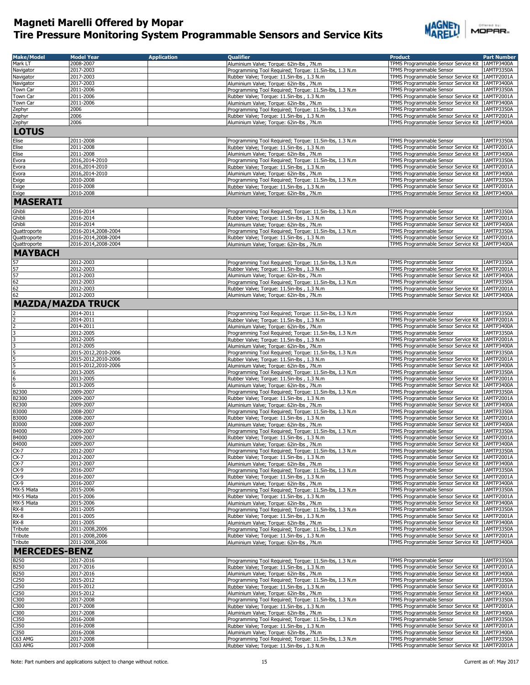

| <b>Make/Model</b>                    | <b>Model Year</b>      | <b>Application</b> | <b>Oualifier</b>                                                                                     | <b>Product</b>                                                                                       | <b>Part Number</b>       |
|--------------------------------------|------------------------|--------------------|------------------------------------------------------------------------------------------------------|------------------------------------------------------------------------------------------------------|--------------------------|
| Mark LT                              | 2008-2007              |                    | Aluminium Valve; Torque: 62in-lbs, 7N.m                                                              | TPMS Programmable Sensor Service Kit                                                                 | 1AMTP3400A               |
| Navigator                            | 2017-2003              |                    |                                                                                                      | TPMS Programmable Sensor                                                                             | 1AMTP3350A               |
|                                      | 2017-2003              |                    | Programming Tool Required; Torque: 11.5in-lbs, 1.3 N.m.                                              |                                                                                                      | 1AMTP2001A               |
| Navigator                            |                        |                    | Rubber Valve; Torque: 11.5in-lbs, 1.3 N.m.                                                           | TPMS Programmable Sensor Service Kit<br>TPMS Programmable Sensor Service Kit                         |                          |
| Navigator                            | 2017-2003              |                    | Aluminium Valve; Torque: 62in-lbs, 7N.m                                                              |                                                                                                      | 1AMTP3400A               |
| Town Car                             | 2011-2006              |                    | Programming Tool Required; Torque: 11.5in-lbs, 1.3 N.m                                               | TPMS Programmable Sensor                                                                             | 1AMTP3350A               |
| Town Car                             | 2011-2006              |                    | Rubber Valve; Torque: 11.5in-lbs, 1.3 N.m                                                            | TPMS Programmable Sensor Service Kit 1AMTP2001A                                                      |                          |
| Town Car                             | 2011-2006              |                    | Aluminium Valve; Torque: 62in-lbs, 7N.m.                                                             | TPMS Programmable Sensor Service Kit                                                                 | 1AMTP3400A<br>1AMTP3350A |
| Zephyr                               | 2006                   |                    | Programming Tool Required; Torque: 11.5in-lbs, 1.3 N.m.                                              | TPMS Programmable Sensor                                                                             |                          |
| Zephyr                               | 2006                   |                    | Rubber Valve; Torque: 11.5in-lbs, 1.3 N.m                                                            | TPMS Programmable Sensor Service Kit                                                                 | 1AMTP2001A               |
| Zephyr                               | 2006                   |                    | Aluminium Valve; Torque: 62in-lbs, 7N.m                                                              | TPMS Programmable Sensor Service Kit   1AMTP3400A                                                    |                          |
| <b>LOTUS</b>                         |                        |                    |                                                                                                      |                                                                                                      |                          |
| Elise                                | 2011-2008              |                    | Programming Tool Required; Torque: 11.5in-lbs, 1.3 N.m                                               | TPMS Programmable Sensor                                                                             | 1AMTP3350A               |
| Elise                                | 2011-2008              |                    | Rubber Valve; Torque: 11.5in-lbs, 1.3 N.m                                                            | TPMS Programmable Sensor Service Kit                                                                 | 1AMTP2001A               |
| Elise                                | 2011-2008              |                    | Aluminium Valve; Torque: 62in-lbs, 7N.m                                                              | TPMS Programmable Sensor Service Kit                                                                 | 1AMTP3400A               |
| Evora                                | 2016,2014-2010         |                    | Programming Tool Required; Torque: 11.5in-lbs, 1.3 N.m                                               | TPMS Programmable Sensor                                                                             | 1AMTP3350A               |
| Evora                                | 2016,2014-2010         |                    | Rubber Valve; Torque: 11.5in-lbs, 1.3 N.m                                                            | TPMS Programmable Sensor Service Kit                                                                 | 1AMTP2001A               |
| Evora                                | 2016,2014-2010         |                    | Aluminium Valve; Torque: 62in-lbs, 7N.m                                                              | TPMS Programmable Sensor Service Kit   1AMTP3400A                                                    |                          |
| Exige                                | 2010-2008              |                    | Programming Tool Required; Torque: 11.5in-lbs, 1.3 N.m                                               | TPMS Programmable Sensor                                                                             | 1AMTP3350A               |
| Exige                                | 2010-2008              |                    | Rubber Valve; Torque: 11.5in-lbs, 1.3 N.m                                                            | TPMS Programmable Sensor Service Kit   1AMTP2001A                                                    |                          |
| Exige                                | 2010-2008              |                    | Aluminium Valve; Torque: 62in-lbs, 7N.m                                                              | TPMS Programmable Sensor Service Kit   1AMTP3400A                                                    |                          |
|                                      |                        |                    |                                                                                                      |                                                                                                      |                          |
| <b>MASERATI</b>                      |                        |                    |                                                                                                      |                                                                                                      |                          |
| Ghibli                               | 2016-2014              |                    | Programming Tool Required; Torque: 11.5in-lbs, 1.3 N.m                                               | TPMS Programmable Sensor                                                                             | 1AMTP3350A               |
| Ghibli                               | 2016-2014              |                    | Rubber Valve; Torque: 11.5in-lbs, 1.3 N.m.                                                           | TPMS Programmable Sensor Service Kit                                                                 | 1AMTP2001A               |
| Ghibli                               | 2016-2014              |                    | Aluminium Valve: Torque: 62in-lbs, 7N.m.                                                             | TPMS Programmable Sensor Service Kit                                                                 | 1AMTP3400A               |
| Quattroporte                         | 2016-2014,2008-2004    |                    | Programming Tool Required; Torque: 11.5in-lbs, 1.3 N.m.                                              | TPMS Programmable Sensor                                                                             | 1AMTP3350A               |
| Quattroporte                         | 2016-2014,2008-2004    |                    | Rubber Valve; Torque: 11.5in-lbs, 1.3 N.m.                                                           | TPMS Programmable Sensor Service Kit                                                                 | 1AMTP2001A               |
| Quattroporte                         | 2016-2014,2008-2004    |                    | Aluminium Valve; Torque: 62in-lbs, 7N.m                                                              | TPMS Programmable Sensor Service Kit   1AMTP3400A                                                    |                          |
| <b>MAYBACH</b>                       |                        |                    |                                                                                                      |                                                                                                      |                          |
|                                      |                        |                    |                                                                                                      |                                                                                                      |                          |
| 57                                   | 2012-2003              |                    | Programming Tool Required; Torque: 11.5in-lbs, 1.3 N.m.                                              | TPMS Programmable Sensor                                                                             | 1AMTP3350A               |
| 57<br>57                             | 2012-2003              |                    | Rubber Valve; Torque: 11.5in-lbs, 1.3 N.m.                                                           | TPMS Programmable Sensor Service Kit                                                                 | 1AMTP2001A               |
|                                      | 2012-2003              |                    | Aluminium Valve; Torque: 62in-lbs, 7N.m                                                              | TPMS Programmable Sensor Service Kit                                                                 | 1AMTP3400A               |
| $\frac{62}{62}$                      | 2012-2003              |                    | Programming Tool Required; Torque: 11.5in-lbs, 1.3 N.m                                               | TPMS Programmable Sensor                                                                             | 1AMTP3350A               |
|                                      | 2012-2003              |                    | Rubber Valve; Torque: 11.5in-lbs, 1.3 N.m.                                                           | TPMS Programmable Sensor Service Kit   1AMTP2001A                                                    |                          |
| 62                                   | 2012-2003              |                    | Aluminium Valve; Torque: 62in-lbs, 7N.m                                                              | TPMS Programmable Sensor Service Kit   1AMTP3400A                                                    |                          |
| <b>MAZDA/MAZDA TRUCK</b>             |                        |                    |                                                                                                      |                                                                                                      |                          |
|                                      | 2014-2011              |                    | Programming Tool Required; Torque: 11.5in-lbs, 1.3 N.m                                               | TPMS Programmable Sensor                                                                             | 1AMTP3350A               |
|                                      | 2014-2011              |                    | Rubber Valve; Torque: 11.5in-lbs, 1.3 N.m                                                            | TPMS Programmable Sensor Service Kit                                                                 | 1AMTP2001A               |
|                                      | 2014-2011              |                    | Aluminium Valve; Torque: 62in-lbs, 7N.m                                                              | TPMS Programmable Sensor Service Kit                                                                 | 1AMTP3400A               |
|                                      | 2012-2005              |                    | Programming Tool Required; Torque: 11.5in-lbs, 1.3 N.m                                               | TPMS Programmable Sensor                                                                             | 1AMTP3350A               |
|                                      | 2012-2005              |                    | Rubber Valve; Torque: 11.5in-lbs, 1.3 N.m.                                                           | TPMS Programmable Sensor Service Kit   1AMTP2001A                                                    |                          |
|                                      | 2012-2005              |                    | Aluminium Valve; Torque: 62in-lbs, 7N.m                                                              | TPMS Programmable Sensor Service Kit   1AMTP3400A                                                    |                          |
|                                      | 2015-2012,2010-2006    |                    |                                                                                                      |                                                                                                      |                          |
|                                      | 2015-2012,2010-2006    |                    | Programming Tool Required; Torque: 11.5in-lbs, 1.3 N.m                                               | TPMS Programmable Sensor                                                                             | 1AMTP3350A               |
| 5                                    | 2015-2012,2010-2006    |                    | Rubber Valve; Torque: 11.5in-lbs, 1.3 N.m                                                            | TPMS Programmable Sensor Service Kit 1AMTP2001A<br>TPMS Programmable Sensor Service Kit   1AMTP3400A |                          |
| 6                                    | 2013-2005              |                    | Aluminium Valve; Torque: 62in-lbs, 7N.m                                                              | TPMS Programmable Sensor                                                                             | 1AMTP3350A               |
| $6\phantom{a}$                       | 2013-2005              |                    | Programming Tool Required; Torque: 11.5in-lbs, 1.3 N.m                                               | TPMS Programmable Sensor Service Kit   1AMTP2001A                                                    |                          |
| $6\overline{6}$                      | 2013-2005              |                    | Rubber Valve; Torque: 11.5in-lbs, 1.3 N.m<br>Aluminium Valve; Torque: 62in-lbs, 7N.m                 | TPMS Programmable Sensor Service Kit                                                                 | 1AMTP3400A               |
| B2300                                | 2009-2007              |                    | Programming Tool Required; Torque: 11.5in-lbs, 1.3 N.m.                                              | TPMS Programmable Sensor                                                                             | 1AMTP3350A               |
| B2300                                | 2009-2007              |                    | Rubber Valve; Torque: 11.5in-lbs, 1.3 N.m.                                                           | TPMS Programmable Sensor Service Kit                                                                 | 1AMTP2001A               |
| <b>B2300</b>                         | 2009-2007              |                    | Aluminium Valve; Torque: 62in-lbs, 7N.m                                                              | TPMS Programmable Sensor Service Kit                                                                 | 1AMTP3400A               |
| B3000                                | 2008-2007              |                    | Programming Tool Required; Torque: 11.5in-lbs, 1.3 N.m                                               | TPMS Programmable Sensor                                                                             | 1AMTP3350A               |
| B3000                                | 2008-2007              |                    | Rubber Valve; Torque: 11.5in-lbs, 1.3 N.m.                                                           | TPMS Programmable Sensor Service Kit                                                                 | 1AMTP2001A               |
| B3000                                | 2008-2007              |                    | Aluminium Valve; Torque: 62in-lbs, 7N.m                                                              | TPMS Programmable Sensor Service Kit                                                                 | 1AMTP3400A               |
| B4000                                | 2009-2007              |                    | Programming Tool Required; Torque: 11.5in-lbs, 1.3 N.m                                               | <b>TPMS Programmable Sensor</b>                                                                      | 1AMTP3350A               |
| B4000                                | 2009-2007              |                    | Rubber Valve; Torque: 11.5in-lbs, 1.3 N.m                                                            | TPMS Programmable Sensor Service Kit   1AMTP2001A                                                    |                          |
| B4000                                | 2009-2007              |                    | Aluminium Valve; Torque: 62in-lbs, 7N.m                                                              | TPMS Programmable Sensor Service Kit 1AMTP3400A                                                      |                          |
| $CX-7$                               | 2012-2007              |                    | Programming Tool Required; Torque: 11.5in-lbs, 1.3 N.m                                               | TPMS Programmable Sensor                                                                             | 1AMTP3350A               |
| $CX-7$                               | 2012-2007              |                    | Rubber Valve; Torque: 11.5in-lbs, 1.3 N.m                                                            | TPMS Programmable Sensor Service Kit                                                                 | 1AMTP2001A               |
| $CX-7$                               | 2012-2007              |                    | Aluminium Valve; Torque: 62in-lbs, 7N.m                                                              | TPMS Programmable Sensor Service Kit                                                                 | 1AMTP3400A               |
| $CX-9$                               | 2016-2007              |                    | Programming Tool Required; Torque: 11.5in-lbs, 1.3 N.m                                               | TPMS Programmable Sensor                                                                             | 1AMTP3350A               |
| $CX-9$                               | 2016-2007              |                    | Rubber Valve; Torque: 11.5in-lbs, 1.3 N.m.                                                           | TPMS Programmable Sensor Service Kit                                                                 | 1AMTP2001A               |
| $CX-9$                               | 2016-2007              |                    | Aluminium Valve; Torque: 62in-lbs, 7N.m                                                              | TPMS Programmable Sensor Service Kit                                                                 | 1AMTP3400A               |
| MX-5 Miata                           | 2015-2006              |                    | Programming Tool Required; Torque: 11.5in-lbs, 1.3 N.m                                               | TPMS Programmable Sensor                                                                             | 1AMTP3350A               |
| MX-5 Miata                           | 2015-2006              |                    | Rubber Valve; Torque: 11.5in-lbs, 1.3 N.m.                                                           | TPMS Programmable Sensor Service Kit                                                                 | 1AMTP2001A               |
| MX-5 Miata                           | 2015-2006              |                    | Aluminium Valve; Torque: 62in-lbs, 7N.m                                                              | TPMS Programmable Sensor Service Kit                                                                 | 1AMTP3400A               |
| $RX-8$                               | 2011-2005              |                    | Programming Tool Required: Torque: 11.5in-lbs, 1.3 N.m.                                              | TPMS Programmable Sensor                                                                             | 1AMTP3350A               |
| $RX-8$                               | 2011-2005              |                    | Rubber Valve; Torque: 11.5in-lbs, 1.3 N.m                                                            | TPMS Programmable Sensor Service Kit 1AMTP2001A                                                      |                          |
| RX-8                                 | 2011-2005              |                    | Aluminium Valve; Torque: 62in-lbs, 7N.m                                                              | TPMS Programmable Sensor Service Kit                                                                 | 1AMTP3400A               |
| Tribute                              | 2011-2008,2006         |                    | Programming Tool Required; Torque: 11.5in-lbs, 1.3 N.m                                               | TPMS Programmable Sensor                                                                             | 1AMTP3350A               |
| Tribute                              | 2011-2008,2006         |                    | Rubber Valve; Torque: 11.5in-lbs, 1.3 N.m.                                                           | TPMS Programmable Sensor Service Kit                                                                 | 1AMTP2001A               |
| Tribute                              | 2011-2008,2006         |                    | Aluminium Valve; Torque: 62in-lbs, 7N.m                                                              | TPMS Programmable Sensor Service Kit   1AMTP3400A                                                    |                          |
| <b>MERCEDES-BENZ</b>                 |                        |                    |                                                                                                      |                                                                                                      |                          |
|                                      |                        |                    |                                                                                                      |                                                                                                      |                          |
| <b>B250</b><br>B250                  | 2017-2016<br>2017-2016 |                    | Programming Tool Required; Torque: 11.5in-lbs, 1.3 N.m                                               | TPMS Programmable Sensor                                                                             | 1AMTP3350A<br>1AMTP2001A |
| B250                                 |                        |                    | Rubber Valve; Torque: 11.5in-lbs, 1.3 N.m.                                                           | TPMS Programmable Sensor Service Kit                                                                 |                          |
|                                      | 2017-2016              |                    | Aluminium Valve; Torque: 62in-lbs, 7N.m                                                              | TPMS Programmable Sensor Service Kit                                                                 | 1AMTP3400A               |
| C250                                 | 2015-2012              |                    | Programming Tool Required; Torque: 11.5in-lbs, 1.3 N.m                                               | TPMS Programmable Sensor                                                                             | 1AMTP3350A               |
| C <sub>250</sub><br>C <sub>250</sub> | 2015-2012<br>2015-2012 |                    | Rubber Valve; Torque: 11.5in-lbs, 1.3 N.m<br>Aluminium Valve; Torque: 62in-lbs, 7N.m                 | TPMS Programmable Sensor Service Kit<br>TPMS Programmable Sensor Service Kit                         | 1AMTP2001A<br>1AMTP3400A |
| C300                                 | 2017-2008              |                    |                                                                                                      | TPMS Programmable Sensor                                                                             | 1AMTP3350A               |
| C300                                 | 2017-2008              |                    | Programming Tool Required; Torque: 11.5in-lbs, 1.3 N.m<br>Rubber Valve; Torque: 11.5in-lbs, 1.3 N.m. | TPMS Programmable Sensor Service Kit                                                                 | 1AMTP2001A               |
| C300                                 | 2017-2008              |                    | Aluminium Valve; Torque: 62in-lbs, 7N.m                                                              | TPMS Programmable Sensor Service Kit                                                                 | 1AMTP3400A               |
| C350                                 | 2016-2008              |                    | Programming Tool Required; Torque: 11.5in-lbs, 1.3 N.m                                               | TPMS Programmable Sensor                                                                             | 1AMTP3350A               |
| C350                                 | 2016-2008              |                    | Rubber Valve; Torque: 11.5in-lbs, 1.3 N.m.                                                           | TPMS Programmable Sensor Service Kit                                                                 | 1AMTP2001A               |
| C350                                 | 2016-2008              |                    | Aluminium Valve; Torque: 62in-lbs, 7N.m                                                              | TPMS Programmable Sensor Service Kit                                                                 | 1AMTP3400A               |
| C63 AMG                              | 2017-2008              |                    | Programming Tool Required; Torque: 11.5in-lbs, 1.3 N.m                                               | TPMS Programmable Sensor                                                                             | 1AMTP3350A               |
| C63 AMG                              | 2017-2008              |                    | Rubber Valve; Torque: 11.5in-lbs, 1.3 N.m                                                            | TPMS Programmable Sensor Service Kit 1AMTP2001A                                                      |                          |
|                                      |                        |                    |                                                                                                      |                                                                                                      |                          |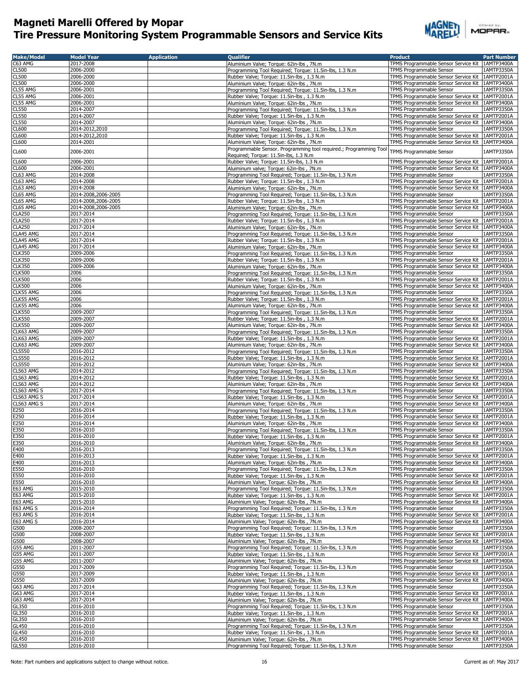

| <b>Make/Model</b>            | <b>Model Year</b>                | <b>Application</b> | <b>Oualifier</b>                                                                                     | <b>Product</b>                                                                                         | <b>Part Number</b>       |
|------------------------------|----------------------------------|--------------------|------------------------------------------------------------------------------------------------------|--------------------------------------------------------------------------------------------------------|--------------------------|
| C63 AMG<br>CL500             | 2017-2008<br>2006-2000           |                    | Aluminium Valve; Torque: 62in-lbs, 7N.m<br>Programming Tool Required; Torque: 11.5in-lbs, 1.3 N.m    | TPMS Programmable Sensor Service Kit 1AMTP3400A                                                        | 1AMTP3350A               |
| <b>CL500</b>                 | 2006-2000                        |                    | Rubber Valve; Torque: 11.5in-lbs, 1.3 N.m.                                                           | TPMS Programmable Sensor<br>TPMS Programmable Sensor Service Kit                                       | 1AMTP2001A               |
| <b>CL500</b>                 | 2006-2000                        |                    | Aluminium Valve; Torque: 62in-lbs, 7N.m                                                              | TPMS Programmable Sensor Service Kit 1AMTP3400A                                                        |                          |
| CL55 AMG                     | 2006-2001                        |                    | Programming Tool Required; Torque: 11.5in-lbs, 1.3 N.m                                               | TPMS Programmable Sensor                                                                               | 1AMTP3350A               |
| CL55 AMG                     | 2006-2001                        |                    | Rubber Valve; Torque: 11.5in-lbs, 1.3 N.m                                                            | TPMS Programmable Sensor Service Kit                                                                   | 1AMTP2001A               |
| CL55 AMG                     | 2006-2001                        |                    | Aluminium Valve; Torque: 62in-lbs, 7N.m                                                              | TPMS Programmable Sensor Service Kit   1AMTP3400A                                                      |                          |
| CL550                        | 2014-2007                        |                    | Programming Tool Required; Torque: 11.5in-lbs, 1.3 N.m                                               | TPMS Programmable Sensor                                                                               | 1AMTP3350A               |
| <b>CL550</b>                 | 2014-2007<br>2014-2007           |                    | Rubber Valve; Torque: 11.5in-lbs, 1.3 N.m.                                                           | TPMS Programmable Sensor Service Kit   1AMTP2001A                                                      |                          |
| <b>CL550</b><br><b>CL600</b> | 2014-2012,2010                   |                    | Aluminium Valve; Torque: 62in-lbs, 7N.m<br>Programming Tool Required; Torque: 11.5in-lbs, 1.3 N.m    | TPMS Programmable Sensor Service Kit   1AMTP3400A<br>TPMS Programmable Sensor                          | 1AMTP3350A               |
| <b>CL600</b>                 | 2014-2012,2010                   |                    | Rubber Valve; Torque: 11.5in-lbs, 1.3 N.m                                                            | TPMS Programmable Sensor Service Kit 1AMTP2001A                                                        |                          |
| <b>CL600</b>                 | 2014-2001                        |                    | Aluminium Valve; Torque: 62in-lbs, 7N.m                                                              | TPMS Programmable Sensor Service Kit   1AMTP3400A                                                      |                          |
| <b>CL600</b>                 | 2006-2001                        |                    | Programmable Sensor. Programming tool required.; Programming Tool                                    | TPMS Programmable Sensor                                                                               | 1AMTP3350A               |
|                              |                                  |                    | Required; Torque: 11.5in-lbs, 1.3 N.m                                                                |                                                                                                        |                          |
| CL600                        | 2006-2001                        |                    | Rubber Valve; Torque: 11.5in-lbs, 1.3 N.m                                                            | TPMS Programmable Sensor Service Kit                                                                   | 1AMTP2001A               |
| <b>CL600</b><br>CL63 AMG     | 2006-2001<br>2014-2008           |                    | Aluiminum valve; Torque: 62in-lbs, 7N.m<br>Programming Tool Required; Torque: 11.5in-lbs, 1.3 N.m    | TPMS Programmable Sensor Service Kit<br>TPMS Programmable Sensor                                       | 1AMTP3400A<br>1AMTP3350A |
| CL63 AMG                     | 2014-2008                        |                    | Rubber Valve: Torque: 11.5in-lbs, 1.3 N.m.                                                           | TPMS Programmable Sensor Service Kit                                                                   | 1AMTP2001A               |
| CL63 AMG                     | 2014-2008                        |                    | Aluminium Valve; Torque: 62in-lbs, 7N.m                                                              | TPMS Programmable Sensor Service Kit                                                                   | 1AMTP3400A               |
| CL65 AMG                     | 2014-2008,2006-2005              |                    | Programming Tool Required; Torque: 11.5in-lbs, 1.3 N.m                                               | TPMS Programmable Sensor                                                                               | 1AMTP3350A               |
| CL65 AMG                     | 2014-2008,2006-2005              |                    | Rubber Valve; Torque: 11.5in-lbs, 1.3 N.m.                                                           | TPMS Programmable Sensor Service Kit                                                                   | 1AMTP2001A               |
| CL65 AMG<br><b>CLA250</b>    | 2014-2008,2006-2005<br>2017-2014 |                    | Aluminium Valve; Torque: 62in-lbs, 7N.m                                                              | TPMS Programmable Sensor Service Kit   1AMTP3400A<br>TPMS Programmable Sensor                          | 1AMTP3350A               |
| <b>CLA250</b>                | 2017-2014                        |                    | Programming Tool Required; Torque: 11.5in-lbs, 1.3 N.m<br>Rubber Valve; Torque: 11.5in-lbs, 1.3 N.m  | TPMS Programmable Sensor Service Kit                                                                   | 1AMTP2001A               |
| <b>CLA250</b>                | 2017-2014                        |                    | Aluminium Valve; Torque: 62in-lbs, 7N.m                                                              | TPMS Programmable Sensor Service Kit   1AMTP3400A                                                      |                          |
| CLA45 AMG                    | 2017-2014                        |                    | Programming Tool Required; Torque: 11.5in-lbs, 1.3 N.m                                               | TPMS Programmable Sensor                                                                               | 1AMTP3350A               |
| CLA45 AMG                    | 2017-2014                        |                    | Rubber Valve; Torque: 11.5in-lbs, 1.3 N.m.                                                           | TPMS Programmable Sensor Service Kit   1AMTP2001A                                                      |                          |
| CLA45 AMG<br><b>CLK350</b>   | 2017-2014<br>2009-2006           |                    | Aluminium Valve; Torque: 62in-lbs, 7N.m<br>Programming Tool Required; Torque: 11.5in-lbs, 1.3 N.m    | TPMS Programmable Sensor Service Kit 1AMTP3400A<br>TPMS Programmable Sensor                            | 1AMTP3350A               |
| <b>CLK350</b>                | 2009-2006                        |                    | Rubber Valve; Torque: 11.5in-lbs, 1.3 N.m.                                                           | TPMS Programmable Sensor Service Kit   1AMTP2001A                                                      |                          |
| <b>CLK350</b>                | 2009-2006                        |                    | Aluminium Valve; Torque: 62in-lbs, 7N.m                                                              | TPMS Programmable Sensor Service Kit   1AMTP3400A                                                      |                          |
| <b>CLK500</b>                | 2006                             |                    | Programming Tool Required; Torque: 11.5in-lbs, 1.3 N.m                                               | TPMS Programmable Sensor                                                                               | 1AMTP3350A               |
| <b>CLK500</b>                | 2006                             |                    | Rubber Valve; Torque: 11.5in-lbs, 1.3 N.m                                                            | TPMS Programmable Sensor Service Kit 1AMTP2001A                                                        |                          |
| <b>CLK500</b><br>CLK55 AMG   | 2006<br>2006                     |                    | Aluminium Valve; Torque: 62in-lbs, 7N.m<br>Programming Tool Required; Torque: 11.5in-lbs, 1.3 N.m    | TPMS Programmable Sensor Service Kit   1AMTP3400A<br>TPMS Programmable Sensor                          | 1AMTP3350A               |
| CLK55 AMG                    | 2006                             |                    | Rubber Valve; Torque: 11.5in-lbs, 1.3 N.m                                                            | TPMS Programmable Sensor Service Kit 1AMTP2001A                                                        |                          |
| CLK55 AMG                    | 2006                             |                    | Aluminium Valve; Torque: 62in-lbs, 7N.m                                                              | TPMS Programmable Sensor Service Kit   1AMTP3400A                                                      |                          |
| <b>CLK550</b>                | 2009-2007                        |                    | Programming Tool Required; Torque: 11.5in-lbs, 1.3 N.m                                               | TPMS Programmable Sensor                                                                               | 1AMTP3350A               |
| <b>CLK550</b>                | 2009-2007                        |                    | Rubber Valve; Torque: 11.5in-lbs, 1.3 N.m.                                                           | TPMS Programmable Sensor Service Kit   1AMTP2001A                                                      |                          |
| <b>CLK550</b>                | 2009-2007                        |                    | Aluminium Valve; Torque: 62in-lbs, 7N.m                                                              | TPMS Programmable Sensor Service Kit   1AMTP3400A                                                      |                          |
| CLK63 AMG<br>CLK63 AMG       | 2009-2007<br>2009-2007           |                    | Programming Tool Required; Torque: 11.5in-lbs, 1.3 N.m<br>Rubber Valve; Torque: 11.5in-lbs, 1.3 N.m. | TPMS Programmable Sensor<br>TPMS Programmable Sensor Service Kit 1AMTP2001A                            | 1AMTP3350A               |
| CLK63 AMG                    | 2009-2007                        |                    | Aluminium Valve; Torque: 62in-lbs, 7N.m                                                              | TPMS Programmable Sensor Service Kit                                                                   | 1AMTP3400A               |
| <b>CLS550</b>                | 2016-2012                        |                    | Programming Tool Required; Torque: 11.5in-lbs, 1.3 N.m                                               | TPMS Programmable Sensor                                                                               | 1AMTP3350A               |
| <b>CLS550</b>                | 2016-2012                        |                    | Rubber Valve; Torque: 11.5in-lbs, 1.3 N.m                                                            | TPMS Programmable Sensor Service Kit   1AMTP2001A                                                      |                          |
| <b>CLS550</b>                | 2016-2012                        |                    | Aluminium Valve; Torque: 62in-lbs, 7N.m                                                              | TPMS Programmable Sensor Service Kit   1AMTP3400A                                                      |                          |
| CLS63 AMG<br>CLS63 AMG       | 2014-2012<br>2014-2012           |                    | Programming Tool Required; Torque: 11.5in-lbs, 1.3 N.m<br>Rubber Valve; Torque: 11.5in-lbs, 1.3 N.m. | TPMS Programmable Sensor<br>TPMS Programmable Sensor Service Kit   1AMTP2001A                          | 1AMTP3350A               |
| CLS63 AMG                    | 2014-2012                        |                    | Aluminium Valve; Torque: 62in-lbs, 7N.m                                                              | TPMS Programmable Sensor Service Kit 1AMTP3400A                                                        |                          |
| CLS63 AMG S                  | 2017-2014                        |                    | Programming Tool Required; Torque: 11.5in-lbs, 1.3 N.m.                                              | TPMS Programmable Sensor                                                                               | 1AMTP3350A               |
| CLS63 AMG S                  | 2017-2014                        |                    | Rubber Valve; Torque: 11.5in-lbs, 1.3 N.m.                                                           | TPMS Programmable Sensor Service Kit                                                                   | 1AMTP2001A               |
| CLS63 AMG S                  | 2017-2014                        |                    | Aluminium Valve; Torque: 62in-lbs, 7N.m                                                              | TPMS Programmable Sensor Service Kit   1AMTP3400A                                                      |                          |
| E250                         | 2016-2014                        |                    | Programming Tool Required; Torque: 11.5in-lbs, 1.3 N.m                                               | TPMS Programmable Sensor                                                                               | 1AMTP3350A               |
| E250<br>E250                 | 2016-2014<br>2016-2014           |                    | Rubber Valve; Torque: 11.5in-lbs, 1.3 N.m.<br>Aluminium Valve; Torque: 62in-lbs, 7N.m                | TPMS Programmable Sensor Service Kit   1AMTP2001A<br>TPMS Programmable Sensor Service Kit   1AMTP3400A |                          |
| E350                         | 2016-2010                        |                    | Programming Tool Required; Torque: 11.5in-lbs, 1.3 N.m                                               | TPMS Programmable Sensor                                                                               | 1AMTP3350A               |
| E350                         | 2016-2010                        |                    | Rubber Valve; Torque: 11.5in-lbs, 1.3 N.m.                                                           | TPMS Programmable Sensor Service Kit   1AMTP2001A                                                      |                          |
| E350                         | 2016-2010                        |                    | Aluminium Valve; Torque: 62in-lbs, 7N.m                                                              | TPMS Programmable Sensor Service Kit 1AMTP3400A                                                        |                          |
| E400                         | 2016-2013                        |                    | Programming Tool Required; Torque: 11.5in-lbs, 1.3 N.m                                               | TPMS Programmable Sensor                                                                               | 1AMTP3350A               |
| E400<br>E400                 | 2016-2013<br>2016-2013           |                    | Rubber Valve; Torque: 11.5in-lbs, 1.3 N.m.<br>Aluminium Valve; Torque: 62in-lbs, 7N.m                | TPMS Programmable Sensor Service Kit 1AMTP2001A<br>TPMS Programmable Sensor Service Kit 1AMTP3400A     |                          |
| E550                         | 2016-2010                        |                    | Programming Tool Required; Torque: 11.5in-lbs, 1.3 N.m.                                              | TPMS Programmable Sensor                                                                               | 1AMTP3350A               |
| E550                         | 2016-2010                        |                    | Rubber Valve; Torque: 11.5in-lbs, 1.3 N.m.                                                           | TPMS Programmable Sensor Service Kit                                                                   | 1AMTP2001A               |
| E550                         | 2016-2010                        |                    | Aluminium Valve; Torque: 62in-lbs, 7N.m                                                              | TPMS Programmable Sensor Service Kit   1AMTP3400A                                                      |                          |
| E63 AMG                      | 2015-2010                        |                    | Programming Tool Required; Torque: 11.5in-lbs, 1.3 N.m                                               | TPMS Programmable Sensor                                                                               | 1AMTP3350A               |
| E63 AMG<br>E63 AMG           | 2015-2010<br>2015-2010           |                    | Rubber Valve; Torque: 11.5in-lbs, 1.3 N.m.<br>Aluminium Valve; Torque: 62in-lbs, 7N.m                | TPMS Programmable Sensor Service Kit<br>TPMS Programmable Sensor Service Kit                           | 1AMTP2001A<br>1AMTP3400A |
| E63 AMG S                    | 2016-2014                        |                    | Programming Tool Required; Torque: 11.5in-lbs, 1.3 N.m                                               | TPMS Programmable Sensor                                                                               | 1AMTP3350A               |
| E63 AMG S                    | 2016-2014                        |                    | Rubber Valve; Torque: 11.5in-lbs, 1.3 N.m.                                                           | TPMS Programmable Sensor Service Kit                                                                   | 1AMTP2001A               |
| E63 AMG S                    | 2016-2014                        |                    | Aluminium Valve; Torque: 62in-lbs, 7N.m                                                              | TPMS Programmable Sensor Service Kit                                                                   | 1AMTP3400A               |
| G500                         | 2008-2007                        |                    | Programming Tool Required; Torque: 11.5in-lbs, 1.3 N.m                                               | TPMS Programmable Sensor                                                                               | 1AMTP3350A               |
| G500<br>G500                 | 2008-2007<br>2008-2007           |                    | Rubber Valve; Torque: 11.5in-lbs, 1.3 N.m<br>Aluminium Valve; Torque: 62in-lbs, 7N.m                 | TPMS Programmable Sensor Service Kit<br>TPMS Programmable Sensor Service Kit                           | 1AMTP2001A<br>1AMTP3400A |
| G55 AMG                      | 2011-2007                        |                    | Programming Tool Required; Torque: 11.5in-lbs, 1.3 N.m                                               | TPMS Programmable Sensor                                                                               | 1AMTP3350A               |
| G55 AMG                      | 2011-2007                        |                    | Rubber Valve; Torque: 11.5in-lbs, 1.3 N.m.                                                           | TPMS Programmable Sensor Service Kit                                                                   | 1AMTP2001A               |
| G55 AMG                      | 2011-2007                        |                    | Aluminium Valve; Torque: 62in-lbs, 7N.m                                                              | TPMS Programmable Sensor Service Kit   1AMTP3400A                                                      |                          |
| G550                         | 2017-2009                        |                    | Programming Tool Required; Torque: 11.5in-lbs, 1.3 N.m                                               | TPMS Programmable Sensor                                                                               | 1AMTP3350A               |
| G550<br>G550                 | 2017-2009<br>2017-2009           |                    | Rubber Valve; Torque: 11.5in-lbs, 1.3 N.m                                                            | TPMS Programmable Sensor Service Kit<br>TPMS Programmable Sensor Service Kit                           | 1AMTP2001A<br>1AMTP3400A |
| G63 AMG                      | 2017-2014                        |                    | Aluminium Valve; Torque: 62in-lbs, 7N.m<br>Programming Tool Required; Torque: 11.5in-lbs, 1.3 N.m    | TPMS Programmable Sensor                                                                               | 1AMTP3350A               |
| G63 AMG                      | 2017-2014                        |                    | Rubber Valve; Torque: 11.5in-lbs, 1.3 N.m                                                            | TPMS Programmable Sensor Service Kit                                                                   | 1AMTP2001A               |
| G63 AMG                      | 2017-2014                        |                    | Aluminium Valve; Torque: 62in-lbs, 7N.m                                                              | TPMS Programmable Sensor Service Kit                                                                   | 1AMTP3400A               |
| GL350                        | 2016-2010                        |                    | Programming Tool Required; Torque: 11.5in-lbs, 1.3 N.m                                               | TPMS Programmable Sensor                                                                               | 1AMTP3350A               |
| GL350<br>GL350               | 2016-2010<br>2016-2010           |                    | Rubber Valve; Torque: 11.5in-lbs, 1.3 N.m<br>Aluminium Valve; Torque: 62in-lbs, 7N.m                 | TPMS Programmable Sensor Service Kit 1AMTP2001A<br>TPMS Programmable Sensor Service Kit   1AMTP3400A   |                          |
| GL450                        | 2016-2010                        |                    | Programming Tool Required; Torque: 11.5in-lbs, 1.3 N.m                                               | TPMS Programmable Sensor                                                                               | 1AMTP3350A               |
| GL450                        | 2016-2010                        |                    | Rubber Valve; Torque: 11.5in-lbs, 1.3 N.m.                                                           | TPMS Programmable Sensor Service Kit 1AMTP2001A                                                        |                          |
| GL450                        | 2016-2010                        |                    | Aluminium Valve; Torque: 62in-lbs, 7N.m                                                              | TPMS Programmable Sensor Service Kit   1AMTP3400A                                                      |                          |
| <b>GL550</b>                 | 2016-2010                        |                    | Programming Tool Required; Torque: 11.5in-lbs, 1.3 N.m                                               | TPMS Programmable Sensor                                                                               | 1AMTP3350A               |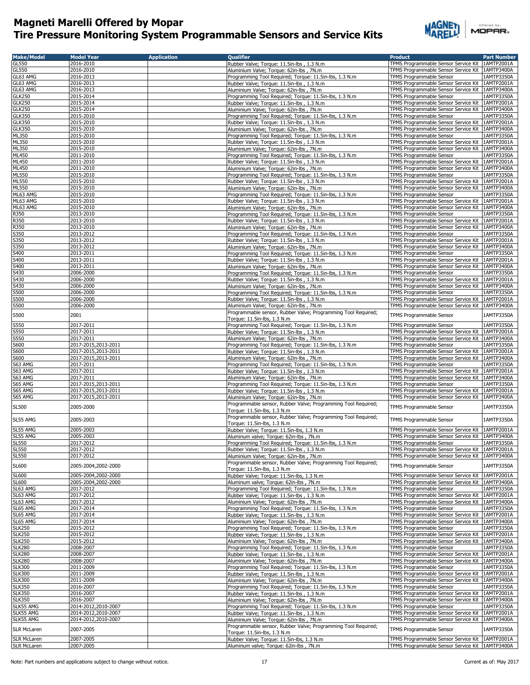

| <b>Make/Model</b>  | <b>Model Year</b>   | <b>Application</b> | <b>Qualifier</b>                                              | <b>Product</b>                                    | <b>Part Number</b> |
|--------------------|---------------------|--------------------|---------------------------------------------------------------|---------------------------------------------------|--------------------|
| GL550              | 2016-2010           |                    | Rubber Valve; Torque: 11.5in-lbs, 1.3 N.m.                    | TPMS Programmable Sensor Service Kit   1AMTP2001A |                    |
| <b>GL550</b>       | 2016-2010           |                    | Aluminium Valve; Torque: 62in-lbs, 7N.m                       | TPMS Programmable Sensor Service Kit              | 1AMTP3400A         |
| GL63 AMG           | 2016-2013           |                    | Programming Tool Required; Torque: 11.5in-lbs, 1.3 N.m        | TPMS Programmable Sensor                          | 1AMTP3350A         |
|                    |                     |                    |                                                               |                                                   |                    |
| GL63 AMG           | 2016-2013           |                    | Rubber Valve; Torque: 11.5in-lbs, 1.3 N.m                     | TPMS Programmable Sensor Service Kit 1AMTP2001A   |                    |
| GL63 AMG           | 2016-2013           |                    | Aluminium Valve; Torque: 62in-lbs, 7N.m                       | TPMS Programmable Sensor Service Kit   1AMTP3400A |                    |
| <b>GLK250</b>      | 2015-2014           |                    | Programming Tool Required; Torque: 11.5in-lbs, 1.3 N.m.       | TPMS Programmable Sensor                          | 1AMTP3350A         |
| <b>GLK250</b>      | 2015-2014           |                    | Rubber Valve; Torque: 11.5in-lbs, 1.3 N.m.                    | TPMS Programmable Sensor Service Kit 1AMTP2001A   |                    |
| <b>GLK250</b>      | 2015-2014           |                    | Aluminium Valve; Torque: 62in-lbs, 7N.m                       | TPMS Programmable Sensor Service Kit 1AMTP3400A   |                    |
|                    |                     |                    |                                                               |                                                   |                    |
| <b>GLK350</b>      | 2015-2010           |                    | Programming Tool Required; Torque: 11.5in-lbs, 1.3 N.m        | TPMS Programmable Sensor                          | 1AMTP3350A         |
| <b>GLK350</b>      | 2015-2010           |                    | Rubber Valve; Torque: 11.5in-lbs, 1.3 N.m                     | TPMS Programmable Sensor Service Kit 1AMTP2001A   |                    |
| <b>GLK350</b>      | 2015-2010           |                    | Aluminium Valve; Torque: 62in-lbs, 7N.m                       | TPMS Programmable Sensor Service Kit 1AMTP3400A   |                    |
| ML350              | 2015-2010           |                    | Programming Tool Required; Torque: 11.5in-lbs, 1.3 N.m        | TPMS Programmable Sensor                          | 1AMTP3350A         |
| ML350              | 2015-2010           |                    |                                                               | TPMS Programmable Sensor Service Kit              | 1AMTP2001A         |
|                    |                     |                    | Rubber Valve; Torque: 11.5in-lbs, 1.3 N.m                     |                                                   |                    |
| ML350              | 2015-2010           |                    | Aluminium Valve; Torque: 62in-lbs, 7N.m                       | TPMS Programmable Sensor Service Kit 1AMTP3400A   |                    |
| ML450              | 2011-2010           |                    | Programming Tool Required; Torque: 11.5in-lbs, 1.3 N.m        | TPMS Programmable Sensor                          | 1AMTP3350A         |
| ML450              | 2011-2010           |                    | Rubber Valve; Torque: 11.5in-lbs, 1.3 N.m                     | TPMS Programmable Sensor Service Kit              | 1AMTP2001A         |
| ML450              | 2011-2010           |                    | Aluminium Valve; Torque: 62in-lbs, 7N.m                       | TPMS Programmable Sensor Service Kit 1AMTP3400A   |                    |
| ML550              | 2015-2010           |                    | Programming Tool Required: Torque: 11.5in-lbs, 1.3 N.m.       |                                                   | 1AMTP3350A         |
|                    |                     |                    |                                                               | TPMS Programmable Sensor                          |                    |
| ML550              | 2015-2010           |                    | Rubber Valve; Torque: 11.5in-lbs, 1.3 N.m                     | TPMS Programmable Sensor Service Kit              | 1AMTP2001A         |
| ML550              | 2015-2010           |                    | Aluminium Valve; Torque: 62in-lbs, 7N.m                       | TPMS Programmable Sensor Service Kit 1AMTP3400A   |                    |
| ML63 AMG           | 2015-2010           |                    | Programming Tool Required; Torque: 11.5in-lbs, 1.3 N.m        | TPMS Programmable Sensor                          | 1AMTP3350A         |
| ML63 AMG           | 2015-2010           |                    | Rubber Valve; Torque: 11.5in-lbs, 1.3 N.m                     | TPMS Programmable Sensor Service Kit              | 1AMTP2001A         |
|                    |                     |                    |                                                               |                                                   |                    |
| ML63 AMG           | 2015-2010           |                    | Aluminium Valve; Torque: 62in-lbs, 7N.m                       | TPMS Programmable Sensor Service Kit 1AMTP3400A   |                    |
| R350               | 2013-2010           |                    | Programming Tool Required; Torque: 11.5in-lbs, 1.3 N.m        | TPMS Programmable Sensor                          | 1AMTP3350A         |
| R350               | 2013-2010           |                    | Rubber Valve; Torque: 11.5in-lbs, 1.3 N.m                     | TPMS Programmable Sensor Service Kit              | 1AMTP2001A         |
| R350               | 2013-2010           |                    | Aluminium Valve; Torque: 62in-lbs, 7N.m                       | TPMS Programmable Sensor Service Kit   1AMTP3400A |                    |
| S350               | 2013-2012           |                    | Programming Tool Required; Torque: 11.5in-lbs, 1.3 N.m        | TPMS Programmable Sensor                          | 1AMTP3350A         |
|                    |                     |                    |                                                               |                                                   |                    |
| S350               | 2013-2012           |                    | Rubber Valve; Torque: 11.5in-lbs, 1.3 N.m.                    | TPMS Programmable Sensor Service Kit 1AMTP2001A   |                    |
| S350               | 2013-2012           |                    | Aluminium Valve; Torque: 62in-lbs, 7N.m                       | TPMS Programmable Sensor Service Kit 1AMTP3400A   |                    |
| S400               | 2013-2011           |                    | Programming Tool Required; Torque: 11.5in-lbs, 1.3 N.m        | TPMS Programmable Sensor                          | 1AMTP3350A         |
| S400               | 2013-2011           |                    | Rubber Valve; Torque: 11.5in-lbs, 1.3 N.m                     | TPMS Programmable Sensor Service Kit 1AMTP2001A   |                    |
|                    |                     |                    |                                                               |                                                   |                    |
| S400               | 2013-2011           |                    | Aluminium Valve; Torque: 62in-lbs, 7N.m                       | TPMS Programmable Sensor Service Kit   1AMTP3400A |                    |
| S430               | 2006-2000           |                    | Programming Tool Required; Torque: 11.5in-lbs, 1.3 N.m        | TPMS Programmable Sensor                          | 1AMTP3350A         |
| S430               | 2006-2000           |                    | Rubber Valve; Torque: 11.5in-lbs, 1.3 N.m                     | TPMS Programmable Sensor Service Kit 1AMTP2001A   |                    |
| S430               | 2006-2000           |                    | Aluminium Valve; Torque: 62in-lbs, 7N.m                       | TPMS Programmable Sensor Service Kit 1AMTP3400A   |                    |
|                    |                     |                    |                                                               |                                                   |                    |
| S500               | 2006-2000           |                    | Programming Tool Required; Torque: 11.5in-lbs, 1.3 N.m.       | TPMS Programmable Sensor                          | 1AMTP3350A         |
| S500               | 2006-2000           |                    | Rubber Valve; Torque: 11.5in-lbs, 1.3 N.m.                    | TPMS Programmable Sensor Service Kit              | 1AMTP2001A         |
| S500               | 2006-2000           |                    | Aluminium Valve; Torque: 62in-lbs, 7N.m                       | TPMS Programmable Sensor Service Kit   1AMTP3400A |                    |
|                    |                     |                    | Programmable sensor, Rubber Valve; Programming Tool Required; |                                                   |                    |
| S500               | 2001                |                    |                                                               | TPMS Programmable Sensor                          | 1AMTP3350A         |
|                    |                     |                    | Torque: 11.5in-lbs, 1.3 N.m                                   |                                                   |                    |
| S550               | 2017-2011           |                    | Programming Tool Required; Torque: 11.5in-lbs, 1.3 N.m        | TPMS Programmable Sensor                          | 1AMTP3350A         |
| S550               | 2017-2011           |                    | Rubber Valve; Torque: 11.5in-lbs, 1.3 N.m.                    | TPMS Programmable Sensor Service Kit              | 1AMTP2001A         |
| S550               | 2017-2011           |                    | Aluminium Valve; Torque: 62in-lbs, 7N.m                       | TPMS Programmable Sensor Service Kit 1AMTP3400A   |                    |
|                    |                     |                    |                                                               |                                                   |                    |
| S600               | 2017-2015,2013-2011 |                    | Programming Tool Required; Torque: 11.5in-lbs, 1.3 N.m        | TPMS Programmable Sensor                          | 1AMTP3350A         |
| S600               | 2017-2015,2013-2011 |                    | Rubber Valve; Torque: 11.5in-lbs, 1.3 N.m                     | TPMS Programmable Sensor Service Kit              | 1AMTP2001A         |
| S600               | 2017-2015,2013-2011 |                    | Aluminium Valve; Torque: 62in-lbs, 7N.m                       | TPMS Programmable Sensor Service Kit 1AMTP3400A   |                    |
| S63 AMG            | 2017-2011           |                    | Programming Tool Required; Torque: 11.5in-lbs, 1.3 N.m        | TPMS Programmable Sensor                          | 1AMTP3350A         |
|                    |                     |                    |                                                               |                                                   |                    |
| S63 AMG            | 2017-2011           |                    | Rubber Valve; Torque: 11.5in-lbs, 1.3 N.m                     | TPMS Programmable Sensor Service Kit              | 1AMTP2001A         |
| S63 AMG            | 2017-2011           |                    | Aluminium Valve; Torque: 62in-lbs, 7N.m                       | TPMS Programmable Sensor Service Kit              | 1AMTP3400A         |
| S65 AMG            | 2017-2015,2013-2011 |                    | Programming Tool Required; Torque: 11.5in-lbs, 1.3 N.m        | TPMS Programmable Sensor                          | 1AMTP3350A         |
| S65 AMG            | 2017-2015,2013-2011 |                    | Rubber Valve; Torque: 11.5in-lbs, 1.3 N.m                     | TPMS Programmable Sensor Service Kit   1AMTP2001A |                    |
|                    |                     |                    |                                                               |                                                   |                    |
| S65 AMG            | 2017-2015,2013-2011 |                    | Aluminium Valve; Torque: 62in-lbs, 7N.m                       | TPMS Programmable Sensor Service Kit 1AMTP3400A   |                    |
| <b>SL500</b>       | 2005-2000           |                    | Programmable sensor, Rubber Valve; Programming Tool Required; | TPMS Programmable Sensor                          | 1AMTP3350A         |
|                    |                     |                    | Torque: 11.5in-lbs, 1.3 N.m                                   |                                                   |                    |
|                    |                     |                    | Programmable sensor, Rubber Valve; Programming Tool Required; |                                                   |                    |
| SL55 AMG           | 2005-2003           |                    | Torque: 11.5in-lbs, 1.3 N.m                                   | TPMS Programmable Sensor                          | 1AMTP3350A         |
|                    |                     |                    |                                                               |                                                   |                    |
| SL55 AMG           | 2005-2003           |                    | Rubber Valve; Torque: 11.5in-lbs, 1.3 N.m                     | TPMS Programmable Sensor Service Kit 1AMTP2001A   |                    |
| SL55 AMG           | 2005-2003           |                    | Aluminum valve; Torque: 62in-lbs, 7N.m                        | TPMS Programmable Sensor Service Kit   1AMTP3400A |                    |
| <b>SL550</b>       | 2017-2012           |                    | Programming Tool Required; Torque: 11.5in-lbs, 1.3 N.m        | TPMS Programmable Sensor                          | 1AMTP3350A         |
| <b>SL550</b>       | 2017-2012           |                    | Rubber Valve; Torque: 11.5in-lbs, 1.3 N.m.                    | TPMS Programmable Sensor Service Kit   1AMTP2001A |                    |
| <b>SL550</b>       | 2017-2012           |                    |                                                               |                                                   |                    |
|                    |                     |                    | Aluminium Valve; Torque: 62in-lbs, 7N.m                       | TPMS Programmable Sensor Service Kit 1AMTP3400A   |                    |
| <b>SL600</b>       | 2005-2004,2002-2000 |                    | Programmable sensor, Rubber Valve; Programming Tool Required; | TPMS Programmable Sensor                          | 1AMTP3350A         |
|                    |                     |                    | Torque: 11.5in-lbs, 1.3 N.m                                   |                                                   |                    |
| <b>SL600</b>       | 2005-2004.2002-2000 |                    | Rubber Valve; Torque: 11.5in-lbs, 1.3 N.m                     | TPMS Programmable Sensor Service Kit              | 1AMTP2001A         |
| SL600              | 2005-2004,2002-2000 |                    | Aluminum valve; Torque: 62in-lbs, 7N.m                        | TPMS Programmable Sensor Service Kit   1AMTP3400A |                    |
| SL63 AMG           | 2017-2012           |                    | Programming Tool Required; Torque: 11.5in-lbs, 1.3 N.m        | TPMS Programmable Sensor                          | 1AMTP3350A         |
|                    |                     |                    |                                                               |                                                   |                    |
| SL63 AMG           | 2017-2012           |                    | Rubber Valve; Torque: 11.5in-lbs, 1.3 N.m                     | TPMS Programmable Sensor Service Kit              | 1AMTP2001A         |
| SL63 AMG           | 2017-2012           |                    | Aluminium Valve; Torque: 62in-lbs, 7N.m                       | TPMS Programmable Sensor Service Kit              | 1AMTP3400A         |
| SL65 AMG           | 2017-2014           |                    | Programming Tool Required; Torque: 11.5in-lbs, 1.3 N.m        | <b>TPMS Programmable Sensor</b>                   | 1AMTP3350A         |
| SL65 AMG           | 2017-2014           |                    | Rubber Valve; Torque: 11.5in-lbs, 1.3 N.m                     | TPMS Programmable Sensor Service Kit              | 1AMTP2001A         |
|                    |                     |                    |                                                               |                                                   |                    |
| SL65 AMG           | 2017-2014           |                    | Aluminium Valve; Torque: 62in-lbs, 7N.m                       | TPMS Programmable Sensor Service Kit              | 1AMTP3400A         |
| <b>SLK250</b>      | 2015-2012           |                    | Programming Tool Required; Torque: 11.5in-lbs, 1.3 N.m        | TPMS Programmable Sensor                          | 1AMTP3350A         |
| <b>SLK250</b>      | 2015-2012           |                    | Rubber Valve; Torque: 11.5in-lbs, 1.3 N.m                     | TPMS Programmable Sensor Service Kit   1AMTP2001A |                    |
| <b>SLK250</b>      | 2015-2012           |                    | Aluminium Valve; Torque: 62in-lbs, 7N.m                       | TPMS Programmable Sensor Service Kit              | 1AMTP3400A         |
| <b>SLK280</b>      | 2008-2007           |                    | Programming Tool Required; Torque: 11.5in-lbs, 1.3 N.m        | TPMS Programmable Sensor                          | 1AMTP3350A         |
|                    |                     |                    |                                                               |                                                   |                    |
| <b>SLK280</b>      | 2008-2007           |                    | Rubber Valve; Torque: 11.5in-lbs, 1.3 N.m                     | TPMS Programmable Sensor Service Kit 1AMTP2001A   |                    |
| <b>SLK280</b>      | 2008-2007           |                    | Aluminium Valve; Torque: 62in-lbs, 7N.m                       | TPMS Programmable Sensor Service Kit 1AMTP3400A   |                    |
| <b>SLK300</b>      | 2011-2009           |                    | Programming Tool Required; Torque: 11.5in-lbs, 1.3 N.m        | TPMS Programmable Sensor                          | 1AMTP3350A         |
| <b>SLK300</b>      | 2011-2009           |                    | Rubber Valve; Torque: 11.5in-lbs, 1.3 N.m                     | TPMS Programmable Sensor Service Kit   1AMTP2001A |                    |
|                    |                     |                    |                                                               |                                                   |                    |
| <b>SLK300</b>      | 2011-2009           |                    | Aluminium Valve; Torque: 62in-lbs, 7N.m.                      | TPMS Programmable Sensor Service Kit 1AMTP3400A   |                    |
| <b>SLK350</b>      | 2016-2007           |                    | Programming Tool Required; Torque: 11.5in-lbs, 1.3 N.m.       | TPMS Programmable Sensor                          | 1AMTP3350A         |
| <b>SLK350</b>      | 2016-2007           |                    | Rubber Valve; Torque: 11.5in-lbs, 1.3 N.m.                    | TPMS Programmable Sensor Service Kit 1AMTP2001A   |                    |
| <b>SLK350</b>      | 2016-2007           |                    | Aluminium Valve; Torque: 62in-lbs, 7N.m                       | TPMS Programmable Sensor Service Kit   1AMTP3400A |                    |
|                    |                     |                    |                                                               |                                                   |                    |
| SLK55 AMG          | 2014-2012,2010-2007 |                    | Programming Tool Required; Torque: 11.5in-lbs, 1.3 N.m        | TPMS Programmable Sensor                          | 1AMTP3350A         |
| SLK55 AMG          | 2014-2012,2010-2007 |                    | Rubber Valve; Torque: 11.5in-lbs, 1.3 N.m.                    | TPMS Programmable Sensor Service Kit 1AMTP2001A   |                    |
| SLK55 AMG          | 2014-2012,2010-2007 |                    | Aluminium Valve; Torque: 62in-lbs, 7N.m                       | TPMS Programmable Sensor Service Kit              | 1AMTP3400A         |
|                    |                     |                    | Programmable sensor, Rubber Valve; Programming Tool Required; |                                                   |                    |
| <b>SLR McLaren</b> | 2007-2005           |                    | Torque: 11.5in-lbs, 1.3 N.m                                   | TPMS Programmable Sensor                          | 1AMTP3350A         |
|                    |                     |                    |                                                               |                                                   |                    |
| <b>SLR McLaren</b> | 2007-2005           |                    | Rubber Valve; Torque: 11.5in-lbs, 1.3 N.m                     | TPMS Programmable Sensor Service Kit 1AMTP2001A   |                    |
| SLR McLaren        | 2007-2005           |                    | Aluminum valve; Torque: 62in-lbs, 7N.m                        | TPMS Programmable Sensor Service Kit 1AMTP3400A   |                    |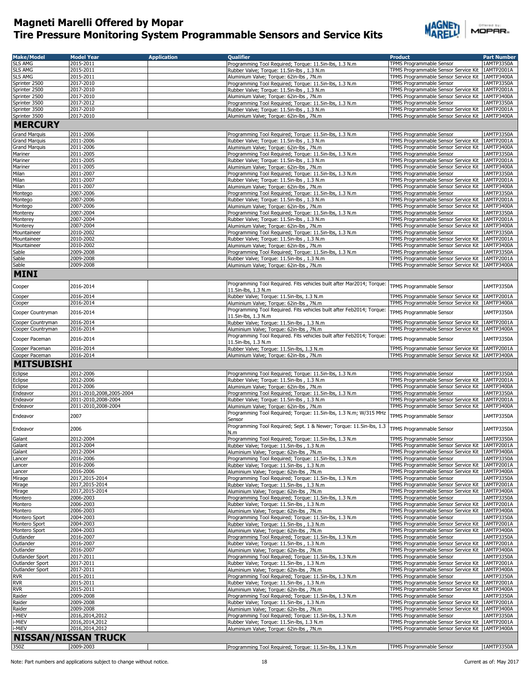

| <b>Make/Model</b>      | <b>Model Year</b>                               | <b>Application</b> | <b>Qualifier</b>                                                                                     | <b>Product</b>                                                               | <b>Part Number</b>       |
|------------------------|-------------------------------------------------|--------------------|------------------------------------------------------------------------------------------------------|------------------------------------------------------------------------------|--------------------------|
| <b>SLS AMG</b>         | 2015-2011                                       |                    | Programming Tool Required; Torque: 11.5in-lbs, 1.3 N.m                                               | TPMS Programmable Sensor                                                     | 1AMTP3350A               |
| <b>SLS AMG</b>         | 2015-2011                                       |                    | Rubber Valve; Torque: 11.5in-lbs, 1.3 N.m.                                                           | TPMS Programmable Sensor Service Kit                                         | 1AMTP2001A               |
| <b>SLS AMG</b>         | 2015-2011                                       |                    | Aluminium Valve; Torque: 62in-lbs, 7N.m                                                              | TPMS Programmable Sensor Service Kit 1AMTP3400A                              |                          |
| Sprinter 2500          | 2017-2010                                       |                    | Programming Tool Required; Torque: 11.5in-lbs, 1.3 N.m                                               | TPMS Programmable Sensor                                                     | 1AMTP3350A               |
| Sprinter 2500          | 2017-2010                                       |                    | Rubber Valve; Torque: 11.5in-lbs, 1.3 N.m.                                                           | TPMS Programmable Sensor Service Kit                                         | 1AMTP2001A               |
| Sprinter 2500          | 2017-2010                                       |                    | Aluminium Valve; Torque: 62in-lbs, 7N.m                                                              | TPMS Programmable Sensor Service Kit   1AMTP3400A                            |                          |
| Sprinter 3500          | 2017-2012                                       |                    | Programming Tool Required; Torque: 11.5in-lbs, 1.3 N.m                                               | <b>TPMS Programmable Sensor</b>                                              | 1AMTP3350A               |
| Sprinter 3500          | 2017-2010                                       |                    | Rubber Valve; Torque: 11.5in-lbs, 1.3 N.m.                                                           | TPMS Programmable Sensor Service Kit                                         | 1AMTP2001A               |
| Sprinter 3500          | 2017-2010                                       |                    | Aluminium Valve; Torque: 62in-lbs, 7N.m                                                              | TPMS Programmable Sensor Service Kit 1AMTP3400A                              |                          |
| <b>MERCURY</b>         |                                                 |                    |                                                                                                      |                                                                              |                          |
| <b>Grand Marquis</b>   | 2011-2006                                       |                    | Programming Tool Required; Torque: 11.5in-lbs, 1.3 N.m                                               | TPMS Programmable Sensor                                                     | 1AMTP3350A               |
| <b>Grand Marquis</b>   | 2011-2006                                       |                    | Rubber Valve; Torque: 11.5in-lbs, 1.3 N.m.                                                           | TPMS Programmable Sensor Service Kit                                         | 1AMTP2001A               |
| <b>Grand Marquis</b>   | 2011-2006                                       |                    | Aluminium Valve; Torque: 62in-lbs, 7N.m                                                              | TPMS Programmable Sensor Service Kit                                         | 1AMTP3400A               |
| <b>Mariner</b>         | 2011-2005                                       |                    | Programming Tool Required: Torque: 11.5in-lbs, 1.3 N.m.                                              | <b>TPMS Programmable Sensor</b>                                              | 1AMTP3350A               |
| Mariner                | 2011-2005                                       |                    | Rubber Valve; Torque: 11.5in-lbs, 1.3 N.m.                                                           | TPMS Programmable Sensor Service Kit 1AMTP2001A                              |                          |
| Mariner                | 2011-2005                                       |                    | Aluminium Valve; Torque: 62in-lbs, 7N.m                                                              | TPMS Programmable Sensor Service Kit                                         | 1AMTP3400A               |
| Milan                  | 2011-2007                                       |                    | Programming Tool Required; Torque: 11.5in-lbs, 1.3 N.m                                               | TPMS Programmable Sensor                                                     | 1AMTP3350A               |
| Milan                  | 2011-2007                                       |                    | Rubber Valve; Torque: 11.5in-lbs, 1.3 N.m                                                            | TPMS Programmable Sensor Service Kit 1AMTP2001A                              |                          |
| Milan                  | 2011-2007<br>2007-2006                          |                    | Aluminium Valve; Torque: 62in-lbs, 7N.m                                                              | TPMS Programmable Sensor Service Kit<br>TPMS Programmable Sensor             | 1AMTP3400A<br>1AMTP3350A |
| Montego<br>Montego     | 2007-2006                                       |                    | Programming Tool Required; Torque: 11.5in-lbs, 1.3 N.m<br>Rubber Valve; Torque: 11.5in-lbs, 1.3 N.m. | TPMS Programmable Sensor Service Kit 1AMTP2001A                              |                          |
| Montego                | 2007-2006                                       |                    | Aluminium Valve; Torque: 62in-lbs, 7N.m                                                              | TPMS Programmable Sensor Service Kit   1AMTP3400A                            |                          |
| Monterey               | 2007-2004                                       |                    | Programming Tool Required; Torque: 11.5in-lbs, 1.3 N.m                                               | TPMS Programmable Sensor                                                     | 1AMTP3350A               |
| Monterey               | 2007-2004                                       |                    | Rubber Valve; Torque: 11.5in-lbs, 1.3 N.m                                                            | TPMS Programmable Sensor Service Kit   1AMTP2001A                            |                          |
| Monterey               | 2007-2004                                       |                    | Aluminium Valve; Torque: 62in-lbs, 7N.m                                                              | TPMS Programmable Sensor Service Kit   1AMTP3400A                            |                          |
| Mountaineer            | 2010-2002                                       |                    | Programming Tool Required; Torque: 11.5in-lbs, 1.3 N.m                                               | TPMS Programmable Sensor                                                     | 1AMTP3350A               |
| Mountaineer            | 2010-2002                                       |                    | Rubber Valve; Torque: 11.5in-lbs, 1.3 N.m.                                                           | TPMS Programmable Sensor Service Kit   1AMTP2001A                            |                          |
| Mountaineer            | 2010-2002                                       |                    | Aluminium Valve; Torque: 62in-lbs, 7N.m                                                              | TPMS Programmable Sensor Service Kit 1AMTP3400A                              |                          |
| Sable                  | 2009-2008                                       |                    | Programming Tool Required; Torque: 11.5in-lbs, 1.3 N.m                                               | TPMS Programmable Sensor                                                     | 1AMTP3350A               |
| Sable                  | 2009-2008                                       |                    | Rubber Valve: Torque: 11.5in-lbs , 1.3 N.m.                                                          | TPMS Programmable Sensor Service Kit   1AMTP2001A                            |                          |
| Sable                  | 2009-2008                                       |                    | Aluminium Valve; Torque: 62in-lbs, 7N.m                                                              | TPMS Programmable Sensor Service Kit   1AMTP3400A                            |                          |
| <b>MINI</b>            |                                                 |                    |                                                                                                      |                                                                              |                          |
|                        |                                                 |                    | Programming Tool Required. Fits vehicles built after Mar2014; Torque:                                |                                                                              |                          |
| Cooper                 | 2016-2014                                       |                    | 11.5in-lbs, 1.3 N.m                                                                                  | TPMS Programmable Sensor                                                     | 1AMTP3350A               |
| Cooper                 | 2016-2014                                       |                    | Rubber Valve; Torque: 11.5in-lbs, 1.3 N.m                                                            | TPMS Programmable Sensor Service Kit                                         | 1AMTP2001A               |
| Cooper                 | 2016-2014                                       |                    | Aluminium Valve; Torque: 62in-lbs, 7N.m                                                              | TPMS Programmable Sensor Service Kit                                         | 1AMTP3400A               |
| Cooper Countryman      | 2016-2014                                       |                    | Programming Tool Required. Fits vehicles built after Feb2014; Torque:                                | TPMS Programmable Sensor                                                     | 1AMTP3350A               |
|                        |                                                 |                    | 11.5in-lbs, 1.3 N.m                                                                                  |                                                                              |                          |
| Cooper Countryman      | 2016-2014                                       |                    | Rubber Valve; Torque: 11.5in-lbs, 1.3 N.m.                                                           | TPMS Programmable Sensor Service Kit 1AMTP2001A                              |                          |
| Cooper Countryman      | 2016-2014                                       |                    | Aluminium Valve; Torque: 62in-lbs, 7N.m                                                              | TPMS Programmable Sensor Service Kit                                         | 1AMTP3400A               |
| Cooper Paceman         | 2016-2014                                       |                    | Programming Tool Required. Fits vehicles built after Feb2014; Torque:                                | TPMS Programmable Sensor                                                     | 1AMTP3350A               |
| Cooper Paceman         | 2016-2014                                       |                    | 11.5in-lbs, 1.3 N.m<br>Rubber Valve; Torque: 11.5in-lbs, 1.3 N.m                                     | TPMS Programmable Sensor Service Kit 1AMTP2001A                              |                          |
| Cooper Paceman         | 2016-2014                                       |                    | Aluminium Valve; Torque: 62in-lbs, 7N.m                                                              | TPMS Programmable Sensor Service Kit 1AMTP3400A                              |                          |
| <b>MITSUBISHI</b>      |                                                 |                    |                                                                                                      |                                                                              |                          |
|                        |                                                 |                    |                                                                                                      |                                                                              |                          |
| Eclipse                | 2012-2006                                       |                    | Programming Tool Required; Torque: 11.5in-lbs, 1.3 N.m                                               | TPMS Programmable Sensor                                                     | 1AMTP3350A               |
| Eclipse                | 2012-2006                                       |                    | Rubber Valve; Torque: 11.5in-lbs, 1.3 N.m                                                            | TPMS Programmable Sensor Service Kit                                         | 1AMTP2001A               |
| Eclipse                | 2012-2006                                       |                    | Aluminium Valve; Torque: 62in-lbs, 7N.m                                                              | TPMS Programmable Sensor Service Kit   1AMTP3400A                            |                          |
| Endeavor<br>Endeavor   | 2011-2010,2008,2005-2004<br>2011-2010,2008-2004 |                    | Programming Tool Required; Torque: 11.5in-lbs, 1.3 N.m                                               | TPMS Programmable Sensor<br>TPMS Programmable Sensor Service Kit             | 1AMTP3350A<br>1AMTP2001A |
| Endeavor               | 2011-2010,2008-2004                             |                    | Rubber Valve; Torque: 11.5in-lbs, 1.3 N.m.<br>Aluminium Valve; Torque: 62in-lbs, 7N.m                | TPMS Programmable Sensor Service Kit   1AMTP3400A                            |                          |
|                        |                                                 |                    | Programming Tool Required; Torque: 11.5in-lbs, 1.3 N.m; W/315 MHz                                    |                                                                              |                          |
| Endeavor               | 2007                                            |                    | Sensor                                                                                               | TPMS Programmable Sensor                                                     | 1AMTP3350A               |
| Endeavor               |                                                 |                    | Programming Tool Required; Sept. 1 & Newer; Torque: 11.5in-lbs, 1.3                                  | TPMS Programmable Sensor                                                     |                          |
|                        | 2006                                            |                    | N.m                                                                                                  |                                                                              | 1AMTP3350A               |
| Galant                 | 2012-2004                                       |                    | Programming Tool Required; Torque: 11.5in-lbs, 1.3 N.m                                               | TPMS Programmable Sensor                                                     | 1AMTP3350A               |
| Galant                 | 2012-2004                                       |                    | Rubber Valve; Torque: 11.5in-lbs, 1.3 N.m.                                                           | TPMS Programmable Sensor Service Kit 1AMTP2001A                              |                          |
| Galant                 | 2012-2004                                       |                    | Aluminium Valve; Torque: 62in-lbs, 7N.m                                                              | TPMS Programmable Sensor Service Kit                                         | 1AMTP3400A               |
| Lancer                 | 2016-2006                                       |                    | Programming Tool Required; Torque: 11.5in-lbs, 1.3 N.m                                               | <b>TPMS Programmable Sensor</b>                                              | 1AMTP3350A               |
| Lancer<br>Lancer       | 2016-2006<br>2016-2006                          |                    | Rubber Valve; Torque: 11.5in-lbs, 1.3 N.m.                                                           | TPMS Programmable Sensor Service Kit<br>TPMS Programmable Sensor Service Kit | 1AMTP2001A<br>1AMTP3400A |
| Mirage                 | 2017,2015-2014                                  |                    | Aluminium Valve; Torque: 62in-lbs, 7N.m<br>Programming Tool Required; Torque: 11.5in-lbs, 1.3 N.m    | TPMS Programmable Sensor                                                     | 1AMTP3350A               |
| Mirage                 | 2017,2015-2014                                  |                    | Rubber Valve; Torque: 11.5in-lbs, 1.3 N.m.                                                           | TPMS Programmable Sensor Service Kit                                         | 1AMTP2001A               |
| Mirage                 | 2017,2015-2014                                  |                    | Aluminium Valve; Torque: 62in-lbs, 7N.m                                                              | TPMS Programmable Sensor Service Kit                                         | 1AMTP3400A               |
| Montero                | 2006-2003                                       |                    | Programming Tool Required; Torque: 11.5in-lbs, 1.3 N.m                                               | TPMS Programmable Sensor                                                     | 1AMTP3350A               |
| Montero                | 2006-2003                                       |                    | Rubber Valve; Torque: 11.5in-lbs, 1.3 N.m.                                                           | TPMS Programmable Sensor Service Kit                                         | 1AMTP2001A               |
| Montero                | 2006-2003                                       |                    | Aluminium Valve; Torque: 62in-lbs, 7N.m                                                              | TPMS Programmable Sensor Service Kit                                         | 1AMTP3400A               |
| Montero Sport          | 2004-2003                                       |                    | Programming Tool Required; Torque: 11.5in-lbs, 1.3 N.m                                               | TPMS Programmable Sensor                                                     | 1AMTP3350A               |
| Montero Sport          | 2004-2003                                       |                    | Rubber Valve; Torque: 11.5in-lbs, 1.3 N.m.                                                           | TPMS Programmable Sensor Service Kit                                         | 1AMTP2001A               |
| Montero Sport          | 2004-2003                                       |                    | Aluminium Valve; Torque: 62in-lbs, 7N.m                                                              | TPMS Programmable Sensor Service Kit                                         | 1AMTP3400A               |
| Outlander<br>Outlander | 2016-2007                                       |                    | Programming Tool Required; Torque: 11.5in-lbs, 1.3 N.m                                               | TPMS Programmable Sensor                                                     | 1AMTP3350A<br>1AMTP2001A |
| Outlander              | 2016-2007<br>2016-2007                          |                    | Rubber Valve; Torque: 11.5in-lbs, 1.3 N.m.<br>Aluminium Valve; Torque: 62in-lbs, 7N.m                | TPMS Programmable Sensor Service Kit<br>TPMS Programmable Sensor Service Kit | 1AMTP3400A               |
| Outlander Sport        | 2017-2011                                       |                    | Programming Tool Required; Torque: 11.5in-lbs, 1.3 N.m                                               | TPMS Programmable Sensor                                                     | 1AMTP3350A               |
| Outlander Sport        | 2017-2011                                       |                    | Rubber Valve; Torque: 11.5in-lbs, 1.3 N.m.                                                           | TPMS Programmable Sensor Service Kit                                         | 1AMTP2001A               |
| Outlander Sport        | 2017-2011                                       |                    | Aluminium Valve; Torque: 62in-lbs, 7N.m                                                              | TPMS Programmable Sensor Service Kit                                         | 1AMTP3400A               |
| <b>RVR</b>             | 2015-2011                                       |                    | Programming Tool Required; Torque: 11.5in-lbs, 1.3 N.m                                               | TPMS Programmable Sensor                                                     | 1AMTP3350A               |
| <b>RVR</b>             | 2015-2011                                       |                    | Rubber Valve; Torque: 11.5in-lbs, 1.3 N.m                                                            | TPMS Programmable Sensor Service Kit                                         | 1AMTP2001A               |
| <b>RVR</b>             | 2015-2011                                       |                    | Aluminium Valve; Torque: 62in-lbs, 7N.m                                                              | TPMS Programmable Sensor Service Kit                                         | 1AMTP3400A               |
| Raider                 | 2009-2008                                       |                    | Programming Tool Required; Torque: 11.5in-lbs, 1.3 N.m                                               | TPMS Programmable Sensor                                                     | 1AMTP3350A               |
| Raider                 | 2009-2008                                       |                    | Rubber Valve; Torque: 11.5in-lbs, 1.3 N.m                                                            | TPMS Programmable Sensor Service Kit                                         | 1AMTP2001A               |
| Raider                 | 2009-2008                                       |                    | Aluminium Valve; Torque: 62in-lbs, 7N.m                                                              | TPMS Programmable Sensor Service Kit                                         | 1AMTP3400A               |
| i-MiEV                 | 2016,2014,2012                                  |                    | Programming Tool Required; Torque: 11.5in-lbs, 1.3 N.m                                               | TPMS Programmable Sensor                                                     | 1AMTP3350A               |
| i-MiEV<br>i-MiEV       | 2016,2014,2012<br>2016,2014,2012                |                    | Rubber Valve; Torque: 11.5in-lbs, 1.3 N.m.                                                           | TPMS Programmable Sensor Service Kit<br>TPMS Programmable Sensor Service Kit | 1AMTP2001A<br>1AMTP3400A |
|                        |                                                 |                    | Aluminium Valve; Torque: 62in-lbs, 7N.m                                                              |                                                                              |                          |
|                        | <b>NISSAN/NISSAN TRUCK</b>                      |                    |                                                                                                      |                                                                              |                          |
| 350Z                   | 2009-2003                                       |                    | Programming Tool Required; Torque: 11.5in-lbs, 1.3 N.m                                               | TPMS Programmable Sensor                                                     | 1AMTP3350A               |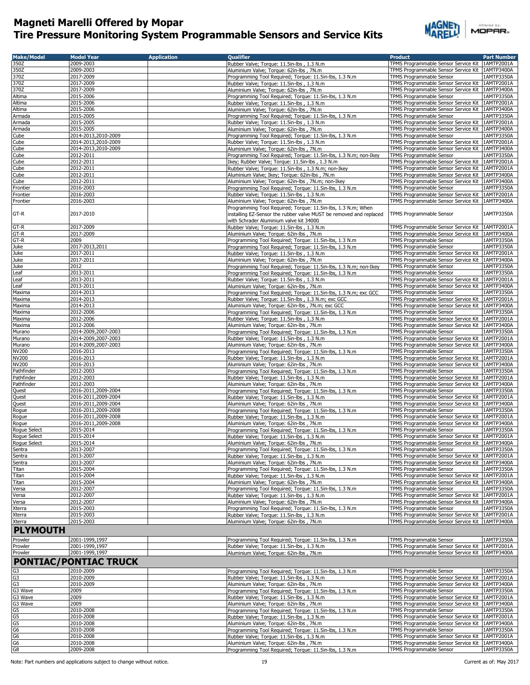

 $\overset{\text{oneed by}}{\text{MDPAR}}$ 

| <b>Make/Model</b>    | <b>Model Year</b>            | <b>Application</b> | <b>Qualifier</b>                                                                       | <b>Product</b>                                                          | <b>Part Number</b>       |
|----------------------|------------------------------|--------------------|----------------------------------------------------------------------------------------|-------------------------------------------------------------------------|--------------------------|
| 350Z                 | 2009-2003                    |                    | Rubber Valve; Torque: 11.5in-lbs, 1.3 N.m.                                             | TPMS Programmable Sensor Service Kit                                    | 1AMTP2001A               |
| 350Z                 | 2009-2003                    |                    | Aluminium Valve; Torque: 62in-lbs, 7N.m                                                | TPMS Programmable Sensor Service Kit                                    | 1AMTP3400A               |
| 370Z                 | 2017-2009                    |                    | Programming Tool Required; Torque: 11.5in-lbs, 1.3 N.m                                 | TPMS Programmable Sensor                                                | 1AMTP3350A               |
| 370Z                 | 2017-2009                    |                    | Rubber Valve; Torque: 11.5in-lbs, 1.3 N.m                                              | TPMS Programmable Sensor Service Kit                                    | 1AMTP2001A               |
| 370Z                 | 2017-2009                    |                    | Aluminium Valve; Torque: 62in-lbs, 7N.m                                                | TPMS Programmable Sensor Service Kit 1AMTP3400A                         |                          |
| Altima               | 2015-2006                    |                    | Programming Tool Required; Torque: 11.5in-lbs, 1.3 N.m                                 | TPMS Programmable Sensor                                                | 1AMTP3350A               |
| Altima               | 2015-2006                    |                    | Rubber Valve; Torque: 11.5in-lbs, 1.3 N.m.                                             | TPMS Programmable Sensor Service Kit 1AMTP2001A                         |                          |
| Altima               | 2015-2006                    |                    | Aluminium Valve; Torque: 62in-lbs, 7N.m                                                | TPMS Programmable Sensor Service Kit 1AMTP3400A                         |                          |
| Armada               | 2015-2005                    |                    | Programming Tool Required; Torque: 11.5in-lbs, 1.3 N.m                                 | TPMS Programmable Sensor                                                | 1AMTP3350A               |
| Armada               | 2015-2005                    |                    | Rubber Valve; Torque: 11.5in-lbs, 1.3 N.m                                              | TPMS Programmable Sensor Service Kit                                    | 1AMTP2001A               |
| Armada               | 2015-2005                    |                    | Aluminium Valve; Torque: 62in-lbs, 7N.m                                                | TPMS Programmable Sensor Service Kit                                    | 1AMTP3400A               |
| Cube                 | 2014-2013,2010-2009          |                    | Programming Tool Required; Torque: 11.5in-lbs, 1.3 N.m                                 | TPMS Programmable Sensor                                                | 1AMTP3350A               |
| Cube                 | 2014-2013.2010-2009          |                    | Rubber Valve; Torque: 11.5in-lbs, 1.3 N.m.                                             | TPMS Programmable Sensor Service Kit                                    | 1AMTP2001A               |
| Cube                 | 2014-2013,2010-2009          |                    | Aluminium Valve; Torque: 62in-lbs, 7N.m                                                | TPMS Programmable Sensor Service Kit                                    | 1AMTP3400A               |
| Cube                 | 2012-2011                    |                    | Programming Tool Required; Torque: 11.5in-lbs, 1.3 N.m; non-Ikey                       | <b>TPMS Programmable Sensor</b>                                         | 1AMTP3350A               |
| Cube                 | 2012-2011                    |                    | Ikey; Rubber Valve; Torque: 11.5in-lbs, 1.3 N.m.                                       | TPMS Programmable Sensor Service Kit                                    | 1AMTP2001A               |
| Cube                 | 2012-2011                    |                    | Rubber Valve; Torque: 11.5in-lbs, 1.3 N.m; non-Ikey                                    | TPMS Programmable Sensor Service Kit                                    | 1AMTP2001A               |
| Cube                 | 2012-2011                    |                    | Aluminium Valve; Ikey; Torque: 62in-lbs, 7N.m                                          | TPMS Programmable Sensor Service Kit                                    | 1AMTP3400A               |
| Cube                 | 2012-2011                    |                    |                                                                                        | TPMS Programmable Sensor Service Kit                                    | 1AMTP3400A               |
| Frontier             | 2016-2003                    |                    | Aluminium Valve; Torque: 62in-lbs, 7N.m; non-Ikey                                      | TPMS Programmable Sensor                                                | 1AMTP3350A               |
|                      | 2016-2003                    |                    | Programming Tool Required; Torque: 11.5in-lbs, 1.3 N.m                                 |                                                                         | 1AMTP2001A               |
| Frontier             |                              |                    | Rubber Valve; Torque: 11.5in-lbs, 1.3 N.m                                              | TPMS Programmable Sensor Service Kit                                    |                          |
| Frontier             | 2016-2003                    |                    | Aluminium Valve; Torque: 62in-lbs, 7N.m                                                | TPMS Programmable Sensor Service Kit                                    | 1AMTP3400A               |
|                      |                              |                    | Programming Tool Required; Torque: 11.5in-lbs, 1.3 N.m; When                           |                                                                         |                          |
| GT-R                 | 2017-2010                    |                    | installing EZ-Sensor the rubber valve MUST be removed and replaced                     | TPMS Programmable Sensor                                                | 1AMTP3350A               |
|                      |                              |                    | with Schrader Aluminium valve kit 34000                                                |                                                                         |                          |
| $GT-R$               | 2017-2009                    |                    | Rubber Valve; Torque: 11.5in-lbs, 1.3 N.m.                                             | TPMS Programmable Sensor Service Kit                                    | 1AMTP2001A               |
| GT-R                 | 2017-2009                    |                    | Aluminium Valve; Torque: 62in-lbs, 7N.m                                                | TPMS Programmable Sensor Service Kit                                    | 1AMTP3400A               |
| GT-R                 | 2009                         |                    | Programming Tool Required; Torque: 11.5in-lbs, 1.3 N.m                                 | TPMS Programmable Sensor                                                | 1AMTP3350A               |
| Juke                 | 2017-2013,2011               |                    | Programming Tool Required; Torque: 11.5in-lbs, 1.3 N.m                                 | TPMS Programmable Sensor                                                | 1AMTP3350A               |
| Juke                 | 2017-2011                    |                    | Rubber Valve; Torque: 11.5in-lbs, 1.3 N.m                                              | TPMS Programmable Sensor Service Kit 1AMTP2001A                         |                          |
| Juke                 | 2017-2011                    |                    | Aluminium Valve; Torque: 62in-lbs, 7N.m                                                | TPMS Programmable Sensor Service Kit                                    | 1AMTP3400A               |
| Juke                 | 2012                         |                    | Programming Tool Required; Torque: 11.5in-lbs, 1.3 N.m; non-Ikey                       | TPMS Programmable Sensor                                                | 1AMTP3350A               |
| Leaf                 | 2013-2011                    |                    | Programming Tool Required; Torque: 11.5in-lbs, 1.3 N.m                                 | TPMS Programmable Sensor                                                | 1AMTP3350A               |
| Leaf                 | 2013-2011                    |                    | Rubber Valve; Torque: 11.5in-lbs, 1.3 N.m                                              | TPMS Programmable Sensor Service Kit   1AMTP2001A                       |                          |
| Leaf                 | 2013-2011                    |                    | Aluminium Valve; Torque: 62in-lbs, 7N.m                                                | TPMS Programmable Sensor Service Kit                                    | 1AMTP3400A               |
| Maxima               | 2014-2013                    |                    | Programming Tool Required; Torque: 11.5in-lbs, 1.3 N.m; exc GCC                        | TPMS Programmable Sensor                                                | 1AMTP3350A               |
| Maxima               | 2014-2013                    |                    | Rubber Valve: Torque: 11.5in-lbs , 1.3 N.m: exc GCC                                    | TPMS Programmable Sensor Service Kit                                    | 1AMTP2001A               |
| Maxima               | 2014-2013                    |                    | Aluminium Valve; Torque: 62in-lbs, 7N.m; exc GCC                                       | TPMS Programmable Sensor Service Kit                                    | 1AMTP3400A               |
| Maxima               | 2012-2006                    |                    | Programming Tool Required; Torque: 11.5in-lbs, 1.3 N.m                                 | TPMS Programmable Sensor                                                | 1AMTP3350A               |
| Maxima               | 2012-2006                    |                    | Rubber Valve; Torque: 11.5in-lbs, 1.3 N.m                                              | TPMS Programmable Sensor Service Kit                                    | 1AMTP2001A               |
| Maxima               | 2012-2006                    |                    | Aluminium Valve; Torque: 62in-lbs, 7N.m                                                | TPMS Programmable Sensor Service Kit                                    | 1AMTP3400A               |
| Murano               | 2014-2009,2007-2003          |                    | Programming Tool Required; Torque: 11.5in-lbs, 1.3 N.m                                 | TPMS Programmable Sensor                                                | 1AMTP3350A               |
| Murano               | 2014-2009,2007-2003          |                    | Rubber Valve; Torque: 11.5in-lbs, 1.3 N.m.                                             | TPMS Programmable Sensor Service Kit                                    | 1AMTP2001A               |
| Murano               | 2014-2009,2007-2003          |                    | Aluminium Valve; Torque: 62in-lbs, 7N.m                                                | TPMS Programmable Sensor Service Kit                                    | 1AMTP3400A               |
| <b>NV200</b>         | 2016-2013                    |                    | Programming Tool Required; Torque: 11.5in-lbs, 1.3 N.m                                 | TPMS Programmable Sensor                                                | 1AMTP3350A               |
| <b>NV200</b>         | 2016-2013                    |                    | Rubber Valve; Torque: 11.5in-lbs, 1.3 N.m.                                             | TPMS Programmable Sensor Service Kit                                    | 1AMTP2001A               |
| <b>NV200</b>         | 2016-2013                    |                    | Aluminium Valve; Torque: 62in-lbs, 7N.m                                                | TPMS Programmable Sensor Service Kit                                    | 1AMTP3400A               |
| Pathfinder           | 2012-2003                    |                    | Programming Tool Required; Torque: 11.5in-lbs, 1.3 N.m                                 | TPMS Programmable Sensor                                                | 1AMTP3350A               |
| Pathfinder           | 2012-2003                    |                    | Rubber Valve; Torque: 11.5in-lbs, 1.3 N.m                                              | TPMS Programmable Sensor Service Kit                                    | 1AMTP2001A               |
| Pathfinder           | 2012-2003                    |                    | Aluminium Valve; Torque: 62in-lbs, 7N.m                                                | TPMS Programmable Sensor Service Kit                                    | 1AMTP3400A               |
| Quest                | 2016-2011,2009-2004          |                    | Programming Tool Required; Torque: 11.5in-lbs, 1.3 N.m                                 | TPMS Programmable Sensor                                                | 1AMTP3350A               |
| Quest                | 2016-2011,2009-2004          |                    | Rubber Valve; Torque: 11.5in-lbs, 1.3 N.m                                              | TPMS Programmable Sensor Service Kit                                    | 1AMTP2001A               |
| Quest                | 2016-2011,2009-2004          |                    | Aluminium Valve; Torque: 62in-lbs, 7N.m                                                | TPMS Programmable Sensor Service Kit   1AMTP3400A                       |                          |
| Rogue                | 2016-2011,2009-2008          |                    | Programming Tool Required; Torque: 11.5in-lbs, 1.3 N.m                                 | TPMS Programmable Sensor                                                | 1AMTP3350A               |
| Rogue                | 2016-2011,2009-2008          |                    | Rubber Valve; Torque: 11.5in-lbs, 1.3 N.m                                              | TPMS Programmable Sensor Service Kit                                    | 1AMTP2001A               |
| Rogue                | 2016-2011,2009-2008          |                    | Aluminium Valve; Torque: 62in-lbs, 7N.m                                                | TPMS Programmable Sensor Service Kit                                    | 1AMTP3400A               |
| Rogue Select         | 2015-2014                    |                    | Programming Tool Required; Torque: 11.5in-lbs, 1.3 N.m                                 | TPMS Programmable Sensor                                                | 1AMTP3350A               |
|                      | 2015-2014                    |                    | Rubber Valve; Torque: 11.5in-lbs, 1.3 N.m.                                             | TPMS Programmable Sensor Service Kit   1AMTP2001A                       |                          |
| Rogue Select         |                              |                    |                                                                                        |                                                                         |                          |
| Rogue Select         | 2015-2014                    |                    | Aluminium Valve; Torque: 62in-lbs, 7N.m.                                               | TPMS Programmable Sensor Service Kit   1AMTP3400A                       |                          |
| Sentra               | 2013-2007<br>2013-2007       |                    | Programming Tool Required; Torque: 11.5in-lbs, 1.3 N.m                                 | TPMS Programmable Sensor                                                | 1AMTP3350A               |
| Sentra               | 2013-2007                    |                    | Rubber Valve; Torque: 11.5in-lbs, 1.3 N.m<br>Aluminium Valve: Torque: 62in-lbs , 7N.m. | TPMS Programmable Sensor Service Kit                                    | 1AMTP2001A               |
| Sentra               | 2015-2004                    |                    |                                                                                        | TPMS Programmable Sensor Service Kit<br>TPMS Programmable Sensor        | 1AMTP3400A<br>1AMTP3350A |
| Titan                |                              |                    | Programming Tool Required; Torque: 11.5in-lbs, 1.3 N.m.                                | TPMS Programmable Sensor Service Kit                                    |                          |
| <b>Titan</b>         | 2015-2004                    |                    | Rubber Valve; Torque: 11.5in-lbs, 1.3 N.m                                              |                                                                         | 1AMTP2001A               |
| Titan                | 2015-2004                    |                    | Aluminium Valve; Torque: 62in-lbs, 7N.m                                                | TPMS Programmable Sensor Service Kit<br><b>TPMS Programmable Sensor</b> | 1AMTP3400A               |
| Versa                | 2012-2007                    |                    | Programming Tool Required; Torque: 11.5in-lbs, 1.3 N.m                                 |                                                                         | 1AMTP3350A               |
| Versa                | 2012-2007                    |                    | Rubber Valve; Torque: 11.5in-lbs, 1.3 N.m.                                             | TPMS Programmable Sensor Service Kit                                    | 1AMTP2001A               |
| Versa                | 2012-2007                    |                    | Aluminium Valve; Torque: 62in-lbs, 7N.m                                                | TPMS Programmable Sensor Service Kit                                    | 1AMTP3400A               |
| Xterra               | 2015-2003                    |                    | Programming Tool Required; Torque: 11.5in-lbs, 1.3 N.m                                 | TPMS Programmable Sensor                                                | 1AMTP3350A               |
| Xterra               | 2015-2003                    |                    | Rubber Valve; Torque: 11.5in-lbs, 1.3 N.m.                                             | TPMS Programmable Sensor Service Kit                                    | 1AMTP2001A               |
| Xterra               | 2015-2003                    |                    | Aluminium Valve; Torque: 62in-lbs, 7N.m                                                | TPMS Programmable Sensor Service Kit                                    | 1AMTP3400A               |
| <b>PLYMOUTH</b>      |                              |                    |                                                                                        |                                                                         |                          |
|                      |                              |                    |                                                                                        |                                                                         |                          |
| Prowler              | 2001-1999,1997               |                    | Programming Tool Required; Torque: 11.5in-lbs, 1.3 N.m                                 | TPMS Programmable Sensor                                                | 1AMTP3350A               |
| Prowler              | 2001-1999,1997               |                    | Rubber Valve; Torque: 11.5in-lbs, 1.3 N.m.                                             | TPMS Programmable Sensor Service Kit                                    | 1AMTP2001A               |
| Prowler              | 2001-1999,1997               |                    | Aluminium Valve; Torque: 62in-lbs, 7N.m                                                | TPMS Programmable Sensor Service Kit                                    | 1AMTP3400A               |
|                      | <b>PONTIAC/PONTIAC TRUCK</b> |                    |                                                                                        |                                                                         |                          |
|                      | 2010-2009                    |                    |                                                                                        |                                                                         | 1AMTP3350A               |
| G3<br>G <sub>3</sub> |                              |                    | Programming Tool Required; Torque: 11.5in-lbs, 1.3 N.m                                 | TPMS Programmable Sensor                                                |                          |
|                      | 2010-2009                    |                    | Rubber Valve; Torque: 11.5in-lbs, 1.3 N.m.                                             | TPMS Programmable Sensor Service Kit                                    | 1AMTP2001A               |
| G <sub>3</sub>       | 2010-2009                    |                    | Aluminium Valve; Torque: 62in-lbs, 7N.m                                                | TPMS Programmable Sensor Service Kit                                    | 1AMTP3400A               |
| G3 Wave              | 2009                         |                    | Programming Tool Required; Torque: 11.5in-lbs, 1.3 N.m                                 | TPMS Programmable Sensor                                                | 1AMTP3350A               |
| G3 Wave              | 2009                         |                    | Rubber Valve; Torque: 11.5in-lbs, 1.3 N.m.                                             | TPMS Programmable Sensor Service Kit                                    | 1AMTP2001A               |
| G3 Wave              | 2009                         |                    | Aluminium Valve; Torque: 62in-lbs, 7N.m                                                | TPMS Programmable Sensor Service Kit                                    | 1AMTP3400A               |
| <u>ය පෙළ පෙළ ස</u>   | 2010-2008                    |                    | Programming Tool Required; Torque: 11.5in-lbs, 1.3 N.m                                 | TPMS Programmable Sensor                                                | 1AMTP3350A               |
|                      | 2010-2008                    |                    | Rubber Valve; Torque: 11.5in-lbs, 1.3 N.m                                              | TPMS Programmable Sensor Service Kit                                    | 1AMTP2001A               |
|                      | 2010-2008                    |                    | Aluminium Valve; Torque: 62in-lbs, 7N.m                                                | TPMS Programmable Sensor Service Kit                                    | 1AMTP3400A               |
|                      | 2010-2008                    |                    | Programming Tool Required; Torque: 11.5in-lbs, 1.3 N.m.                                | TPMS Programmable Sensor                                                | 1AMTP3350A               |
|                      | 2010-2008                    |                    | Rubber Valve; Torque: 11.5in-lbs, 1.3 N.m.                                             | TPMS Programmable Sensor Service Kit                                    | 1AMTP2001A               |
|                      | 2010-2008                    |                    | Aluminium Valve; Torque: 62in-lbs, 7N.m                                                | TPMS Programmable Sensor Service Kit                                    | 1AMTP3400A               |
|                      | 2009-2008                    |                    | Programming Tool Required; Torque: 11.5in-lbs, 1.3 N.m.                                | TPMS Programmable Sensor                                                | 1AMTP3350A               |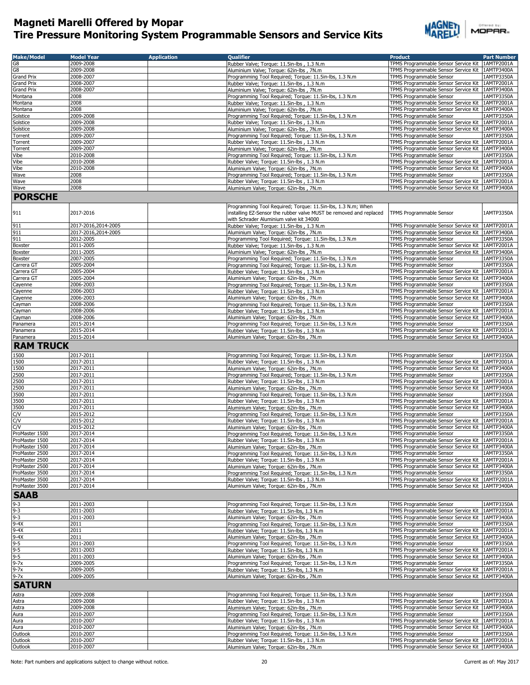

| <b>Make/Model</b>                                            | <b>Model Year</b>      | <b>Application</b> | <b>Oualifier</b>                                                                                  | <b>Product</b>                                                               | <b>Part Number</b>       |
|--------------------------------------------------------------|------------------------|--------------------|---------------------------------------------------------------------------------------------------|------------------------------------------------------------------------------|--------------------------|
| G8                                                           | 2009-2008              |                    | Rubber Valve; Torque: 11.5in-lbs, 1.3 N.m.                                                        | TPMS Programmable Sensor Service Kit                                         | 1AMTP2001A               |
| G8                                                           | 2009-2008              |                    | Aluminium Valve; Torque: 62in-lbs, 7N.m                                                           | TPMS Programmable Sensor Service Kit                                         | 1AMTP3400A               |
| <b>Grand Prix</b>                                            | 2008-2007              |                    | Programming Tool Required; Torque: 11.5in-lbs, 1.3 N.m                                            | <b>TPMS Programmable Sensor</b>                                              | 1AMTP3350A               |
| <b>Grand Prix</b>                                            | 2008-2007              |                    | Rubber Valve; Torque: 11.5in-lbs, 1.3 N.m.                                                        | TPMS Programmable Sensor Service Kit                                         | 1AMTP2001A               |
| Grand Prix                                                   | 2008-2007              |                    | Aluminium Valve; Torque: 62in-lbs, 7N.m                                                           | TPMS Programmable Sensor Service Kit                                         | 1AMTP3400A               |
| Montana                                                      | 2008                   |                    | Programming Tool Required; Torque: 11.5in-lbs, 1.3 N.m                                            | TPMS Programmable Sensor                                                     | 1AMTP3350A               |
| Montana                                                      | 2008                   |                    | Rubber Valve; Torque: 11.5in-lbs, 1.3 N.m                                                         | TPMS Programmable Sensor Service Kit                                         | 1AMTP2001A               |
| Montana                                                      | 2008                   |                    | Aluminium Valve; Torque: 62in-lbs, 7N.m                                                           | TPMS Programmable Sensor Service Kit                                         | 1AMTP3400A               |
| Solstice                                                     | 2009-2008              |                    | Programming Tool Required; Torque: 11.5in-lbs, 1.3 N.m                                            | TPMS Programmable Sensor                                                     | 1AMTP3350A               |
| Solstice                                                     | 2009-2008              |                    | Rubber Valve; Torque: 11.5in-lbs, 1.3 N.m.                                                        | TPMS Programmable Sensor Service Kit                                         | 1AMTP2001A               |
| Solstice                                                     | 2009-2008              |                    | Aluminium Valve; Torque: 62in-lbs, 7N.m                                                           | TPMS Programmable Sensor Service Kit                                         | 1AMTP3400A               |
| Torrent                                                      | 2009-2007              |                    | Programming Tool Required; Torque: 11.5in-lbs, 1.3 N.m                                            | TPMS Programmable Sensor                                                     | 1AMTP3350A               |
| Torrent                                                      | 2009-2007              |                    | Rubber Valve; Torque: 11.5in-lbs, 1.3 N.m                                                         | TPMS Programmable Sensor Service Kit                                         | 1AMTP2001A               |
| Torrent                                                      | 2009-2007              |                    | Aluminium Valve; Torque: 62in-lbs, 7N.m                                                           | TPMS Programmable Sensor Service Kit<br><b>TPMS Programmable Sensor</b>      | 1AMTP3400A               |
| Vibe                                                         | 2010-2008              |                    | Programming Tool Required; Torque: 11.5in-lbs, 1.3 N.m                                            | TPMS Programmable Sensor Service Kit                                         | 1AMTP3350A               |
| Vibe<br>Vibe                                                 | 2010-2008<br>2010-2008 |                    | Rubber Valve; Torque: 11.5in-lbs, 1.3 N.m.<br>Aluminium Valve; Torque: 62in-lbs, 7N.m             | TPMS Programmable Sensor Service Kit                                         | 1AMTP2001A<br>1AMTP3400A |
| Wave                                                         | 2008                   |                    | Programming Tool Required; Torque: 11.5in-lbs, 1.3 N.m.                                           | TPMS Programmable Sensor                                                     | 1AMTP3350A               |
| Wave                                                         | 2008                   |                    | Rubber Valve; Torque: 11.5in-lbs, 1.3 N.m                                                         | TPMS Programmable Sensor Service Kit                                         | 1AMTP2001A               |
| Wave                                                         | 2008                   |                    | Aluminium Valve; Torque: 62in-lbs, 7N.m                                                           | TPMS Programmable Sensor Service Kit   1AMTP3400A                            |                          |
|                                                              |                        |                    |                                                                                                   |                                                                              |                          |
| <b>PORSCHE</b>                                               |                        |                    |                                                                                                   |                                                                              |                          |
|                                                              |                        |                    | Programming Tool Required; Torque: 11.5in-lbs, 1.3 N.m; When                                      |                                                                              |                          |
| 911                                                          | 2017-2016              |                    | installing EZ-Sensor the rubber valve MUST be removed and replaced                                | TPMS Programmable Sensor                                                     | 1AMTP3350A               |
|                                                              |                        |                    | with Schrader Aluminium valve kit 34000                                                           |                                                                              |                          |
| 911                                                          | 2017-2016,2014-2005    |                    | Rubber Valve; Torque: 11.5in-lbs, 1.3 N.m                                                         | TPMS Programmable Sensor Service Kit                                         | 1AMTP2001A               |
| 911                                                          | 2017-2016,2014-2005    |                    | Aluminium Valve; Torque: 62in-lbs, 7N.m                                                           | TPMS Programmable Sensor Service Kit                                         | 1AMTP3400A               |
| 911                                                          | 2012-2005              |                    | Programming Tool Required; Torque: 11.5in-lbs, 1.3 N.m                                            | <b>TPMS Programmable Sensor</b>                                              | 1AMTP3350A               |
| Boxster                                                      | 2011-2005              |                    | Rubber Valve; Torque: 11.5in-lbs, 1.3 N.m.                                                        | TPMS Programmable Sensor Service Kit                                         | 1AMTP2001A               |
| Boxster                                                      | 2011-2005              |                    | Aluminium Valve; Torque: 62in-lbs, 7N.m                                                           | TPMS Programmable Sensor Service Kit                                         | 1AMTP3400A               |
| Boxster                                                      | 2007-2005              |                    | Programming Tool Required; Torque: 11.5in-lbs, 1.3 N.m                                            | TPMS Programmable Sensor                                                     | 1AMTP3350A               |
| Carrera GT                                                   | 2005-2004              |                    | Programming Tool Required; Torque: 11.5in-lbs, 1.3 N.m                                            | TPMS Programmable Sensor                                                     | 1AMTP3350A<br>1AMTP2001A |
| Carrera GT                                                   | 2005-2004<br>2005-2004 |                    | Rubber Valve; Torque: 11.5in-lbs, 1.3 N.m.                                                        | TPMS Programmable Sensor Service Kit<br>TPMS Programmable Sensor Service Kit | 1AMTP3400A               |
| Carrera GT<br>Cayenne                                        | 2006-2003              |                    | Aluminium Valve; Torque: 62in-lbs, 7N.m<br>Programming Tool Required; Torque: 11.5in-lbs, 1.3 N.m | TPMS Programmable Sensor                                                     | 1AMTP3350A               |
| Cayenne                                                      | 2006-2003              |                    | Rubber Valve; Torque: 11.5in-lbs, 1.3 N.m.                                                        | TPMS Programmable Sensor Service Kit                                         | 1AMTP2001A               |
| Cayenne                                                      | 2006-2003              |                    | Aluminium Valve; Torque: 62in-lbs, 7N.m                                                           | TPMS Programmable Sensor Service Kit                                         | 1AMTP3400A               |
| Cayman                                                       | 2008-2006              |                    | Programming Tool Required; Torque: 11.5in-lbs, 1.3 N.m                                            | TPMS Programmable Sensor                                                     | 1AMTP3350A               |
| Cayman                                                       | 2008-2006              |                    | Rubber Valve; Torque: 11.5in-lbs, 1.3 N.m                                                         | TPMS Programmable Sensor Service Kit                                         | 1AMTP2001A               |
| Cayman                                                       | 2008-2006              |                    | Aluminium Valve; Torque: 62in-lbs, 7N.m                                                           | TPMS Programmable Sensor Service Kit                                         | 1AMTP3400A               |
| Panamera                                                     | 2015-2014              |                    | Programming Tool Required; Torque: 11.5in-lbs, 1.3 N.m                                            | TPMS Programmable Sensor                                                     | 1AMTP3350A               |
| Panamera                                                     | 2015-2014              |                    | Rubber Valve; Torque: 11.5in-lbs, 1.3 N.m.                                                        | TPMS Programmable Sensor Service Kit                                         | 1AMTP2001A               |
| Panamera                                                     | 2015-2014              |                    | Aluminium Valve; Torque: 62in-lbs, 7N.m                                                           | TPMS Programmable Sensor Service Kit   1AMTP3400A                            |                          |
| <b>RAM TRUCK</b>                                             |                        |                    |                                                                                                   |                                                                              |                          |
|                                                              |                        |                    |                                                                                                   |                                                                              |                          |
| 1500                                                         | 2017-2011              |                    | Programming Tool Required; Torque: 11.5in-lbs, 1.3 N.m                                            | TPMS Programmable Sensor                                                     | 1AMTP3350A               |
| 1500                                                         | 2017-2011              |                    | Rubber Valve; Torque: 11.5in-lbs, 1.3 N.m                                                         | TPMS Programmable Sensor Service Kit                                         | 1AMTP2001A               |
| 1500                                                         | 2017-2011              |                    | Aluminium Valve; Torque: 62in-lbs, 7N.m                                                           | TPMS Programmable Sensor Service Kit                                         | 1AMTP3400A               |
| 2500                                                         | 2017-2011              |                    | Programming Tool Required; Torque: 11.5in-lbs, 1.3 N.m                                            | <b>TPMS Programmable Sensor</b>                                              | 1AMTP3350A               |
| 2500                                                         | 2017-2011              |                    | Rubber Valve; Torque: 11.5in-lbs, 1.3 N.m                                                         | TPMS Programmable Sensor Service Kit                                         | 1AMTP2001A               |
| 2500                                                         | 2017-2011              |                    | Aluminium Valve; Torque: 62in-lbs, 7N.m                                                           | TPMS Programmable Sensor Service Kit                                         | 1AMTP3400A               |
| 3500<br>3500                                                 | 2017-2011<br>2017-2011 |                    | Programming Tool Required; Torque: 11.5in-lbs, 1.3 N.m                                            | TPMS Programmable Sensor<br>TPMS Programmable Sensor Service Kit             | 1AMTP3350A<br>1AMTP2001A |
| 3500                                                         | 2017-2011              |                    | Rubber Valve; Torque: 11.5in-lbs, 1.3 N.m.<br>Aluminium Valve; Torque: 62in-lbs, 7N.m             | TPMS Programmable Sensor Service Kit                                         | 1AMTP3400A               |
| C/V                                                          | 2015-2012              |                    | Programming Tool Required; Torque: 11.5in-lbs, 1.3 N.m                                            | <b>TPMS Programmable Sensor</b>                                              | 1AMTP3350A               |
| C/V                                                          | 2015-2012              |                    | Rubber Valve: Torque: 11.5in-lbs , 1.3 N.m.                                                       | TPMS Programmable Sensor Service Kit                                         | 1AMTP2001A               |
| C/V                                                          | 2015-2012              |                    | Aluminium Valve; Torque: 62in-lbs, 7N.m                                                           | TPMS Programmable Sensor Service Kit                                         | 1AMTP3400A               |
| ProMaster 1500                                               | 2017-2014              |                    | Programming Tool Required; Torque: 11.5in-lbs, 1.3 N.m                                            | TPMS Programmable Sensor                                                     | 1AMTP3350A               |
| ProMaster 1500                                               | 2017-2014              |                    | Rubber Valve; Torque: 11.5in-lbs, 1.3 N.m                                                         | TPMS Programmable Sensor Service Kit 1AMTP2001A                              |                          |
| ProMaster 1500                                               | 2017-2014              |                    | Aluminium Valve; Torque: 62in-lbs, 7N.m                                                           | TPMS Programmable Sensor Service Kit   1AMTP3400A                            |                          |
| ProMaster 2500                                               | 2017-2014              |                    | Programming Tool Required; Torque: 11.5in-lbs, 1.3 N.m                                            | TPMS Programmable Sensor                                                     | 1AMTP3350A               |
| ProMaster 2500                                               | 2017-2014              |                    | Rubber Valve; Torque: 11.5in-lbs, 1.3 N.m.                                                        | TPMS Programmable Sensor Service Kit   1AMTP2001A                            |                          |
| ProMaster 2500                                               | 2017-2014              |                    | Aluminium Valve; Torque: 62in-lbs, 7N.m                                                           | TPMS Programmable Sensor Service Kit                                         | 1AMTP3400A               |
| ProMaster 3500                                               | 2017-2014              |                    | Programming Tool Required; Torque: 11.5in-lbs, 1.3 N.m                                            | TPMS Programmable Sensor                                                     | 1AMTP3350A               |
| ProMaster 3500                                               | 2017-2014              |                    | Rubber Valve; Torque: 11.5in-lbs, 1.3 N.m.                                                        | TPMS Programmable Sensor Service Kit 1AMTP2001A                              |                          |
| ProMaster 3500                                               | 2017-2014              |                    | Aluminium Valve; Torque: 62in-lbs, 7N.m                                                           | TPMS Programmable Sensor Service Kit   1AMTP3400A                            |                          |
| <b>SAAB</b>                                                  |                        |                    |                                                                                                   |                                                                              |                          |
| $9 - 3$                                                      | 2011-2003              |                    | Programming Tool Required; Torque: 11.5in-lbs, 1.3 N.m                                            | TPMS Programmable Sensor                                                     | 1AMTP3350A               |
| $9 - 3$                                                      | 2011-2003              |                    | Rubber Valve; Torque: 11.5in-lbs, 1.3 N.m                                                         | TPMS Programmable Sensor Service Kit                                         | 1AMTP2001A               |
| $9 - 3$                                                      | 2011-2003              |                    | Aluminium Valve; Torque: 62in-lbs, 7N.m                                                           | TPMS Programmable Sensor Service Kit                                         | 1AMTP3400A               |
| $9-4X$                                                       | 2011                   |                    | Programming Tool Required; Torque: 11.5in-lbs, 1.3 N.m                                            | TPMS Programmable Sensor                                                     | 1AMTP3350A               |
| $9-4X$                                                       | 2011                   |                    | Rubber Valve; Torque: 11.5in-lbs, 1.3 N.m                                                         | TPMS Programmable Sensor Service Kit                                         | 1AMTP2001A               |
| $9-4X$                                                       | 2011                   |                    | Aluminium Valve; Torque: 62in-lbs, 7N.m                                                           | TPMS Programmable Sensor Service Kit                                         | 1AMTP3400A               |
|                                                              | 2011-2003              |                    | Programming Tool Required; Torque: 11.5in-lbs, 1.3 N.m                                            | TPMS Programmable Sensor                                                     | 1AMTP3350A               |
| $\frac{9-5}{9-5}$<br>$\frac{9-5}{9-5}$<br>$\frac{9-5}{9-7x}$ | 2011-2003              |                    | Rubber Valve; Torque: 11.5in-lbs, 1.3 N.m                                                         | TPMS Programmable Sensor Service Kit                                         | 1AMTP2001A               |
|                                                              | 2011-2003              |                    | Aluminium Valve; Torque: 62in-lbs, 7N.m                                                           | TPMS Programmable Sensor Service Kit                                         | 1AMTP3400A               |
|                                                              | 2009-2005              |                    | Programming Tool Required; Torque: 11.5in-lbs, 1.3 N.m                                            | TPMS Programmable Sensor                                                     | 1AMTP3350A               |
| $9-7x$                                                       | 2009-2005              |                    | Rubber Valve; Torque: 11.5in-lbs, 1.3 N.m                                                         | TPMS Programmable Sensor Service Kit                                         | 1AMTP2001A               |
| $9-7x$                                                       | 2009-2005              |                    | Aluminium Valve; Torque: 62in-lbs, 7N.m                                                           | TPMS Programmable Sensor Service Kit                                         | 1AMTP3400A               |
| <b>SATURN</b>                                                |                        |                    |                                                                                                   |                                                                              |                          |
|                                                              |                        |                    |                                                                                                   |                                                                              |                          |
| Astra                                                        | 2009-2008              |                    | Programming Tool Required; Torque: 11.5in-lbs, 1.3 N.m                                            | TPMS Programmable Sensor                                                     | 1AMTP3350A               |
| Astra                                                        | 2009-2008              |                    | Rubber Valve; Torque: 11.5in-lbs, 1.3 N.m.                                                        | TPMS Programmable Sensor Service Kit                                         | 1AMTP2001A               |
| Astra                                                        | 2009-2008              |                    | Aluminium Valve; Torque: 62in-lbs, 7N.m                                                           | TPMS Programmable Sensor Service Kit                                         | 1AMTP3400A               |
| Aura                                                         | 2010-2007              |                    | Programming Tool Required; Torque: 11.5in-lbs, 1.3 N.m                                            | TPMS Programmable Sensor                                                     | 1AMTP3350A               |
| Aura                                                         | 2010-2007              |                    | Rubber Valve; Torque: 11.5in-lbs, 1.3 N.m.                                                        | TPMS Programmable Sensor Service Kit                                         | 1AMTP2001A               |
| Aura<br>Outlook                                              | 2010-2007<br>2010-2007 |                    | Aluminium Valve; Torque: 62in-lbs, 7N.m<br>Programming Tool Required; Torque: 11.5in-lbs, 1.3 N.m | TPMS Programmable Sensor Service Kit<br>TPMS Programmable Sensor             | 1AMTP3400A<br>1AMTP3350A |
| Outlook                                                      | 2010-2007              |                    | Rubber Valve; Torque: 11.5in-lbs, 1.3 N.m                                                         | TPMS Programmable Sensor Service Kit 1AMTP2001A                              |                          |
| Outlook                                                      | 2010-2007              |                    | Aluminium Valve; Torque: 62in-lbs, 7N.m                                                           | TPMS Programmable Sensor Service Kit   1AMTP3400A                            |                          |
|                                                              |                        |                    |                                                                                                   |                                                                              |                          |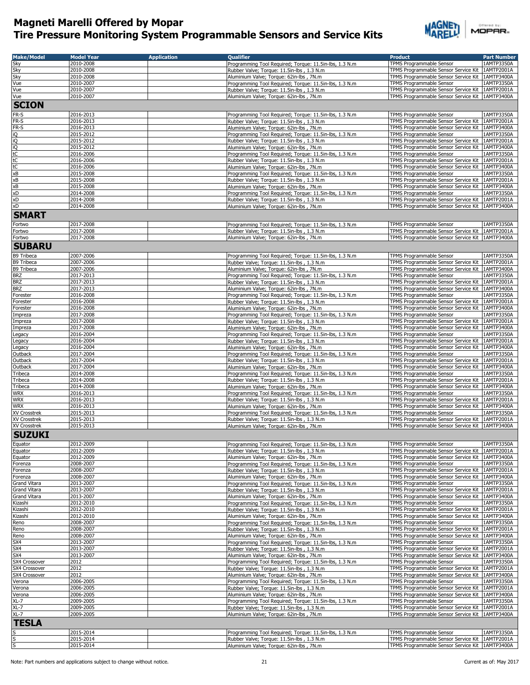

|        | Offered by: |  |  |  |
|--------|-------------|--|--|--|
| MOPAR. |             |  |  |  |

| <b>Make/Model</b> | <b>Model Year</b> | <b>Application</b> | <b>Oualifier</b>                                        | <b>Product</b>                                    | <b>Part Number</b> |
|-------------------|-------------------|--------------------|---------------------------------------------------------|---------------------------------------------------|--------------------|
| Sky               | 2010-2008         |                    | Programming Tool Required; Torque: 11.5in-lbs, 1.3 N.m  | TPMS Programmable Sensor                          | 1AMTP3350A         |
| Sky               | 2010-2008         |                    | Rubber Valve; Torque: 11.5in-lbs, 1.3 N.m               | TPMS Programmable Sensor Service Kit   1AMTP2001A |                    |
| Sky               | 2010-2008         |                    | Aluminium Valve; Torque: 62in-lbs, 7N.m                 | TPMS Programmable Sensor Service Kit 1AMTP3400A   |                    |
|                   | 2010-2007         |                    |                                                         | <b>TPMS Programmable Sensor</b>                   | 1AMTP3350A         |
| Vue<br>Vue        | 2010-2007         |                    | Programming Tool Required; Torque: 11.5in-lbs, 1.3 N.m  | TPMS Programmable Sensor Service Kit 1AMTP2001A   |                    |
|                   | 2010-2007         |                    | Rubber Valve; Torque: 11.5in-lbs, 1.3 N.m.              |                                                   |                    |
| Vue               |                   |                    | Aluminium Valve; Torque: 62in-lbs, 7N.m                 | TPMS Programmable Sensor Service Kit   1AMTP3400A |                    |
| <b>SCION</b>      |                   |                    |                                                         |                                                   |                    |
| FR-S              | 2016-2013         |                    | Programming Tool Required; Torque: 11.5in-lbs, 1.3 N.m  | TPMS Programmable Sensor                          | 1AMTP3350A         |
| FR-S              | 2016-2013         |                    |                                                         | TPMS Programmable Sensor Service Kit              | 1AMTP2001A         |
|                   |                   |                    | Rubber Valve; Torque: 11.5in-lbs, 1.3 N.m               |                                                   |                    |
| FR-S              | 2016-2013         |                    | Aluminium Valve; Torque: 62in-lbs, 7N.m                 | TPMS Programmable Sensor Service Kit   1AMTP3400A |                    |
| iQ                | 2015-2012         |                    | Programming Tool Required; Torque: 11.5in-lbs, 1.3 N.m  | TPMS Programmable Sensor                          | 1AMTP3350A         |
| 's 'g             | 2015-2012         |                    | Rubber Valve; Torque: 11.5in-lbs, 1.3 N.m               | TPMS Programmable Sensor Service Kit   1AMTP2001A |                    |
|                   | 2015-2012         |                    | Aluminium Valve; Torque: 62in-lbs, 7N.m                 | TPMS Programmable Sensor Service Kit 1AMTP3400A   |                    |
|                   | 2016-2006         |                    | Programming Tool Required; Torque: 11.5in-lbs, 1.3 N.m  | TPMS Programmable Sensor                          | 1AMTP3350A         |
| tC                | 2016-2006         |                    | Rubber Valve; Torque: 11.5in-lbs, 1.3 N.m               | TPMS Programmable Sensor Service Kit   1AMTP2001A |                    |
| tC                | 2016-2006         |                    | Aluminium Valve; Torque: 62in-lbs, 7N.m                 | TPMS Programmable Sensor Service Kit   1AMTP3400A |                    |
| xB                | 2015-2008         |                    | Programming Tool Required; Torque: 11.5in-lbs, 1.3 N.m  | TPMS Programmable Sensor                          | 1AMTP3350A         |
| xB                | 2015-2008         |                    | Rubber Valve; Torque: 11.5in-lbs, 1.3 N.m.              | TPMS Programmable Sensor Service Kit   1AMTP2001A |                    |
| хB                | 2015-2008         |                    | Aluminium Valve; Torque: 62in-lbs, 7N.m                 | TPMS Programmable Sensor Service Kit   1AMTP3400A |                    |
| xD                | 2014-2008         |                    | Programming Tool Required; Torque: 11.5in-lbs, 1.3 N.m  | TPMS Programmable Sensor                          | 1AMTP3350A         |
| xD                | 2014-2008         |                    | Rubber Valve; Torque: 11.5in-lbs, 1.3 N.m.              | TPMS Programmable Sensor Service Kit 1AMTP2001A   |                    |
| xD                | 2014-2008         |                    | Aluminium Valve; Torque: 62in-lbs, 7N.m                 | TPMS Programmable Sensor Service Kit 1AMTP3400A   |                    |
| <b>SMART</b>      |                   |                    |                                                         |                                                   |                    |
|                   |                   |                    |                                                         |                                                   |                    |
| Fortwo            | 2017-2008         |                    | Programming Tool Required: Torque: 11.5in-lbs, 1.3 N.m. | TPMS Programmable Sensor                          | 1AMTP3350A         |
| Fortwo            | 2017-2008         |                    | Rubber Valve; Torque: 11.5in-lbs, 1.3 N.m               | TPMS Programmable Sensor Service Kit   1AMTP2001A |                    |
| Fortwo            | 2017-2008         |                    | Aluminium Valve; Torque: 62in-lbs, 7N.m                 | TPMS Programmable Sensor Service Kit 1AMTP3400A   |                    |
| <b>SUBARU</b>     |                   |                    |                                                         |                                                   |                    |
|                   |                   |                    |                                                         |                                                   |                    |
| B9 Tribeca        | 2007-2006         |                    | Programming Tool Required; Torque: 11.5in-lbs, 1.3 N.m  | TPMS Programmable Sensor                          | 1AMTP3350A         |
| <b>B9 Tribeca</b> | 2007-2006         |                    | Rubber Valve; Torque: 11.5in-lbs, 1.3 N.m.              | TPMS Programmable Sensor Service Kit 1AMTP2001A   |                    |
| B9 Tribeca        | 2007-2006         |                    | Aluminium Valve; Torque: 62in-lbs, 7N.m                 | TPMS Programmable Sensor Service Kit   1AMTP3400A |                    |
| <b>BRZ</b>        | 2017-2013         |                    | Programming Tool Required; Torque: 11.5in-lbs, 1.3 N.m  | TPMS Programmable Sensor                          | 1AMTP3350A         |
| <b>BRZ</b>        | 2017-2013         |                    | Rubber Valve; Torque: 11.5in-lbs, 1.3 N.m               | TPMS Programmable Sensor Service Kit 1AMTP2001A   |                    |
| <b>BRZ</b>        | 2017-2013         |                    | Aluminium Valve; Torque: 62in-lbs, 7N.m                 | TPMS Programmable Sensor Service Kit   1AMTP3400A |                    |
| Forester          | 2016-2008         |                    | Programming Tool Required; Torque: 11.5in-lbs, 1.3 N.m  | TPMS Programmable Sensor                          | 1AMTP3350A         |
| Forester          | 2016-2008         |                    | Rubber Valve; Torque: 11.5in-lbs, 1.3 N.m               | TPMS Programmable Sensor Service Kit 1AMTP2001A   |                    |
| Forester          | 2016-2008         |                    | Aluminium Valve; Torque: 62in-lbs, 7N.m                 | TPMS Programmable Sensor Service Kit 1AMTP3400A   |                    |
| Impreza           | 2017-2008         |                    | Programming Tool Required; Torque: 11.5in-lbs, 1.3 N.m  | TPMS Programmable Sensor                          | 1AMTP3350A         |
| Impreza           | 2017-2008         |                    | Rubber Valve; Torque: 11.5in-lbs, 1.3 N.m               | TPMS Programmable Sensor Service Kit              | 1AMTP2001A         |
| Impreza           | 2017-2008         |                    | Aluminium Valve; Torque: 62in-lbs, 7N.m                 | TPMS Programmable Sensor Service Kit   1AMTP3400A |                    |
| Legacy            | 2016-2004         |                    | Programming Tool Required; Torque: 11.5in-lbs, 1.3 N.m  | TPMS Programmable Sensor                          | 1AMTP3350A         |
|                   | 2016-2004         |                    | Rubber Valve; Torque: 11.5in-lbs, 1.3 N.m.              | TPMS Programmable Sensor Service Kit   1AMTP2001A |                    |
| Legacy            | 2016-2004         |                    |                                                         | TPMS Programmable Sensor Service Kit   1AMTP3400A |                    |
| Legacy            |                   |                    | Aluminium Valve; Torque: 62in-lbs, 7N.m                 |                                                   |                    |
| Outback           | 2017-2004         |                    | Programming Tool Required; Torque: 11.5in-lbs, 1.3 N.m. | TPMS Programmable Sensor                          | 1AMTP3350A         |
| Outback           | 2017-2004         |                    | Rubber Valve; Torque: 11.5in-lbs, 1.3 N.m               | TPMS Programmable Sensor Service Kit 1AMTP2001A   |                    |
| Outback           | 2017-2004         |                    | Aluminium Valve; Torque: 62in-lbs, 7N.m                 | TPMS Programmable Sensor Service Kit   1AMTP3400A |                    |
| Tribeca           | 2014-2008         |                    | Programming Tool Required; Torque: 11.5in-lbs, 1.3 N.m  | TPMS Programmable Sensor                          | 1AMTP3350A         |
| Tribeca           | 2014-2008         |                    | Rubber Valve; Torque: 11.5in-lbs, 1.3 N.m.              | TPMS Programmable Sensor Service Kit   1AMTP2001A |                    |
| Tribeca           | 2014-2008         |                    | Aluminium Valve; Torque: 62in-lbs, 7N.m                 | TPMS Programmable Sensor Service Kit   1AMTP3400A |                    |
| <b>WRX</b>        | 2016-2013         |                    | Programming Tool Required; Torque: 11.5in-lbs, 1.3 N.m  | TPMS Programmable Sensor                          | 1AMTP3350A         |
| <b>WRX</b>        | 2016-2013         |                    | Rubber Valve; Torque: 11.5in-lbs, 1.3 N.m               | TPMS Programmable Sensor Service Kit   1AMTP2001A |                    |
| <b>WRX</b>        | 2016-2013         |                    | Aluminium Valve; Torque: 62in-lbs, 7N.m                 | TPMS Programmable Sensor Service Kit   1AMTP3400A |                    |
| XV Crosstrek      | 2015-2013         |                    | Programming Tool Required; Torque: 11.5in-lbs, 1.3 N.m  | <b>TPMS Programmable Sensor</b>                   | 1AMTP3350A         |
| XV Crosstrek      | 2015-2013         |                    | Rubber Valve; Torque: 11.5in-lbs, 1.3 N.m.              | TPMS Programmable Sensor Service Kit 1AMTP2001A   |                    |
| XV Crosstrek      | 2015-2013         |                    | Aluminium Valve; Torque: 62in-lbs, 7N.m                 | TPMS Programmable Sensor Service Kit   1AMTP3400A |                    |
| <b>SUZUKI</b>     |                   |                    |                                                         |                                                   |                    |
|                   |                   |                    |                                                         |                                                   |                    |
| Equator           | 2012-2009         |                    | Programming Tool Required; Torque: 11.5in-lbs, 1.3 N.m  | TPMS Programmable Sensor                          | 1AMTP3350A         |
| Equator           | 2012-2009         |                    | Rubber Valve; Torque: 11.5in-lbs, 1.3 N.m               | TPMS Programmable Sensor Service Kit              | 1AMTP2001A         |
| Equator           | 2012-2009         |                    | Aluminium Valve; Torque: 62in-lbs, 7N.m                 | TPMS Programmable Sensor Service Kit 1AMTP3400A   |                    |
| Forenza           | 2008-2007         |                    | Programming Tool Required; Torque: 11.5in-lbs, 1.3 N.m  | TPMS Programmable Sensor                          | 1AMTP3350A         |
| Forenza           | 2008-2007         |                    | Rubber Valve; Torque: 11.5in-lbs, 1.3 N.m               | TPMS Programmable Sensor Service Kit 1AMTP2001A   |                    |
| Forenza           | 2008-2007         |                    | Aluminium Valve; Torque: 62in-lbs, 7N.m                 | TPMS Programmable Sensor Service Kit 1AMTP3400A   |                    |
| Grand Vitara      | 2013-2007         |                    | Programming Tool Required; Torque: 11.5in-lbs, 1.3 N.m  | TPMS Programmable Sensor                          | 1AMTP3350A         |
| Grand Vitara      | 2013-2007         |                    | Rubber Valve; Torque: 11.5in-lbs, 1.3 N.m               | TPMS Programmable Sensor Service Kit 1AMTP2001A   |                    |
| Grand Vitara      | 2013-2007         |                    | Aluminium Valve; Torque: 62in-lbs, 7N.m                 | TPMS Programmable Sensor Service Kit   1AMTP3400A |                    |
| Kizashi           | 2012-2010         |                    | Programming Tool Required; Torque: 11.5in-lbs, 1.3 N.m  | TPMS Programmable Sensor                          | 1AMTP3350A         |
| Kizashi           | 2012-2010         |                    | Rubber Valve; Torque: 11.5in-lbs, 1.3 N.m.              | TPMS Programmable Sensor Service Kit 1AMTP2001A   |                    |
| Kizashi           | 2012-2010         |                    | Aluminium Valve; Torque: 62in-lbs, 7N.m                 | TPMS Programmable Sensor Service Kit   1AMTP3400A |                    |
| Reno              | 2008-2007         |                    | Programming Tool Required; Torque: 11.5in-lbs, 1.3 N.m  | TPMS Programmable Sensor                          | 1AMTP3350A         |
| Reno              | 2008-2007         |                    | Rubber Valve; Torque: 11.5in-lbs, 1.3 N.m               | TPMS Programmable Sensor Service Kit 1AMTP2001A   |                    |
| Reno              | 2008-2007         |                    | Aluminium Valve; Torque: 62in-lbs, 7N.m                 | TPMS Programmable Sensor Service Kit   1AMTP3400A |                    |
| SX4               | 2013-2007         |                    | Programming Tool Required; Torque: 11.5in-lbs, 1.3 N.m  | TPMS Programmable Sensor                          | 1AMTP3350A         |
| SX4               | 2013-2007         |                    | Rubber Valve: Torque: 11.5in-lbs, 1.3 N.m.              | TPMS Programmable Sensor Service Kit              | 1AMTP2001A         |
| SX4               | 2013-2007         |                    | Aluminium Valve; Torque: 62in-lbs, 7N.m                 | TPMS Programmable Sensor Service Kit   1AMTP3400A |                    |
| SX4 Crossover     | 2012              |                    | Programming Tool Required; Torque: 11.5in-lbs, 1.3 N.m  | TPMS Programmable Sensor                          | 1AMTP3350A         |
| SX4 Crossover     | 2012              |                    |                                                         | TPMS Programmable Sensor Service Kit   1AMTP2001A |                    |
|                   |                   |                    | Rubber Valve; Torque: 11.5in-lbs, 1.3 N.m               |                                                   |                    |
| SX4 Crossover     | 2012              |                    | Aluminium Valve; Torque: 62in-lbs, 7N.m                 | TPMS Programmable Sensor Service Kit   1AMTP3400A |                    |
| Verona            | 2006-2005         |                    | Programming Tool Required; Torque: 11.5in-lbs, 1.3 N.m  | TPMS Programmable Sensor                          | 1AMTP3350A         |
| Verona            | 2006-2005         |                    | Rubber Valve; Torque: 11.5in-lbs, 1.3 N.m.              | TPMS Programmable Sensor Service Kit              | 1AMTP2001A         |
| Verona            | 2006-2005         |                    | Aluminium Valve; Torque: 62in-lbs, 7N.m                 | TPMS Programmable Sensor Service Kit   1AMTP3400A |                    |
| XL-7              | 2009-2005         |                    | Programming Tool Required; Torque: 11.5in-lbs, 1.3 N.m  | TPMS Programmable Sensor                          | 1AMTP3350A         |
| $XL-7$            | 2009-2005         |                    | Rubber Valve; Torque: 11.5in-lbs, 1.3 N.m               | TPMS Programmable Sensor Service Kit   1AMTP2001A |                    |
| $XL-7$            | 2009-2005         |                    | Aluminium Valve; Torque: 62in-lbs, 7N.m                 | TPMS Programmable Sensor Service Kit 1AMTP3400A   |                    |
| <b>TESLA</b>      |                   |                    |                                                         |                                                   |                    |
|                   |                   |                    |                                                         |                                                   |                    |
|                   | 2015-2014         |                    | Programming Tool Required; Torque: 11.5in-lbs, 1.3 N.m  | TPMS Programmable Sensor                          | 1AMTP3350A         |
| S                 | 2015-2014         |                    | Rubber Valve; Torque: 11.5in-lbs, 1.3 N.m.              | TPMS Programmable Sensor Service Kit   1AMTP2001A |                    |
| S                 | 2015-2014         |                    | Aluminium Valve; Torque: 62in-lbs, 7N.m                 | TPMS Programmable Sensor Service Kit 1AMTP3400A   |                    |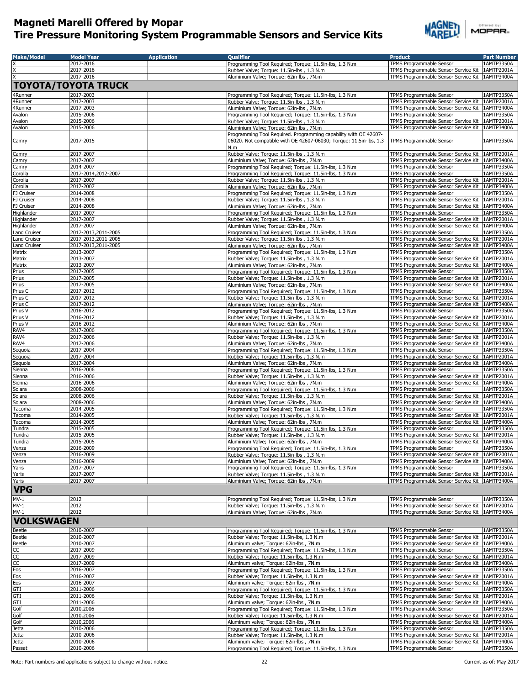

| <b>Make/Model</b>     | <b>Model Year</b>          | <b>Application</b> | <b>Qualifier</b>                                                                                     | <b>Product</b>                                                                                         | <b>Part Number</b> |
|-----------------------|----------------------------|--------------------|------------------------------------------------------------------------------------------------------|--------------------------------------------------------------------------------------------------------|--------------------|
|                       | 2017-2016                  |                    | Programming Tool Required; Torque: 11.5in-lbs, 1.3 N.m                                               | TPMS Programmable Sensor                                                                               | 1AMTP3350A         |
|                       | 2017-2016                  |                    | Rubber Valve; Torque: 11.5in-lbs, 1.3 N.m.                                                           | TPMS Programmable Sensor Service Kit   1AMTP2001A                                                      |                    |
|                       | 2017-2016                  |                    | Aluminium Valve; Torque: 62in-lbs, 7N.m                                                              | TPMS Programmable Sensor Service Kit   1AMTP3400A                                                      |                    |
|                       | <b>TOYOTA/TOYOTA TRUCK</b> |                    |                                                                                                      |                                                                                                        |                    |
|                       | 2017-2003                  |                    |                                                                                                      |                                                                                                        |                    |
| 4Runner<br>4Runner    | 2017-2003                  |                    | Programming Tool Required; Torque: 11.5in-lbs, 1.3 N.m<br>Rubber Valve; Torque: 11.5in-lbs, 1.3 N.m. | TPMS Programmable Sensor<br>TPMS Programmable Sensor Service Kit   1AMTP2001A                          | 1AMTP3350A         |
| 4Runner               | 2017-2003                  |                    | Aluminium Valve: Torque: 62in-lbs, 7N.m.                                                             | TPMS Programmable Sensor Service Kit   1AMTP3400A                                                      |                    |
| Avalon                | 2015-2006                  |                    | Programming Tool Required; Torque: 11.5in-lbs, 1.3 N.m                                               | TPMS Programmable Sensor                                                                               | 1AMTP3350A         |
| Avalon                | 2015-2006                  |                    | Rubber Valve; Torque: 11.5in-lbs, 1.3 N.m                                                            | TPMS Programmable Sensor Service Kit 1AMTP2001A                                                        |                    |
| Avalon                | 2015-2006                  |                    | Aluminium Valve; Torque: 62in-lbs, 7N.m                                                              | TPMS Programmable Sensor Service Kit   1AMTP3400A                                                      |                    |
|                       |                            |                    | Programming Tool Required. Programming capability with OE 42607-                                     |                                                                                                        |                    |
| Camry                 | 2017-2015                  |                    | 06020. Not compatible with OE 42607-06030; Torque: 11.5in-lbs, 1.3                                   | TPMS Programmable Sensor                                                                               | 1AMTP3350A         |
|                       |                            |                    | N.m                                                                                                  |                                                                                                        |                    |
| Camry                 | 2017-2007                  |                    | Rubber Valve; Torque: 11.5in-lbs, 1.3 N.m                                                            | TPMS Programmable Sensor Service Kit   1AMTP2001A                                                      |                    |
| Camry                 | 2017-2007                  |                    | Aluminium Valve; Torque: 62in-lbs, 7N.m                                                              | TPMS Programmable Sensor Service Kit   1AMTP3400A                                                      |                    |
| Camry                 | 2014-2007                  |                    | Programming Tool Required; Torque: 11.5in-lbs, 1.3 N.m                                               | TPMS Programmable Sensor                                                                               | 1AMTP3350A         |
| Corolla               | 2017-2014,2012-2007        |                    | Programming Tool Required; Torque: 11.5in-lbs, 1.3 N.m                                               | TPMS Programmable Sensor                                                                               | 1AMTP3350A         |
| Corolla               | 2017-2007                  |                    | Rubber Valve; Torque: 11.5in-lbs, 1.3 N.m                                                            | TPMS Programmable Sensor Service Kit   1AMTP2001A                                                      |                    |
| Corolla<br>FJ Cruiser | 2017-2007<br>2014-2008     |                    | Aluminium Valve; Torque: 62in-lbs, 7N.m                                                              | TPMS Programmable Sensor Service Kit   1AMTP3400A<br><b>TPMS Programmable Sensor</b>                   | 1AMTP3350A         |
| FJ Cruiser            | 2014-2008                  |                    | Programming Tool Required; Torque: 11.5in-lbs, 1.3 N.m<br>Rubber Valve; Torque: 11.5in-lbs, 1.3 N.m  | TPMS Programmable Sensor Service Kit   1AMTP2001A                                                      |                    |
| FJ Cruiser            | 2014-2008                  |                    | Aluminium Valve; Torque: 62in-lbs, 7N.m                                                              | TPMS Programmable Sensor Service Kit 1AMTP3400A                                                        |                    |
| Highlander            | 2017-2007                  |                    | Programming Tool Required; Torque: 11.5in-lbs, 1.3 N.m                                               | TPMS Programmable Sensor                                                                               | 1AMTP3350A         |
| Highlander            | 2017-2007                  |                    | Rubber Valve; Torque: 11.5in-lbs, 1.3 N.m                                                            | TPMS Programmable Sensor Service Kit   1AMTP2001A                                                      |                    |
| Highlander            | 2017-2007                  |                    | Aluminium Valve; Torque: 62in-lbs, 7N.m                                                              | TPMS Programmable Sensor Service Kit   1AMTP3400A                                                      |                    |
| Land Cruiser          | 2017-2013,2011-2005        |                    | Programming Tool Required; Torque: 11.5in-lbs, 1.3 N.m                                               | TPMS Programmable Sensor                                                                               | 1AMTP3350A         |
| Land Cruiser          | 2017-2013,2011-2005        |                    | Rubber Valve; Torque: 11.5in-lbs, 1.3 N.m.                                                           | TPMS Programmable Sensor Service Kit   1AMTP2001A                                                      |                    |
| Land Cruiser          | 2017-2013,2011-2005        |                    | Aluminium Valve; Torque: 62in-lbs, 7N.m                                                              | TPMS Programmable Sensor Service Kit 1AMTP3400A                                                        |                    |
| Matrix                | 2013-2007                  |                    | Programming Tool Required; Torque: 11.5in-lbs, 1.3 N.m                                               | TPMS Programmable Sensor                                                                               | 1AMTP3350A         |
| Matrix                | 2013-2007                  |                    | Rubber Valve: Torque: 11.5in-lbs, 1.3 N.m.                                                           | TPMS Programmable Sensor Service Kit   1AMTP2001A                                                      |                    |
| Matrix                | 2013-2007                  |                    | Aluminium Valve: Torque: 62in-lbs, 7N.m.                                                             | TPMS Programmable Sensor Service Kit   1AMTP3400A                                                      |                    |
| Prius                 | 2017-2005                  |                    | Programming Tool Required; Torque: 11.5in-lbs, 1.3 N.m                                               | TPMS Programmable Sensor                                                                               | 1AMTP3350A         |
| Prius                 | 2017-2005<br>2017-2005     |                    | Rubber Valve; Torque: 11.5in-lbs, 1.3 N.m<br>Aluminium Valve; Torque: 62in-lbs, 7N.m                 | TPMS Programmable Sensor Service Kit   1AMTP2001A<br>TPMS Programmable Sensor Service Kit   1AMTP3400A |                    |
| Prius<br>Prius C      | 2017-2012                  |                    | Programming Tool Required; Torque: 11.5in-lbs, 1.3 N.m                                               | TPMS Programmable Sensor                                                                               | 1AMTP3350A         |
| Prius C               | 2017-2012                  |                    | Rubber Valve; Torque: 11.5in-lbs, 1.3 N.m                                                            | TPMS Programmable Sensor Service Kit   1AMTP2001A                                                      |                    |
| Prius C               | 2017-2012                  |                    | Aluminium Valve; Torque: 62in-lbs, 7N.m                                                              | TPMS Programmable Sensor Service Kit   1AMTP3400A                                                      |                    |
| Prius V               | 2016-2012                  |                    | Programming Tool Required; Torque: 11.5in-lbs, 1.3 N.m                                               | TPMS Programmable Sensor                                                                               | 1AMTP3350A         |
| Prius V               | 2016-2012                  |                    | Rubber Valve; Torque: 11.5in-lbs, 1.3 N.m                                                            | TPMS Programmable Sensor Service Kit                                                                   | 1AMTP2001A         |
| Prius V               | 2016-2012                  |                    | Aluminium Valve; Torque: 62in-lbs, 7N.m                                                              | TPMS Programmable Sensor Service Kit 1AMTP3400A                                                        |                    |
| RAV4                  | 2017-2006                  |                    | Programming Tool Required; Torque: 11.5in-lbs, 1.3 N.m                                               | TPMS Programmable Sensor                                                                               | 1AMTP3350A         |
| RAV4                  | 2017-2006                  |                    | Rubber Valve; Torque: 11.5in-lbs, 1.3 N.m                                                            | TPMS Programmable Sensor Service Kit   1AMTP2001A                                                      |                    |
| RAV4                  | 2017-2006                  |                    | Aluminium Valve; Torque: 62in-lbs, 7N.m                                                              | TPMS Programmable Sensor Service Kit   1AMTP3400A                                                      |                    |
| Sequoia               | 2017-2004                  |                    | Programming Tool Required; Torque: 11.5in-lbs, 1.3 N.m                                               | TPMS Programmable Sensor                                                                               | 1AMTP3350A         |
| Sequoia               | 2017-2004                  |                    | Rubber Valve; Torque: 11.5in-lbs, 1.3 N.m                                                            | TPMS Programmable Sensor Service Kit 1AMTP2001A                                                        |                    |
| Sequoia               | 2017-2004                  |                    | Aluminium Valve; Torque: 62in-lbs, 7N.m                                                              | TPMS Programmable Sensor Service Kit   1AMTP3400A                                                      |                    |
| Sienna                | 2016-2006                  |                    | Programming Tool Required; Torque: 11.5in-lbs, 1.3 N.m                                               | TPMS Programmable Sensor                                                                               | 1AMTP3350A         |
| Sienna                | 2016-2006<br>2016-2006     |                    | Rubber Valve; Torque: 11.5in-lbs, 1.3 N.m                                                            | TPMS Programmable Sensor Service Kit   1AMTP2001A<br>TPMS Programmable Sensor Service Kit   1AMTP3400A |                    |
| Sienna<br>Solara      | 2008-2006                  |                    | Aluminium Valve; Torque: 62in-lbs, 7N.m<br>Programming Tool Required; Torque: 11.5in-lbs, 1.3 N.m    | TPMS Programmable Sensor                                                                               | 1AMTP3350A         |
| Solara                | 2008-2006                  |                    | Rubber Valve; Torque: 11.5in-lbs, 1.3 N.m                                                            | TPMS Programmable Sensor Service Kit   1AMTP2001A                                                      |                    |
| Solara                | 2008-2006                  |                    | Aluminium Valve; Torque: 62in-lbs, 7N.m                                                              | TPMS Programmable Sensor Service Kit   1AMTP3400A                                                      |                    |
| Tacoma                | 2014-2005                  |                    | Programming Tool Required; Torque: 11.5in-lbs, 1.3 N.m                                               | TPMS Programmable Sensor                                                                               | 1AMTP3350A         |
| Tacoma                | 2014-2005                  |                    | Rubber Valve; Torque: 11.5in-lbs, 1.3 N.m                                                            | TPMS Programmable Sensor Service Kit   1AMTP2001A                                                      |                    |
| Tacoma                | 2014-2005                  |                    | Aluminium Valve; Torque: 62in-lbs, 7N.m                                                              | TPMS Programmable Sensor Service Kit   1AMTP3400A                                                      |                    |
| Tundra                | 2015-2005                  |                    | Programming Tool Required; Torque: 11.5in-lbs, 1.3 N.m                                               | TPMS Programmable Sensor                                                                               | 1AMTP3350A         |
| Tundra                | 2015-2005                  |                    | Rubber Valve; Torque: 11.5in-lbs, 1.3 N.m.                                                           | TPMS Programmable Sensor Service Kit   1AMTP2001A                                                      |                    |
| Tundra                | 2015-2005                  |                    | Aluminium Valve; Torque: 62in-lbs, 7N.m                                                              | TPMS Programmable Sensor Service Kit 1AMTP3400A                                                        |                    |
| Venza                 | 2016-2009                  |                    | Programming Tool Required; Torque: 11.5in-lbs, 1.3 N.m                                               | TPMS Programmable Sensor                                                                               | 1AMTP3350A         |
| Venza                 | 2016-2009                  |                    | Rubber Valve; Torque: 11.5in-lbs, 1.3 N.m.                                                           | TPMS Programmable Sensor Service Kit 1AMTP2001A                                                        |                    |
| Venza                 | 2016-2009                  |                    | Aluminium Valve; Torque: 62in-lbs, 7N.m                                                              | TPMS Programmable Sensor Service Kit   1AMTP3400A                                                      |                    |
| Yaris<br>Yaris        | 2017-2007<br>2017-2007     |                    | Programming Tool Required; Torque: 11.5in-lbs, 1.3 N.m                                               | TPMS Programmable Sensor<br>TPMS Programmable Sensor Service Kit 1AMTP2001A                            | 1AMTP3350A         |
| Yaris                 | 2017-2007                  |                    | Rubber Valve; Torque: 11.5in-lbs, 1.3 N.m.<br>Aluminium Valve; Torque: 62in-lbs, 7N.m                | TPMS Programmable Sensor Service Kit   1AMTP3400A                                                      |                    |
|                       |                            |                    |                                                                                                      |                                                                                                        |                    |
| <b>VPG</b>            |                            |                    |                                                                                                      |                                                                                                        |                    |
| $MV-1$                | 2012                       |                    | Programming Tool Required; Torque: 11.5in-lbs, 1.3 N.m                                               | TPMS Programmable Sensor                                                                               | 1AMTP3350A         |
| $MV-1$                | 2012                       |                    | Rubber Valve; Torque: 11.5in-lbs, 1.3 N.m                                                            | TPMS Programmable Sensor Service Kit   1AMTP2001A                                                      |                    |
| $MV-1$                | 2012                       |                    | Aluminium Valve; Torque: 62in-lbs, 7N.m                                                              | TPMS Programmable Sensor Service Kit 1AMTP3400A                                                        |                    |
| <b>VOLKSWAGEN</b>     |                            |                    |                                                                                                      |                                                                                                        |                    |
|                       |                            |                    | Programming Tool Required; Torque: 11.5in-lbs, 1.3 N.m                                               |                                                                                                        |                    |
| <b>Beetle</b>         | 2010-2007<br>2010-2007     |                    | Rubber Valve; Torque: 11.5in-lbs, 1.3 N.m                                                            | TPMS Programmable Sensor<br>TPMS Programmable Sensor Service Kit   1AMTP2001A                          | 1AMTP3350A         |
| Beetle<br>Beetle      | 2010-2007                  |                    | Aluminum valve; Torque: 62in-lbs, 7N.m                                                               | TPMS Programmable Sensor Service Kit 1AMTP3400A                                                        |                    |
| CC                    | 2017-2009                  |                    | Programming Tool Required; Torque: 11.5in-lbs, 1.3 N.m                                               | TPMS Programmable Sensor                                                                               | 1AMTP3350A         |
| cc                    | 2017-2009                  |                    | Rubber Valve; Torque: 11.5in-lbs, 1.3 N.m                                                            | TPMS Programmable Sensor Service Kit 1AMTP2001A                                                        |                    |
| cc                    | 2017-2009                  |                    | Aluminum valve; Torque: 62in-lbs, 7N.m                                                               | TPMS Programmable Sensor Service Kit   1AMTP3400A                                                      |                    |
| Eos                   | 2016-2007                  |                    | Programming Tool Required; Torque: 11.5in-lbs, 1.3 N.m                                               | TPMS Programmable Sensor                                                                               | 1AMTP3350A         |
| Eos                   | 2016-2007                  |                    | Rubber Valve; Torque: 11.5in-lbs, 1.3 N.m                                                            | TPMS Programmable Sensor Service Kit   1AMTP2001A                                                      |                    |
| Eos                   | 2016-2007                  |                    | Aluminum valve; Torque: 62in-lbs, 7N.m                                                               | TPMS Programmable Sensor Service Kit   1AMTP3400A                                                      |                    |
| GTI                   | 2011-2006                  |                    | Programming Tool Required; Torque: 11.5in-lbs, 1.3 N.m                                               | TPMS Programmable Sensor                                                                               | 1AMTP3350A         |
| GTI                   | 2011-2006                  |                    | Rubber Valve; Torque: 11.5in-lbs, 1.3 N.m                                                            | TPMS Programmable Sensor Service Kit   1AMTP2001A                                                      |                    |
| GTI                   | 2011-2006                  |                    | Aluminum valve; Torque: 62in-lbs, 7N.m                                                               | TPMS Programmable Sensor Service Kit   1AMTP3400A                                                      |                    |
| Golf                  | 2010,2006                  |                    | Programming Tool Required; Torque: 11.5in-lbs, 1.3 N.m                                               | TPMS Programmable Sensor                                                                               | 1AMTP3350A         |
| Golf                  | 2010,2006                  |                    | Rubber Valve; Torque: 11.5in-lbs, 1.3 N.m                                                            | TPMS Programmable Sensor Service Kit                                                                   | 1AMTP2001A         |
| Golf<br>Jetta         | 2010,2006<br>2010-2006     |                    | Aluminum valve; Torque: 62in-lbs, 7N.m<br>Programming Tool Required; Torque: 11.5in-lbs, 1.3 N.m     | TPMS Programmable Sensor Service Kit   1AMTP3400A<br>TPMS Programmable Sensor                          | 1AMTP3350A         |
| Jetta                 | 2010-2006                  |                    | Rubber Valve; Torque: 11.5in-lbs, 1.3 N.m                                                            | TPMS Programmable Sensor Service Kit 1AMTP2001A                                                        |                    |
| <b>Jetta</b>          | 2010-2006                  |                    | Aluminum valve; Torque: 62in-lbs, 7N.m                                                               | TPMS Programmable Sensor Service Kit   1AMTP3400A                                                      |                    |
| Passat                | 2010-2006                  |                    | Programming Tool Required; Torque: 11.5in-lbs, 1.3 N.m                                               | TPMS Programmable Sensor                                                                               | 1AMTP3350A         |
|                       |                            |                    |                                                                                                      |                                                                                                        |                    |